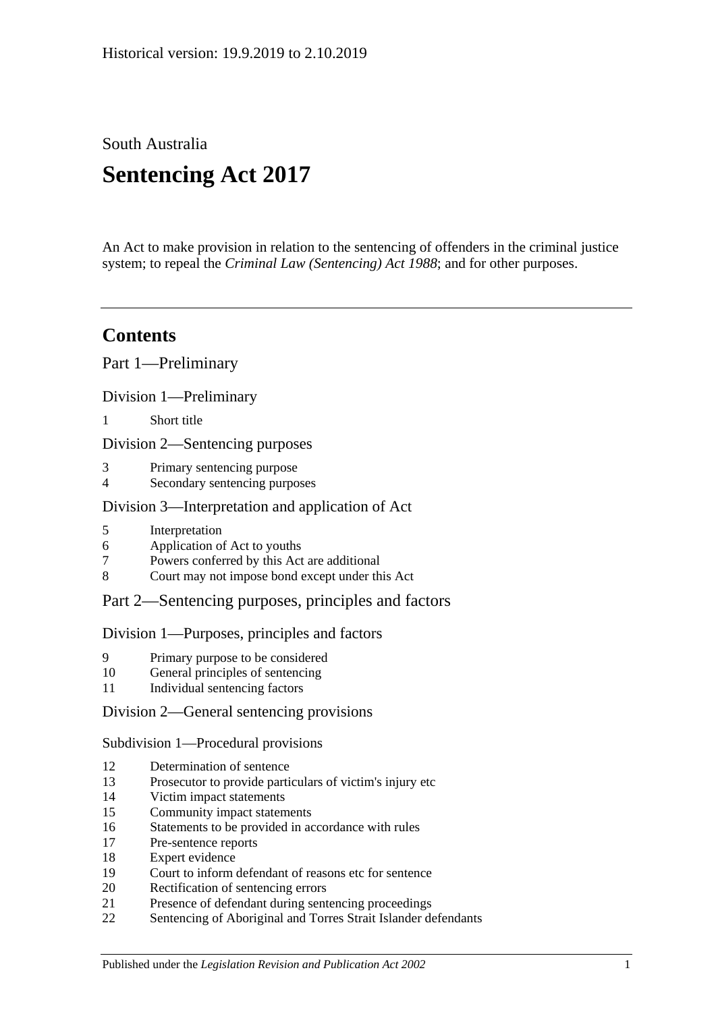South Australia

# **Sentencing Act 2017**

An Act to make provision in relation to the sentencing of offenders in the criminal justice system; to repeal the *[Criminal Law \(Sentencing\) Act](http://www.legislation.sa.gov.au/index.aspx?action=legref&type=act&legtitle=Criminal%20Law%20(Sentencing)%20Act%201988) 1988*; and for other purposes.

# **Contents**

Part [1—Preliminary](#page-4-0)

Division [1—Preliminary](#page-4-1)

1 [Short title](#page-4-2)

Division [2—Sentencing purposes](#page-4-3)

- 3 [Primary sentencing purpose](#page-4-4)
- 4 [Secondary sentencing purposes](#page-4-5)

# Division [3—Interpretation and application of Act](#page-5-0)

- 5 [Interpretation](#page-5-1)
- 6 [Application of Act to youths](#page-9-0)
- 7 [Powers conferred by this Act are additional](#page-9-1)
- 8 [Court may not impose bond except under this Act](#page-9-2)

# Part [2—Sentencing purposes, principles and factors](#page-10-0)

# Division [1—Purposes, principles and factors](#page-10-1)

- 9 [Primary purpose to be considered](#page-10-2)
- 10 [General principles of sentencing](#page-10-3)
- 11 [Individual sentencing factors](#page-10-4)

# Division [2—General sentencing provisions](#page-12-0)

Subdivision [1—Procedural provisions](#page-12-1)

- 12 [Determination of sentence](#page-12-2)
- 13 [Prosecutor to provide particulars of victim's injury etc](#page-12-3)
- 14 [Victim impact statements](#page-12-4)
- 15 [Community impact statements](#page-14-0)
- 16 [Statements to be provided in accordance with rules](#page-14-1)
- 17 [Pre-sentence reports](#page-14-2)
- 18 [Expert evidence](#page-15-0)
- 19 [Court to inform defendant of reasons etc for sentence](#page-16-0)
- 20 [Rectification of sentencing errors](#page-16-1)
- 21 [Presence of defendant during sentencing proceedings](#page-16-2)
- 22 [Sentencing of Aboriginal and Torres Strait Islander defendants](#page-17-0)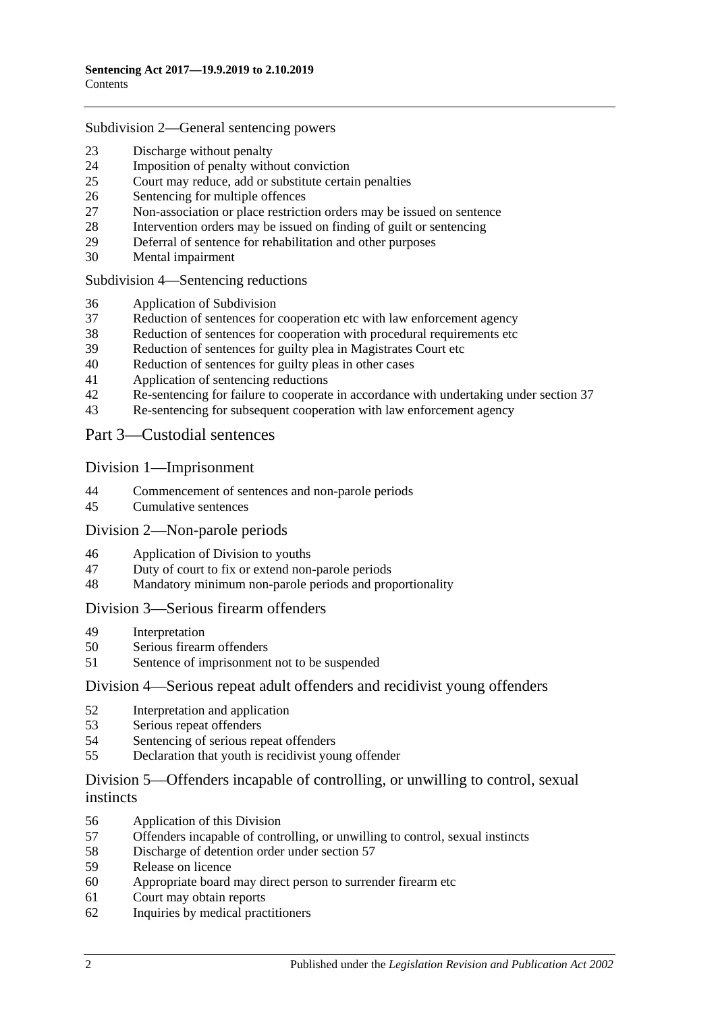#### Subdivision [2—General sentencing powers](#page-18-0)

- [Discharge without penalty](#page-18-1)
- [Imposition of penalty without conviction](#page-18-2)<br>25 Court may reduce add or substitute certain
- [Court may reduce, add or substitute certain penalties](#page-19-0)
- [Sentencing for multiple offences](#page-20-0)
- [Non-association or place restriction orders may be issued on sentence](#page-20-1)
- [Intervention orders may be issued on finding of guilt or sentencing](#page-21-0)
- [Deferral of sentence for rehabilitation and other purposes](#page-22-0)
- [Mental impairment](#page-23-0)

Subdivision [4—Sentencing reductions](#page-24-0)

- [Application of Subdivision](#page-24-1)
- [Reduction of sentences for cooperation etc with law enforcement agency](#page-25-0)
- [Reduction of sentences for cooperation with procedural requirements etc](#page-26-0)
- [Reduction of sentences for guilty plea in Magistrates Court etc](#page-26-1)
- [Reduction of sentences for guilty pleas in other cases](#page-28-0)
- [Application of sentencing reductions](#page-30-0)
- [Re-sentencing for failure to cooperate in accordance with undertaking under section](#page-30-1) 37
- [Re-sentencing for subsequent cooperation with law enforcement agency](#page-31-0)

Part [3—Custodial sentences](#page-32-0)

#### Division [1—Imprisonment](#page-32-1)

- [Commencement of sentences and non-parole periods](#page-32-2)
- [Cumulative sentences](#page-33-0)

#### Division [2—Non-parole periods](#page-33-1)

- [Application of Division to youths](#page-33-2)
- [Duty of court to fix or extend non-parole periods](#page-34-0)
- [Mandatory minimum non-parole periods and proportionality](#page-37-0)

#### Division [3—Serious firearm offenders](#page-37-1)

- [Interpretation](#page-37-2)<br>50 Serious firears
- [Serious firearm offenders](#page-39-0)
- [Sentence of imprisonment not to be suspended](#page-40-0)

#### Division [4—Serious repeat adult offenders and recidivist young offenders](#page-40-1)

- [Interpretation and application](#page-40-2)
- [Serious repeat offenders](#page-42-0)
- [Sentencing of serious repeat offenders](#page-43-0)
- [Declaration that youth is recidivist young offender](#page-43-1)

# Division [5—Offenders incapable of controlling, or unwilling to control, sexual](#page-44-0)  [instincts](#page-44-0)

- [Application of this Division](#page-44-1)
- [Offenders incapable of controlling, or unwilling to control, sexual instincts](#page-44-2)
- Discharge [of detention order under section](#page-47-0) 57
- [Release on licence](#page-48-0)
- [Appropriate board may direct person to surrender firearm etc](#page-51-0)
- [Court may obtain reports](#page-51-1)
- [Inquiries by medical practitioners](#page-51-2)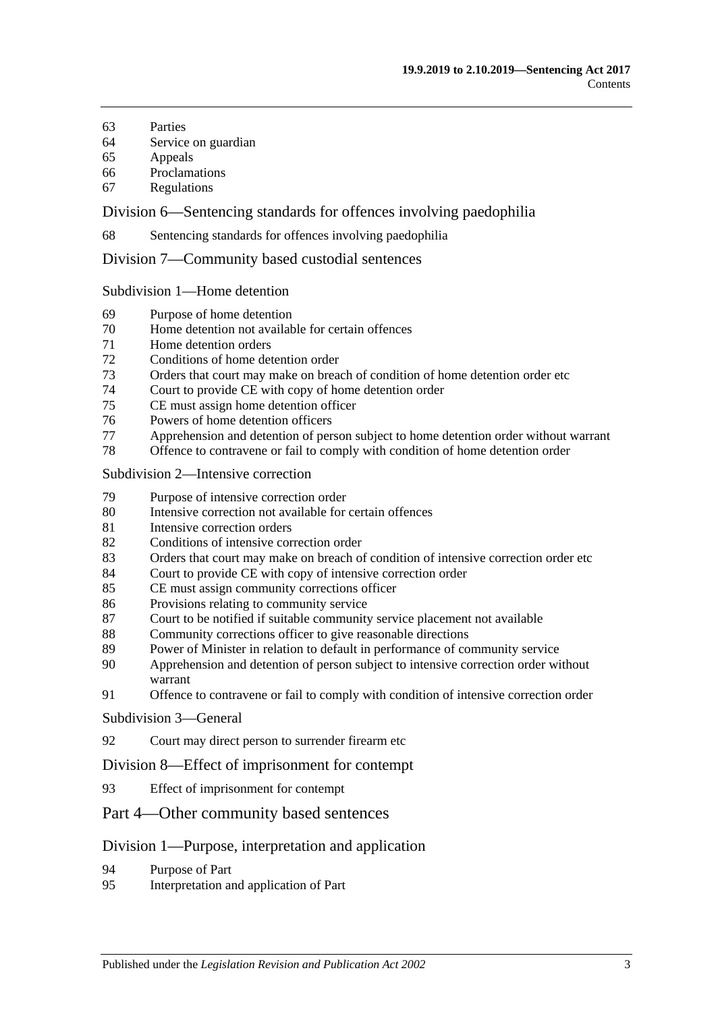- [Parties](#page-52-0)
- [Service on guardian](#page-52-1)
- [Appeals](#page-52-2)
- [Proclamations](#page-53-0)
- [Regulations](#page-53-1)

Division [6—Sentencing standards for offences involving paedophilia](#page-53-2)

[Sentencing standards for offences involving paedophilia](#page-53-3)

Division [7—Community based custodial sentences](#page-53-4)

Subdivision [1—Home detention](#page-53-5)

- [Purpose of home detention](#page-53-6)
- [Home detention not available for certain offences](#page-54-0)
- [Home detention orders](#page-54-1)
- [Conditions of home detention order](#page-59-0)
- [Orders that court may make on breach of condition of home detention order etc](#page-60-0)
- [Court to provide CE with copy of home detention order](#page-62-0)
- [CE must assign home detention officer](#page-62-1)
- [Powers of home detention officers](#page-63-0)
- [Apprehension and detention of person subject to home detention order without warrant](#page-63-1)
- [Offence to contravene or fail to comply with condition of home detention order](#page-63-2)

#### Subdivision [2—Intensive correction](#page-64-0)

- [Purpose of intensive correction order](#page-64-1)
- [Intensive correction not available for certain offences](#page-64-2)
- [Intensive correction orders](#page-64-3)
- [Conditions of intensive correction order](#page-68-0)
- [Orders that court may make on breach of condition of intensive correction order etc](#page-70-0)
- [Court to provide CE with copy of intensive correction order](#page-73-0)
- [CE must assign community corrections officer](#page-73-1)
- [Provisions relating to community service](#page-73-2)
- [Court to be notified if suitable community service placement not available](#page-74-0)
- [Community corrections officer to give reasonable directions](#page-74-1)
- [Power of Minister in relation to default in performance of community service](#page-75-0)
- [Apprehension and detention of person subject to intensive correction order without](#page-75-1)  [warrant](#page-75-1)
- [Offence to contravene or fail to comply with condition of intensive correction order](#page-75-2)

#### [Subdivision](#page-76-0) 3—General

[Court may direct person to surrender firearm etc](#page-76-1)

#### Division [8—Effect of imprisonment for contempt](#page-76-2)

[Effect of imprisonment for contempt](#page-76-3)

# Part [4—Other community based sentences](#page-76-4)

#### Division [1—Purpose, interpretation and application](#page-76-5)

- [Purpose of Part](#page-76-6)
- [Interpretation and application of Part](#page-76-7)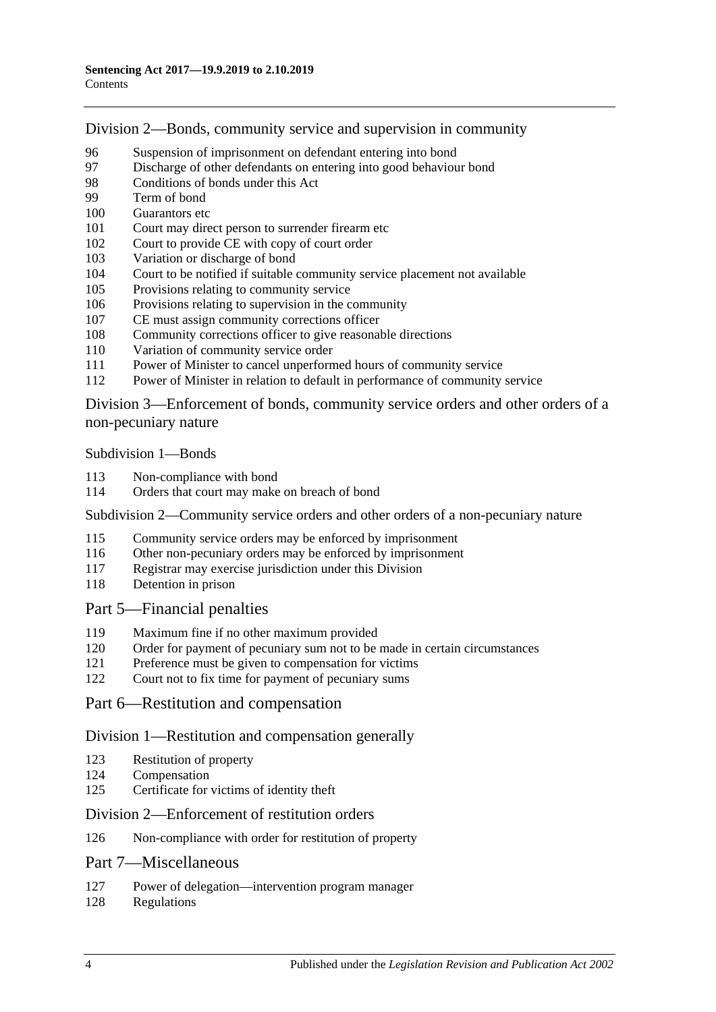Division [2—Bonds, community service and supervision in community](#page-77-0)

- [Suspension of imprisonment on defendant entering into bond](#page-77-1)<br>97 Discharge of other defendants on entering into good behaviour
- [Discharge of other defendants on entering into good behaviour bond](#page-82-0)
- [Conditions of bonds under this Act](#page-82-1)
- [Term of bond](#page-84-0)
- [Guarantors etc](#page-84-1)
- [Court may direct person to surrender firearm etc](#page-85-0)
- [Court to provide CE with copy of court order](#page-85-1)
- [Variation or discharge of bond](#page-85-2)
- [Court to be notified if suitable community service placement not available](#page-86-0)
- [Provisions relating to community service](#page-86-1)
- [Provisions relating to supervision in the community](#page-87-0)
- [CE must assign community corrections officer](#page-87-1)
- [Community corrections officer to give reasonable directions](#page-88-0)
- [Variation of community service order](#page-88-1)
- [Power of Minister to cancel unperformed hours of community service](#page-89-0)
- [Power of Minister in relation to default in performance of community service](#page-89-1)

Division [3—Enforcement of bonds, community service orders and other orders of a](#page-90-0)  [non-pecuniary nature](#page-90-0)

[Subdivision](#page-90-1) 1—Bonds

- [Non-compliance with bond](#page-90-2)
- [Orders that court may make on breach of bond](#page-91-0)

Subdivision [2—Community service orders and other orders of a non-pecuniary nature](#page-92-0)

- [Community service orders may be enforced by imprisonment](#page-92-1)
- [Other non-pecuniary orders may be enforced by imprisonment](#page-94-0)
- [Registrar may exercise jurisdiction under this Division](#page-94-1)
- [Detention in prison](#page-95-0)

# Part [5—Financial penalties](#page-95-1)

- [Maximum fine if no other maximum provided](#page-95-2)
- [Order for payment of pecuniary sum not to be made in certain circumstances](#page-95-3)
- [Preference must be given to compensation for victims](#page-95-4)
- [Court not to fix time for payment of pecuniary sums](#page-96-0)

# Part [6—Restitution and compensation](#page-96-1)

#### Division [1—Restitution and compensation generally](#page-96-2)

- [Restitution of property](#page-96-3)
- [Compensation](#page-96-4)
- [Certificate for victims of identity theft](#page-97-0)

#### Division [2—Enforcement of restitution orders](#page-98-0)

[Non-compliance with order for restitution of property](#page-98-1)

# Part [7—Miscellaneous](#page-99-0)

- [Power of delegation—intervention program manager](#page-99-1)
- [Regulations](#page-99-2)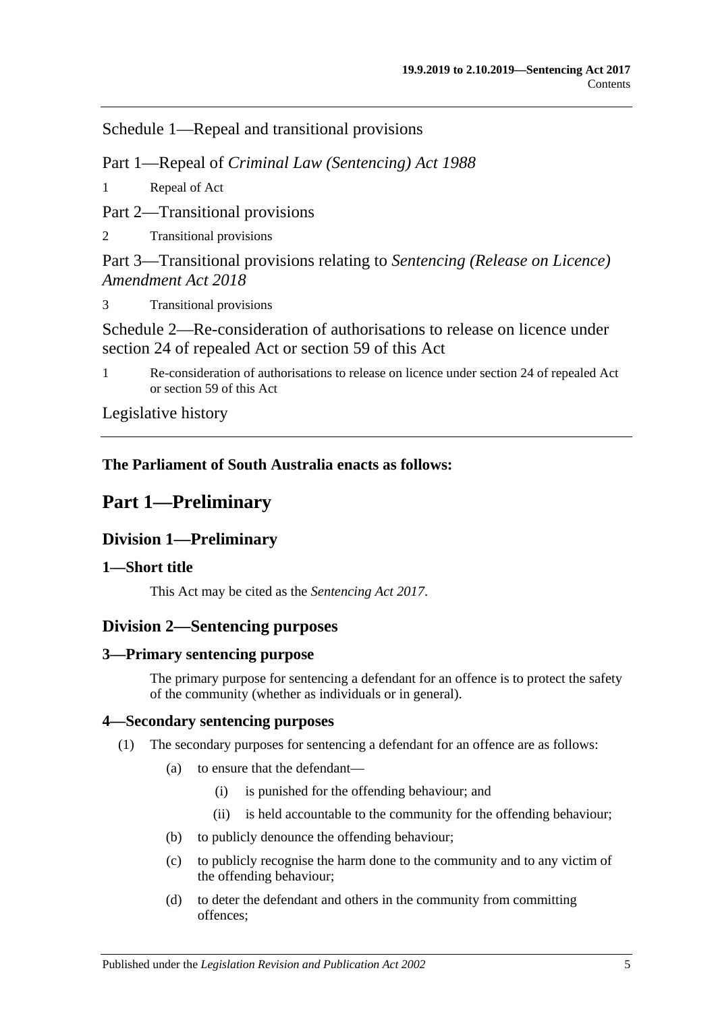Schedule [1—Repeal and transitional provisions](#page-100-0)

Part 1—Repeal of *Criminal Law (Sentencing) Act 1988*

1 [Repeal of Act](#page-100-1)

Part 2—Transitional provisions

2 [Transitional provisions](#page-100-2)

Part 3—Transitional provisions relating to *Sentencing (Release on Licence) Amendment Act 2018*

3 [Transitional provisions](#page-100-3)

[Schedule 2—Re-consideration of authorisations to release on licence under](#page-101-0)  [section 24 of repealed Act or section](#page-101-0) 59 of this Act

1 [Re-consideration of authorisations to release on licence under section 24 of repealed Act](#page-101-1)  or [section](#page-48-0) 59 [of this Act](#page-101-1)

[Legislative history](#page-104-0)

# <span id="page-4-0"></span>**The Parliament of South Australia enacts as follows:**

# **Part 1—Preliminary**

# <span id="page-4-1"></span>**Division 1—Preliminary**

# <span id="page-4-2"></span>**1—Short title**

This Act may be cited as the *Sentencing Act 2017*.

# <span id="page-4-3"></span>**Division 2—Sentencing purposes**

# <span id="page-4-4"></span>**3—Primary sentencing purpose**

The primary purpose for sentencing a defendant for an offence is to protect the safety of the community (whether as individuals or in general).

# <span id="page-4-6"></span><span id="page-4-5"></span>**4—Secondary sentencing purposes**

- (1) The secondary purposes for sentencing a defendant for an offence are as follows:
	- (a) to ensure that the defendant—
		- (i) is punished for the offending behaviour; and
		- (ii) is held accountable to the community for the offending behaviour;
	- (b) to publicly denounce the offending behaviour;
	- (c) to publicly recognise the harm done to the community and to any victim of the offending behaviour;
	- (d) to deter the defendant and others in the community from committing offences;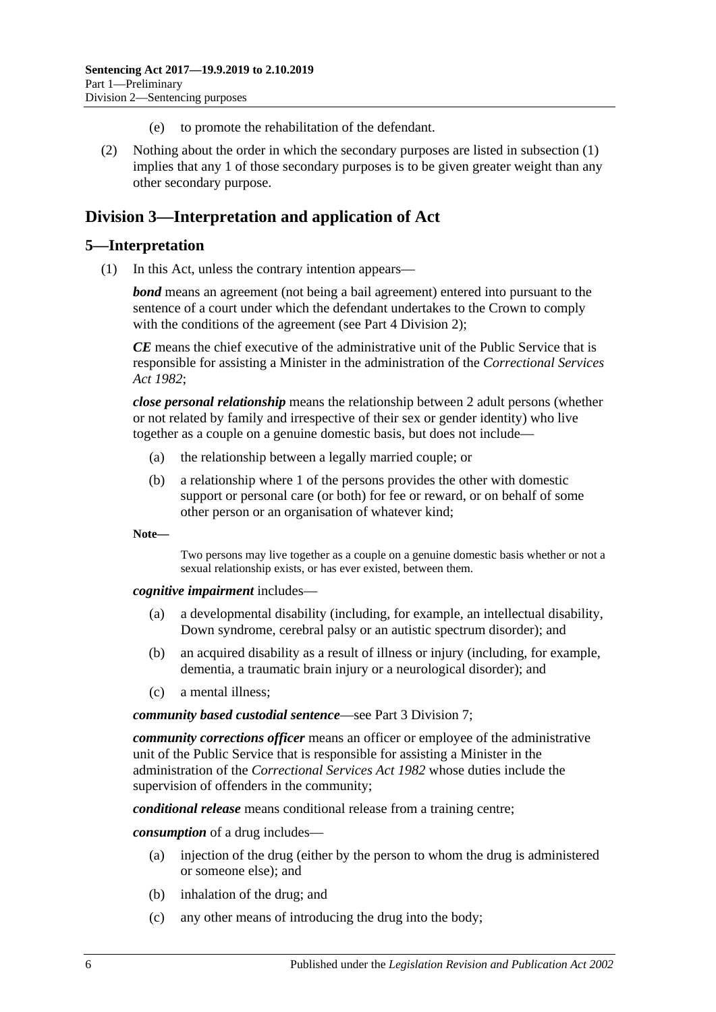- (e) to promote the rehabilitation of the defendant.
- (2) Nothing about the order in which the secondary purposes are listed in [subsection](#page-4-6) (1) implies that any 1 of those secondary purposes is to be given greater weight than any other secondary purpose.

# <span id="page-5-0"></span>**Division 3—Interpretation and application of Act**

#### <span id="page-5-1"></span>**5—Interpretation**

(1) In this Act, unless the contrary intention appears—

*bond* means an agreement (not being a bail agreement) entered into pursuant to the sentence of a court under which the defendant undertakes to the Crown to comply with the conditions of the agreement (see Part [4 Division](#page-77-0) 2);

*CE* means the chief executive of the administrative unit of the Public Service that is responsible for assisting a Minister in the administration of the *[Correctional Services](http://www.legislation.sa.gov.au/index.aspx?action=legref&type=act&legtitle=Correctional%20Services%20Act%201982)  Act [1982](http://www.legislation.sa.gov.au/index.aspx?action=legref&type=act&legtitle=Correctional%20Services%20Act%201982)*;

*close personal relationship* means the relationship between 2 adult persons (whether or not related by family and irrespective of their sex or gender identity) who live together as a couple on a genuine domestic basis, but does not include—

- (a) the relationship between a legally married couple; or
- (b) a relationship where 1 of the persons provides the other with domestic support or personal care (or both) for fee or reward, or on behalf of some other person or an organisation of whatever kind;

**Note—**

Two persons may live together as a couple on a genuine domestic basis whether or not a sexual relationship exists, or has ever existed, between them.

*cognitive impairment* includes—

- (a) a developmental disability (including, for example, an intellectual disability, Down syndrome, cerebral palsy or an autistic spectrum disorder); and
- (b) an acquired disability as a result of illness or injury (including, for example, dementia, a traumatic brain injury or a neurological disorder); and
- (c) a mental illness;

*community based custodial sentence*—see Part [3 Division](#page-53-4) 7;

*community corrections officer* means an officer or employee of the administrative unit of the Public Service that is responsible for assisting a Minister in the administration of the *[Correctional Services Act](http://www.legislation.sa.gov.au/index.aspx?action=legref&type=act&legtitle=Correctional%20Services%20Act%201982) 1982* whose duties include the supervision of offenders in the community;

*conditional release* means conditional release from a training centre;

*consumption* of a drug includes—

- (a) injection of the drug (either by the person to whom the drug is administered or someone else); and
- (b) inhalation of the drug; and
- (c) any other means of introducing the drug into the body;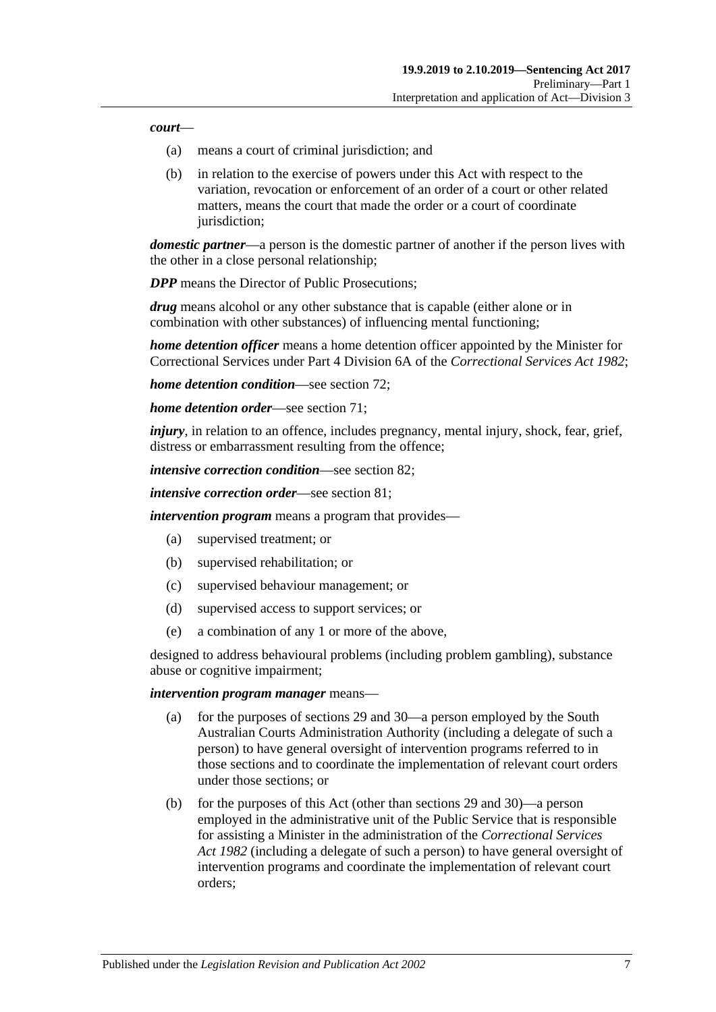#### *court*—

- (a) means a court of criminal jurisdiction; and
- (b) in relation to the exercise of powers under this Act with respect to the variation, revocation or enforcement of an order of a court or other related matters, means the court that made the order or a court of coordinate jurisdiction;

*domestic partner*—a person is the domestic partner of another if the person lives with the other in a close personal relationship;

*DPP* means the Director of Public Prosecutions:

*drug* means alcohol or any other substance that is capable (either alone or in combination with other substances) of influencing mental functioning;

*home detention officer* means a home detention officer appointed by the Minister for Correctional Services under Part 4 Division 6A of the *[Correctional Services Act](http://www.legislation.sa.gov.au/index.aspx?action=legref&type=act&legtitle=Correctional%20Services%20Act%201982) 1982*;

*home detention condition*—see [section](#page-59-0) 72;

*home detention order*—see [section](#page-54-1) 71;

*injury*, in relation to an offence, includes pregnancy, mental injury, shock, fear, grief, distress or embarrassment resulting from the offence;

*intensive correction condition*—see [section](#page-68-0) 82;

*intensive correction order*—see [section](#page-64-3) 81;

*intervention program* means a program that provides—

- (a) supervised treatment; or
- (b) supervised rehabilitation; or
- (c) supervised behaviour management; or
- (d) supervised access to support services; or
- (e) a combination of any 1 or more of the above,

designed to address behavioural problems (including problem gambling), substance abuse or cognitive impairment;

#### *intervention program manager* means—

- (a) for the purposes of [sections](#page-22-0) 29 and [30—](#page-23-0)a person employed by the South Australian Courts Administration Authority (including a delegate of such a person) to have general oversight of intervention programs referred to in those sections and to coordinate the implementation of relevant court orders under those sections; or
- (b) for the purposes of this Act (other than [sections](#page-22-0) 29 and [30\)](#page-23-0)—a person employed in the administrative unit of the Public Service that is responsible for assisting a Minister in the administration of the *[Correctional Services](http://www.legislation.sa.gov.au/index.aspx?action=legref&type=act&legtitle=Correctional%20Services%20Act%201982)  Act [1982](http://www.legislation.sa.gov.au/index.aspx?action=legref&type=act&legtitle=Correctional%20Services%20Act%201982)* (including a delegate of such a person) to have general oversight of intervention programs and coordinate the implementation of relevant court orders;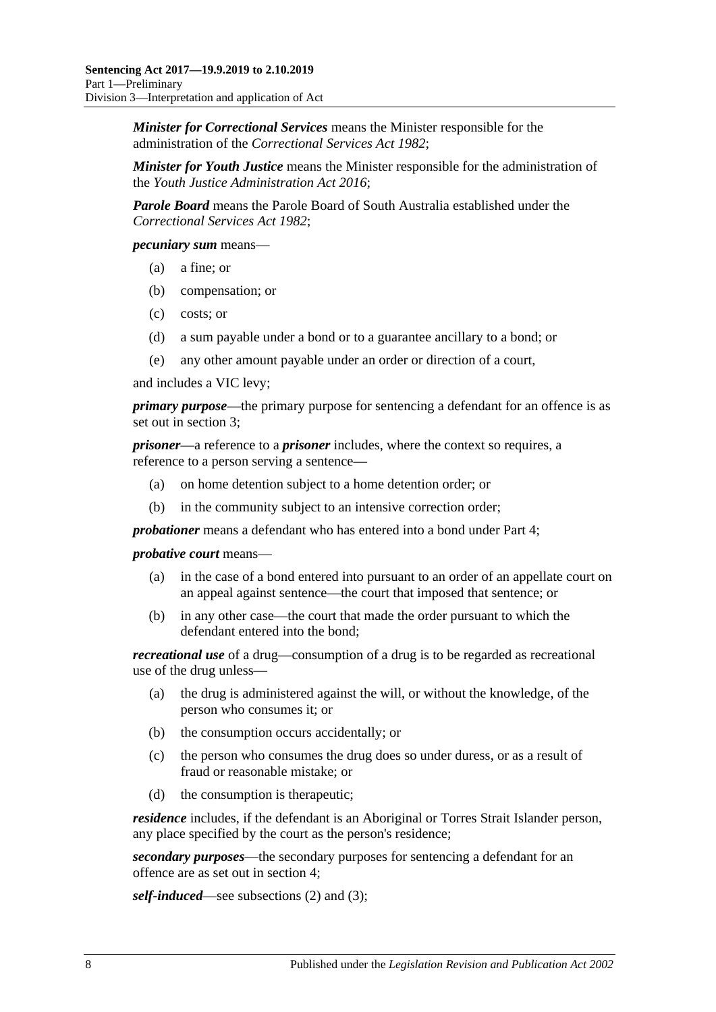*Minister for Correctional Services* means the Minister responsible for the administration of the *[Correctional Services Act](http://www.legislation.sa.gov.au/index.aspx?action=legref&type=act&legtitle=Correctional%20Services%20Act%201982) 1982*;

*Minister for Youth Justice* means the Minister responsible for the administration of the *[Youth Justice Administration Act](http://www.legislation.sa.gov.au/index.aspx?action=legref&type=act&legtitle=Youth%20Justice%20Administration%20Act%202016) 2016*;

*Parole Board* means the Parole Board of South Australia established under the *[Correctional Services Act](http://www.legislation.sa.gov.au/index.aspx?action=legref&type=act&legtitle=Correctional%20Services%20Act%201982) 1982*;

*pecuniary sum* means—

- (a) a fine; or
- (b) compensation; or
- (c) costs; or
- (d) a sum payable under a bond or to a guarantee ancillary to a bond; or
- (e) any other amount payable under an order or direction of a court,

and includes a VIC levy;

*primary purpose*—the primary purpose for sentencing a defendant for an offence is as set out in [section](#page-4-4) 3;

*prisoner*—a reference to a *prisoner* includes, where the context so requires, a reference to a person serving a sentence—

- (a) on home detention subject to a home detention order; or
- (b) in the community subject to an intensive correction order;

*probationer* means a defendant who has entered into a bond under [Part](#page-76-4) 4;

*probative court* means—

- (a) in the case of a bond entered into pursuant to an order of an appellate court on an appeal against sentence—the court that imposed that sentence; or
- (b) in any other case—the court that made the order pursuant to which the defendant entered into the bond;

*recreational use* of a drug—consumption of a drug is to be regarded as recreational use of the drug unless—

- (a) the drug is administered against the will, or without the knowledge, of the person who consumes it; or
- (b) the consumption occurs accidentally; or
- (c) the person who consumes the drug does so under duress, or as a result of fraud or reasonable mistake; or
- (d) the consumption is therapeutic;

*residence* includes, if the defendant is an Aboriginal or Torres Strait Islander person, any place specified by the court as the person's residence;

*secondary purposes*—the secondary purposes for sentencing a defendant for an offence are as set out in [section](#page-4-5) 4;

*self-induced*—see [subsections \(2\)](#page-8-0) and [\(3\);](#page-8-1)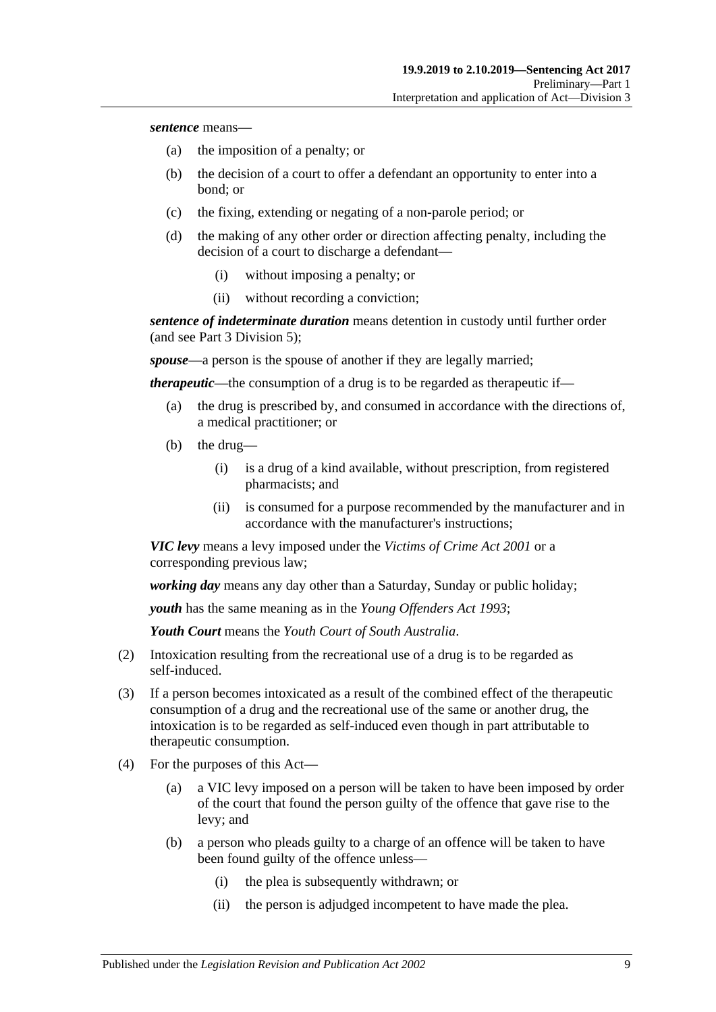*sentence* means—

- (a) the imposition of a penalty; or
- (b) the decision of a court to offer a defendant an opportunity to enter into a bond; or
- (c) the fixing, extending or negating of a non-parole period; or
- (d) the making of any other order or direction affecting penalty, including the decision of a court to discharge a defendant—
	- (i) without imposing a penalty; or
	- (ii) without recording a conviction;

*sentence of indeterminate duration* means detention in custody until further order (and see Part [3 Division](#page-44-0) 5);

*spouse*—a person is the spouse of another if they are legally married;

*therapeutic*—the consumption of a drug is to be regarded as therapeutic if—

- (a) the drug is prescribed by, and consumed in accordance with the directions of, a medical practitioner; or
- (b) the drug—
	- (i) is a drug of a kind available, without prescription, from registered pharmacists; and
	- (ii) is consumed for a purpose recommended by the manufacturer and in accordance with the manufacturer's instructions;

*VIC levy* means a levy imposed under the *[Victims of Crime Act](http://www.legislation.sa.gov.au/index.aspx?action=legref&type=act&legtitle=Victims%20of%20Crime%20Act%202001) 2001* or a corresponding previous law;

*working day* means any day other than a Saturday, Sunday or public holiday;

*youth* has the same meaning as in the *[Young Offenders Act](http://www.legislation.sa.gov.au/index.aspx?action=legref&type=act&legtitle=Young%20Offenders%20Act%201993) 1993*;

*Youth Court* means the *Youth Court of South Australia*.

- <span id="page-8-0"></span>(2) Intoxication resulting from the recreational use of a drug is to be regarded as self-induced.
- <span id="page-8-1"></span>(3) If a person becomes intoxicated as a result of the combined effect of the therapeutic consumption of a drug and the recreational use of the same or another drug, the intoxication is to be regarded as self-induced even though in part attributable to therapeutic consumption.
- (4) For the purposes of this Act—
	- (a) a VIC levy imposed on a person will be taken to have been imposed by order of the court that found the person guilty of the offence that gave rise to the levy; and
	- (b) a person who pleads guilty to a charge of an offence will be taken to have been found guilty of the offence unless—
		- (i) the plea is subsequently withdrawn; or
		- (ii) the person is adjudged incompetent to have made the plea.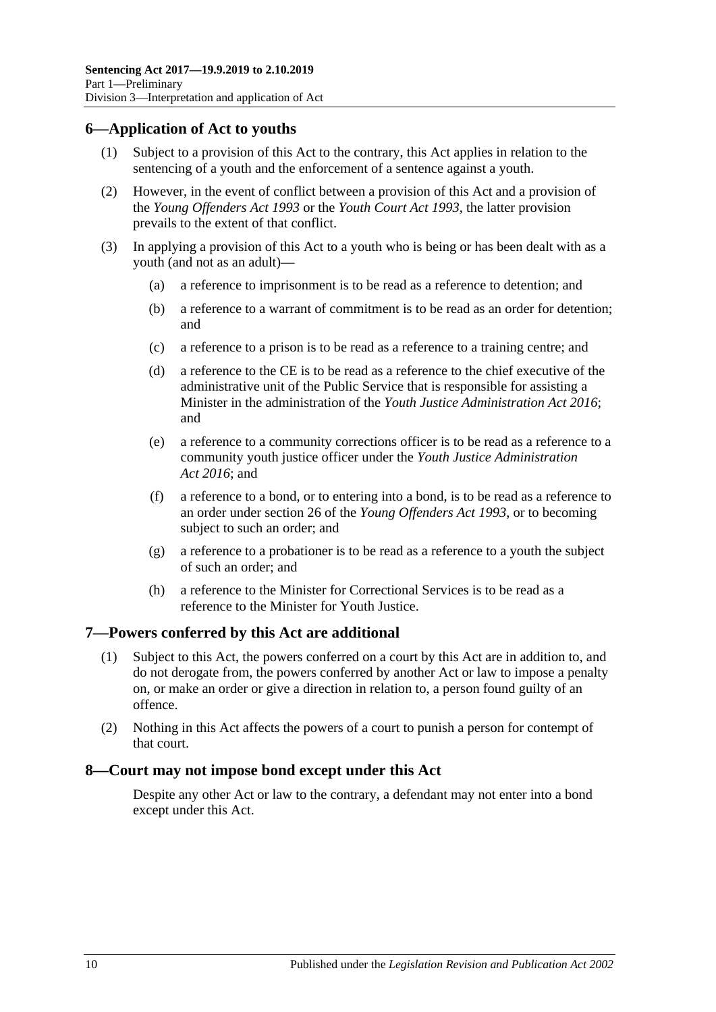# <span id="page-9-0"></span>**6—Application of Act to youths**

- (1) Subject to a provision of this Act to the contrary, this Act applies in relation to the sentencing of a youth and the enforcement of a sentence against a youth.
- (2) However, in the event of conflict between a provision of this Act and a provision of the *[Young Offenders Act](http://www.legislation.sa.gov.au/index.aspx?action=legref&type=act&legtitle=Young%20Offenders%20Act%201993) 1993* or the *[Youth Court Act](http://www.legislation.sa.gov.au/index.aspx?action=legref&type=act&legtitle=Youth%20Court%20Act%201993) 1993*, the latter provision prevails to the extent of that conflict.
- (3) In applying a provision of this Act to a youth who is being or has been dealt with as a youth (and not as an adult)—
	- (a) a reference to imprisonment is to be read as a reference to detention; and
	- (b) a reference to a warrant of commitment is to be read as an order for detention; and
	- (c) a reference to a prison is to be read as a reference to a training centre; and
	- (d) a reference to the CE is to be read as a reference to the chief executive of the administrative unit of the Public Service that is responsible for assisting a Minister in the administration of the *[Youth Justice Administration Act](http://www.legislation.sa.gov.au/index.aspx?action=legref&type=act&legtitle=Youth%20Justice%20Administration%20Act%202016) 2016*; and
	- (e) a reference to a community corrections officer is to be read as a reference to a community youth justice officer under the *[Youth Justice Administration](http://www.legislation.sa.gov.au/index.aspx?action=legref&type=act&legtitle=Youth%20Justice%20Administration%20Act%202016)  Act [2016](http://www.legislation.sa.gov.au/index.aspx?action=legref&type=act&legtitle=Youth%20Justice%20Administration%20Act%202016)*; and
	- (f) a reference to a bond, or to entering into a bond, is to be read as a reference to an order under section 26 of the *[Young Offenders Act](http://www.legislation.sa.gov.au/index.aspx?action=legref&type=act&legtitle=Young%20Offenders%20Act%201993) 1993*, or to becoming subject to such an order; and
	- (g) a reference to a probationer is to be read as a reference to a youth the subject of such an order; and
	- (h) a reference to the Minister for Correctional Services is to be read as a reference to the Minister for Youth Justice.

# <span id="page-9-1"></span>**7—Powers conferred by this Act are additional**

- (1) Subject to this Act, the powers conferred on a court by this Act are in addition to, and do not derogate from, the powers conferred by another Act or law to impose a penalty on, or make an order or give a direction in relation to, a person found guilty of an offence.
- (2) Nothing in this Act affects the powers of a court to punish a person for contempt of that court.

# <span id="page-9-2"></span>**8—Court may not impose bond except under this Act**

Despite any other Act or law to the contrary, a defendant may not enter into a bond except under this Act.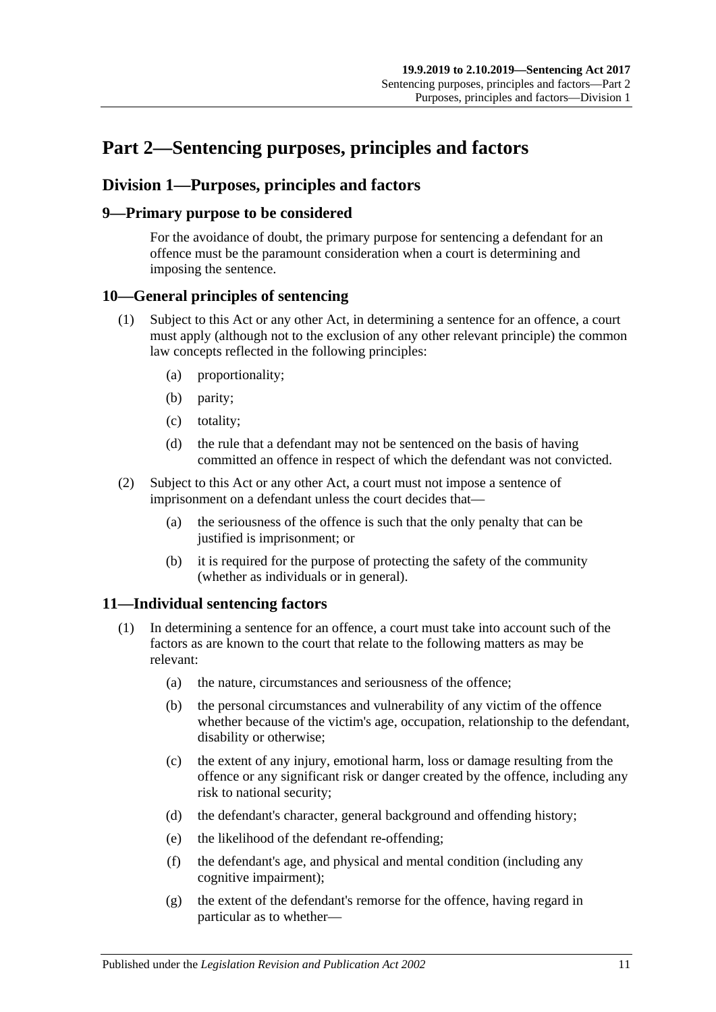# <span id="page-10-0"></span>**Part 2—Sentencing purposes, principles and factors**

# <span id="page-10-1"></span>**Division 1—Purposes, principles and factors**

# <span id="page-10-2"></span>**9—Primary purpose to be considered**

For the avoidance of doubt, the primary purpose for sentencing a defendant for an offence must be the paramount consideration when a court is determining and imposing the sentence.

# <span id="page-10-3"></span>**10—General principles of sentencing**

- (1) Subject to this Act or any other Act, in determining a sentence for an offence, a court must apply (although not to the exclusion of any other relevant principle) the common law concepts reflected in the following principles:
	- (a) proportionality;
	- (b) parity;
	- (c) totality;
	- (d) the rule that a defendant may not be sentenced on the basis of having committed an offence in respect of which the defendant was not convicted.
- (2) Subject to this Act or any other Act, a court must not impose a sentence of imprisonment on a defendant unless the court decides that—
	- (a) the seriousness of the offence is such that the only penalty that can be justified is imprisonment; or
	- (b) it is required for the purpose of protecting the safety of the community (whether as individuals or in general).

# <span id="page-10-5"></span><span id="page-10-4"></span>**11—Individual sentencing factors**

- <span id="page-10-6"></span>(1) In determining a sentence for an offence, a court must take into account such of the factors as are known to the court that relate to the following matters as may be relevant:
	- (a) the nature, circumstances and seriousness of the offence;
	- (b) the personal circumstances and vulnerability of any victim of the offence whether because of the victim's age, occupation, relationship to the defendant, disability or otherwise;
	- (c) the extent of any injury, emotional harm, loss or damage resulting from the offence or any significant risk or danger created by the offence, including any risk to national security;
	- (d) the defendant's character, general background and offending history;
	- (e) the likelihood of the defendant re-offending;
	- (f) the defendant's age, and physical and mental condition (including any cognitive impairment);
	- (g) the extent of the defendant's remorse for the offence, having regard in particular as to whether—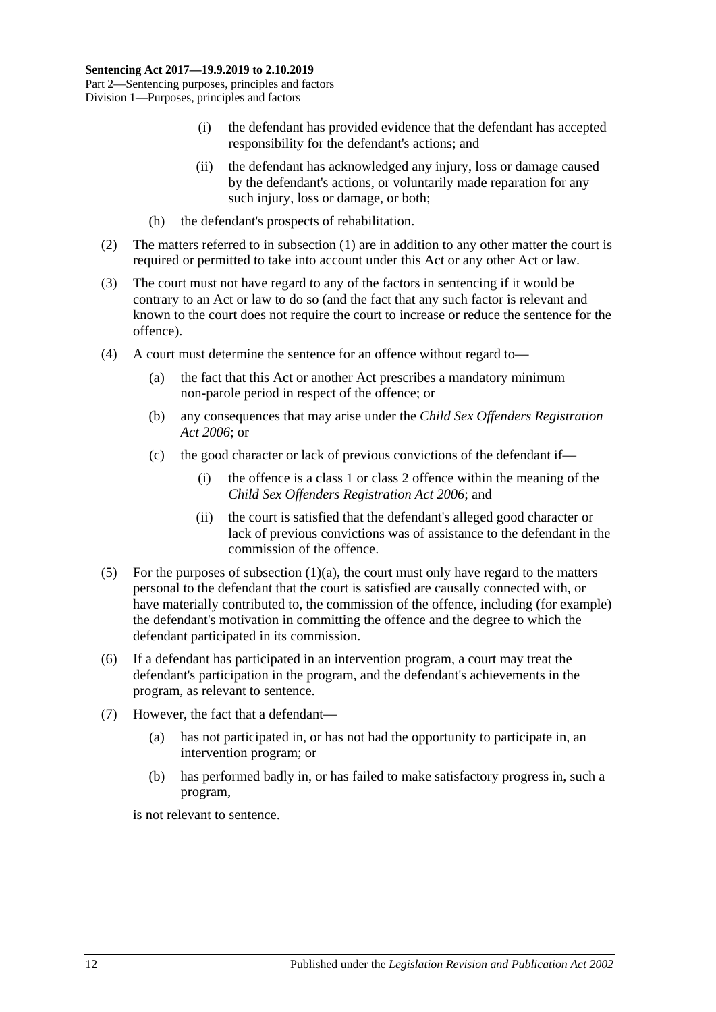- (i) the defendant has provided evidence that the defendant has accepted responsibility for the defendant's actions; and
- (ii) the defendant has acknowledged any injury, loss or damage caused by the defendant's actions, or voluntarily made reparation for any such injury, loss or damage, or both;
- (h) the defendant's prospects of rehabilitation.
- (2) The matters referred to in [subsection](#page-10-5) (1) are in addition to any other matter the court is required or permitted to take into account under this Act or any other Act or law.
- (3) The court must not have regard to any of the factors in sentencing if it would be contrary to an Act or law to do so (and the fact that any such factor is relevant and known to the court does not require the court to increase or reduce the sentence for the offence).
- (4) A court must determine the sentence for an offence without regard to—
	- (a) the fact that this Act or another Act prescribes a mandatory minimum non-parole period in respect of the offence; or
	- (b) any consequences that may arise under the *[Child Sex Offenders Registration](http://www.legislation.sa.gov.au/index.aspx?action=legref&type=act&legtitle=Child%20Sex%20Offenders%20Registration%20Act%202006)  Act [2006](http://www.legislation.sa.gov.au/index.aspx?action=legref&type=act&legtitle=Child%20Sex%20Offenders%20Registration%20Act%202006)*; or
	- (c) the good character or lack of previous convictions of the defendant if—
		- (i) the offence is a class 1 or class 2 offence within the meaning of the *[Child Sex Offenders Registration Act](http://www.legislation.sa.gov.au/index.aspx?action=legref&type=act&legtitle=Child%20Sex%20Offenders%20Registration%20Act%202006) 2006*; and
		- (ii) the court is satisfied that the defendant's alleged good character or lack of previous convictions was of assistance to the defendant in the commission of the offence.
- (5) For the purposes of [subsection](#page-10-6)  $(1)(a)$ , the court must only have regard to the matters personal to the defendant that the court is satisfied are causally connected with, or have materially contributed to, the commission of the offence, including (for example) the defendant's motivation in committing the offence and the degree to which the defendant participated in its commission.
- (6) If a defendant has participated in an intervention program, a court may treat the defendant's participation in the program, and the defendant's achievements in the program, as relevant to sentence.
- (7) However, the fact that a defendant—
	- (a) has not participated in, or has not had the opportunity to participate in, an intervention program; or
	- (b) has performed badly in, or has failed to make satisfactory progress in, such a program,

is not relevant to sentence.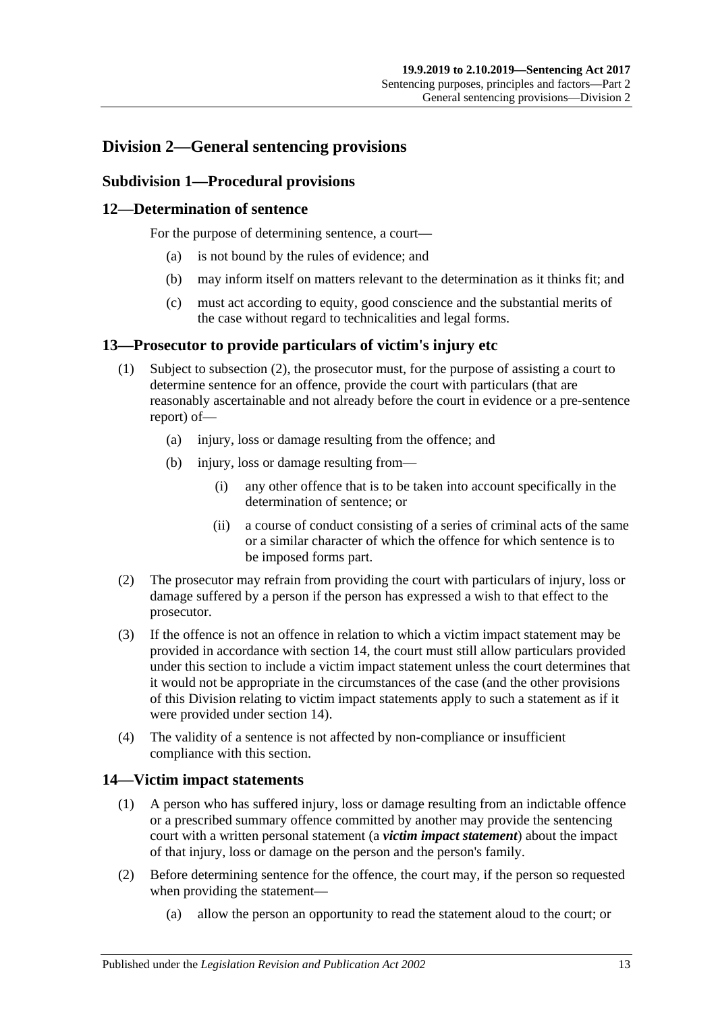# <span id="page-12-1"></span><span id="page-12-0"></span>**Division 2—General sentencing provisions**

# **Subdivision 1—Procedural provisions**

# <span id="page-12-2"></span>**12—Determination of sentence**

For the purpose of determining sentence, a court—

- (a) is not bound by the rules of evidence; and
- (b) may inform itself on matters relevant to the determination as it thinks fit; and
- (c) must act according to equity, good conscience and the substantial merits of the case without regard to technicalities and legal forms.

#### <span id="page-12-3"></span>**13—Prosecutor to provide particulars of victim's injury etc**

- (1) Subject to [subsection](#page-12-5) (2), the prosecutor must, for the purpose of assisting a court to determine sentence for an offence, provide the court with particulars (that are reasonably ascertainable and not already before the court in evidence or a pre-sentence report) of—
	- (a) injury, loss or damage resulting from the offence; and
	- (b) injury, loss or damage resulting from—
		- (i) any other offence that is to be taken into account specifically in the determination of sentence; or
		- (ii) a course of conduct consisting of a series of criminal acts of the same or a similar character of which the offence for which sentence is to be imposed forms part.
- <span id="page-12-5"></span>(2) The prosecutor may refrain from providing the court with particulars of injury, loss or damage suffered by a person if the person has expressed a wish to that effect to the prosecutor.
- (3) If the offence is not an offence in relation to which a victim impact statement may be provided in accordance with [section](#page-12-4) 14, the court must still allow particulars provided under this section to include a victim impact statement unless the court determines that it would not be appropriate in the circumstances of the case (and the other provisions of this Division relating to victim impact statements apply to such a statement as if it were provided under [section](#page-12-4) 14).
- (4) The validity of a sentence is not affected by non-compliance or insufficient compliance with this section.

# <span id="page-12-4"></span>**14—Victim impact statements**

- (1) A person who has suffered injury, loss or damage resulting from an indictable offence or a prescribed summary offence committed by another may provide the sentencing court with a written personal statement (a *victim impact statement*) about the impact of that injury, loss or damage on the person and the person's family.
- (2) Before determining sentence for the offence, the court may, if the person so requested when providing the statement—
	- (a) allow the person an opportunity to read the statement aloud to the court; or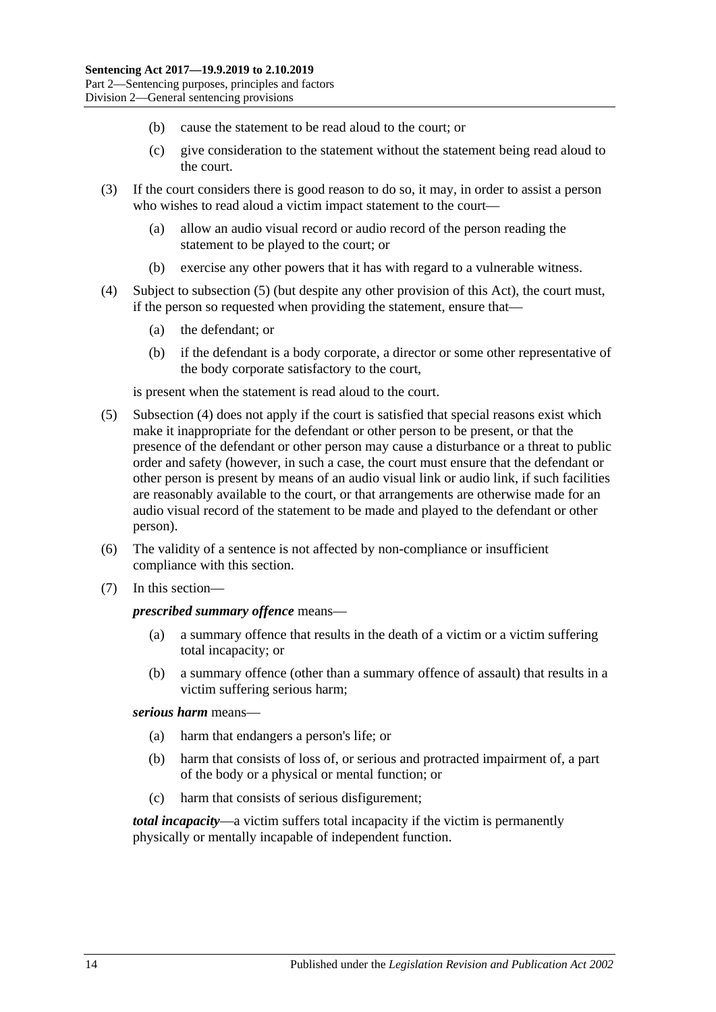- (b) cause the statement to be read aloud to the court; or
- (c) give consideration to the statement without the statement being read aloud to the court.
- (3) If the court considers there is good reason to do so, it may, in order to assist a person who wishes to read aloud a victim impact statement to the court—
	- (a) allow an audio visual record or audio record of the person reading the statement to be played to the court; or
	- (b) exercise any other powers that it has with regard to a vulnerable witness.
- <span id="page-13-1"></span>(4) Subject to [subsection](#page-13-0) (5) (but despite any other provision of this Act), the court must, if the person so requested when providing the statement, ensure that—
	- (a) the defendant; or
	- (b) if the defendant is a body corporate, a director or some other representative of the body corporate satisfactory to the court,

is present when the statement is read aloud to the court.

- <span id="page-13-0"></span>(5) [Subsection](#page-13-1) (4) does not apply if the court is satisfied that special reasons exist which make it inappropriate for the defendant or other person to be present, or that the presence of the defendant or other person may cause a disturbance or a threat to public order and safety (however, in such a case, the court must ensure that the defendant or other person is present by means of an audio visual link or audio link, if such facilities are reasonably available to the court, or that arrangements are otherwise made for an audio visual record of the statement to be made and played to the defendant or other person).
- (6) The validity of a sentence is not affected by non-compliance or insufficient compliance with this section.
- (7) In this section—

#### *prescribed summary offence* means—

- (a) a summary offence that results in the death of a victim or a victim suffering total incapacity; or
- (b) a summary offence (other than a summary offence of assault) that results in a victim suffering serious harm;

#### *serious harm* means—

- (a) harm that endangers a person's life; or
- (b) harm that consists of loss of, or serious and protracted impairment of, a part of the body or a physical or mental function; or
- (c) harm that consists of serious disfigurement;

*total incapacity*—a victim suffers total incapacity if the victim is permanently physically or mentally incapable of independent function.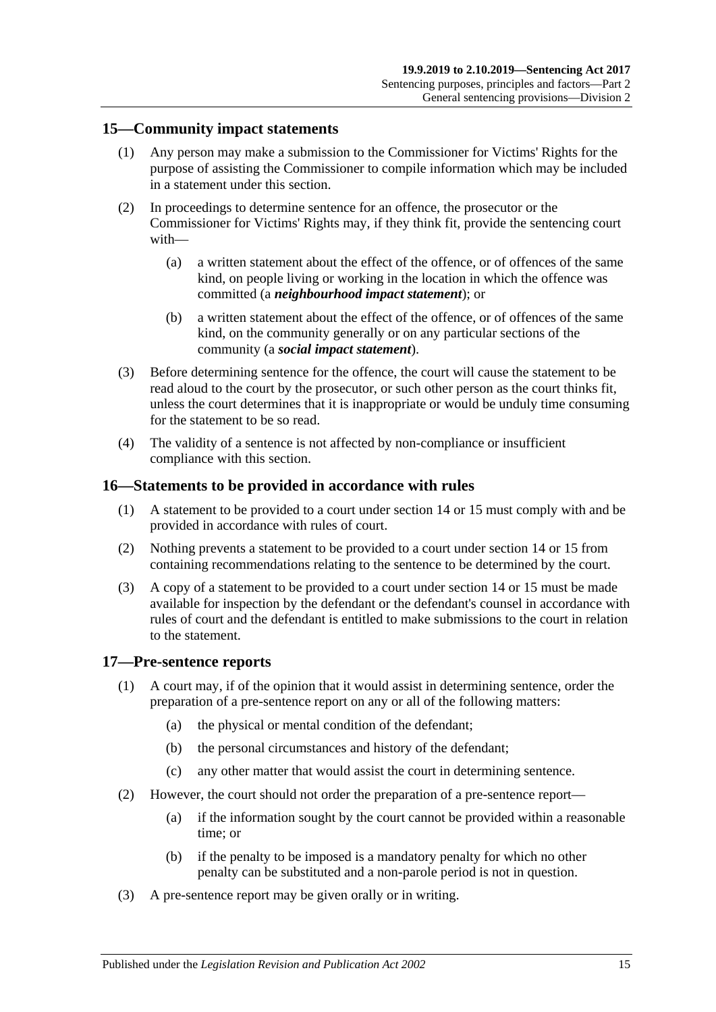#### <span id="page-14-0"></span>**15—Community impact statements**

- (1) Any person may make a submission to the Commissioner for Victims' Rights for the purpose of assisting the Commissioner to compile information which may be included in a statement under this section.
- (2) In proceedings to determine sentence for an offence, the prosecutor or the Commissioner for Victims' Rights may, if they think fit, provide the sentencing court with—
	- (a) a written statement about the effect of the offence, or of offences of the same kind, on people living or working in the location in which the offence was committed (a *neighbourhood impact statement*); or
	- (b) a written statement about the effect of the offence, or of offences of the same kind, on the community generally or on any particular sections of the community (a *social impact statement*).
- (3) Before determining sentence for the offence, the court will cause the statement to be read aloud to the court by the prosecutor, or such other person as the court thinks fit, unless the court determines that it is inappropriate or would be unduly time consuming for the statement to be so read.
- (4) The validity of a sentence is not affected by non-compliance or insufficient compliance with this section.

#### <span id="page-14-1"></span>**16—Statements to be provided in accordance with rules**

- (1) A statement to be provided to a court under [section](#page-12-4) 14 or [15](#page-14-0) must comply with and be provided in accordance with rules of court.
- (2) Nothing prevents a statement to be provided to a court under [section](#page-12-4) 14 or [15](#page-14-0) from containing recommendations relating to the sentence to be determined by the court.
- (3) A copy of a statement to be provided to a court under [section](#page-12-4) 14 or [15](#page-14-0) must be made available for inspection by the defendant or the defendant's counsel in accordance with rules of court and the defendant is entitled to make submissions to the court in relation to the statement.

#### <span id="page-14-2"></span>**17—Pre-sentence reports**

- (1) A court may, if of the opinion that it would assist in determining sentence, order the preparation of a pre-sentence report on any or all of the following matters:
	- (a) the physical or mental condition of the defendant;
	- (b) the personal circumstances and history of the defendant;
	- (c) any other matter that would assist the court in determining sentence.
- (2) However, the court should not order the preparation of a pre-sentence report—
	- (a) if the information sought by the court cannot be provided within a reasonable time; or
	- (b) if the penalty to be imposed is a mandatory penalty for which no other penalty can be substituted and a non-parole period is not in question.
- (3) A pre-sentence report may be given orally or in writing.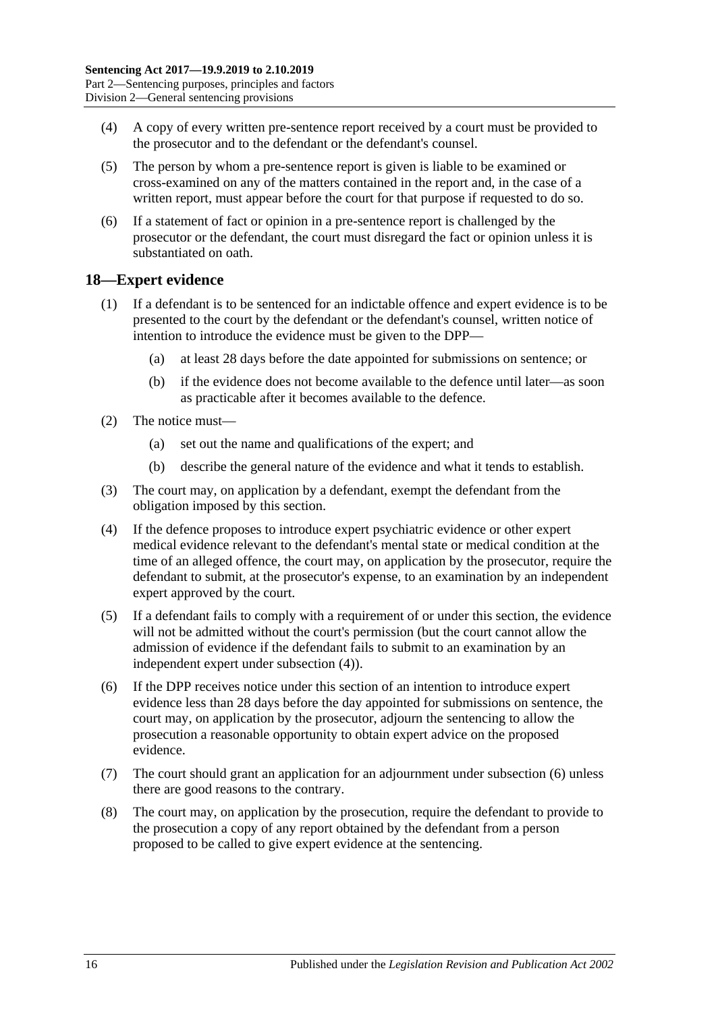- (4) A copy of every written pre-sentence report received by a court must be provided to the prosecutor and to the defendant or the defendant's counsel.
- (5) The person by whom a pre-sentence report is given is liable to be examined or cross-examined on any of the matters contained in the report and, in the case of a written report, must appear before the court for that purpose if requested to do so.
- (6) If a statement of fact or opinion in a pre-sentence report is challenged by the prosecutor or the defendant, the court must disregard the fact or opinion unless it is substantiated on oath.

#### <span id="page-15-0"></span>**18—Expert evidence**

- (1) If a defendant is to be sentenced for an indictable offence and expert evidence is to be presented to the court by the defendant or the defendant's counsel, written notice of intention to introduce the evidence must be given to the DPP—
	- (a) at least 28 days before the date appointed for submissions on sentence; or
	- (b) if the evidence does not become available to the defence until later—as soon as practicable after it becomes available to the defence.
- (2) The notice must—
	- (a) set out the name and qualifications of the expert; and
	- (b) describe the general nature of the evidence and what it tends to establish.
- (3) The court may, on application by a defendant, exempt the defendant from the obligation imposed by this section.
- <span id="page-15-1"></span>(4) If the defence proposes to introduce expert psychiatric evidence or other expert medical evidence relevant to the defendant's mental state or medical condition at the time of an alleged offence, the court may, on application by the prosecutor, require the defendant to submit, at the prosecutor's expense, to an examination by an independent expert approved by the court.
- (5) If a defendant fails to comply with a requirement of or under this section, the evidence will not be admitted without the court's permission (but the court cannot allow the admission of evidence if the defendant fails to submit to an examination by an independent expert under [subsection](#page-15-1) (4)).
- <span id="page-15-2"></span>(6) If the DPP receives notice under this section of an intention to introduce expert evidence less than 28 days before the day appointed for submissions on sentence, the court may, on application by the prosecutor, adjourn the sentencing to allow the prosecution a reasonable opportunity to obtain expert advice on the proposed evidence.
- (7) The court should grant an application for an adjournment under [subsection](#page-15-2) (6) unless there are good reasons to the contrary.
- (8) The court may, on application by the prosecution, require the defendant to provide to the prosecution a copy of any report obtained by the defendant from a person proposed to be called to give expert evidence at the sentencing.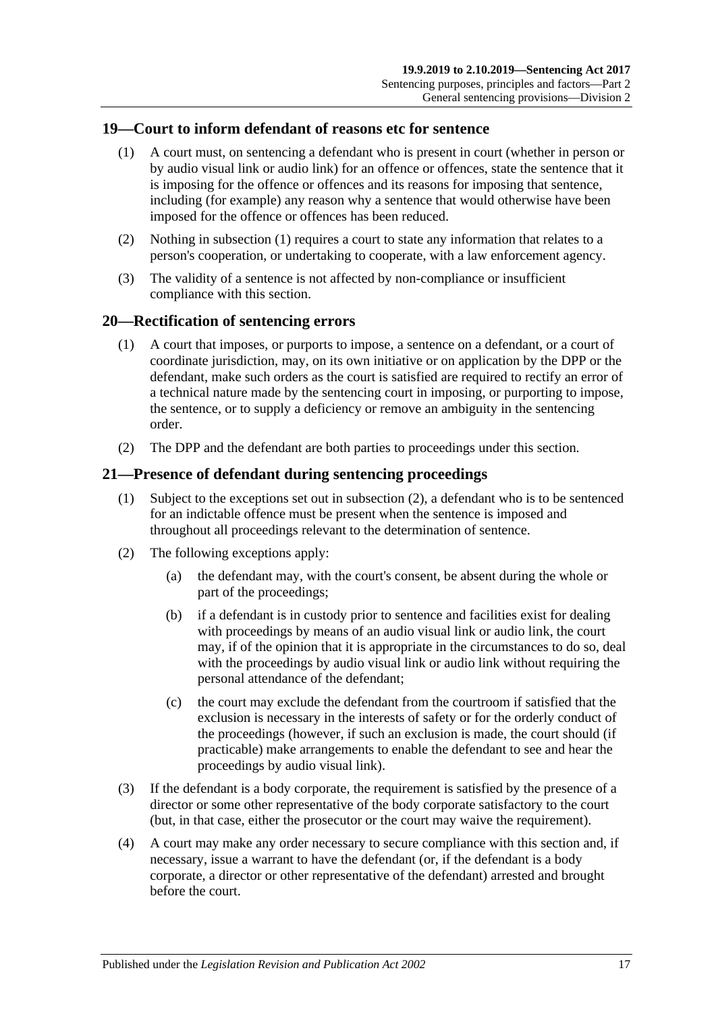#### <span id="page-16-3"></span><span id="page-16-0"></span>**19—Court to inform defendant of reasons etc for sentence**

- (1) A court must, on sentencing a defendant who is present in court (whether in person or by audio visual link or audio link) for an offence or offences, state the sentence that it is imposing for the offence or offences and its reasons for imposing that sentence, including (for example) any reason why a sentence that would otherwise have been imposed for the offence or offences has been reduced.
- (2) Nothing in [subsection](#page-16-3) (1) requires a court to state any information that relates to a person's cooperation, or undertaking to cooperate, with a law enforcement agency.
- (3) The validity of a sentence is not affected by non-compliance or insufficient compliance with this section.

#### <span id="page-16-1"></span>**20—Rectification of sentencing errors**

- (1) A court that imposes, or purports to impose, a sentence on a defendant, or a court of coordinate jurisdiction, may, on its own initiative or on application by the DPP or the defendant, make such orders as the court is satisfied are required to rectify an error of a technical nature made by the sentencing court in imposing, or purporting to impose, the sentence, or to supply a deficiency or remove an ambiguity in the sentencing order.
- (2) The DPP and the defendant are both parties to proceedings under this section.

#### <span id="page-16-2"></span>**21—Presence of defendant during sentencing proceedings**

- (1) Subject to the exceptions set out in [subsection](#page-16-4) (2), a defendant who is to be sentenced for an indictable offence must be present when the sentence is imposed and throughout all proceedings relevant to the determination of sentence.
- <span id="page-16-4"></span>(2) The following exceptions apply:
	- (a) the defendant may, with the court's consent, be absent during the whole or part of the proceedings;
	- (b) if a defendant is in custody prior to sentence and facilities exist for dealing with proceedings by means of an audio visual link or audio link, the court may, if of the opinion that it is appropriate in the circumstances to do so, deal with the proceedings by audio visual link or audio link without requiring the personal attendance of the defendant;
	- (c) the court may exclude the defendant from the courtroom if satisfied that the exclusion is necessary in the interests of safety or for the orderly conduct of the proceedings (however, if such an exclusion is made, the court should (if practicable) make arrangements to enable the defendant to see and hear the proceedings by audio visual link).
- (3) If the defendant is a body corporate, the requirement is satisfied by the presence of a director or some other representative of the body corporate satisfactory to the court (but, in that case, either the prosecutor or the court may waive the requirement).
- (4) A court may make any order necessary to secure compliance with this section and, if necessary, issue a warrant to have the defendant (or, if the defendant is a body corporate, a director or other representative of the defendant) arrested and brought before the court.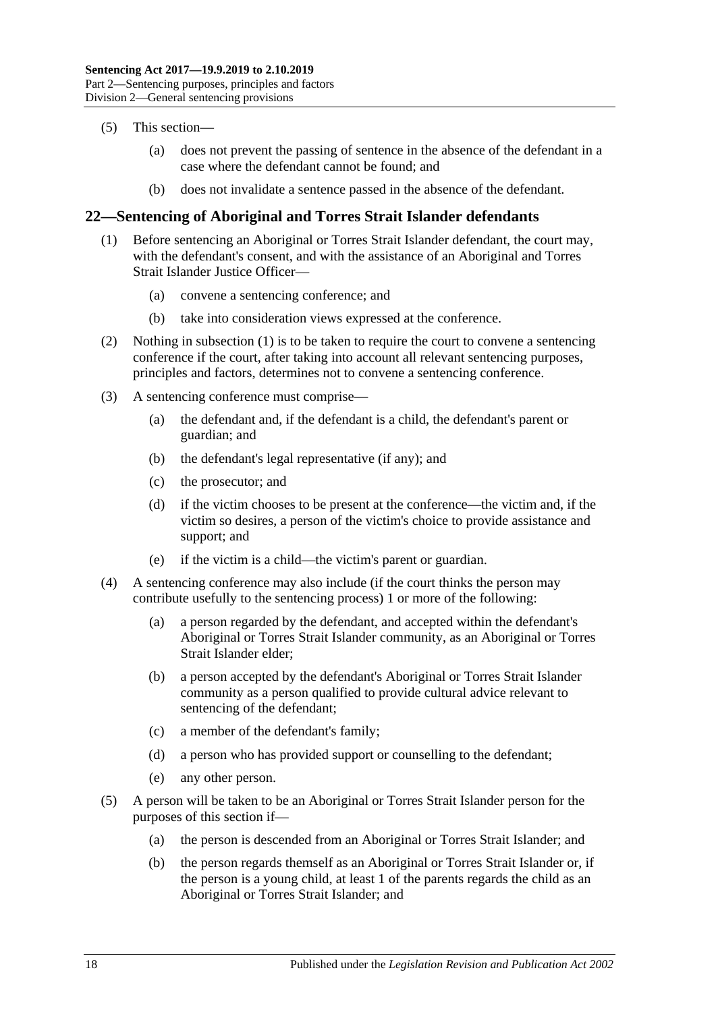- (5) This section—
	- (a) does not prevent the passing of sentence in the absence of the defendant in a case where the defendant cannot be found; and
	- (b) does not invalidate a sentence passed in the absence of the defendant.

# <span id="page-17-1"></span><span id="page-17-0"></span>**22—Sentencing of Aboriginal and Torres Strait Islander defendants**

- (1) Before sentencing an Aboriginal or Torres Strait Islander defendant, the court may, with the defendant's consent, and with the assistance of an Aboriginal and Torres Strait Islander Justice Officer—
	- (a) convene a sentencing conference; and
	- (b) take into consideration views expressed at the conference.
- (2) Nothing in [subsection](#page-17-1) (1) is to be taken to require the court to convene a sentencing conference if the court, after taking into account all relevant sentencing purposes, principles and factors, determines not to convene a sentencing conference.
- (3) A sentencing conference must comprise—
	- (a) the defendant and, if the defendant is a child, the defendant's parent or guardian; and
	- (b) the defendant's legal representative (if any); and
	- (c) the prosecutor; and
	- (d) if the victim chooses to be present at the conference—the victim and, if the victim so desires, a person of the victim's choice to provide assistance and support; and
	- (e) if the victim is a child—the victim's parent or guardian.
- (4) A sentencing conference may also include (if the court thinks the person may contribute usefully to the sentencing process) 1 or more of the following:
	- (a) a person regarded by the defendant, and accepted within the defendant's Aboriginal or Torres Strait Islander community, as an Aboriginal or Torres Strait Islander elder;
	- (b) a person accepted by the defendant's Aboriginal or Torres Strait Islander community as a person qualified to provide cultural advice relevant to sentencing of the defendant;
	- (c) a member of the defendant's family;
	- (d) a person who has provided support or counselling to the defendant;
	- (e) any other person.
- (5) A person will be taken to be an Aboriginal or Torres Strait Islander person for the purposes of this section if—
	- (a) the person is descended from an Aboriginal or Torres Strait Islander; and
	- (b) the person regards themself as an Aboriginal or Torres Strait Islander or, if the person is a young child, at least 1 of the parents regards the child as an Aboriginal or Torres Strait Islander; and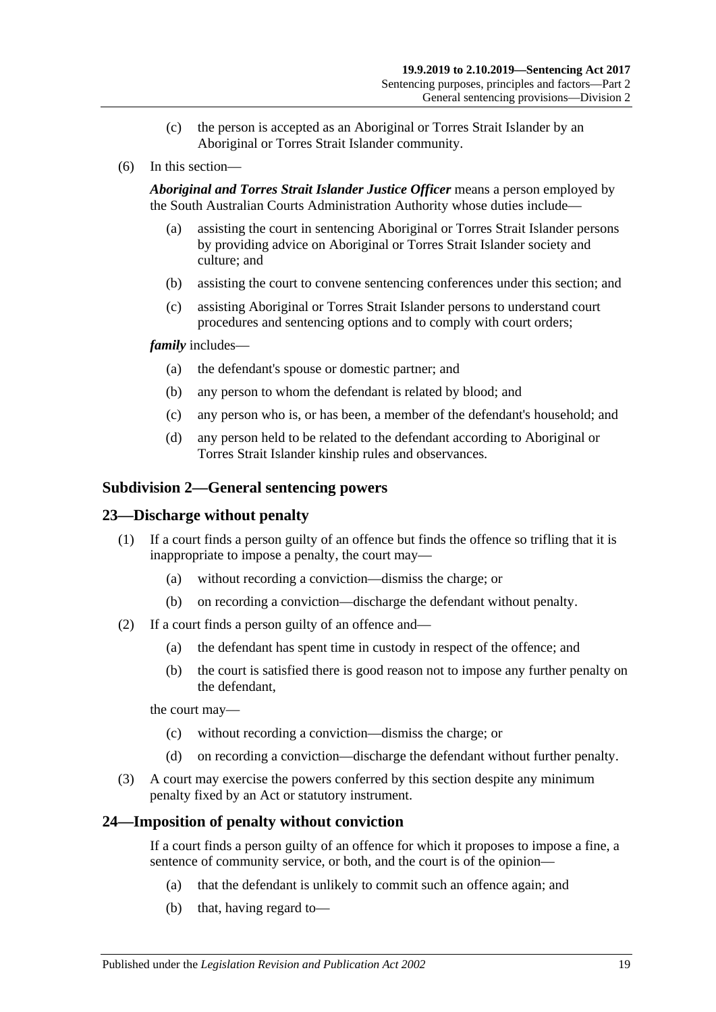- (c) the person is accepted as an Aboriginal or Torres Strait Islander by an Aboriginal or Torres Strait Islander community.
- (6) In this section—

*Aboriginal and Torres Strait Islander Justice Officer* means a person employed by the South Australian Courts Administration Authority whose duties include—

- (a) assisting the court in sentencing Aboriginal or Torres Strait Islander persons by providing advice on Aboriginal or Torres Strait Islander society and culture; and
- (b) assisting the court to convene sentencing conferences under this section; and
- (c) assisting Aboriginal or Torres Strait Islander persons to understand court procedures and sentencing options and to comply with court orders;

#### *family* includes—

- (a) the defendant's spouse or domestic partner; and
- (b) any person to whom the defendant is related by blood; and
- (c) any person who is, or has been, a member of the defendant's household; and
- (d) any person held to be related to the defendant according to Aboriginal or Torres Strait Islander kinship rules and observances.

#### <span id="page-18-0"></span>**Subdivision 2—General sentencing powers**

#### <span id="page-18-1"></span>**23—Discharge without penalty**

- (1) If a court finds a person guilty of an offence but finds the offence so trifling that it is inappropriate to impose a penalty, the court may—
	- (a) without recording a conviction—dismiss the charge; or
	- (b) on recording a conviction—discharge the defendant without penalty.
- (2) If a court finds a person guilty of an offence and—
	- (a) the defendant has spent time in custody in respect of the offence; and
	- (b) the court is satisfied there is good reason not to impose any further penalty on the defendant,

the court may—

- (c) without recording a conviction—dismiss the charge; or
- (d) on recording a conviction—discharge the defendant without further penalty.
- (3) A court may exercise the powers conferred by this section despite any minimum penalty fixed by an Act or statutory instrument.

#### <span id="page-18-2"></span>**24—Imposition of penalty without conviction**

If a court finds a person guilty of an offence for which it proposes to impose a fine, a sentence of community service, or both, and the court is of the opinion—

- (a) that the defendant is unlikely to commit such an offence again; and
- (b) that, having regard to—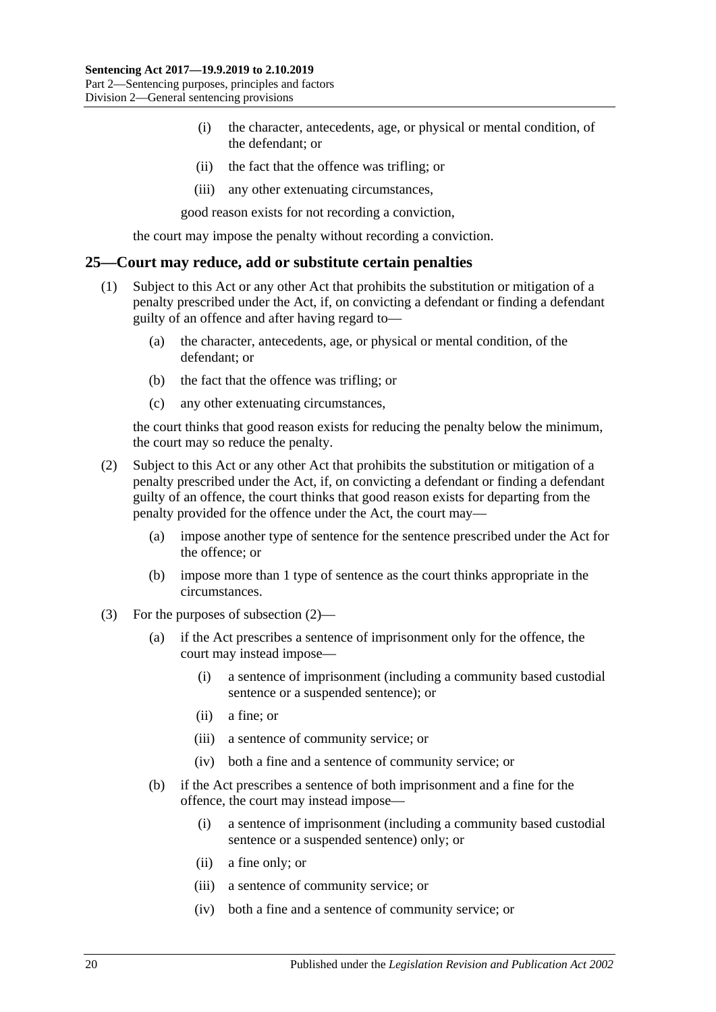- (i) the character, antecedents, age, or physical or mental condition, of the defendant; or
- (ii) the fact that the offence was trifling; or
- (iii) any other extenuating circumstances,

good reason exists for not recording a conviction,

the court may impose the penalty without recording a conviction.

#### <span id="page-19-0"></span>**25—Court may reduce, add or substitute certain penalties**

- (1) Subject to this Act or any other Act that prohibits the substitution or mitigation of a penalty prescribed under the Act, if, on convicting a defendant or finding a defendant guilty of an offence and after having regard to—
	- (a) the character, antecedents, age, or physical or mental condition, of the defendant; or
	- (b) the fact that the offence was trifling; or
	- (c) any other extenuating circumstances,

the court thinks that good reason exists for reducing the penalty below the minimum, the court may so reduce the penalty.

- <span id="page-19-1"></span>(2) Subject to this Act or any other Act that prohibits the substitution or mitigation of a penalty prescribed under the Act, if, on convicting a defendant or finding a defendant guilty of an offence, the court thinks that good reason exists for departing from the penalty provided for the offence under the Act, the court may—
	- (a) impose another type of sentence for the sentence prescribed under the Act for the offence; or
	- (b) impose more than 1 type of sentence as the court thinks appropriate in the circumstances.
- (3) For the purposes of [subsection](#page-19-1) (2)—
	- (a) if the Act prescribes a sentence of imprisonment only for the offence, the court may instead impose—
		- (i) a sentence of imprisonment (including a community based custodial sentence or a suspended sentence); or
		- (ii) a fine; or
		- (iii) a sentence of community service; or
		- (iv) both a fine and a sentence of community service; or
	- (b) if the Act prescribes a sentence of both imprisonment and a fine for the offence, the court may instead impose—
		- (i) a sentence of imprisonment (including a community based custodial sentence or a suspended sentence) only; or
		- (ii) a fine only; or
		- (iii) a sentence of community service; or
		- (iv) both a fine and a sentence of community service; or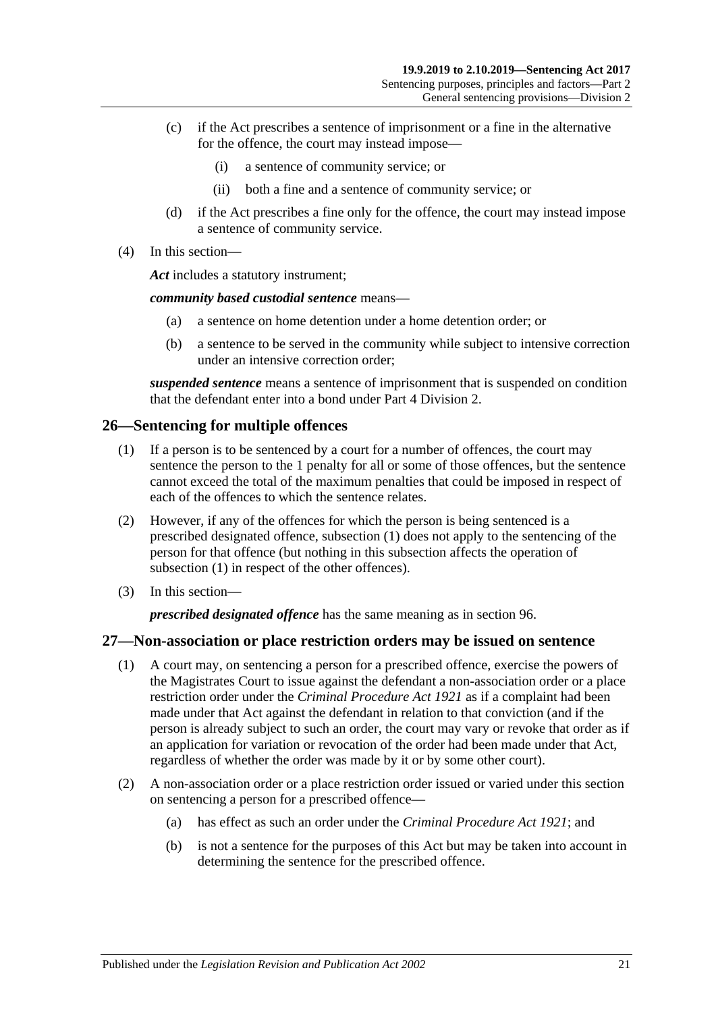- (c) if the Act prescribes a sentence of imprisonment or a fine in the alternative for the offence, the court may instead impose—
	- (i) a sentence of community service; or
	- (ii) both a fine and a sentence of community service; or
- (d) if the Act prescribes a fine only for the offence, the court may instead impose a sentence of community service.
- (4) In this section—

*Act* includes a statutory instrument;

*community based custodial sentence* means—

- (a) a sentence on home detention under a home detention order; or
- (b) a sentence to be served in the community while subject to intensive correction under an intensive correction order;

*suspended sentence* means a sentence of imprisonment that is suspended on condition that the defendant enter into a bond under Part [4 Division](#page-77-0) 2.

# <span id="page-20-2"></span><span id="page-20-0"></span>**26—Sentencing for multiple offences**

- (1) If a person is to be sentenced by a court for a number of offences, the court may sentence the person to the 1 penalty for all or some of those offences, but the sentence cannot exceed the total of the maximum penalties that could be imposed in respect of each of the offences to which the sentence relates.
- (2) However, if any of the offences for which the person is being sentenced is a prescribed designated offence, [subsection](#page-20-2) (1) does not apply to the sentencing of the person for that offence (but nothing in this subsection affects the operation of [subsection](#page-20-2) (1) in respect of the other offences).
- (3) In this section—

*prescribed designated offence* has the same meaning as in [section](#page-77-1) 96.

# <span id="page-20-1"></span>**27—Non-association or place restriction orders may be issued on sentence**

- (1) A court may, on sentencing a person for a prescribed offence, exercise the powers of the Magistrates Court to issue against the defendant a non-association order or a place restriction order under the *[Criminal Procedure Act](http://www.legislation.sa.gov.au/index.aspx?action=legref&type=act&legtitle=Criminal%20Procedure%20Act%201921) 1921* as if a complaint had been made under that Act against the defendant in relation to that conviction (and if the person is already subject to such an order, the court may vary or revoke that order as if an application for variation or revocation of the order had been made under that Act, regardless of whether the order was made by it or by some other court).
- (2) A non-association order or a place restriction order issued or varied under this section on sentencing a person for a prescribed offence—
	- (a) has effect as such an order under the *[Criminal Procedure Act](http://www.legislation.sa.gov.au/index.aspx?action=legref&type=act&legtitle=Criminal%20Procedure%20Act%201921) 1921*; and
	- (b) is not a sentence for the purposes of this Act but may be taken into account in determining the sentence for the prescribed offence.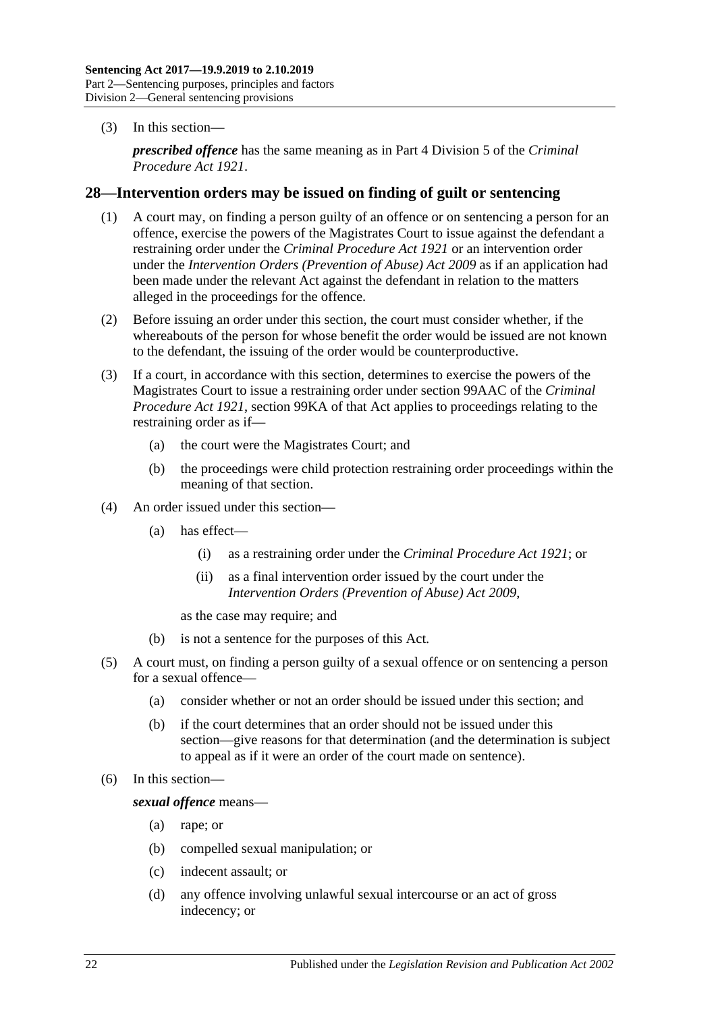(3) In this section—

*prescribed offence* has the same meaning as in Part 4 Division 5 of the *[Criminal](http://www.legislation.sa.gov.au/index.aspx?action=legref&type=act&legtitle=Criminal%20Procedure%20Act%201921)  [Procedure Act](http://www.legislation.sa.gov.au/index.aspx?action=legref&type=act&legtitle=Criminal%20Procedure%20Act%201921) 1921*.

#### <span id="page-21-0"></span>**28—Intervention orders may be issued on finding of guilt or sentencing**

- (1) A court may, on finding a person guilty of an offence or on sentencing a person for an offence, exercise the powers of the Magistrates Court to issue against the defendant a restraining order under the *[Criminal Procedure Act](http://www.legislation.sa.gov.au/index.aspx?action=legref&type=act&legtitle=Criminal%20Procedure%20Act%201921) 1921* or an intervention order under the *[Intervention Orders \(Prevention of Abuse\) Act](http://www.legislation.sa.gov.au/index.aspx?action=legref&type=act&legtitle=Intervention%20Orders%20(Prevention%20of%20Abuse)%20Act%202009) 2009* as if an application had been made under the relevant Act against the defendant in relation to the matters alleged in the proceedings for the offence.
- (2) Before issuing an order under this section, the court must consider whether, if the whereabouts of the person for whose benefit the order would be issued are not known to the defendant, the issuing of the order would be counterproductive.
- (3) If a court, in accordance with this section, determines to exercise the powers of the Magistrates Court to issue a restraining order under section 99AAC of the *[Criminal](http://www.legislation.sa.gov.au/index.aspx?action=legref&type=act&legtitle=Criminal%20Procedure%20Act%201921)  [Procedure Act](http://www.legislation.sa.gov.au/index.aspx?action=legref&type=act&legtitle=Criminal%20Procedure%20Act%201921) 1921*, section 99KA of that Act applies to proceedings relating to the restraining order as if—
	- (a) the court were the Magistrates Court; and
	- (b) the proceedings were child protection restraining order proceedings within the meaning of that section.
- (4) An order issued under this section—
	- (a) has effect—
		- (i) as a restraining order under the *[Criminal Procedure Act](http://www.legislation.sa.gov.au/index.aspx?action=legref&type=act&legtitle=Criminal%20Procedure%20Act%201921) 1921*; or
		- (ii) as a final intervention order issued by the court under the *[Intervention Orders \(Prevention of Abuse\) Act](http://www.legislation.sa.gov.au/index.aspx?action=legref&type=act&legtitle=Intervention%20Orders%20(Prevention%20of%20Abuse)%20Act%202009) 2009*,

as the case may require; and

- (b) is not a sentence for the purposes of this Act.
- (5) A court must, on finding a person guilty of a sexual offence or on sentencing a person for a sexual offence—
	- (a) consider whether or not an order should be issued under this section; and
	- (b) if the court determines that an order should not be issued under this section—give reasons for that determination (and the determination is subject to appeal as if it were an order of the court made on sentence).
- (6) In this section—

*sexual offence* means—

- (a) rape; or
- (b) compelled sexual manipulation; or
- (c) indecent assault; or
- (d) any offence involving unlawful sexual intercourse or an act of gross indecency; or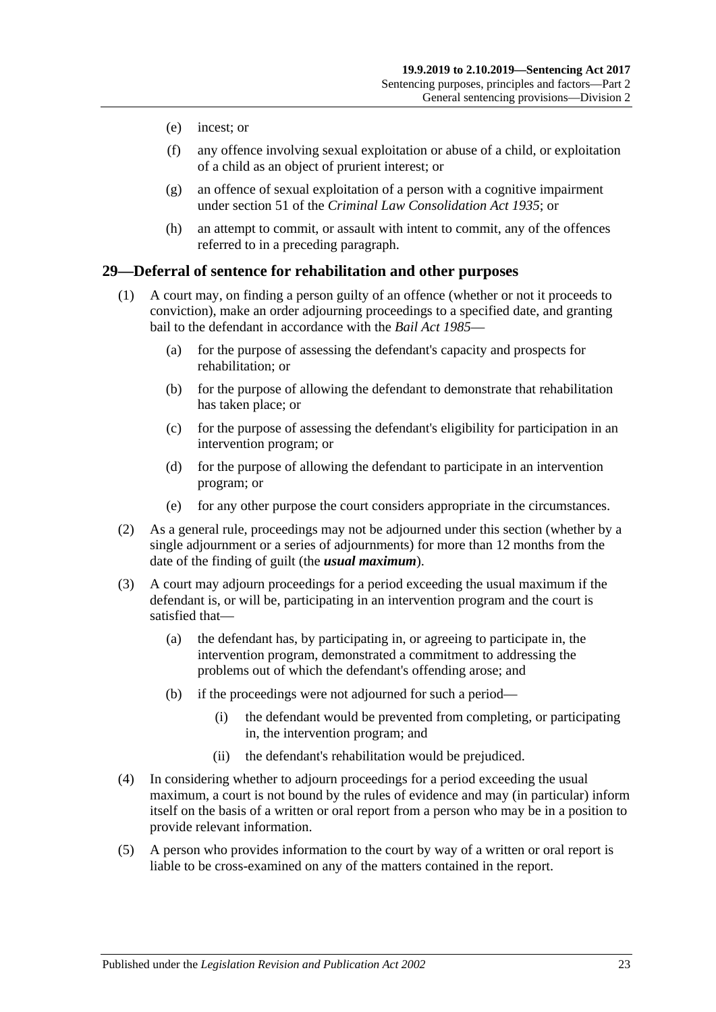- (e) incest; or
- (f) any offence involving sexual exploitation or abuse of a child, or exploitation of a child as an object of prurient interest; or
- (g) an offence of sexual exploitation of a person with a cognitive impairment under section 51 of the *[Criminal Law Consolidation Act](http://www.legislation.sa.gov.au/index.aspx?action=legref&type=act&legtitle=Criminal%20Law%20Consolidation%20Act%201935) 1935*; or
- (h) an attempt to commit, or assault with intent to commit, any of the offences referred to in a preceding paragraph.

#### <span id="page-22-0"></span>**29—Deferral of sentence for rehabilitation and other purposes**

- (1) A court may, on finding a person guilty of an offence (whether or not it proceeds to conviction), make an order adjourning proceedings to a specified date, and granting bail to the defendant in accordance with the *[Bail Act](http://www.legislation.sa.gov.au/index.aspx?action=legref&type=act&legtitle=Bail%20Act%201985) 1985*—
	- (a) for the purpose of assessing the defendant's capacity and prospects for rehabilitation; or
	- (b) for the purpose of allowing the defendant to demonstrate that rehabilitation has taken place; or
	- (c) for the purpose of assessing the defendant's eligibility for participation in an intervention program; or
	- (d) for the purpose of allowing the defendant to participate in an intervention program; or
	- (e) for any other purpose the court considers appropriate in the circumstances.
- (2) As a general rule, proceedings may not be adjourned under this section (whether by a single adjournment or a series of adjournments) for more than 12 months from the date of the finding of guilt (the *usual maximum*).
- (3) A court may adjourn proceedings for a period exceeding the usual maximum if the defendant is, or will be, participating in an intervention program and the court is satisfied that—
	- (a) the defendant has, by participating in, or agreeing to participate in, the intervention program, demonstrated a commitment to addressing the problems out of which the defendant's offending arose; and
	- (b) if the proceedings were not adjourned for such a period—
		- (i) the defendant would be prevented from completing, or participating in, the intervention program; and
		- (ii) the defendant's rehabilitation would be prejudiced.
- (4) In considering whether to adjourn proceedings for a period exceeding the usual maximum, a court is not bound by the rules of evidence and may (in particular) inform itself on the basis of a written or oral report from a person who may be in a position to provide relevant information.
- (5) A person who provides information to the court by way of a written or oral report is liable to be cross-examined on any of the matters contained in the report.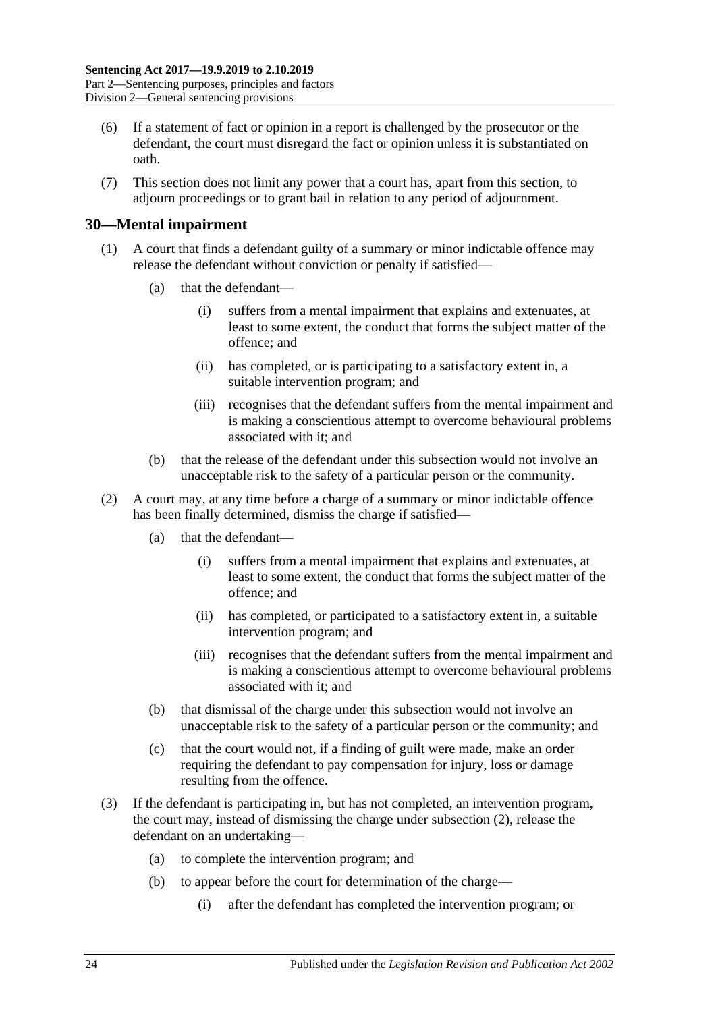- (6) If a statement of fact or opinion in a report is challenged by the prosecutor or the defendant, the court must disregard the fact or opinion unless it is substantiated on oath.
- (7) This section does not limit any power that a court has, apart from this section, to adjourn proceedings or to grant bail in relation to any period of adjournment.

#### <span id="page-23-0"></span>**30—Mental impairment**

- (1) A court that finds a defendant guilty of a summary or minor indictable offence may release the defendant without conviction or penalty if satisfied—
	- (a) that the defendant—
		- (i) suffers from a mental impairment that explains and extenuates, at least to some extent, the conduct that forms the subject matter of the offence; and
		- (ii) has completed, or is participating to a satisfactory extent in, a suitable intervention program; and
		- (iii) recognises that the defendant suffers from the mental impairment and is making a conscientious attempt to overcome behavioural problems associated with it; and
	- (b) that the release of the defendant under this subsection would not involve an unacceptable risk to the safety of a particular person or the community.
- <span id="page-23-1"></span>(2) A court may, at any time before a charge of a summary or minor indictable offence has been finally determined, dismiss the charge if satisfied—
	- (a) that the defendant—
		- (i) suffers from a mental impairment that explains and extenuates, at least to some extent, the conduct that forms the subject matter of the offence; and
		- (ii) has completed, or participated to a satisfactory extent in, a suitable intervention program; and
		- (iii) recognises that the defendant suffers from the mental impairment and is making a conscientious attempt to overcome behavioural problems associated with it; and
	- (b) that dismissal of the charge under this subsection would not involve an unacceptable risk to the safety of a particular person or the community; and
	- (c) that the court would not, if a finding of guilt were made, make an order requiring the defendant to pay compensation for injury, loss or damage resulting from the offence.
- <span id="page-23-2"></span>(3) If the defendant is participating in, but has not completed, an intervention program, the court may, instead of dismissing the charge under [subsection](#page-23-1) (2), release the defendant on an undertaking—
	- (a) to complete the intervention program; and
	- (b) to appear before the court for determination of the charge—
		- (i) after the defendant has completed the intervention program; or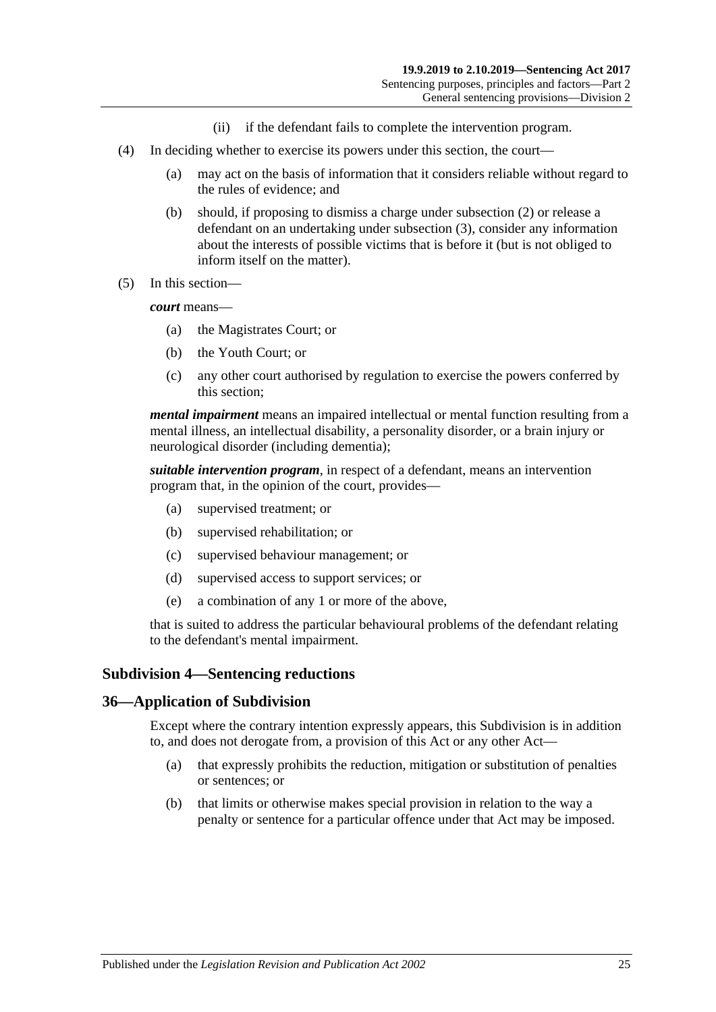- (ii) if the defendant fails to complete the intervention program.
- (4) In deciding whether to exercise its powers under this section, the court—
	- (a) may act on the basis of information that it considers reliable without regard to the rules of evidence; and
	- (b) should, if proposing to dismiss a charge under [subsection](#page-23-1) (2) or release a defendant on an undertaking under [subsection](#page-23-2) (3), consider any information about the interests of possible victims that is before it (but is not obliged to inform itself on the matter).
- (5) In this section—

*court* means—

- (a) the Magistrates Court; or
- (b) the Youth Court; or
- (c) any other court authorised by regulation to exercise the powers conferred by this section;

*mental impairment* means an impaired intellectual or mental function resulting from a mental illness, an intellectual disability, a personality disorder, or a brain injury or neurological disorder (including dementia);

*suitable intervention program*, in respect of a defendant, means an intervention program that, in the opinion of the court, provides—

- (a) supervised treatment; or
- (b) supervised rehabilitation; or
- (c) supervised behaviour management; or
- (d) supervised access to support services; or
- (e) a combination of any 1 or more of the above,

that is suited to address the particular behavioural problems of the defendant relating to the defendant's mental impairment.

#### <span id="page-24-0"></span>**Subdivision 4—Sentencing reductions**

#### <span id="page-24-1"></span>**36—Application of Subdivision**

Except where the contrary intention expressly appears, this Subdivision is in addition to, and does not derogate from, a provision of this Act or any other Act—

- (a) that expressly prohibits the reduction, mitigation or substitution of penalties or sentences; or
- (b) that limits or otherwise makes special provision in relation to the way a penalty or sentence for a particular offence under that Act may be imposed.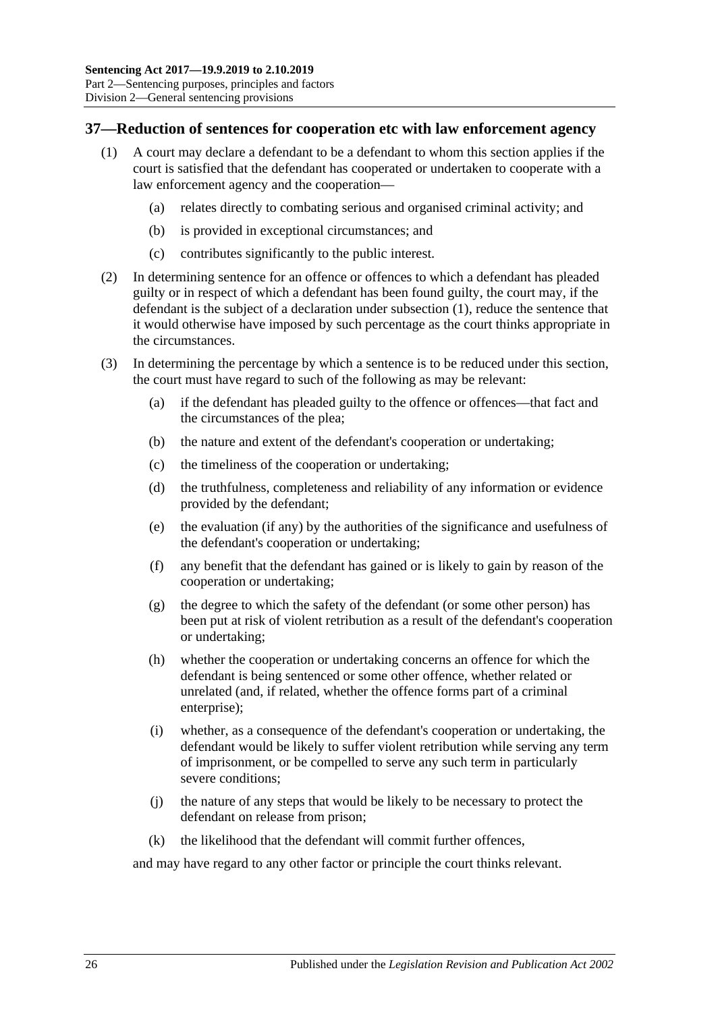# <span id="page-25-1"></span><span id="page-25-0"></span>**37—Reduction of sentences for cooperation etc with law enforcement agency**

- (1) A court may declare a defendant to be a defendant to whom this section applies if the court is satisfied that the defendant has cooperated or undertaken to cooperate with a law enforcement agency and the cooperation—
	- (a) relates directly to combating serious and organised criminal activity; and
	- (b) is provided in exceptional circumstances; and
	- (c) contributes significantly to the public interest.
- (2) In determining sentence for an offence or offences to which a defendant has pleaded guilty or in respect of which a defendant has been found guilty, the court may, if the defendant is the subject of a declaration under [subsection](#page-25-1) (1), reduce the sentence that it would otherwise have imposed by such percentage as the court thinks appropriate in the circumstances.
- (3) In determining the percentage by which a sentence is to be reduced under this section, the court must have regard to such of the following as may be relevant:
	- (a) if the defendant has pleaded guilty to the offence or offences—that fact and the circumstances of the plea;
	- (b) the nature and extent of the defendant's cooperation or undertaking;
	- (c) the timeliness of the cooperation or undertaking;
	- (d) the truthfulness, completeness and reliability of any information or evidence provided by the defendant;
	- (e) the evaluation (if any) by the authorities of the significance and usefulness of the defendant's cooperation or undertaking;
	- (f) any benefit that the defendant has gained or is likely to gain by reason of the cooperation or undertaking;
	- (g) the degree to which the safety of the defendant (or some other person) has been put at risk of violent retribution as a result of the defendant's cooperation or undertaking;
	- (h) whether the cooperation or undertaking concerns an offence for which the defendant is being sentenced or some other offence, whether related or unrelated (and, if related, whether the offence forms part of a criminal enterprise);
	- (i) whether, as a consequence of the defendant's cooperation or undertaking, the defendant would be likely to suffer violent retribution while serving any term of imprisonment, or be compelled to serve any such term in particularly severe conditions;
	- (j) the nature of any steps that would be likely to be necessary to protect the defendant on release from prison;
	- (k) the likelihood that the defendant will commit further offences,

and may have regard to any other factor or principle the court thinks relevant.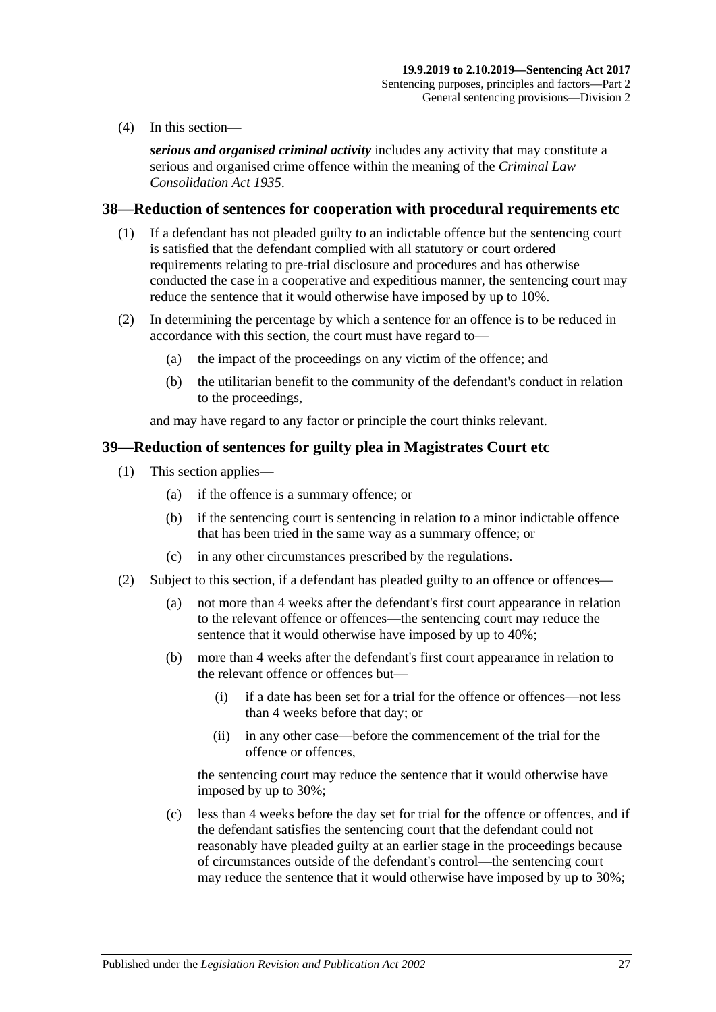(4) In this section—

*serious and organised criminal activity* includes any activity that may constitute a serious and organised crime offence within the meaning of the *[Criminal Law](http://www.legislation.sa.gov.au/index.aspx?action=legref&type=act&legtitle=Criminal%20Law%20Consolidation%20Act%201935)  [Consolidation Act](http://www.legislation.sa.gov.au/index.aspx?action=legref&type=act&legtitle=Criminal%20Law%20Consolidation%20Act%201935) 1935*.

#### <span id="page-26-0"></span>**38—Reduction of sentences for cooperation with procedural requirements etc**

- (1) If a defendant has not pleaded guilty to an indictable offence but the sentencing court is satisfied that the defendant complied with all statutory or court ordered requirements relating to pre-trial disclosure and procedures and has otherwise conducted the case in a cooperative and expeditious manner, the sentencing court may reduce the sentence that it would otherwise have imposed by up to 10%.
- (2) In determining the percentage by which a sentence for an offence is to be reduced in accordance with this section, the court must have regard to—
	- (a) the impact of the proceedings on any victim of the offence; and
	- (b) the utilitarian benefit to the community of the defendant's conduct in relation to the proceedings,

and may have regard to any factor or principle the court thinks relevant.

#### <span id="page-26-3"></span><span id="page-26-1"></span>**39—Reduction of sentences for guilty plea in Magistrates Court etc**

- (1) This section applies—
	- (a) if the offence is a summary offence; or
	- (b) if the sentencing court is sentencing in relation to a minor indictable offence that has been tried in the same way as a summary offence; or
	- (c) in any other circumstances prescribed by the regulations.
- <span id="page-26-2"></span>(2) Subject to this section, if a defendant has pleaded guilty to an offence or offences—
	- (a) not more than 4 weeks after the defendant's first court appearance in relation to the relevant offence or offences—the sentencing court may reduce the sentence that it would otherwise have imposed by up to 40%;
	- (b) more than 4 weeks after the defendant's first court appearance in relation to the relevant offence or offences but—
		- (i) if a date has been set for a trial for the offence or offences—not less than 4 weeks before that day; or
		- (ii) in any other case—before the commencement of the trial for the offence or offences,

the sentencing court may reduce the sentence that it would otherwise have imposed by up to 30%;

(c) less than 4 weeks before the day set for trial for the offence or offences, and if the defendant satisfies the sentencing court that the defendant could not reasonably have pleaded guilty at an earlier stage in the proceedings because of circumstances outside of the defendant's control—the sentencing court may reduce the sentence that it would otherwise have imposed by up to 30%;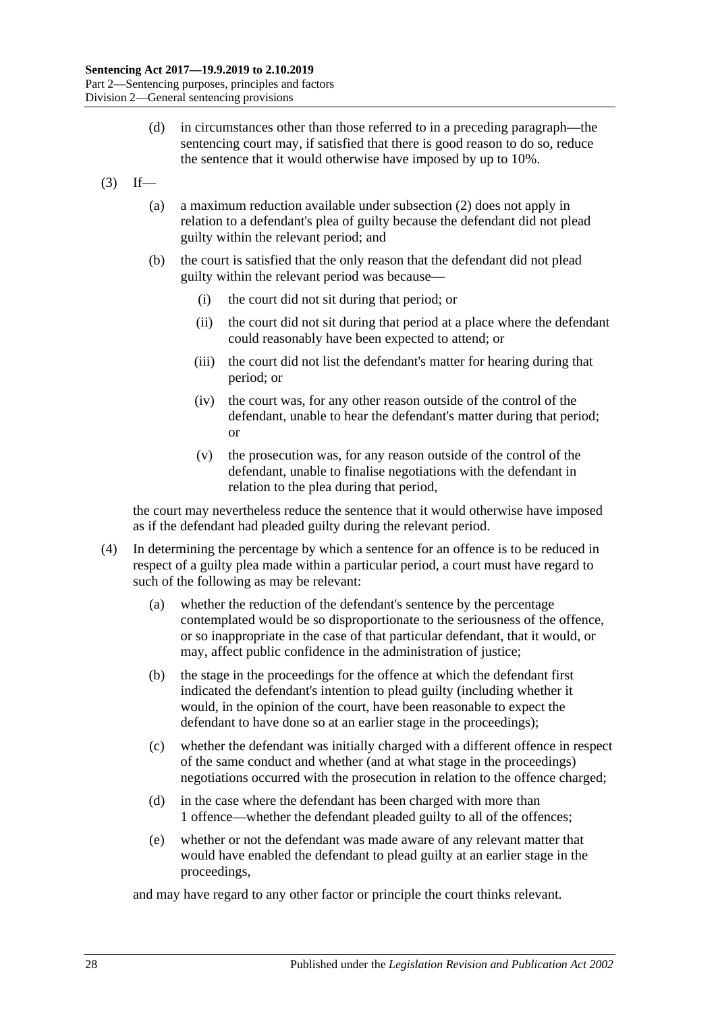- (d) in circumstances other than those referred to in a preceding paragraph—the sentencing court may, if satisfied that there is good reason to do so, reduce the sentence that it would otherwise have imposed by up to 10%.
- $(3)$  If—
	- (a) a maximum reduction available under [subsection](#page-26-2) (2) does not apply in relation to a defendant's plea of guilty because the defendant did not plead guilty within the relevant period; and
	- (b) the court is satisfied that the only reason that the defendant did not plead guilty within the relevant period was because—
		- (i) the court did not sit during that period; or
		- (ii) the court did not sit during that period at a place where the defendant could reasonably have been expected to attend; or
		- (iii) the court did not list the defendant's matter for hearing during that period; or
		- (iv) the court was, for any other reason outside of the control of the defendant, unable to hear the defendant's matter during that period; or
		- (v) the prosecution was, for any reason outside of the control of the defendant, unable to finalise negotiations with the defendant in relation to the plea during that period,

the court may nevertheless reduce the sentence that it would otherwise have imposed as if the defendant had pleaded guilty during the relevant period.

- (4) In determining the percentage by which a sentence for an offence is to be reduced in respect of a guilty plea made within a particular period, a court must have regard to such of the following as may be relevant:
	- (a) whether the reduction of the defendant's sentence by the percentage contemplated would be so disproportionate to the seriousness of the offence, or so inappropriate in the case of that particular defendant, that it would, or may, affect public confidence in the administration of justice;
	- (b) the stage in the proceedings for the offence at which the defendant first indicated the defendant's intention to plead guilty (including whether it would, in the opinion of the court, have been reasonable to expect the defendant to have done so at an earlier stage in the proceedings);
	- (c) whether the defendant was initially charged with a different offence in respect of the same conduct and whether (and at what stage in the proceedings) negotiations occurred with the prosecution in relation to the offence charged;
	- (d) in the case where the defendant has been charged with more than 1 offence—whether the defendant pleaded guilty to all of the offences;
	- (e) whether or not the defendant was made aware of any relevant matter that would have enabled the defendant to plead guilty at an earlier stage in the proceedings,

and may have regard to any other factor or principle the court thinks relevant.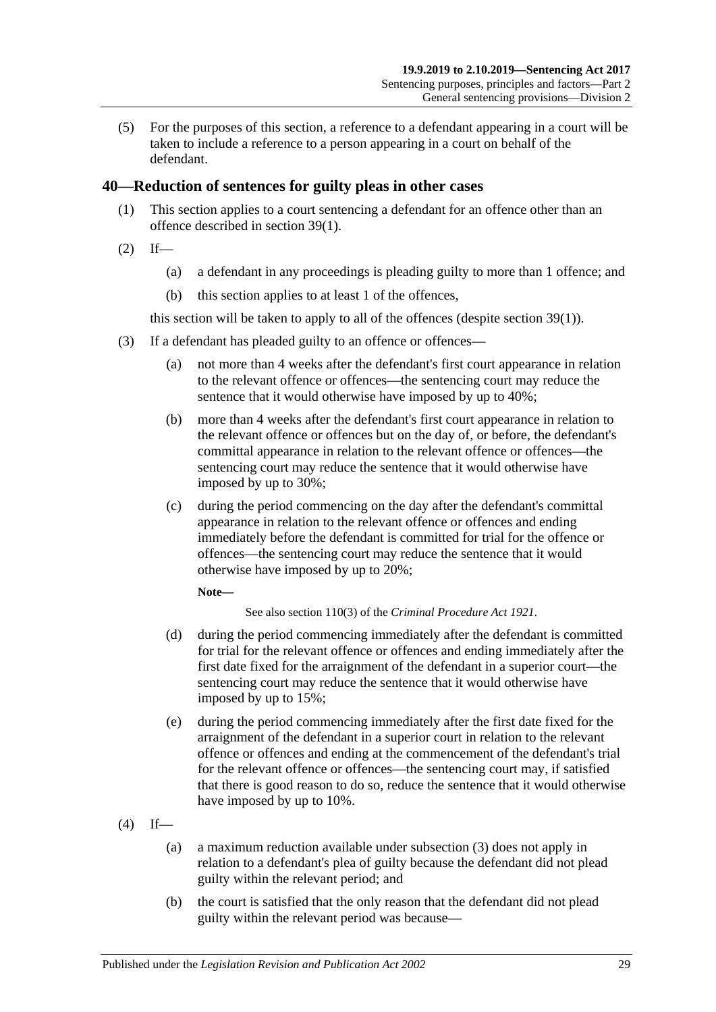(5) For the purposes of this section, a reference to a defendant appearing in a court will be taken to include a reference to a person appearing in a court on behalf of the defendant.

# <span id="page-28-0"></span>**40—Reduction of sentences for guilty pleas in other cases**

- (1) This section applies to a court sentencing a defendant for an offence other than an offence described in [section](#page-26-3) 39(1).
- $(2)$  If—
	- (a) a defendant in any proceedings is pleading guilty to more than 1 offence; and
	- (b) this section applies to at least 1 of the offences,

this section will be taken to apply to all of the offences (despite [section](#page-26-3) 39(1)).

- <span id="page-28-1"></span>(3) If a defendant has pleaded guilty to an offence or offences—
	- (a) not more than 4 weeks after the defendant's first court appearance in relation to the relevant offence or offences—the sentencing court may reduce the sentence that it would otherwise have imposed by up to 40%;
	- (b) more than 4 weeks after the defendant's first court appearance in relation to the relevant offence or offences but on the day of, or before, the defendant's committal appearance in relation to the relevant offence or offences—the sentencing court may reduce the sentence that it would otherwise have imposed by up to 30%;
	- (c) during the period commencing on the day after the defendant's committal appearance in relation to the relevant offence or offences and ending immediately before the defendant is committed for trial for the offence or offences—the sentencing court may reduce the sentence that it would otherwise have imposed by up to 20%;

#### **Note—**

See also section 110(3) of the *[Criminal Procedure Act](http://www.legislation.sa.gov.au/index.aspx?action=legref&type=act&legtitle=Criminal%20Procedure%20Act%201921) 1921*.

- (d) during the period commencing immediately after the defendant is committed for trial for the relevant offence or offences and ending immediately after the first date fixed for the arraignment of the defendant in a superior court—the sentencing court may reduce the sentence that it would otherwise have imposed by up to 15%;
- (e) during the period commencing immediately after the first date fixed for the arraignment of the defendant in a superior court in relation to the relevant offence or offences and ending at the commencement of the defendant's trial for the relevant offence or offences—the sentencing court may, if satisfied that there is good reason to do so, reduce the sentence that it would otherwise have imposed by up to 10%.
- $(4)$  If—
	- (a) a maximum reduction available under [subsection](#page-28-1) (3) does not apply in relation to a defendant's plea of guilty because the defendant did not plead guilty within the relevant period; and
	- (b) the court is satisfied that the only reason that the defendant did not plead guilty within the relevant period was because—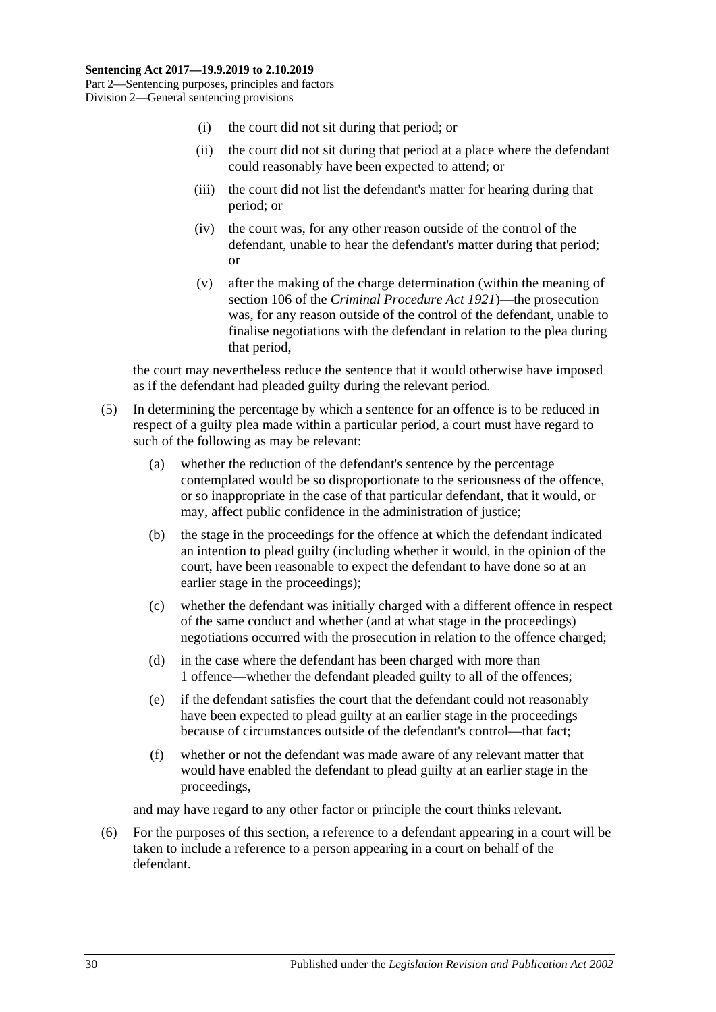- (i) the court did not sit during that period; or
- (ii) the court did not sit during that period at a place where the defendant could reasonably have been expected to attend; or
- (iii) the court did not list the defendant's matter for hearing during that period; or
- (iv) the court was, for any other reason outside of the control of the defendant, unable to hear the defendant's matter during that period; or
- (v) after the making of the charge determination (within the meaning of section 106 of the *[Criminal Procedure Act](http://www.legislation.sa.gov.au/index.aspx?action=legref&type=act&legtitle=Criminal%20Procedure%20Act%201921) 1921*)—the prosecution was, for any reason outside of the control of the defendant, unable to finalise negotiations with the defendant in relation to the plea during that period,

the court may nevertheless reduce the sentence that it would otherwise have imposed as if the defendant had pleaded guilty during the relevant period.

- (5) In determining the percentage by which a sentence for an offence is to be reduced in respect of a guilty plea made within a particular period, a court must have regard to such of the following as may be relevant:
	- (a) whether the reduction of the defendant's sentence by the percentage contemplated would be so disproportionate to the seriousness of the offence, or so inappropriate in the case of that particular defendant, that it would, or may, affect public confidence in the administration of justice;
	- (b) the stage in the proceedings for the offence at which the defendant indicated an intention to plead guilty (including whether it would, in the opinion of the court, have been reasonable to expect the defendant to have done so at an earlier stage in the proceedings);
	- (c) whether the defendant was initially charged with a different offence in respect of the same conduct and whether (and at what stage in the proceedings) negotiations occurred with the prosecution in relation to the offence charged;
	- (d) in the case where the defendant has been charged with more than 1 offence—whether the defendant pleaded guilty to all of the offences;
	- (e) if the defendant satisfies the court that the defendant could not reasonably have been expected to plead guilty at an earlier stage in the proceedings because of circumstances outside of the defendant's control—that fact;
	- (f) whether or not the defendant was made aware of any relevant matter that would have enabled the defendant to plead guilty at an earlier stage in the proceedings,

and may have regard to any other factor or principle the court thinks relevant.

(6) For the purposes of this section, a reference to a defendant appearing in a court will be taken to include a reference to a person appearing in a court on behalf of the defendant.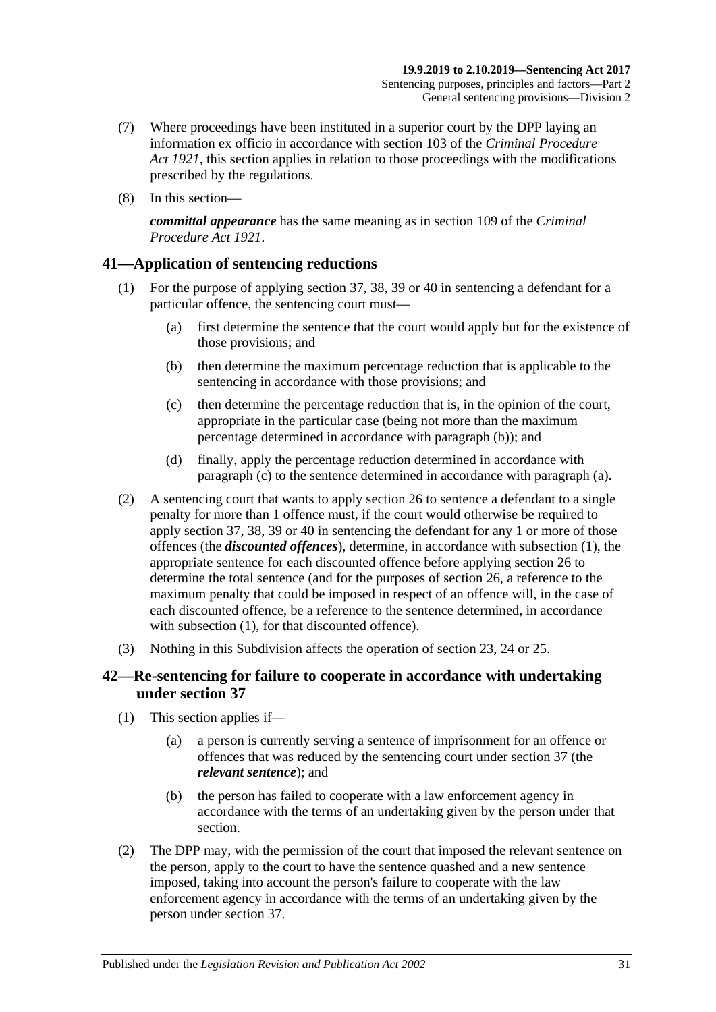- (7) Where proceedings have been instituted in a superior court by the DPP laying an information ex officio in accordance with section 103 of the *[Criminal Procedure](http://www.legislation.sa.gov.au/index.aspx?action=legref&type=act&legtitle=Criminal%20Procedure%20Act%201921)  Act [1921](http://www.legislation.sa.gov.au/index.aspx?action=legref&type=act&legtitle=Criminal%20Procedure%20Act%201921)*, this section applies in relation to those proceedings with the modifications prescribed by the regulations.
- (8) In this section—

*committal appearance* has the same meaning as in section 109 of the *[Criminal](http://www.legislation.sa.gov.au/index.aspx?action=legref&type=act&legtitle=Criminal%20Procedure%20Act%201921)  [Procedure Act](http://www.legislation.sa.gov.au/index.aspx?action=legref&type=act&legtitle=Criminal%20Procedure%20Act%201921) 1921*.

# <span id="page-30-5"></span><span id="page-30-0"></span>**41—Application of sentencing reductions**

- <span id="page-30-4"></span><span id="page-30-2"></span>(1) For the purpose of applying [section](#page-25-0) 37, [38,](#page-26-0) [39](#page-26-1) or [40](#page-28-0) in sentencing a defendant for a particular offence, the sentencing court must—
	- (a) first determine the sentence that the court would apply but for the existence of those provisions; and
	- (b) then determine the maximum percentage reduction that is applicable to the sentencing in accordance with those provisions; and
	- (c) then determine the percentage reduction that is, in the opinion of the court, appropriate in the particular case (being not more than the maximum percentage determined in accordance with [paragraph](#page-30-2) (b)); and
	- (d) finally, apply the percentage reduction determined in accordance with [paragraph](#page-30-3) (c) to the sentence determined in accordance with [paragraph](#page-30-4) (a).
- <span id="page-30-3"></span>(2) A sentencing court that wants to apply [section](#page-20-0) 26 to sentence a defendant to a single penalty for more than 1 offence must, if the court would otherwise be required to apply [section](#page-25-0) 37, [38,](#page-26-0) [39](#page-26-1) or [40](#page-28-0) in sentencing the defendant for any 1 or more of those offences (the *discounted offences*), determine, in accordance with [subsection](#page-30-5) (1), the appropriate sentence for each discounted offence before applying [section](#page-20-0) 26 to determine the total sentence (and for the purposes of [section](#page-20-0) 26, a reference to the maximum penalty that could be imposed in respect of an offence will, in the case of each discounted offence, be a reference to the sentence determined, in accordance with [subsection](#page-30-5) (1), for that discounted offence).
- (3) Nothing in this Subdivision affects the operation of [section 23,](#page-18-1) [24](#page-18-2) or [25.](#page-19-0)

# <span id="page-30-1"></span>**42—Re-sentencing for failure to cooperate in accordance with undertaking under [section](#page-25-0) 37**

- (1) This section applies if—
	- (a) a person is currently serving a sentence of imprisonment for an offence or offences that was reduced by the sentencing court under [section](#page-25-0) 37 (the *relevant sentence*); and
	- (b) the person has failed to cooperate with a law enforcement agency in accordance with the terms of an undertaking given by the person under that section.
- (2) The DPP may, with the permission of the court that imposed the relevant sentence on the person, apply to the court to have the sentence quashed and a new sentence imposed, taking into account the person's failure to cooperate with the law enforcement agency in accordance with the terms of an undertaking given by the person under [section](#page-25-0) 37.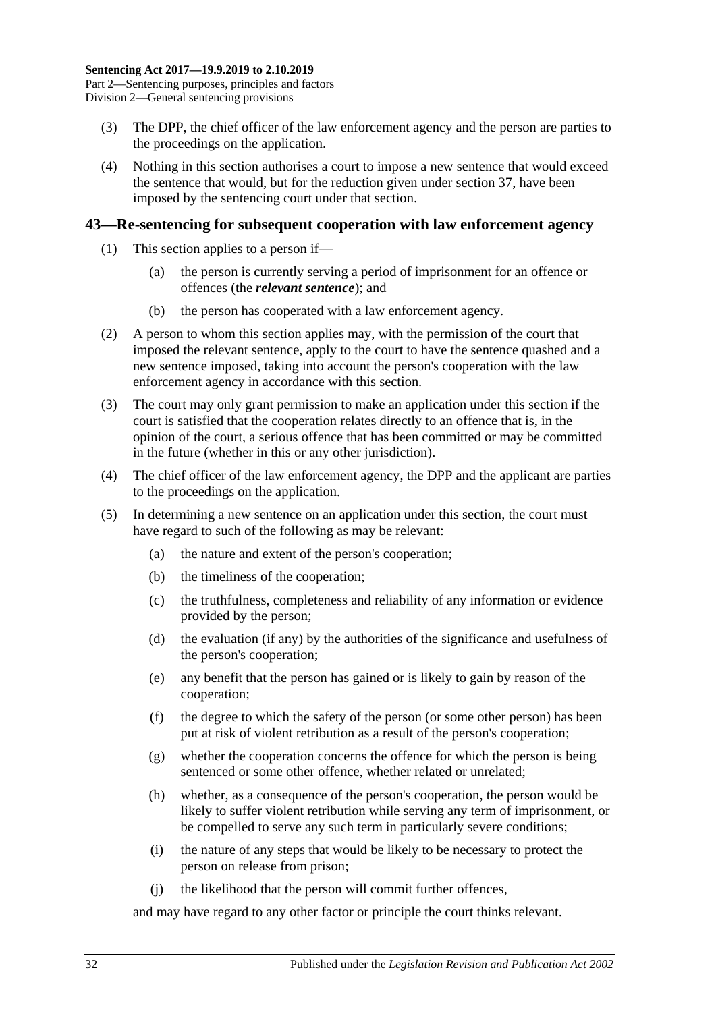- (3) The DPP, the chief officer of the law enforcement agency and the person are parties to the proceedings on the application.
- (4) Nothing in this section authorises a court to impose a new sentence that would exceed the sentence that would, but for the reduction given under [section](#page-25-0) 37, have been imposed by the sentencing court under that section.

#### <span id="page-31-0"></span>**43—Re-sentencing for subsequent cooperation with law enforcement agency**

- (1) This section applies to a person if—
	- (a) the person is currently serving a period of imprisonment for an offence or offences (the *relevant sentence*); and
	- (b) the person has cooperated with a law enforcement agency.
- (2) A person to whom this section applies may, with the permission of the court that imposed the relevant sentence, apply to the court to have the sentence quashed and a new sentence imposed, taking into account the person's cooperation with the law enforcement agency in accordance with this section.
- (3) The court may only grant permission to make an application under this section if the court is satisfied that the cooperation relates directly to an offence that is, in the opinion of the court, a serious offence that has been committed or may be committed in the future (whether in this or any other jurisdiction).
- (4) The chief officer of the law enforcement agency, the DPP and the applicant are parties to the proceedings on the application.
- (5) In determining a new sentence on an application under this section, the court must have regard to such of the following as may be relevant:
	- (a) the nature and extent of the person's cooperation;
	- (b) the timeliness of the cooperation;
	- (c) the truthfulness, completeness and reliability of any information or evidence provided by the person;
	- (d) the evaluation (if any) by the authorities of the significance and usefulness of the person's cooperation;
	- (e) any benefit that the person has gained or is likely to gain by reason of the cooperation;
	- (f) the degree to which the safety of the person (or some other person) has been put at risk of violent retribution as a result of the person's cooperation;
	- (g) whether the cooperation concerns the offence for which the person is being sentenced or some other offence, whether related or unrelated;
	- (h) whether, as a consequence of the person's cooperation, the person would be likely to suffer violent retribution while serving any term of imprisonment, or be compelled to serve any such term in particularly severe conditions;
	- (i) the nature of any steps that would be likely to be necessary to protect the person on release from prison;
	- (j) the likelihood that the person will commit further offences,

and may have regard to any other factor or principle the court thinks relevant.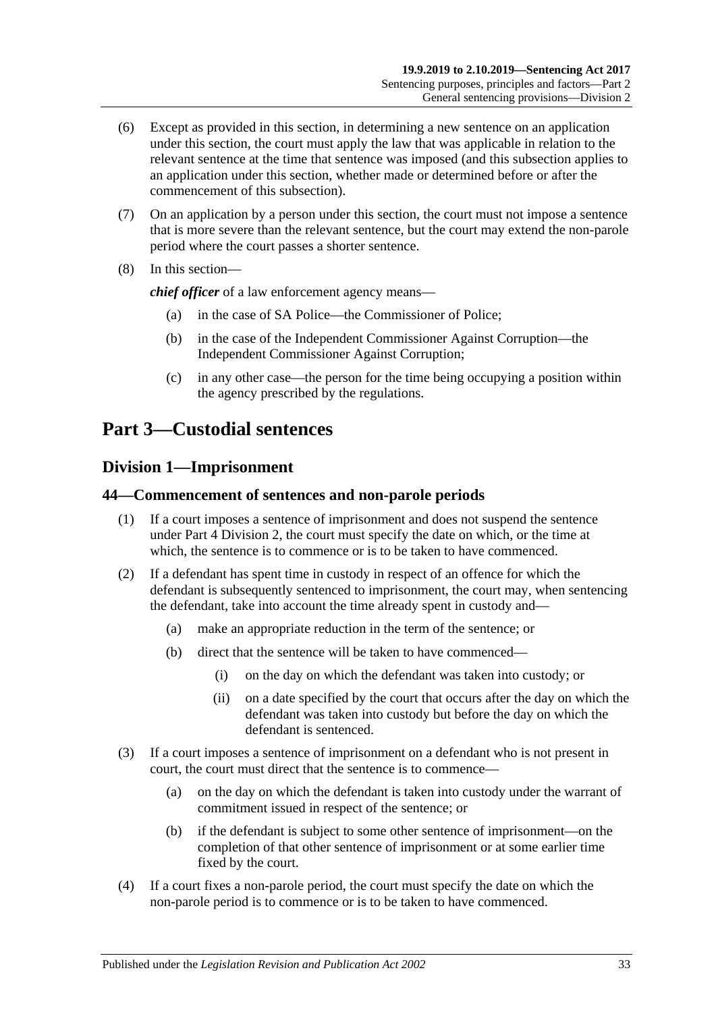- (6) Except as provided in this section, in determining a new sentence on an application under this section, the court must apply the law that was applicable in relation to the relevant sentence at the time that sentence was imposed (and this subsection applies to an application under this section, whether made or determined before or after the commencement of this subsection).
- (7) On an application by a person under this section, the court must not impose a sentence that is more severe than the relevant sentence, but the court may extend the non-parole period where the court passes a shorter sentence.
- (8) In this section—

*chief officer* of a law enforcement agency means—

- (a) in the case of SA Police—the Commissioner of Police;
- (b) in the case of the Independent Commissioner Against Corruption—the Independent Commissioner Against Corruption;
- (c) in any other case—the person for the time being occupying a position within the agency prescribed by the regulations.

# <span id="page-32-0"></span>**Part 3—Custodial sentences**

# <span id="page-32-1"></span>**Division 1—Imprisonment**

#### <span id="page-32-2"></span>**44—Commencement of sentences and non-parole periods**

- (1) If a court imposes a sentence of imprisonment and does not suspend the sentence under Part [4 Division](#page-77-0) 2, the court must specify the date on which, or the time at which, the sentence is to commence or is to be taken to have commenced.
- (2) If a defendant has spent time in custody in respect of an offence for which the defendant is subsequently sentenced to imprisonment, the court may, when sentencing the defendant, take into account the time already spent in custody and—
	- (a) make an appropriate reduction in the term of the sentence; or
	- (b) direct that the sentence will be taken to have commenced—
		- (i) on the day on which the defendant was taken into custody; or
		- (ii) on a date specified by the court that occurs after the day on which the defendant was taken into custody but before the day on which the defendant is sentenced.
- (3) If a court imposes a sentence of imprisonment on a defendant who is not present in court, the court must direct that the sentence is to commence—
	- (a) on the day on which the defendant is taken into custody under the warrant of commitment issued in respect of the sentence; or
	- (b) if the defendant is subject to some other sentence of imprisonment—on the completion of that other sentence of imprisonment or at some earlier time fixed by the court.
- (4) If a court fixes a non-parole period, the court must specify the date on which the non-parole period is to commence or is to be taken to have commenced.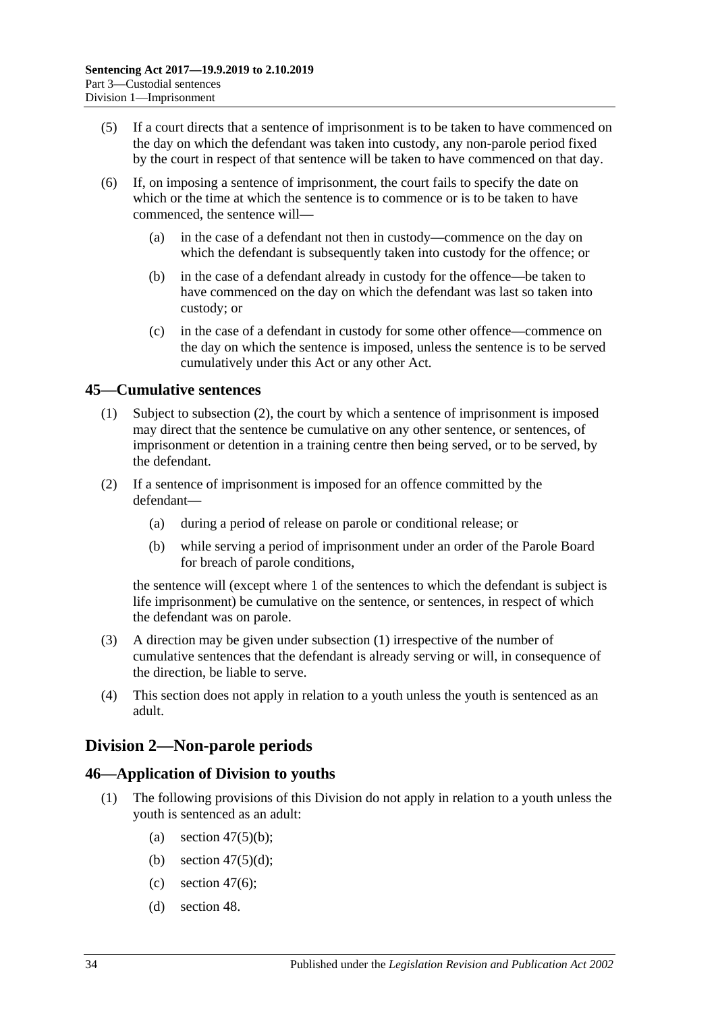- (5) If a court directs that a sentence of imprisonment is to be taken to have commenced on the day on which the defendant was taken into custody, any non-parole period fixed by the court in respect of that sentence will be taken to have commenced on that day.
- (6) If, on imposing a sentence of imprisonment, the court fails to specify the date on which or the time at which the sentence is to commence or is to be taken to have commenced, the sentence will—
	- (a) in the case of a defendant not then in custody—commence on the day on which the defendant is subsequently taken into custody for the offence; or
	- (b) in the case of a defendant already in custody for the offence—be taken to have commenced on the day on which the defendant was last so taken into custody; or
	- (c) in the case of a defendant in custody for some other offence—commence on the day on which the sentence is imposed, unless the sentence is to be served cumulatively under this Act or any other Act.

# <span id="page-33-4"></span><span id="page-33-0"></span>**45—Cumulative sentences**

- (1) Subject to [subsection](#page-33-3) (2), the court by which a sentence of imprisonment is imposed may direct that the sentence be cumulative on any other sentence, or sentences, of imprisonment or detention in a training centre then being served, or to be served, by the defendant.
- <span id="page-33-3"></span>(2) If a sentence of imprisonment is imposed for an offence committed by the defendant—
	- (a) during a period of release on parole or conditional release; or
	- (b) while serving a period of imprisonment under an order of the Parole Board for breach of parole conditions,

the sentence will (except where 1 of the sentences to which the defendant is subject is life imprisonment) be cumulative on the sentence, or sentences, in respect of which the defendant was on parole.

- (3) A direction may be given under [subsection](#page-33-4) (1) irrespective of the number of cumulative sentences that the defendant is already serving or will, in consequence of the direction, be liable to serve.
- (4) This section does not apply in relation to a youth unless the youth is sentenced as an adult.

# <span id="page-33-1"></span>**Division 2—Non-parole periods**

# <span id="page-33-2"></span>**46—Application of Division to youths**

- (1) The following provisions of this Division do not apply in relation to a youth unless the youth is sentenced as an adult:
	- (a) section  $47(5)(b)$ ;
	- (b) section  $47(5)(d)$ ;
	- (c) [section](#page-35-1)  $47(6)$ ;
	- (d) [section](#page-37-0) 48.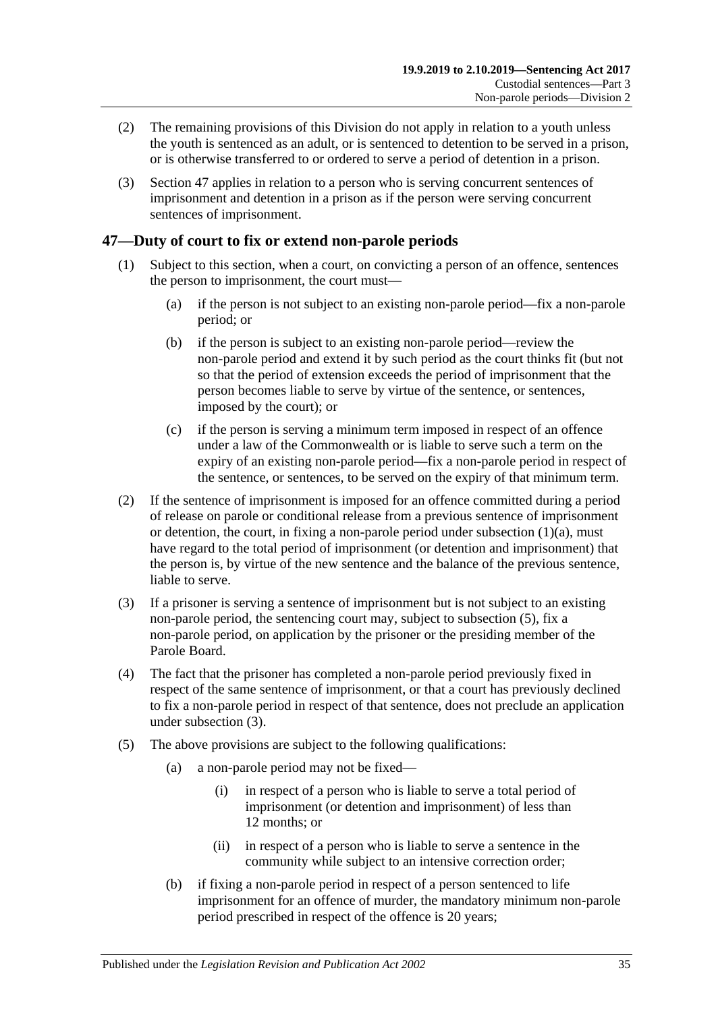- (2) The remaining provisions of this Division do not apply in relation to a youth unless the youth is sentenced as an adult, or is sentenced to detention to be served in a prison, or is otherwise transferred to or ordered to serve a period of detention in a prison.
- (3) [Section](#page-34-0) 47 applies in relation to a person who is serving concurrent sentences of imprisonment and detention in a prison as if the person were serving concurrent sentences of imprisonment.

# <span id="page-34-0"></span>**47—Duty of court to fix or extend non-parole periods**

- <span id="page-34-2"></span>(1) Subject to this section, when a court, on convicting a person of an offence, sentences the person to imprisonment, the court must—
	- (a) if the person is not subject to an existing non-parole period—fix a non-parole period; or
	- (b) if the person is subject to an existing non-parole period—review the non-parole period and extend it by such period as the court thinks fit (but not so that the period of extension exceeds the period of imprisonment that the person becomes liable to serve by virtue of the sentence, or sentences, imposed by the court); or
	- (c) if the person is serving a minimum term imposed in respect of an offence under a law of the Commonwealth or is liable to serve such a term on the expiry of an existing non-parole period—fix a non-parole period in respect of the sentence, or sentences, to be served on the expiry of that minimum term.
- (2) If the sentence of imprisonment is imposed for an offence committed during a period of release on parole or conditional release from a previous sentence of imprisonment or detention, the court, in fixing a non-parole period under [subsection](#page-34-2)  $(1)(a)$ , must have regard to the total period of imprisonment (or detention and imprisonment) that the person is, by virtue of the new sentence and the balance of the previous sentence, liable to serve.
- <span id="page-34-4"></span>(3) If a prisoner is serving a sentence of imprisonment but is not subject to an existing non-parole period, the sentencing court may, subject to [subsection](#page-34-3) (5), fix a non-parole period, on application by the prisoner or the presiding member of the Parole Board.
- (4) The fact that the prisoner has completed a non-parole period previously fixed in respect of the same sentence of imprisonment, or that a court has previously declined to fix a non-parole period in respect of that sentence, does not preclude an application under [subsection](#page-34-4) (3).
- <span id="page-34-3"></span><span id="page-34-1"></span>(5) The above provisions are subject to the following qualifications:
	- (a) a non-parole period may not be fixed—
		- (i) in respect of a person who is liable to serve a total period of imprisonment (or detention and imprisonment) of less than 12 months; or
		- (ii) in respect of a person who is liable to serve a sentence in the community while subject to an intensive correction order;
	- (b) if fixing a non-parole period in respect of a person sentenced to life imprisonment for an offence of murder, the mandatory minimum non-parole period prescribed in respect of the offence is 20 years;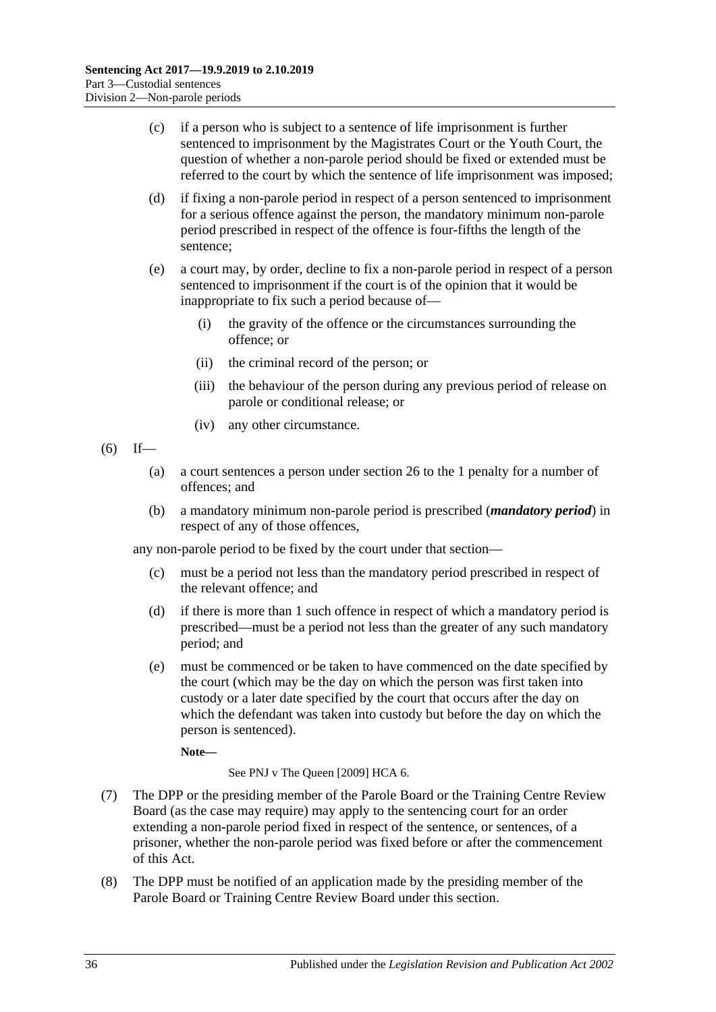- (c) if a person who is subject to a sentence of life imprisonment is further sentenced to imprisonment by the Magistrates Court or the Youth Court, the question of whether a non-parole period should be fixed or extended must be referred to the court by which the sentence of life imprisonment was imposed;
- <span id="page-35-0"></span>(d) if fixing a non-parole period in respect of a person sentenced to imprisonment for a serious offence against the person, the mandatory minimum non-parole period prescribed in respect of the offence is four-fifths the length of the sentence;
- (e) a court may, by order, decline to fix a non-parole period in respect of a person sentenced to imprisonment if the court is of the opinion that it would be inappropriate to fix such a period because of—
	- (i) the gravity of the offence or the circumstances surrounding the offence; or
	- (ii) the criminal record of the person; or
	- (iii) the behaviour of the person during any previous period of release on parole or conditional release; or
	- (iv) any other circumstance.
- <span id="page-35-1"></span> $(6)$  If—
	- (a) a court sentences a person under [section](#page-20-0) 26 to the 1 penalty for a number of offences; and
	- (b) a mandatory minimum non-parole period is prescribed (*mandatory period*) in respect of any of those offences,

any non-parole period to be fixed by the court under that section—

- (c) must be a period not less than the mandatory period prescribed in respect of the relevant offence; and
- (d) if there is more than 1 such offence in respect of which a mandatory period is prescribed—must be a period not less than the greater of any such mandatory period; and
- (e) must be commenced or be taken to have commenced on the date specified by the court (which may be the day on which the person was first taken into custody or a later date specified by the court that occurs after the day on which the defendant was taken into custody but before the day on which the person is sentenced).

**Note—**

See PNJ v The Queen [2009] HCA 6.

- (7) The DPP or the presiding member of the Parole Board or the Training Centre Review Board (as the case may require) may apply to the sentencing court for an order extending a non-parole period fixed in respect of the sentence, or sentences, of a prisoner, whether the non-parole period was fixed before or after the commencement of this Act.
- (8) The DPP must be notified of an application made by the presiding member of the Parole Board or Training Centre Review Board under this section.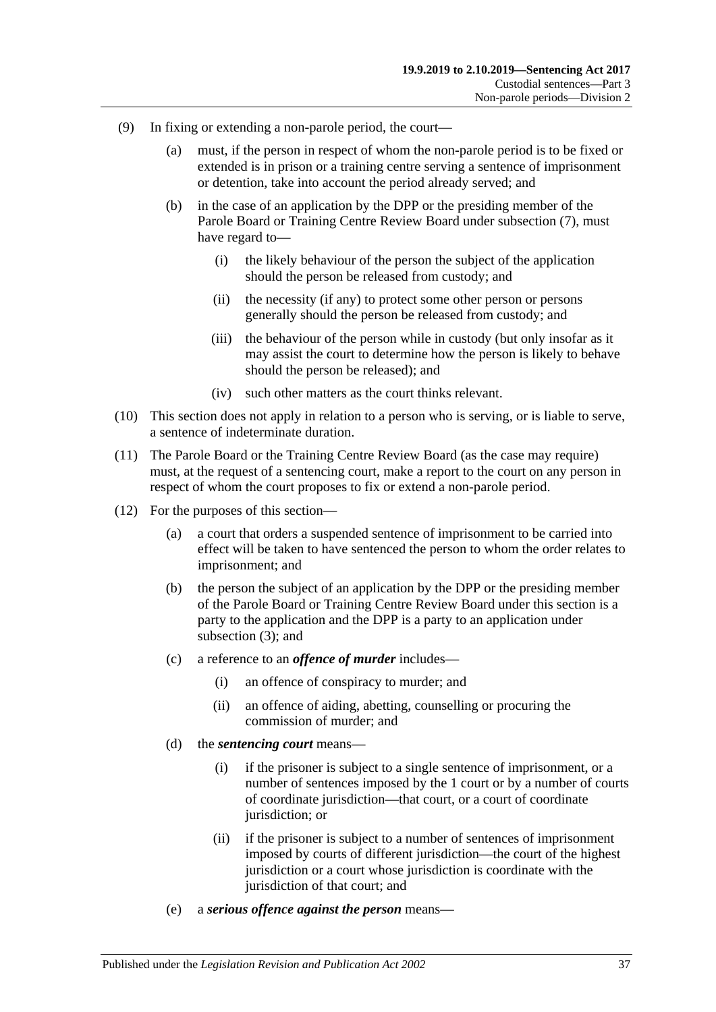- (9) In fixing or extending a non-parole period, the court—
	- (a) must, if the person in respect of whom the non-parole period is to be fixed or extended is in prison or a training centre serving a sentence of imprisonment or detention, take into account the period already served; and
	- (b) in the case of an application by the DPP or the presiding member of the Parole Board or Training Centre Review Board under [subsection](#page-35-0) (7), must have regard to—
		- (i) the likely behaviour of the person the subject of the application should the person be released from custody; and
		- (ii) the necessity (if any) to protect some other person or persons generally should the person be released from custody; and
		- (iii) the behaviour of the person while in custody (but only insofar as it may assist the court to determine how the person is likely to behave should the person be released); and
		- (iv) such other matters as the court thinks relevant.
- (10) This section does not apply in relation to a person who is serving, or is liable to serve, a sentence of indeterminate duration.
- (11) The Parole Board or the Training Centre Review Board (as the case may require) must, at the request of a sentencing court, make a report to the court on any person in respect of whom the court proposes to fix or extend a non-parole period.
- (12) For the purposes of this section—
	- (a) a court that orders a suspended sentence of imprisonment to be carried into effect will be taken to have sentenced the person to whom the order relates to imprisonment; and
	- (b) the person the subject of an application by the DPP or the presiding member of the Parole Board or Training Centre Review Board under this section is a party to the application and the DPP is a party to an application under [subsection](#page-34-0) (3); and
	- (c) a reference to an *offence of murder* includes—
		- (i) an offence of conspiracy to murder; and
		- (ii) an offence of aiding, abetting, counselling or procuring the commission of murder; and
	- (d) the *sentencing court* means—
		- (i) if the prisoner is subject to a single sentence of imprisonment, or a number of sentences imposed by the 1 court or by a number of courts of coordinate jurisdiction—that court, or a court of coordinate jurisdiction; or
		- (ii) if the prisoner is subject to a number of sentences of imprisonment imposed by courts of different jurisdiction—the court of the highest jurisdiction or a court whose jurisdiction is coordinate with the jurisdiction of that court; and
	- (e) a *serious offence against the person* means—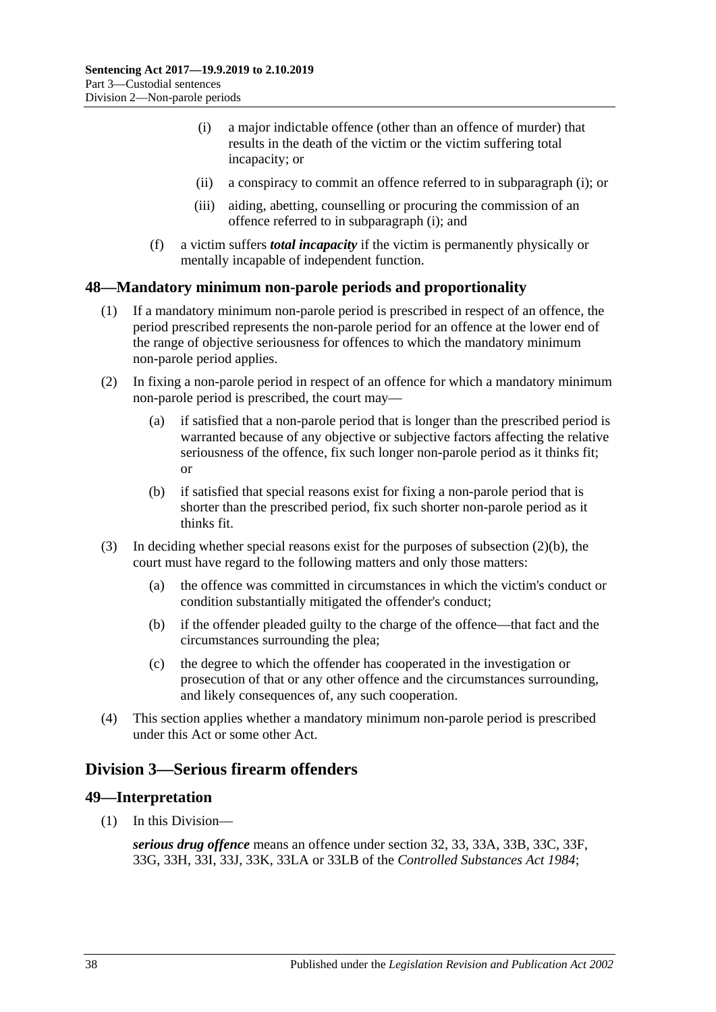- <span id="page-37-0"></span>(i) a major indictable offence (other than an offence of murder) that results in the death of the victim or the victim suffering total incapacity; or
- (ii) a conspiracy to commit an offence referred to in [subparagraph](#page-37-0) (i); or
- (iii) aiding, abetting, counselling or procuring the commission of an offence referred to in [subparagraph](#page-37-0) (i); and
- (f) a victim suffers *total incapacity* if the victim is permanently physically or mentally incapable of independent function.

# **48—Mandatory minimum non-parole periods and proportionality**

- (1) If a mandatory minimum non-parole period is prescribed in respect of an offence, the period prescribed represents the non-parole period for an offence at the lower end of the range of objective seriousness for offences to which the mandatory minimum non-parole period applies.
- (2) In fixing a non-parole period in respect of an offence for which a mandatory minimum non-parole period is prescribed, the court may—
	- (a) if satisfied that a non-parole period that is longer than the prescribed period is warranted because of any objective or subjective factors affecting the relative seriousness of the offence, fix such longer non-parole period as it thinks fit; or
	- (b) if satisfied that special reasons exist for fixing a non-parole period that is shorter than the prescribed period, fix such shorter non-parole period as it thinks fit.
- <span id="page-37-1"></span>(3) In deciding whether special reasons exist for the purposes of [subsection](#page-37-1)  $(2)(b)$ , the court must have regard to the following matters and only those matters:
	- (a) the offence was committed in circumstances in which the victim's conduct or condition substantially mitigated the offender's conduct;
	- (b) if the offender pleaded guilty to the charge of the offence—that fact and the circumstances surrounding the plea;
	- (c) the degree to which the offender has cooperated in the investigation or prosecution of that or any other offence and the circumstances surrounding, and likely consequences of, any such cooperation.
- (4) This section applies whether a mandatory minimum non-parole period is prescribed under this Act or some other Act.

# <span id="page-37-2"></span>**Division 3—Serious firearm offenders**

# **49—Interpretation**

(1) In this Division—

*serious drug offence* means an offence under section 32, 33, 33A, 33B, 33C, 33F, 33G, 33H, 33I, 33J, 33K, 33LA or 33LB of the *[Controlled Substances Act](http://www.legislation.sa.gov.au/index.aspx?action=legref&type=act&legtitle=Controlled%20Substances%20Act%201984) 1984*;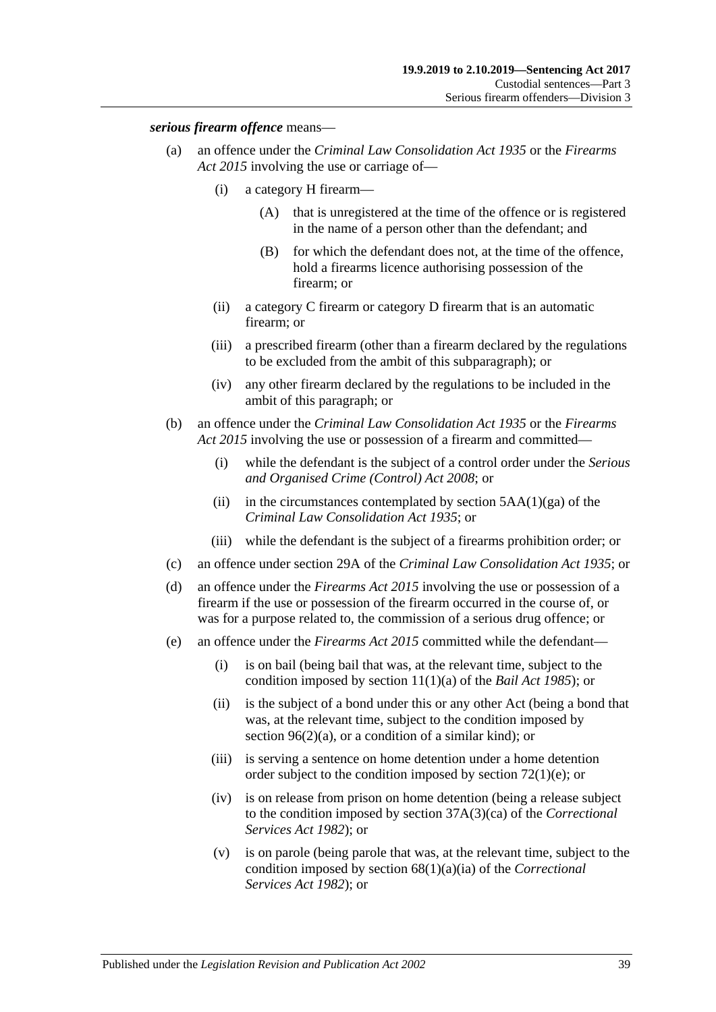### *serious firearm offence* means—

- (a) an offence under the *[Criminal Law Consolidation Act](http://www.legislation.sa.gov.au/index.aspx?action=legref&type=act&legtitle=Criminal%20Law%20Consolidation%20Act%201935) 1935* or the *[Firearms](http://www.legislation.sa.gov.au/index.aspx?action=legref&type=act&legtitle=Firearms%20Act%202015)  Act [2015](http://www.legislation.sa.gov.au/index.aspx?action=legref&type=act&legtitle=Firearms%20Act%202015)* involving the use or carriage of—
	- (i) a category H firearm—
		- (A) that is unregistered at the time of the offence or is registered in the name of a person other than the defendant; and
		- (B) for which the defendant does not, at the time of the offence, hold a firearms licence authorising possession of the firearm; or
	- (ii) a category C firearm or category D firearm that is an automatic firearm; or
	- (iii) a prescribed firearm (other than a firearm declared by the regulations to be excluded from the ambit of this subparagraph); or
	- (iv) any other firearm declared by the regulations to be included in the ambit of this paragraph; or
- (b) an offence under the *[Criminal Law Consolidation Act](http://www.legislation.sa.gov.au/index.aspx?action=legref&type=act&legtitle=Criminal%20Law%20Consolidation%20Act%201935) 1935* or the *[Firearms](http://www.legislation.sa.gov.au/index.aspx?action=legref&type=act&legtitle=Firearms%20Act%202015)  Act [2015](http://www.legislation.sa.gov.au/index.aspx?action=legref&type=act&legtitle=Firearms%20Act%202015)* involving the use or possession of a firearm and committed—
	- (i) while the defendant is the subject of a control order under the *[Serious](http://www.legislation.sa.gov.au/index.aspx?action=legref&type=act&legtitle=Serious%20and%20Organised%20Crime%20(Control)%20Act%202008)  [and Organised Crime \(Control\) Act](http://www.legislation.sa.gov.au/index.aspx?action=legref&type=act&legtitle=Serious%20and%20Organised%20Crime%20(Control)%20Act%202008) 2008*; or
	- (ii) in the circumstances contemplated by section  $5AA(1)(ga)$  of the *[Criminal Law Consolidation Act](http://www.legislation.sa.gov.au/index.aspx?action=legref&type=act&legtitle=Criminal%20Law%20Consolidation%20Act%201935) 1935*; or
	- (iii) while the defendant is the subject of a firearms prohibition order; or
- (c) an offence under section 29A of the *[Criminal Law Consolidation Act](http://www.legislation.sa.gov.au/index.aspx?action=legref&type=act&legtitle=Criminal%20Law%20Consolidation%20Act%201935) 1935*; or
- (d) an offence under the *[Firearms Act](http://www.legislation.sa.gov.au/index.aspx?action=legref&type=act&legtitle=Firearms%20Act%202015) 2015* involving the use or possession of a firearm if the use or possession of the firearm occurred in the course of, or was for a purpose related to, the commission of a serious drug offence; or
- (e) an offence under the *[Firearms Act](http://www.legislation.sa.gov.au/index.aspx?action=legref&type=act&legtitle=Firearms%20Act%202015) 2015* committed while the defendant—
	- (i) is on bail (being bail that was, at the relevant time, subject to the condition imposed by section 11(1)(a) of the *[Bail Act](http://www.legislation.sa.gov.au/index.aspx?action=legref&type=act&legtitle=Bail%20Act%201985) 1985*); or
	- (ii) is the subject of a bond under this or any other Act (being a bond that was, at the relevant time, subject to the condition imposed by section [96\(2\)\(a\),](#page-77-0) or a condition of a similar kind); or
	- (iii) is serving a sentence on home detention under a home detention order subject to the condition imposed by section [72\(1\)\(e\);](#page-59-0) or
	- (iv) is on release from prison on home detention (being a release subject to the condition imposed by section 37A(3)(ca) of the *[Correctional](http://www.legislation.sa.gov.au/index.aspx?action=legref&type=act&legtitle=Correctional%20Services%20Act%201982)  [Services Act](http://www.legislation.sa.gov.au/index.aspx?action=legref&type=act&legtitle=Correctional%20Services%20Act%201982) 1982*); or
	- (v) is on parole (being parole that was, at the relevant time, subject to the condition imposed by section 68(1)(a)(ia) of the *[Correctional](http://www.legislation.sa.gov.au/index.aspx?action=legref&type=act&legtitle=Correctional%20Services%20Act%201982)  [Services Act](http://www.legislation.sa.gov.au/index.aspx?action=legref&type=act&legtitle=Correctional%20Services%20Act%201982) 1982*); or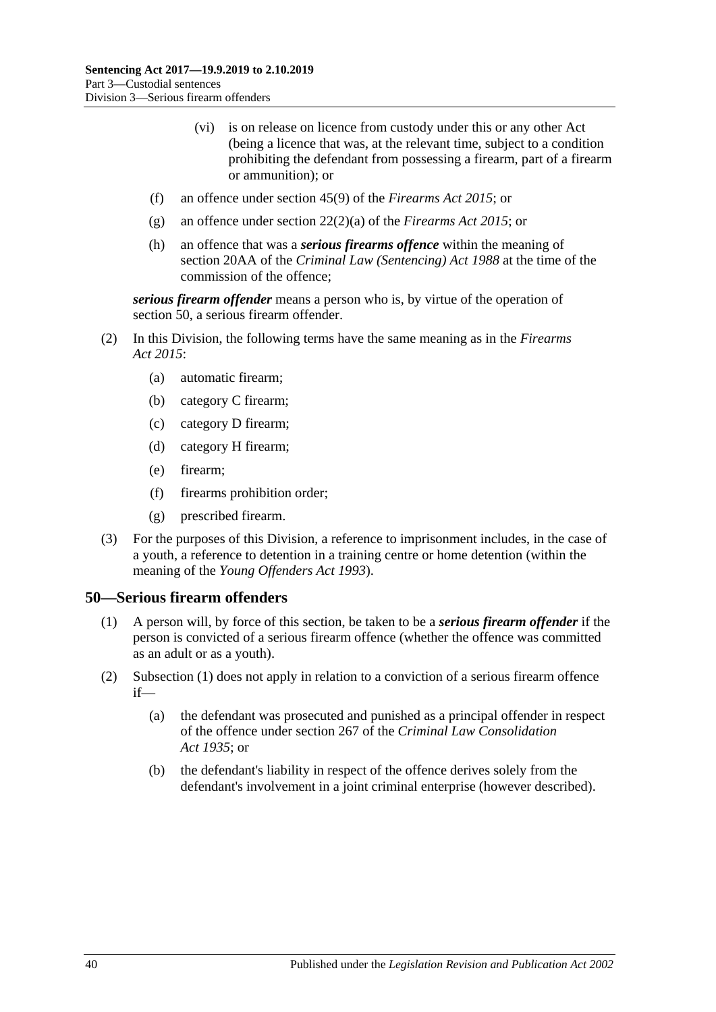- (vi) is on release on licence from custody under this or any other Act (being a licence that was, at the relevant time, subject to a condition prohibiting the defendant from possessing a firearm, part of a firearm or ammunition); or
- (f) an offence under section 45(9) of the *[Firearms Act](http://www.legislation.sa.gov.au/index.aspx?action=legref&type=act&legtitle=Firearms%20Act%202015) 2015*; or
- (g) an offence under section 22(2)(a) of the *[Firearms Act](http://www.legislation.sa.gov.au/index.aspx?action=legref&type=act&legtitle=Firearms%20Act%202015) 2015*; or
- (h) an offence that was a *serious firearms offence* within the meaning of section 20AA of the *[Criminal Law \(Sentencing\) Act](http://www.legislation.sa.gov.au/index.aspx?action=legref&type=act&legtitle=Criminal%20Law%20(Sentencing)%20Act%201988) 1988* at the time of the commission of the offence;

*serious firearm offender* means a person who is, by virtue of the operation of [section](#page-39-0) 50, a serious firearm offender.

- (2) In this Division, the following terms have the same meaning as in the *[Firearms](http://www.legislation.sa.gov.au/index.aspx?action=legref&type=act&legtitle=Firearms%20Act%202015)  Act [2015](http://www.legislation.sa.gov.au/index.aspx?action=legref&type=act&legtitle=Firearms%20Act%202015)*:
	- (a) automatic firearm;
	- (b) category C firearm;
	- (c) category D firearm;
	- (d) category H firearm;
	- (e) firearm;
	- (f) firearms prohibition order;
	- (g) prescribed firearm.
- (3) For the purposes of this Division, a reference to imprisonment includes, in the case of a youth, a reference to detention in a training centre or home detention (within the meaning of the *[Young Offenders Act](http://www.legislation.sa.gov.au/index.aspx?action=legref&type=act&legtitle=Young%20Offenders%20Act%201993) 1993*).

## <span id="page-39-1"></span><span id="page-39-0"></span>**50—Serious firearm offenders**

- (1) A person will, by force of this section, be taken to be a *serious firearm offender* if the person is convicted of a serious firearm offence (whether the offence was committed as an adult or as a youth).
- (2) [Subsection](#page-39-1) (1) does not apply in relation to a conviction of a serious firearm offence if—
	- (a) the defendant was prosecuted and punished as a principal offender in respect of the offence under section 267 of the *[Criminal Law Consolidation](http://www.legislation.sa.gov.au/index.aspx?action=legref&type=act&legtitle=Criminal%20Law%20Consolidation%20Act%201935)  Act [1935](http://www.legislation.sa.gov.au/index.aspx?action=legref&type=act&legtitle=Criminal%20Law%20Consolidation%20Act%201935)*; or
	- (b) the defendant's liability in respect of the offence derives solely from the defendant's involvement in a joint criminal enterprise (however described).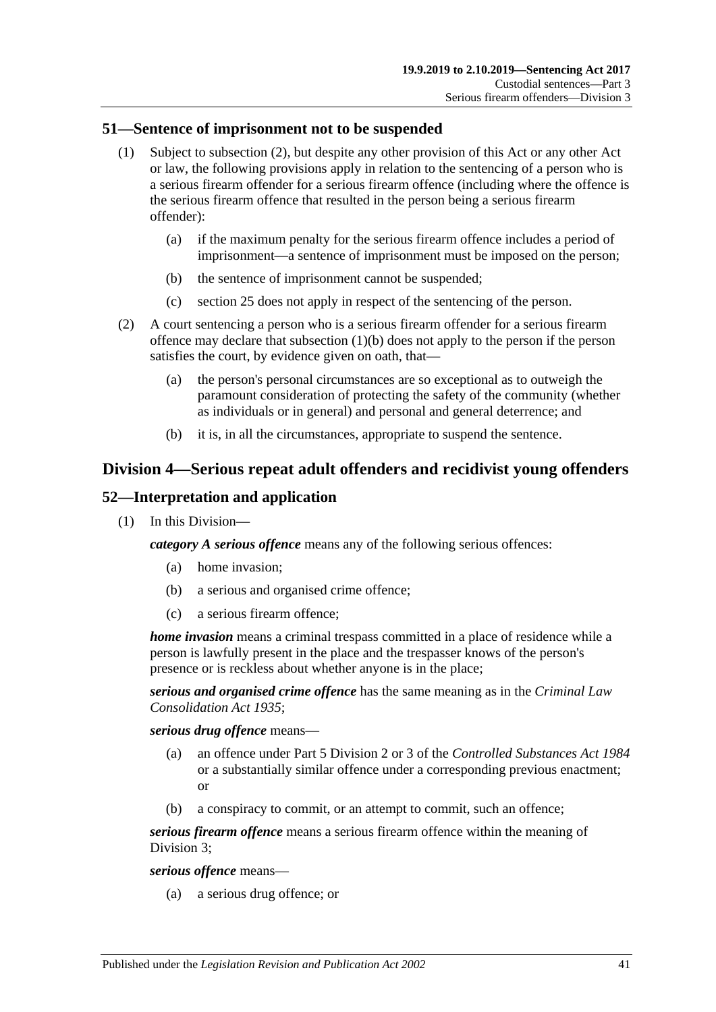## **51—Sentence of imprisonment not to be suspended**

- (1) Subject to [subsection](#page-40-0) (2), but despite any other provision of this Act or any other Act or law, the following provisions apply in relation to the sentencing of a person who is a serious firearm offender for a serious firearm offence (including where the offence is the serious firearm offence that resulted in the person being a serious firearm offender):
	- (a) if the maximum penalty for the serious firearm offence includes a period of imprisonment—a sentence of imprisonment must be imposed on the person;
	- (b) the sentence of imprisonment cannot be suspended;
	- (c) [section](#page-19-0) 25 does not apply in respect of the sentencing of the person.
- <span id="page-40-1"></span><span id="page-40-0"></span>(2) A court sentencing a person who is a serious firearm offender for a serious firearm offence may declare that [subsection](#page-40-1) (1)(b) does not apply to the person if the person satisfies the court, by evidence given on oath, that—
	- (a) the person's personal circumstances are so exceptional as to outweigh the paramount consideration of protecting the safety of the community (whether as individuals or in general) and personal and general deterrence; and
	- (b) it is, in all the circumstances, appropriate to suspend the sentence.

# **Division 4—Serious repeat adult offenders and recidivist young offenders**

# **52—Interpretation and application**

(1) In this Division—

*category A serious offence* means any of the following serious offences:

- (a) home invasion;
- (b) a serious and organised crime offence;
- (c) a serious firearm offence;

*home invasion* means a criminal trespass committed in a place of residence while a person is lawfully present in the place and the trespasser knows of the person's presence or is reckless about whether anyone is in the place;

*serious and organised crime offence* has the same meaning as in the *[Criminal Law](http://www.legislation.sa.gov.au/index.aspx?action=legref&type=act&legtitle=Criminal%20Law%20Consolidation%20Act%201935)  [Consolidation Act](http://www.legislation.sa.gov.au/index.aspx?action=legref&type=act&legtitle=Criminal%20Law%20Consolidation%20Act%201935) 1935*;

*serious drug offence* means—

- (a) an offence under Part 5 Division 2 or 3 of the *[Controlled Substances Act](http://www.legislation.sa.gov.au/index.aspx?action=legref&type=act&legtitle=Controlled%20Substances%20Act%201984) 1984* or a substantially similar offence under a corresponding previous enactment; or
- (b) a conspiracy to commit, or an attempt to commit, such an offence;

*serious firearm offence* means a serious firearm offence within the meaning of [Division](#page-37-2) 3;

*serious offence* means—

(a) a serious drug offence; or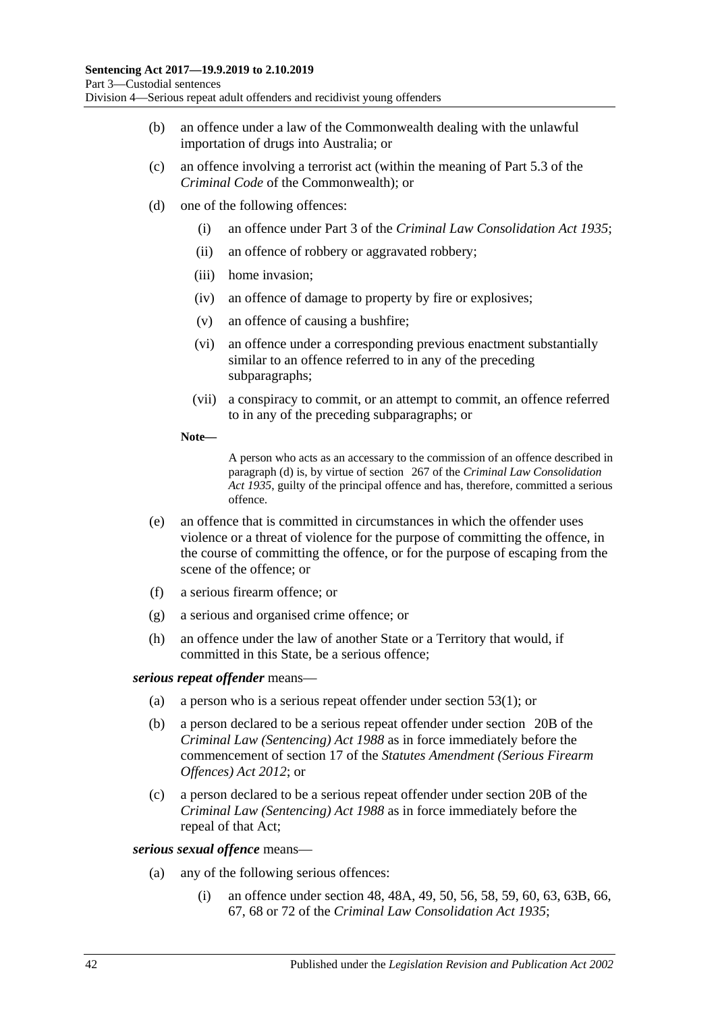- (b) an offence under a law of the Commonwealth dealing with the unlawful importation of drugs into Australia; or
- (c) an offence involving a terrorist act (within the meaning of Part 5.3 of the *Criminal Code* of the Commonwealth); or
- <span id="page-41-0"></span>(d) one of the following offences:
	- (i) an offence under Part 3 of the *[Criminal Law Consolidation Act](http://www.legislation.sa.gov.au/index.aspx?action=legref&type=act&legtitle=Criminal%20Law%20Consolidation%20Act%201935) 1935*;
	- (ii) an offence of robbery or aggravated robbery;
	- (iii) home invasion;
	- (iv) an offence of damage to property by fire or explosives;
	- (v) an offence of causing a bushfire;
	- (vi) an offence under a corresponding previous enactment substantially similar to an offence referred to in any of the preceding subparagraphs;
	- (vii) a conspiracy to commit, or an attempt to commit, an offence referred to in any of the preceding subparagraphs; or
	- **Note—**

A person who acts as an accessary to the commission of an offence described in [paragraph](#page-41-0) (d) is, by virtue of section 267 of the *[Criminal Law Consolidation](http://www.legislation.sa.gov.au/index.aspx?action=legref&type=act&legtitle=Criminal%20Law%20Consolidation%20Act%201935)  Act [1935](http://www.legislation.sa.gov.au/index.aspx?action=legref&type=act&legtitle=Criminal%20Law%20Consolidation%20Act%201935)*, guilty of the principal offence and has, therefore, committed a serious offence.

- (e) an offence that is committed in circumstances in which the offender uses violence or a threat of violence for the purpose of committing the offence, in the course of committing the offence, or for the purpose of escaping from the scene of the offence; or
- (f) a serious firearm offence; or
- (g) a serious and organised crime offence; or
- (h) an offence under the law of another State or a Territory that would, if committed in this State, be a serious offence;

## *serious repeat offender* means—

- (a) a person who is a serious repeat offender under [section](#page-42-0) 53(1); or
- (b) a person declared to be a serious repeat offender under section 20B of the *[Criminal Law \(Sentencing\) Act](http://www.legislation.sa.gov.au/index.aspx?action=legref&type=act&legtitle=Criminal%20Law%20(Sentencing)%20Act%201988) 1988* as in force immediately before the commencement of section 17 of the *[Statutes Amendment \(Serious Firearm](http://www.legislation.sa.gov.au/index.aspx?action=legref&type=act&legtitle=Statutes%20Amendment%20(Serious%20Firearm%20Offences)%20Act%202012)  [Offences\) Act](http://www.legislation.sa.gov.au/index.aspx?action=legref&type=act&legtitle=Statutes%20Amendment%20(Serious%20Firearm%20Offences)%20Act%202012) 2012*; or
- (c) a person declared to be a serious repeat offender under section 20B of the *[Criminal Law \(Sentencing\) Act](http://www.legislation.sa.gov.au/index.aspx?action=legref&type=act&legtitle=Criminal%20Law%20(Sentencing)%20Act%201988) 1988* as in force immediately before the repeal of that Act;

## <span id="page-41-2"></span><span id="page-41-1"></span>*serious sexual offence* means—

- (a) any of the following serious offences:
	- (i) an offence under section 48, 48A, 49, 50, 56, 58, 59, 60, 63, 63B, 66, 67, 68 or 72 of the *[Criminal Law Consolidation Act](http://www.legislation.sa.gov.au/index.aspx?action=legref&type=act&legtitle=Criminal%20Law%20Consolidation%20Act%201935) 1935*;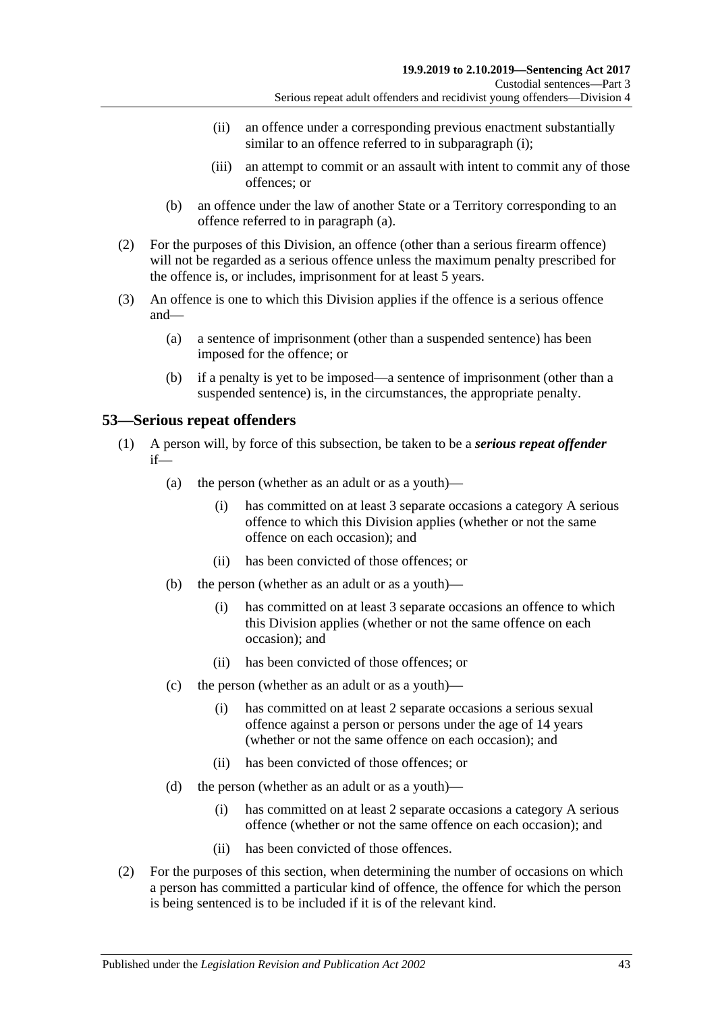- (ii) an offence under a corresponding previous enactment substantially similar to an offence referred to in [subparagraph](#page-41-1) (i);
- (iii) an attempt to commit or an assault with intent to commit any of those offences; or
- (b) an offence under the law of another State or a Territory corresponding to an offence referred to in [paragraph](#page-41-2) (a).
- (2) For the purposes of this Division, an offence (other than a serious firearm offence) will not be regarded as a serious offence unless the maximum penalty prescribed for the offence is, or includes, imprisonment for at least 5 years.
- (3) An offence is one to which this Division applies if the offence is a serious offence and—
	- (a) a sentence of imprisonment (other than a suspended sentence) has been imposed for the offence; or
	- (b) if a penalty is yet to be imposed—a sentence of imprisonment (other than a suspended sentence) is, in the circumstances, the appropriate penalty.

# <span id="page-42-0"></span>**53—Serious repeat offenders**

- (1) A person will, by force of this subsection, be taken to be a *serious repeat offender* if—
	- (a) the person (whether as an adult or as a youth)—
		- (i) has committed on at least 3 separate occasions a category A serious offence to which this Division applies (whether or not the same offence on each occasion); and
		- (ii) has been convicted of those offences; or
	- (b) the person (whether as an adult or as a youth)—
		- (i) has committed on at least 3 separate occasions an offence to which this Division applies (whether or not the same offence on each occasion); and
		- (ii) has been convicted of those offences; or
	- (c) the person (whether as an adult or as a youth)—
		- (i) has committed on at least 2 separate occasions a serious sexual offence against a person or persons under the age of 14 years (whether or not the same offence on each occasion); and
		- (ii) has been convicted of those offences; or
	- (d) the person (whether as an adult or as a youth)—
		- (i) has committed on at least 2 separate occasions a category A serious offence (whether or not the same offence on each occasion); and
		- (ii) has been convicted of those offences.
- (2) For the purposes of this section, when determining the number of occasions on which a person has committed a particular kind of offence, the offence for which the person is being sentenced is to be included if it is of the relevant kind.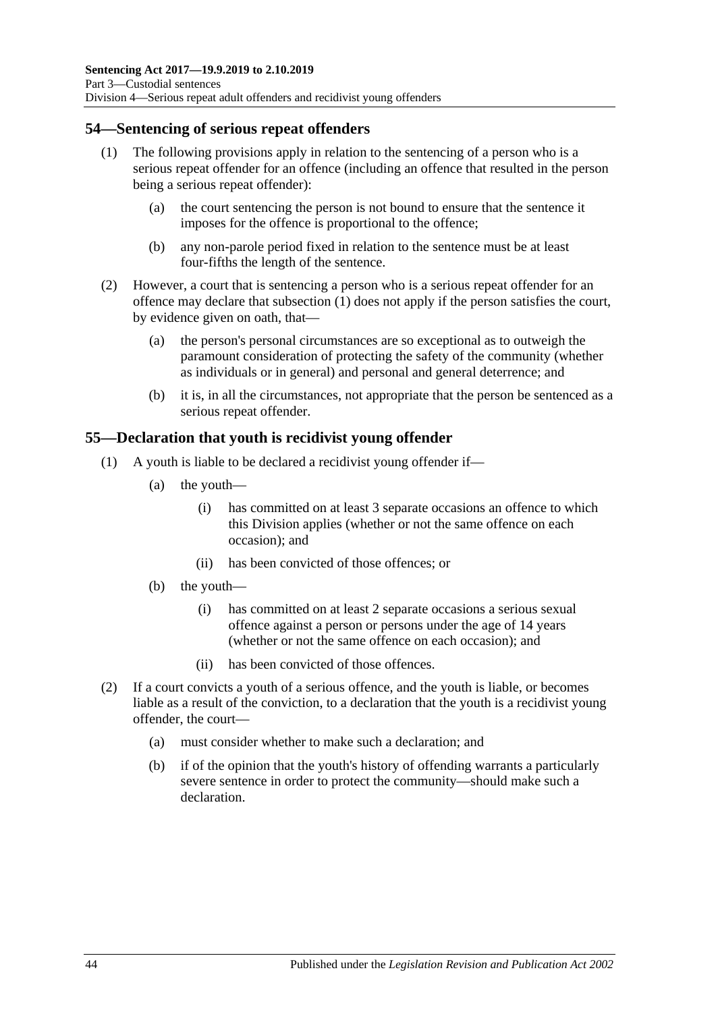# <span id="page-43-0"></span>**54—Sentencing of serious repeat offenders**

- (1) The following provisions apply in relation to the sentencing of a person who is a serious repeat offender for an offence (including an offence that resulted in the person being a serious repeat offender):
	- (a) the court sentencing the person is not bound to ensure that the sentence it imposes for the offence is proportional to the offence;
	- (b) any non-parole period fixed in relation to the sentence must be at least four-fifths the length of the sentence.
- (2) However, a court that is sentencing a person who is a serious repeat offender for an offence may declare that [subsection](#page-43-0) (1) does not apply if the person satisfies the court, by evidence given on oath, that—
	- (a) the person's personal circumstances are so exceptional as to outweigh the paramount consideration of protecting the safety of the community (whether as individuals or in general) and personal and general deterrence; and
	- (b) it is, in all the circumstances, not appropriate that the person be sentenced as a serious repeat offender.

# **55—Declaration that youth is recidivist young offender**

- (1) A youth is liable to be declared a recidivist young offender if—
	- (a) the youth—
		- (i) has committed on at least 3 separate occasions an offence to which this Division applies (whether or not the same offence on each occasion); and
		- (ii) has been convicted of those offences; or
	- (b) the youth—
		- (i) has committed on at least 2 separate occasions a serious sexual offence against a person or persons under the age of 14 years (whether or not the same offence on each occasion); and
		- (ii) has been convicted of those offences.
- (2) If a court convicts a youth of a serious offence, and the youth is liable, or becomes liable as a result of the conviction, to a declaration that the youth is a recidivist young offender, the court—
	- (a) must consider whether to make such a declaration; and
	- (b) if of the opinion that the youth's history of offending warrants a particularly severe sentence in order to protect the community—should make such a declaration.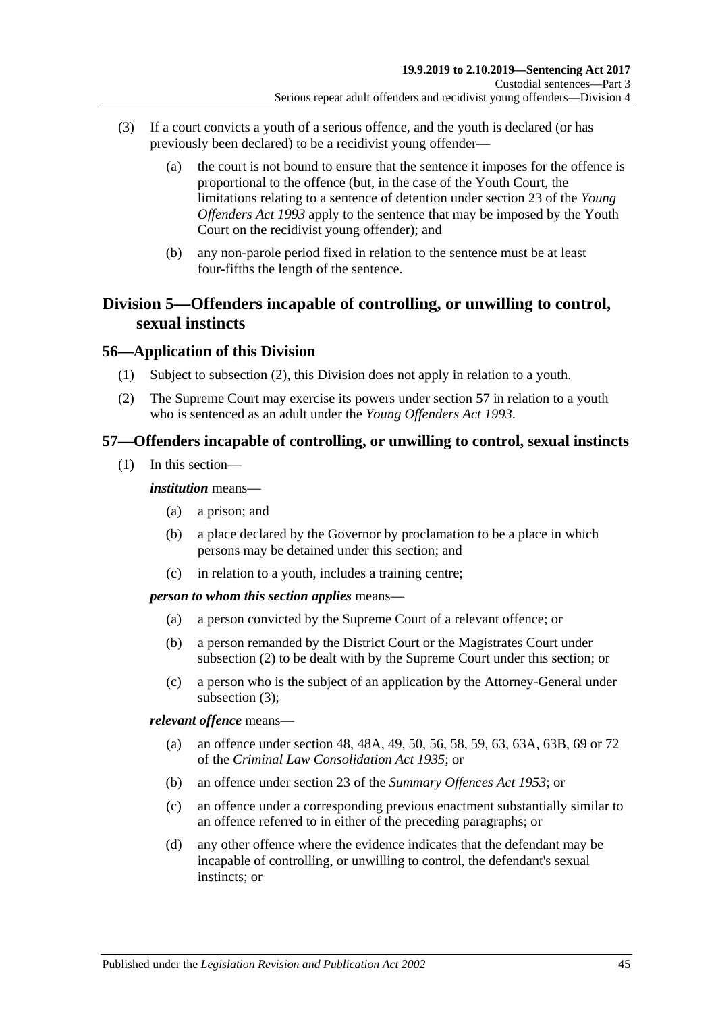- (3) If a court convicts a youth of a serious offence, and the youth is declared (or has previously been declared) to be a recidivist young offender—
	- (a) the court is not bound to ensure that the sentence it imposes for the offence is proportional to the offence (but, in the case of the Youth Court, the limitations relating to a sentence of detention under section 23 of the *[Young](http://www.legislation.sa.gov.au/index.aspx?action=legref&type=act&legtitle=Young%20Offenders%20Act%201993)  [Offenders Act](http://www.legislation.sa.gov.au/index.aspx?action=legref&type=act&legtitle=Young%20Offenders%20Act%201993) 1993* apply to the sentence that may be imposed by the Youth Court on the recidivist young offender); and
	- (b) any non-parole period fixed in relation to the sentence must be at least four-fifths the length of the sentence.

# **Division 5—Offenders incapable of controlling, or unwilling to control, sexual instincts**

# **56—Application of this Division**

- (1) Subject to [subsection](#page-44-0) (2), this Division does not apply in relation to a youth.
- <span id="page-44-0"></span>(2) The Supreme Court may exercise its powers under [section](#page-44-1) 57 in relation to a youth who is sentenced as an adult under the *[Young Offenders Act](http://www.legislation.sa.gov.au/index.aspx?action=legref&type=act&legtitle=Young%20Offenders%20Act%201993) 1993*.

# <span id="page-44-1"></span>**57—Offenders incapable of controlling, or unwilling to control, sexual instincts**

(1) In this section—

### *institution* means—

- (a) a prison; and
- (b) a place declared by the Governor by proclamation to be a place in which persons may be detained under this section; and
- (c) in relation to a youth, includes a training centre;

#### *person to whom this section applies* means—

- (a) a person convicted by the Supreme Court of a relevant offence; or
- (b) a person remanded by the District Court or the Magistrates Court under [subsection](#page-45-0) (2) to be dealt with by the Supreme Court under this section; or
- (c) a person who is the subject of an application by the Attorney-General under [subsection](#page-45-1) (3);

*relevant offence* means—

- (a) an offence under section 48, 48A, 49, 50, 56, 58, 59, 63, 63A, 63B, 69 or 72 of the *[Criminal Law Consolidation Act](http://www.legislation.sa.gov.au/index.aspx?action=legref&type=act&legtitle=Criminal%20Law%20Consolidation%20Act%201935) 1935*; or
- (b) an offence under section 23 of the *[Summary Offences Act](http://www.legislation.sa.gov.au/index.aspx?action=legref&type=act&legtitle=Summary%20Offences%20Act%201953) 1953*; or
- (c) an offence under a corresponding previous enactment substantially similar to an offence referred to in either of the preceding paragraphs; or
- (d) any other offence where the evidence indicates that the defendant may be incapable of controlling, or unwilling to control, the defendant's sexual instincts; or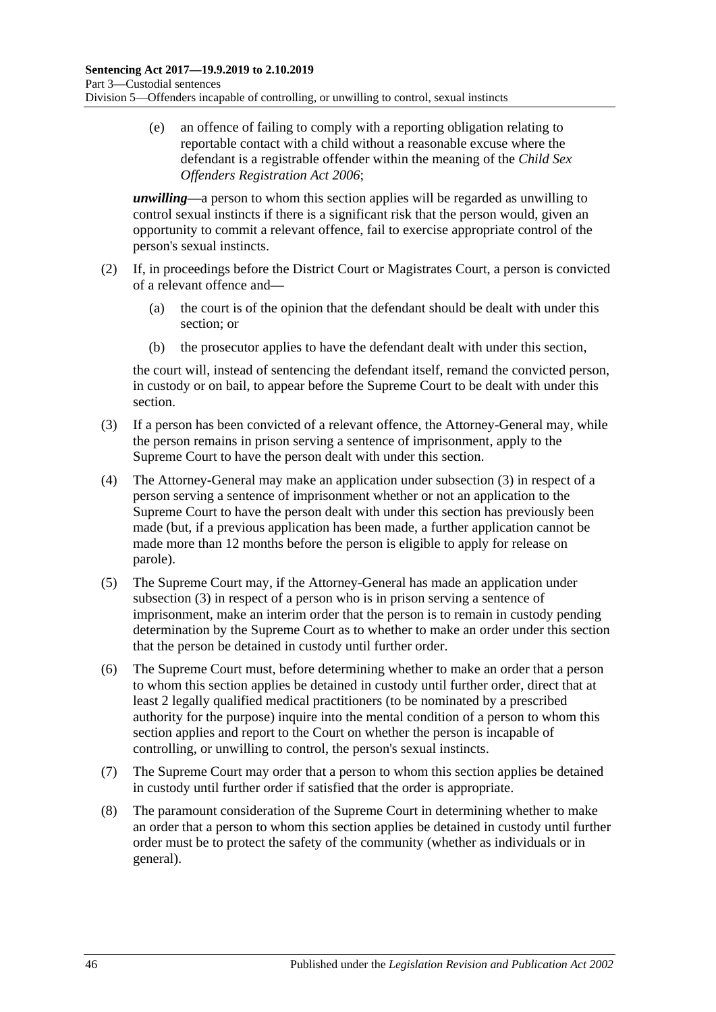(e) an offence of failing to comply with a reporting obligation relating to reportable contact with a child without a reasonable excuse where the defendant is a registrable offender within the meaning of the *[Child Sex](http://www.legislation.sa.gov.au/index.aspx?action=legref&type=act&legtitle=Child%20Sex%20Offenders%20Registration%20Act%202006)  [Offenders Registration Act](http://www.legislation.sa.gov.au/index.aspx?action=legref&type=act&legtitle=Child%20Sex%20Offenders%20Registration%20Act%202006) 2006*;

*unwilling*—a person to whom this section applies will be regarded as unwilling to control sexual instincts if there is a significant risk that the person would, given an opportunity to commit a relevant offence, fail to exercise appropriate control of the person's sexual instincts.

- <span id="page-45-0"></span>(2) If, in proceedings before the District Court or Magistrates Court, a person is convicted of a relevant offence and—
	- (a) the court is of the opinion that the defendant should be dealt with under this section; or
	- (b) the prosecutor applies to have the defendant dealt with under this section,

the court will, instead of sentencing the defendant itself, remand the convicted person, in custody or on bail, to appear before the Supreme Court to be dealt with under this section.

- <span id="page-45-1"></span>(3) If a person has been convicted of a relevant offence, the Attorney-General may, while the person remains in prison serving a sentence of imprisonment, apply to the Supreme Court to have the person dealt with under this section.
- (4) The Attorney-General may make an application under [subsection](#page-45-1) (3) in respect of a person serving a sentence of imprisonment whether or not an application to the Supreme Court to have the person dealt with under this section has previously been made (but, if a previous application has been made, a further application cannot be made more than 12 months before the person is eligible to apply for release on parole).
- (5) The Supreme Court may, if the Attorney-General has made an application under [subsection](#page-45-1) (3) in respect of a person who is in prison serving a sentence of imprisonment, make an interim order that the person is to remain in custody pending determination by the Supreme Court as to whether to make an order under this section that the person be detained in custody until further order.
- <span id="page-45-2"></span>(6) The Supreme Court must, before determining whether to make an order that a person to whom this section applies be detained in custody until further order, direct that at least 2 legally qualified medical practitioners (to be nominated by a prescribed authority for the purpose) inquire into the mental condition of a person to whom this section applies and report to the Court on whether the person is incapable of controlling, or unwilling to control, the person's sexual instincts.
- (7) The Supreme Court may order that a person to whom this section applies be detained in custody until further order if satisfied that the order is appropriate.
- (8) The paramount consideration of the Supreme Court in determining whether to make an order that a person to whom this section applies be detained in custody until further order must be to protect the safety of the community (whether as individuals or in general).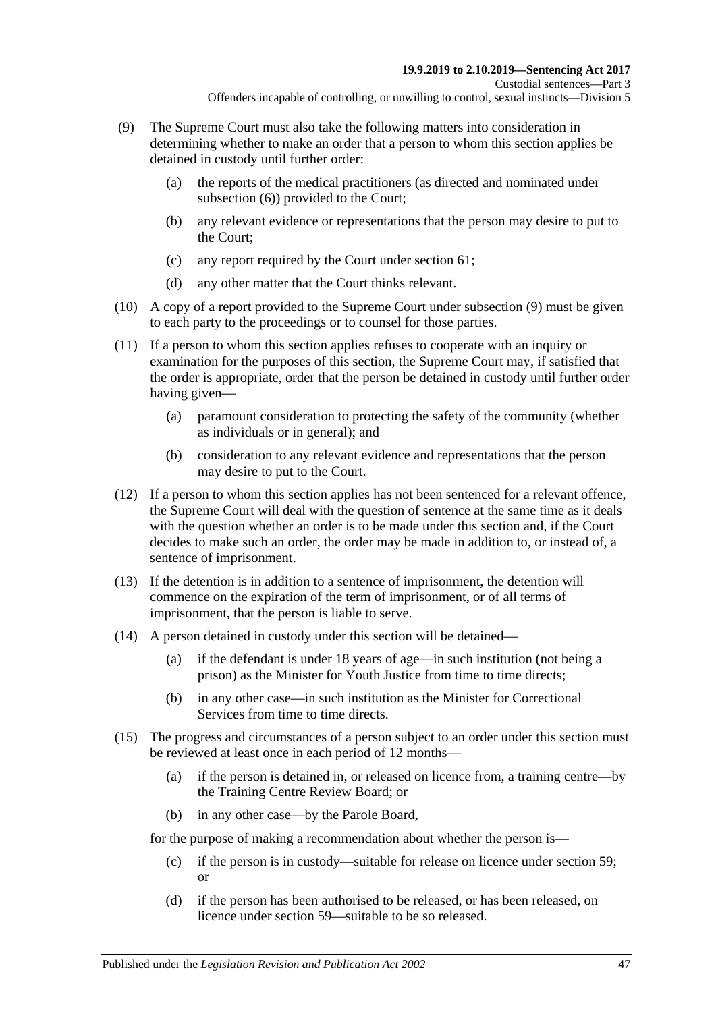- <span id="page-46-0"></span>(9) The Supreme Court must also take the following matters into consideration in determining whether to make an order that a person to whom this section applies be detained in custody until further order:
	- (a) the reports of the medical practitioners (as directed and nominated under [subsection](#page-45-2) (6)) provided to the Court;
	- (b) any relevant evidence or representations that the person may desire to put to the Court;
	- (c) any report required by the Court under [section](#page-51-0) 61;
	- (d) any other matter that the Court thinks relevant.
- (10) A copy of a report provided to the Supreme Court under [subsection](#page-46-0) (9) must be given to each party to the proceedings or to counsel for those parties.
- (11) If a person to whom this section applies refuses to cooperate with an inquiry or examination for the purposes of this section, the Supreme Court may, if satisfied that the order is appropriate, order that the person be detained in custody until further order having given—
	- (a) paramount consideration to protecting the safety of the community (whether as individuals or in general); and
	- (b) consideration to any relevant evidence and representations that the person may desire to put to the Court.
- (12) If a person to whom this section applies has not been sentenced for a relevant offence, the Supreme Court will deal with the question of sentence at the same time as it deals with the question whether an order is to be made under this section and, if the Court decides to make such an order, the order may be made in addition to, or instead of, a sentence of imprisonment.
- (13) If the detention is in addition to a sentence of imprisonment, the detention will commence on the expiration of the term of imprisonment, or of all terms of imprisonment, that the person is liable to serve.
- (14) A person detained in custody under this section will be detained—
	- (a) if the defendant is under 18 years of age—in such institution (not being a prison) as the Minister for Youth Justice from time to time directs;
	- (b) in any other case—in such institution as the Minister for Correctional Services from time to time directs.
- <span id="page-46-1"></span>(15) The progress and circumstances of a person subject to an order under this section must be reviewed at least once in each period of 12 months—
	- (a) if the person is detained in, or released on licence from, a training centre—by the Training Centre Review Board; or
	- (b) in any other case—by the Parole Board,

for the purpose of making a recommendation about whether the person is—

- (c) if the person is in custody—suitable for release on licence under [section](#page-48-0) 59; or
- (d) if the person has been authorised to be released, or has been released, on licence under [section](#page-48-0) 59—suitable to be so released.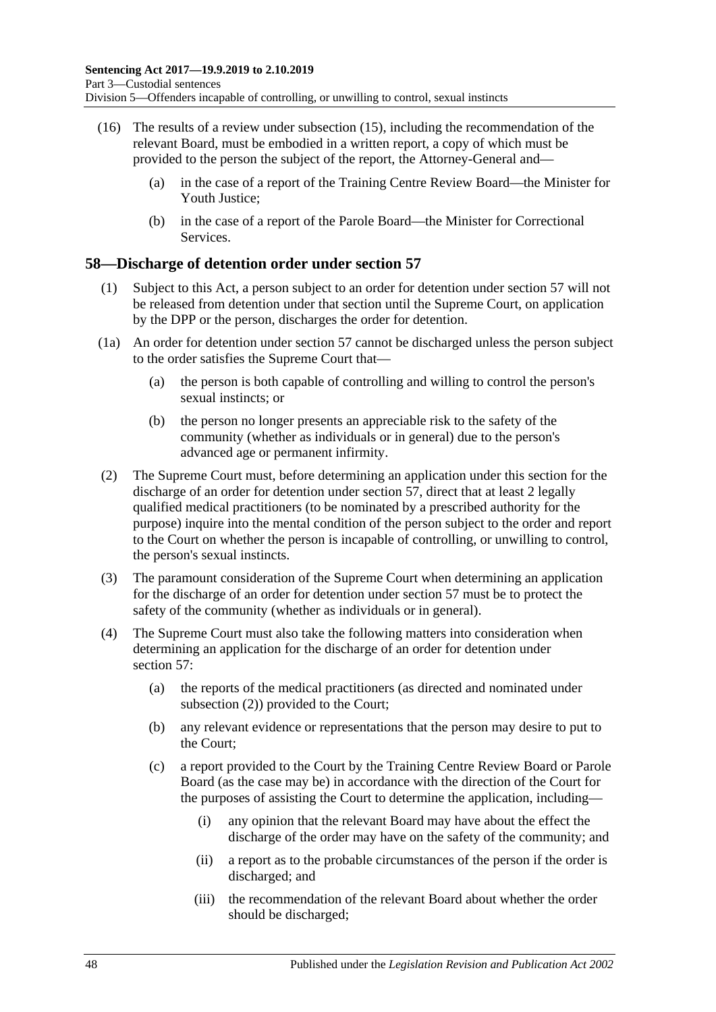- (16) The results of a review under [subsection](#page-46-1) (15), including the recommendation of the relevant Board, must be embodied in a written report, a copy of which must be provided to the person the subject of the report, the Attorney-General and—
	- (a) in the case of a report of the Training Centre Review Board—the Minister for Youth Justice;
	- (b) in the case of a report of the Parole Board—the Minister for Correctional **Services**

# **58—Discharge of detention order under [section](#page-44-1) 57**

- (1) Subject to this Act, a person subject to an order for detention under [section](#page-44-1) 57 will not be released from detention under that section until the Supreme Court, on application by the DPP or the person, discharges the order for detention.
- (1a) An order for detention under [section](#page-44-1) 57 cannot be discharged unless the person subject to the order satisfies the Supreme Court that—
	- (a) the person is both capable of controlling and willing to control the person's sexual instincts; or
	- (b) the person no longer presents an appreciable risk to the safety of the community (whether as individuals or in general) due to the person's advanced age or permanent infirmity.
- <span id="page-47-0"></span>(2) The Supreme Court must, before determining an application under this section for the discharge of an order for detention under [section](#page-44-1) 57, direct that at least 2 legally qualified medical practitioners (to be nominated by a prescribed authority for the purpose) inquire into the mental condition of the person subject to the order and report to the Court on whether the person is incapable of controlling, or unwilling to control, the person's sexual instincts.
- (3) The paramount consideration of the Supreme Court when determining an application for the discharge of an order for detention under [section](#page-44-1) 57 must be to protect the safety of the community (whether as individuals or in general).
- <span id="page-47-1"></span>(4) The Supreme Court must also take the following matters into consideration when determining an application for the discharge of an order for detention under [section](#page-44-1) 57:
	- (a) the reports of the medical practitioners (as directed and nominated under [subsection](#page-47-0) (2)) provided to the Court;
	- (b) any relevant evidence or representations that the person may desire to put to the Court;
	- (c) a report provided to the Court by the Training Centre Review Board or Parole Board (as the case may be) in accordance with the direction of the Court for the purposes of assisting the Court to determine the application, including—
		- (i) any opinion that the relevant Board may have about the effect the discharge of the order may have on the safety of the community; and
		- (ii) a report as to the probable circumstances of the person if the order is discharged; and
		- (iii) the recommendation of the relevant Board about whether the order should be discharged;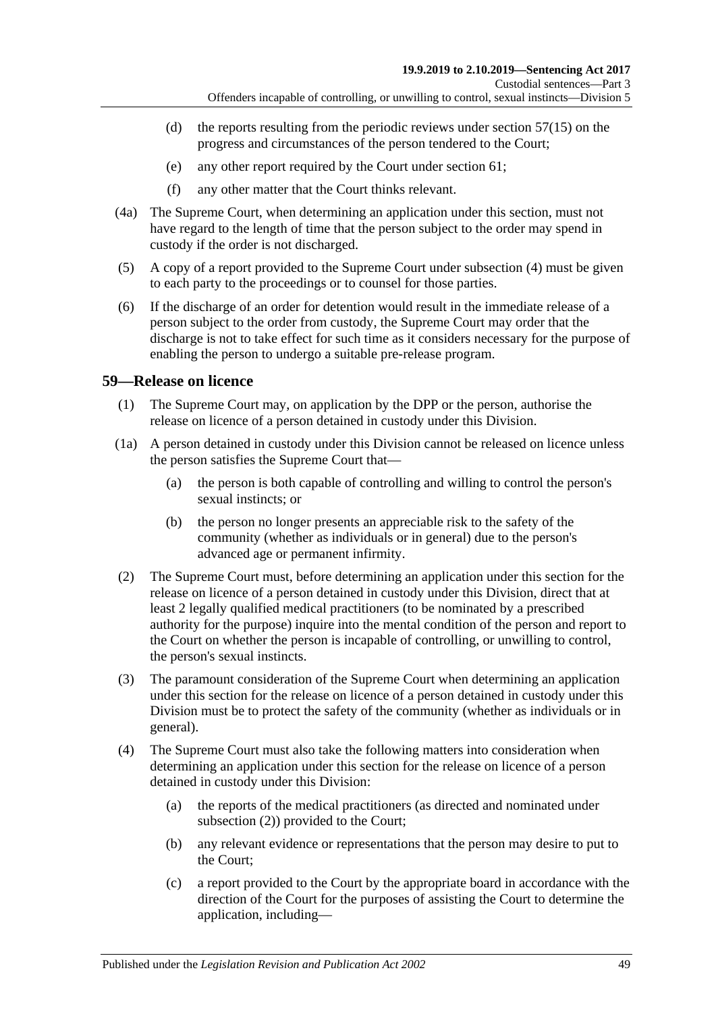- (d) the reports resulting from the periodic reviews under [section](#page-46-1)  $57(15)$  on the progress and circumstances of the person tendered to the Court;
- (e) any other report required by the Court under [section](#page-51-0) 61;
- (f) any other matter that the Court thinks relevant.
- (4a) The Supreme Court, when determining an application under this section, must not have regard to the length of time that the person subject to the order may spend in custody if the order is not discharged.
- (5) A copy of a report provided to the Supreme Court under [subsection](#page-47-1) (4) must be given to each party to the proceedings or to counsel for those parties.
- (6) If the discharge of an order for detention would result in the immediate release of a person subject to the order from custody, the Supreme Court may order that the discharge is not to take effect for such time as it considers necessary for the purpose of enabling the person to undergo a suitable pre-release program.

# <span id="page-48-3"></span><span id="page-48-0"></span>**59—Release on licence**

- (1) The Supreme Court may, on application by the DPP or the person, authorise the release on licence of a person detained in custody under this Division.
- (1a) A person detained in custody under this Division cannot be released on licence unless the person satisfies the Supreme Court that—
	- (a) the person is both capable of controlling and willing to control the person's sexual instincts; or
	- (b) the person no longer presents an appreciable risk to the safety of the community (whether as individuals or in general) due to the person's advanced age or permanent infirmity.
- <span id="page-48-4"></span><span id="page-48-1"></span>(2) The Supreme Court must, before determining an application under this section for the release on licence of a person detained in custody under this Division, direct that at least 2 legally qualified medical practitioners (to be nominated by a prescribed authority for the purpose) inquire into the mental condition of the person and report to the Court on whether the person is incapable of controlling, or unwilling to control, the person's sexual instincts.
- (3) The paramount consideration of the Supreme Court when determining an application under this section for the release on licence of a person detained in custody under this Division must be to protect the safety of the community (whether as individuals or in general).
- <span id="page-48-2"></span>(4) The Supreme Court must also take the following matters into consideration when determining an application under this section for the release on licence of a person detained in custody under this Division:
	- (a) the reports of the medical practitioners (as directed and nominated under [subsection](#page-48-1) (2)) provided to the Court;
	- (b) any relevant evidence or representations that the person may desire to put to the Court;
	- (c) a report provided to the Court by the appropriate board in accordance with the direction of the Court for the purposes of assisting the Court to determine the application, including—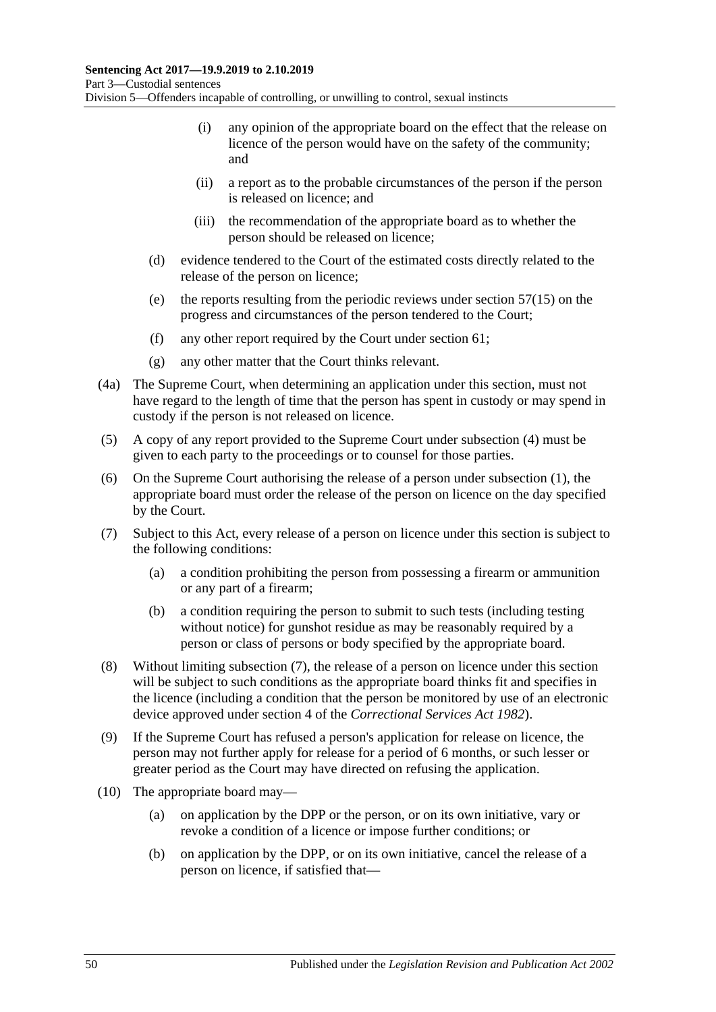- (i) any opinion of the appropriate board on the effect that the release on licence of the person would have on the safety of the community; and
- (ii) a report as to the probable circumstances of the person if the person is released on licence; and
- (iii) the recommendation of the appropriate board as to whether the person should be released on licence;
- (d) evidence tendered to the Court of the estimated costs directly related to the release of the person on licence;
- (e) the reports resulting from the periodic reviews under [section](#page-46-1) 57(15) on the progress and circumstances of the person tendered to the Court;
- (f) any other report required by the Court under [section](#page-51-0) 61;
- (g) any other matter that the Court thinks relevant.
- (4a) The Supreme Court, when determining an application under this section, must not have regard to the length of time that the person has spent in custody or may spend in custody if the person is not released on licence.
- (5) A copy of any report provided to the Supreme Court under [subsection](#page-48-2) (4) must be given to each party to the proceedings or to counsel for those parties.
- (6) On the Supreme Court authorising the release of a person under [subsection](#page-48-3) (1), the appropriate board must order the release of the person on licence on the day specified by the Court.
- <span id="page-49-2"></span><span id="page-49-0"></span>(7) Subject to this Act, every release of a person on licence under this section is subject to the following conditions:
	- (a) a condition prohibiting the person from possessing a firearm or ammunition or any part of a firearm;
	- (b) a condition requiring the person to submit to such tests (including testing without notice) for gunshot residue as may be reasonably required by a person or class of persons or body specified by the appropriate board.
- (8) Without limiting [subsection](#page-49-0) (7), the release of a person on licence under this section will be subject to such conditions as the appropriate board thinks fit and specifies in the licence (including a condition that the person be monitored by use of an electronic device approved under section 4 of the *[Correctional Services Act](http://www.legislation.sa.gov.au/index.aspx?action=legref&type=act&legtitle=Correctional%20Services%20Act%201982) 1982*).
- (9) If the Supreme Court has refused a person's application for release on licence, the person may not further apply for release for a period of 6 months, or such lesser or greater period as the Court may have directed on refusing the application.
- <span id="page-49-1"></span>(10) The appropriate board may—
	- (a) on application by the DPP or the person, or on its own initiative, vary or revoke a condition of a licence or impose further conditions; or
	- (b) on application by the DPP, or on its own initiative, cancel the release of a person on licence, if satisfied that—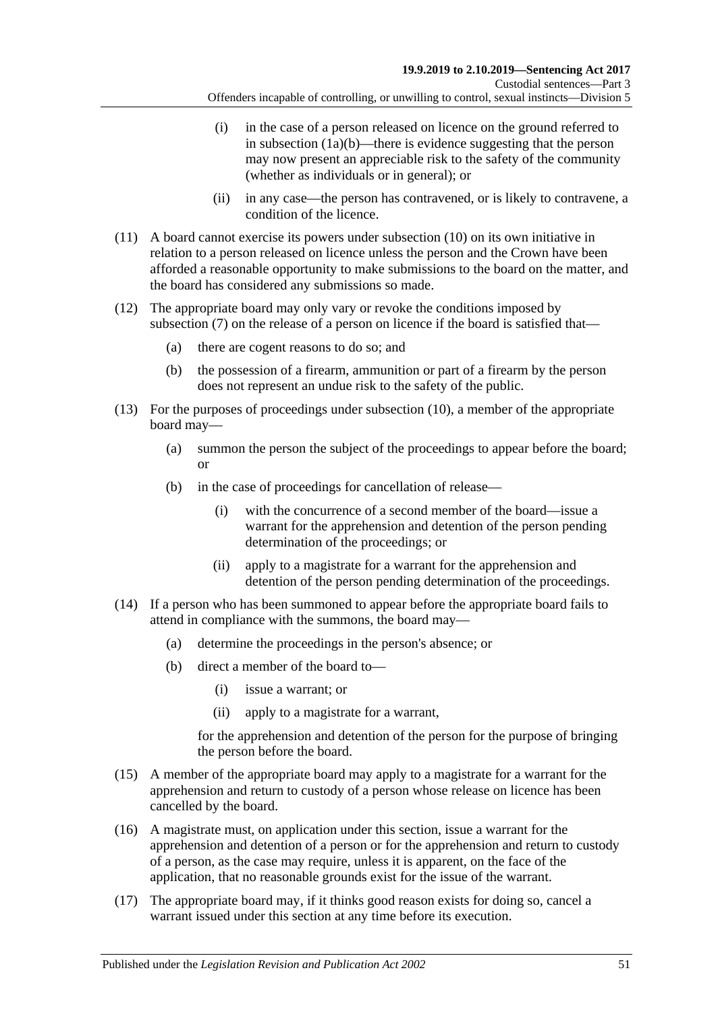- (i) in the case of a person released on licence on the ground referred to in [subsection](#page-48-4)  $(1a)(b)$ —there is evidence suggesting that the person may now present an appreciable risk to the safety of the community (whether as individuals or in general); or
- (ii) in any case—the person has contravened, or is likely to contravene, a condition of the licence.
- (11) A board cannot exercise its powers under [subsection](#page-49-1) (10) on its own initiative in relation to a person released on licence unless the person and the Crown have been afforded a reasonable opportunity to make submissions to the board on the matter, and the board has considered any submissions so made.
- (12) The appropriate board may only vary or revoke the conditions imposed by [subsection](#page-49-0) (7) on the release of a person on licence if the board is satisfied that—
	- (a) there are cogent reasons to do so; and
	- (b) the possession of a firearm, ammunition or part of a firearm by the person does not represent an undue risk to the safety of the public.
- (13) For the purposes of proceedings under [subsection](#page-49-1) (10), a member of the appropriate board may—
	- (a) summon the person the subject of the proceedings to appear before the board; or
	- (b) in the case of proceedings for cancellation of release—
		- (i) with the concurrence of a second member of the board—issue a warrant for the apprehension and detention of the person pending determination of the proceedings; or
		- (ii) apply to a magistrate for a warrant for the apprehension and detention of the person pending determination of the proceedings.
- (14) If a person who has been summoned to appear before the appropriate board fails to attend in compliance with the summons, the board may—
	- (a) determine the proceedings in the person's absence; or
	- (b) direct a member of the board to—
		- (i) issue a warrant; or
		- (ii) apply to a magistrate for a warrant,

for the apprehension and detention of the person for the purpose of bringing the person before the board.

- (15) A member of the appropriate board may apply to a magistrate for a warrant for the apprehension and return to custody of a person whose release on licence has been cancelled by the board.
- (16) A magistrate must, on application under this section, issue a warrant for the apprehension and detention of a person or for the apprehension and return to custody of a person, as the case may require, unless it is apparent, on the face of the application, that no reasonable grounds exist for the issue of the warrant.
- (17) The appropriate board may, if it thinks good reason exists for doing so, cancel a warrant issued under this section at any time before its execution.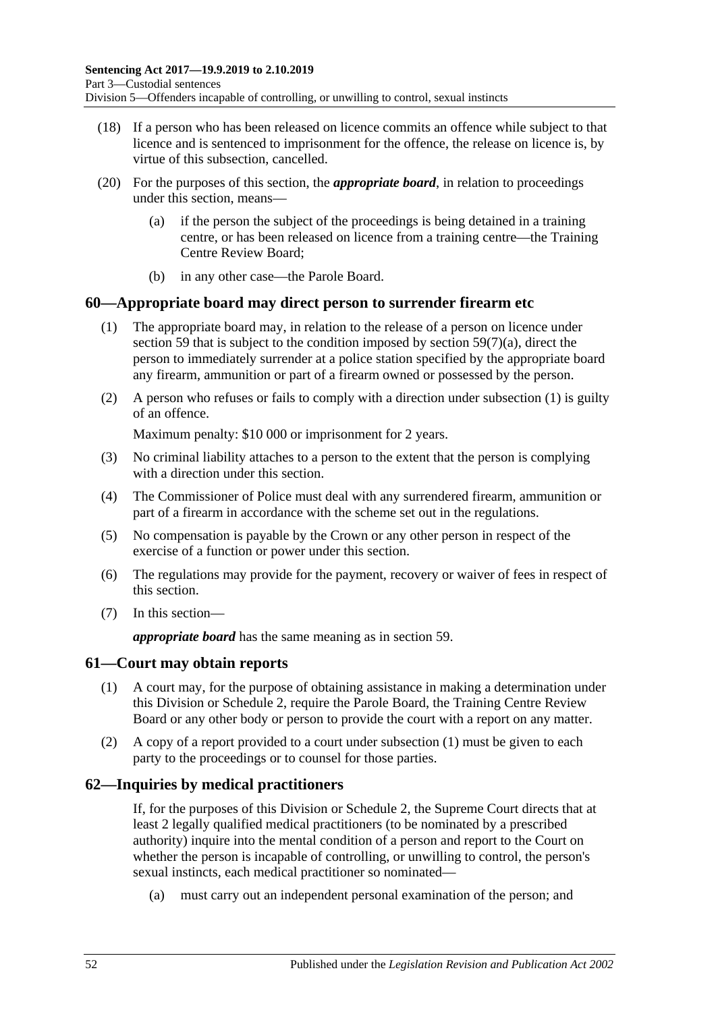- (18) If a person who has been released on licence commits an offence while subject to that licence and is sentenced to imprisonment for the offence, the release on licence is, by virtue of this subsection, cancelled.
- (20) For the purposes of this section, the *appropriate board*, in relation to proceedings under this section, means—
	- (a) if the person the subject of the proceedings is being detained in a training centre, or has been released on licence from a training centre—the Training Centre Review Board;
	- (b) in any other case—the Parole Board.

## <span id="page-51-1"></span>**60—Appropriate board may direct person to surrender firearm etc**

- (1) The appropriate board may, in relation to the release of a person on licence under [section](#page-48-0) 59 that is subject to the condition imposed by section [59\(7\)\(a\),](#page-49-2) direct the person to immediately surrender at a police station specified by the appropriate board any firearm, ammunition or part of a firearm owned or possessed by the person.
- (2) A person who refuses or fails to comply with a direction under [subsection](#page-51-1) (1) is guilty of an offence.

Maximum penalty: \$10 000 or imprisonment for 2 years.

- (3) No criminal liability attaches to a person to the extent that the person is complying with a direction under this section.
- (4) The Commissioner of Police must deal with any surrendered firearm, ammunition or part of a firearm in accordance with the scheme set out in the regulations.
- (5) No compensation is payable by the Crown or any other person in respect of the exercise of a function or power under this section.
- (6) The regulations may provide for the payment, recovery or waiver of fees in respect of this section.
- (7) In this section—

*appropriate board* has the same meaning as in [section](#page-48-0) 59.

## <span id="page-51-2"></span><span id="page-51-0"></span>**61—Court may obtain reports**

- (1) A court may, for the purpose of obtaining assistance in making a determination under this Division or [Schedule 2,](#page-101-0) require the Parole Board, the Training Centre Review Board or any other body or person to provide the court with a report on any matter.
- (2) A copy of a report provided to a court under [subsection](#page-51-2) (1) must be given to each party to the proceedings or to counsel for those parties.

# **62—Inquiries by medical practitioners**

If, for the purposes of this Division or [Schedule 2,](#page-101-0) the Supreme Court directs that at least 2 legally qualified medical practitioners (to be nominated by a prescribed authority) inquire into the mental condition of a person and report to the Court on whether the person is incapable of controlling, or unwilling to control, the person's sexual instincts, each medical practitioner so nominated—

(a) must carry out an independent personal examination of the person; and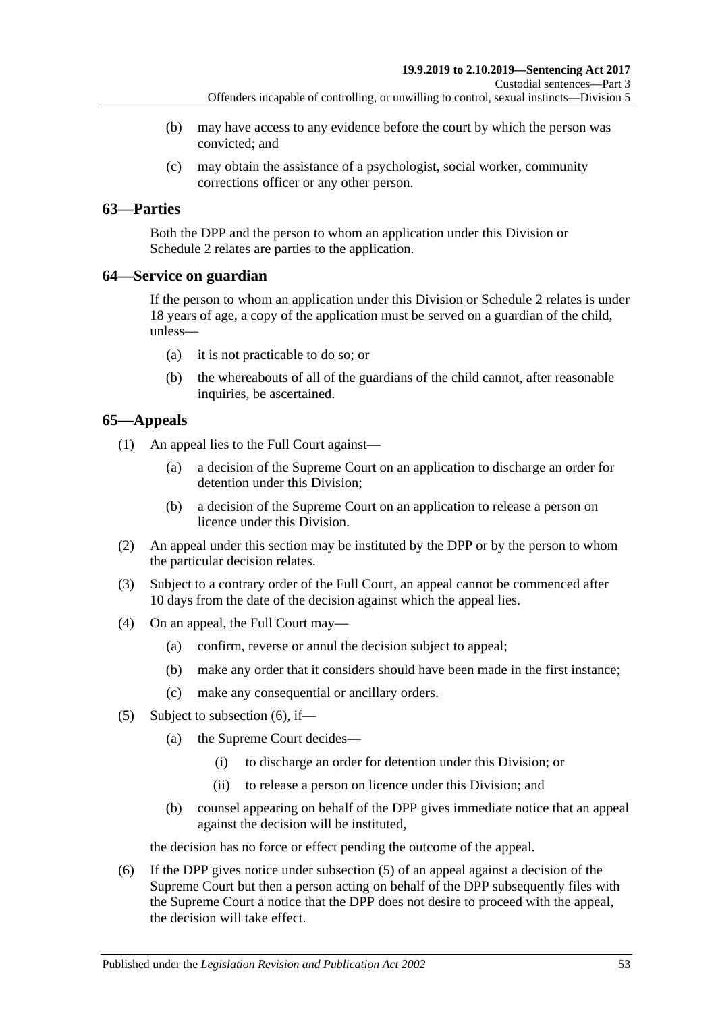- (b) may have access to any evidence before the court by which the person was convicted; and
- (c) may obtain the assistance of a psychologist, social worker, community corrections officer or any other person.

# **63—Parties**

Both the DPP and the person to whom an application under this Division or [Schedule](#page-101-0) 2 relates are parties to the application.

# **64—Service on guardian**

If the person to whom an application under this Division or [Schedule 2](#page-101-0) relates is under 18 years of age, a copy of the application must be served on a guardian of the child, unless—

- (a) it is not practicable to do so; or
- (b) the whereabouts of all of the guardians of the child cannot, after reasonable inquiries, be ascertained.

# **65—Appeals**

(1) An appeal lies to the Full Court against—

- (a) a decision of the Supreme Court on an application to discharge an order for detention under this Division;
- (b) a decision of the Supreme Court on an application to release a person on licence under this Division.
- (2) An appeal under this section may be instituted by the DPP or by the person to whom the particular decision relates.
- (3) Subject to a contrary order of the Full Court, an appeal cannot be commenced after 10 days from the date of the decision against which the appeal lies.
- (4) On an appeal, the Full Court may—
	- (a) confirm, reverse or annul the decision subject to appeal;
	- (b) make any order that it considers should have been made in the first instance;
	- (c) make any consequential or ancillary orders.
- <span id="page-52-1"></span>(5) Subject to [subsection](#page-52-0) (6), if—
	- (a) the Supreme Court decides—
		- (i) to discharge an order for detention under this Division; or
		- (ii) to release a person on licence under this Division; and
	- (b) counsel appearing on behalf of the DPP gives immediate notice that an appeal against the decision will be instituted,

the decision has no force or effect pending the outcome of the appeal.

<span id="page-52-0"></span>(6) If the DPP gives notice under [subsection](#page-52-1) (5) of an appeal against a decision of the Supreme Court but then a person acting on behalf of the DPP subsequently files with the Supreme Court a notice that the DPP does not desire to proceed with the appeal, the decision will take effect.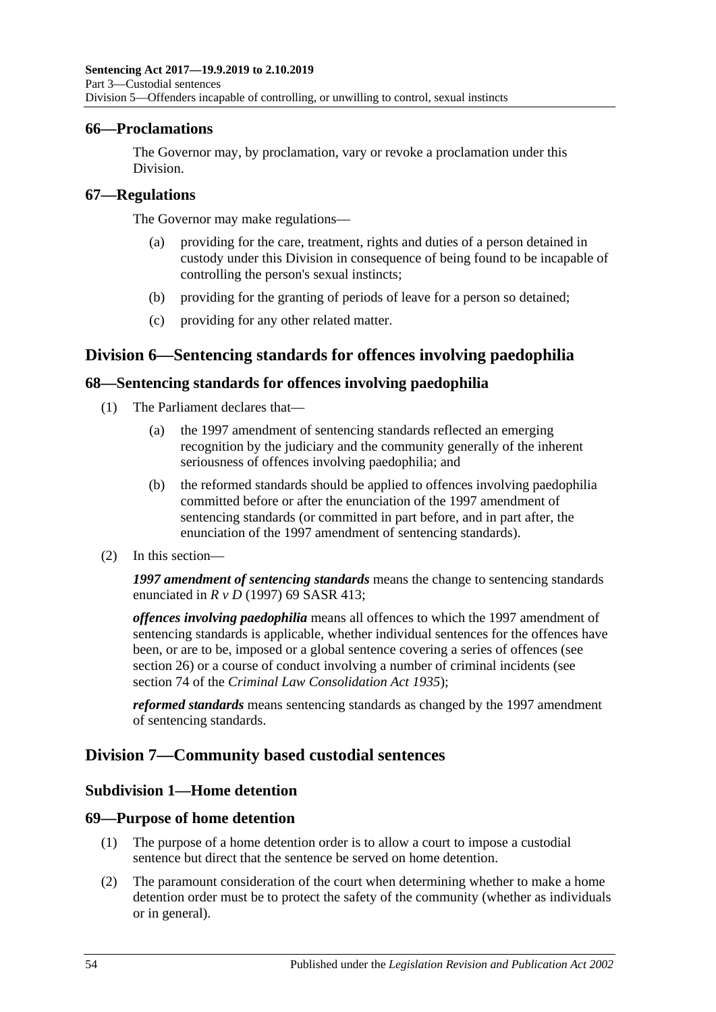## **66—Proclamations**

The Governor may, by proclamation, vary or revoke a proclamation under this Division.

## **67—Regulations**

The Governor may make regulations—

- (a) providing for the care, treatment, rights and duties of a person detained in custody under this Division in consequence of being found to be incapable of controlling the person's sexual instincts;
- (b) providing for the granting of periods of leave for a person so detained;
- (c) providing for any other related matter.

# **Division 6—Sentencing standards for offences involving paedophilia**

# **68—Sentencing standards for offences involving paedophilia**

- (1) The Parliament declares that—
	- (a) the 1997 amendment of sentencing standards reflected an emerging recognition by the judiciary and the community generally of the inherent seriousness of offences involving paedophilia; and
	- (b) the reformed standards should be applied to offences involving paedophilia committed before or after the enunciation of the 1997 amendment of sentencing standards (or committed in part before, and in part after, the enunciation of the 1997 amendment of sentencing standards).
- (2) In this section—

*1997 amendment of sentencing standards* means the change to sentencing standards enunciated in *R v D* (1997) 69 SASR 413;

*offences involving paedophilia* means all offences to which the 1997 amendment of sentencing standards is applicable, whether individual sentences for the offences have been, or are to be, imposed or a global sentence covering a series of offences (see [section](#page-20-0) 26) or a course of conduct involving a number of criminal incidents (see section 74 of the *[Criminal Law Consolidation Act](http://www.legislation.sa.gov.au/index.aspx?action=legref&type=act&legtitle=Criminal%20Law%20Consolidation%20Act%201935) 1935*);

*reformed standards* means sentencing standards as changed by the 1997 amendment of sentencing standards.

# **Division 7—Community based custodial sentences**

# **Subdivision 1—Home detention**

# **69—Purpose of home detention**

- (1) The purpose of a home detention order is to allow a court to impose a custodial sentence but direct that the sentence be served on home detention.
- (2) The paramount consideration of the court when determining whether to make a home detention order must be to protect the safety of the community (whether as individuals or in general).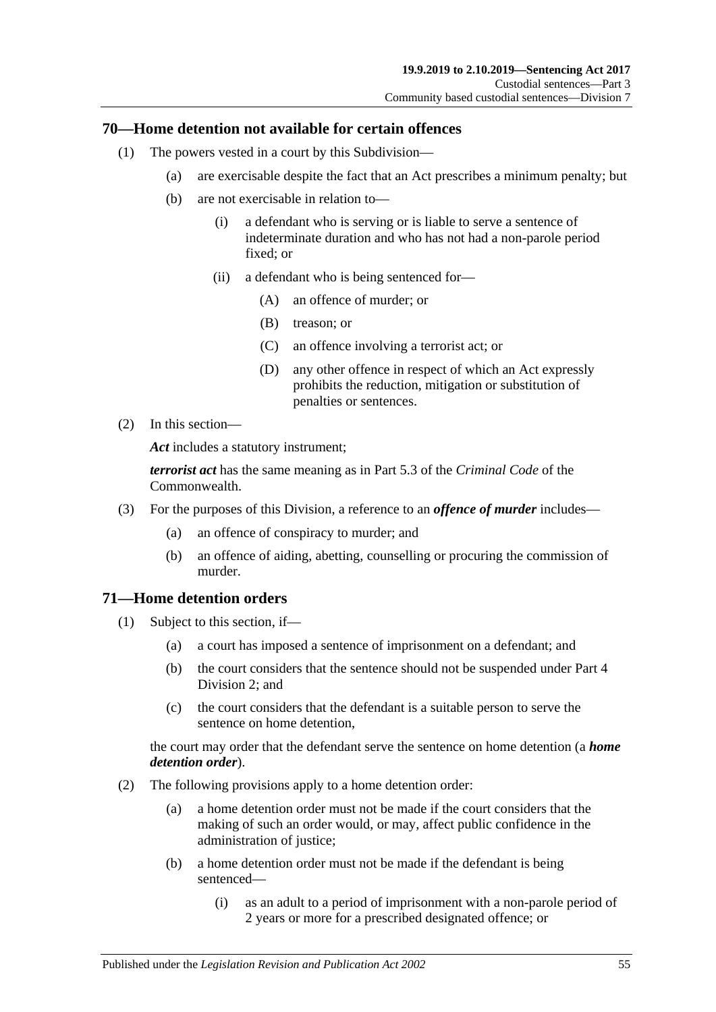# **70—Home detention not available for certain offences**

- (1) The powers vested in a court by this Subdivision—
	- (a) are exercisable despite the fact that an Act prescribes a minimum penalty; but
	- (b) are not exercisable in relation to—
		- (i) a defendant who is serving or is liable to serve a sentence of indeterminate duration and who has not had a non-parole period fixed; or
		- (ii) a defendant who is being sentenced for—
			- (A) an offence of murder; or
			- (B) treason; or
			- (C) an offence involving a terrorist act; or
			- (D) any other offence in respect of which an Act expressly prohibits the reduction, mitigation or substitution of penalties or sentences.
- (2) In this section—

*Act* includes a statutory instrument;

*terrorist act* has the same meaning as in Part 5.3 of the *Criminal Code* of the Commonwealth.

- (3) For the purposes of this Division, a reference to an *offence of murder* includes—
	- (a) an offence of conspiracy to murder; and
	- (b) an offence of aiding, abetting, counselling or procuring the commission of murder.

# **71—Home detention orders**

- (1) Subject to this section, if—
	- (a) a court has imposed a sentence of imprisonment on a defendant; and
	- (b) the court considers that the sentence should not be suspended under [Part](#page-77-1) 4 [Division](#page-77-1) 2; and
	- (c) the court considers that the defendant is a suitable person to serve the sentence on home detention,

the court may order that the defendant serve the sentence on home detention (a *home detention order*).

- (2) The following provisions apply to a home detention order:
	- (a) a home detention order must not be made if the court considers that the making of such an order would, or may, affect public confidence in the administration of justice;
	- (b) a home detention order must not be made if the defendant is being sentenced—
		- (i) as an adult to a period of imprisonment with a non-parole period of 2 years or more for a prescribed designated offence; or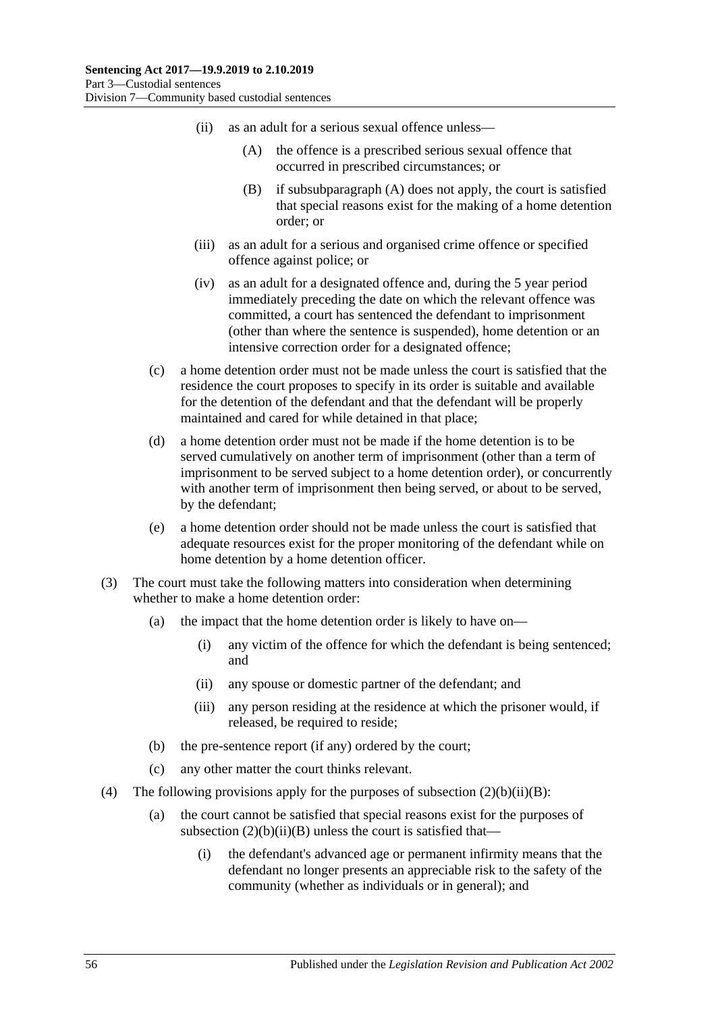- <span id="page-55-1"></span><span id="page-55-0"></span>(ii) as an adult for a serious sexual offence unless—
	- (A) the offence is a prescribed serious sexual offence that occurred in prescribed circumstances; or
	- (B) if [subsubparagraph](#page-55-0) (A) does not apply, the court is satisfied that special reasons exist for the making of a home detention order; or
- (iii) as an adult for a serious and organised crime offence or specified offence against police; or
- (iv) as an adult for a designated offence and, during the 5 year period immediately preceding the date on which the relevant offence was committed, a court has sentenced the defendant to imprisonment (other than where the sentence is suspended), home detention or an intensive correction order for a designated offence;
- (c) a home detention order must not be made unless the court is satisfied that the residence the court proposes to specify in its order is suitable and available for the detention of the defendant and that the defendant will be properly maintained and cared for while detained in that place;
- (d) a home detention order must not be made if the home detention is to be served cumulatively on another term of imprisonment (other than a term of imprisonment to be served subject to a home detention order), or concurrently with another term of imprisonment then being served, or about to be served, by the defendant;
- (e) a home detention order should not be made unless the court is satisfied that adequate resources exist for the proper monitoring of the defendant while on home detention by a home detention officer.
- (3) The court must take the following matters into consideration when determining whether to make a home detention order:
	- (a) the impact that the home detention order is likely to have on—
		- (i) any victim of the offence for which the defendant is being sentenced; and
		- (ii) any spouse or domestic partner of the defendant; and
		- (iii) any person residing at the residence at which the prisoner would, if released, be required to reside;
	- (b) the pre-sentence report (if any) ordered by the court;
	- (c) any other matter the court thinks relevant.
- (4) The following provisions apply for the purposes of subsection  $(2)(b)(ii)(B)$ :
	- (a) the court cannot be satisfied that special reasons exist for the purposes of subsection  $(2)(b)(ii)(B)$  unless the court is satisfied that—
		- (i) the defendant's advanced age or permanent infirmity means that the defendant no longer presents an appreciable risk to the safety of the community (whether as individuals or in general); and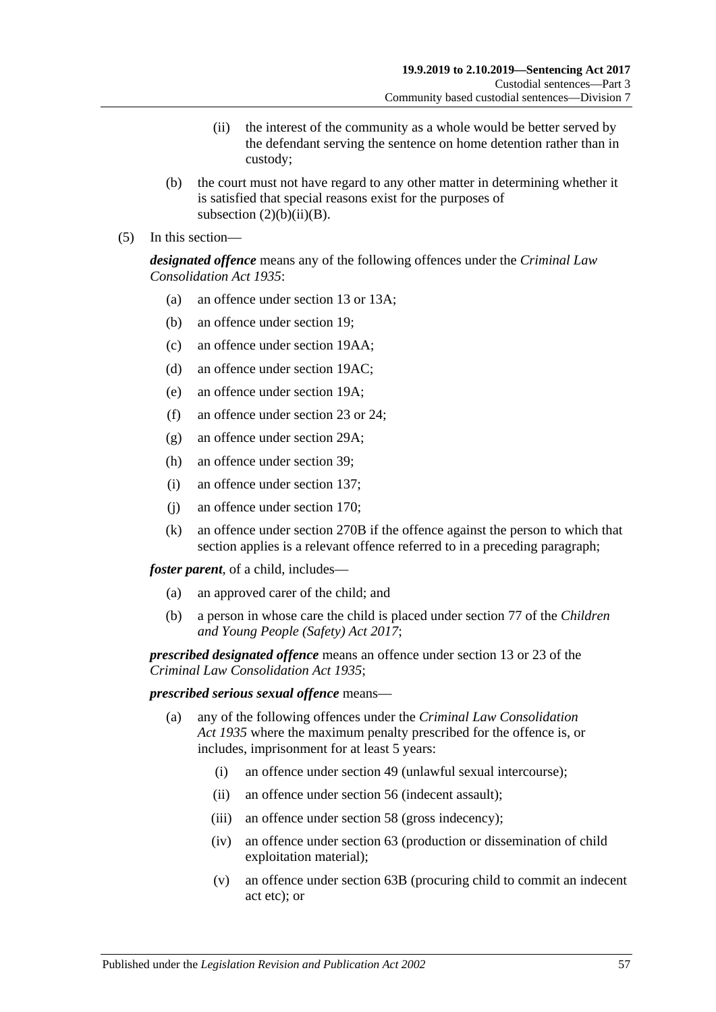- (ii) the interest of the community as a whole would be better served by the defendant serving the sentence on home detention rather than in custody;
- (b) the court must not have regard to any other matter in determining whether it is satisfied that special reasons exist for the purposes of subsection  $(2)(b)(ii)(B)$ .
- (5) In this section—

*designated offence* means any of the following offences under the *[Criminal Law](http://www.legislation.sa.gov.au/index.aspx?action=legref&type=act&legtitle=Criminal%20Law%20Consolidation%20Act%201935)  [Consolidation Act](http://www.legislation.sa.gov.au/index.aspx?action=legref&type=act&legtitle=Criminal%20Law%20Consolidation%20Act%201935) 1935*:

- (a) an offence under section 13 or 13A;
- (b) an offence under section 19;
- (c) an offence under section 19AA;
- (d) an offence under section 19AC;
- (e) an offence under section 19A;
- (f) an offence under section 23 or 24;
- (g) an offence under section 29A;
- (h) an offence under section 39;
- (i) an offence under section 137;
- (j) an offence under section 170;
- (k) an offence under section 270B if the offence against the person to which that section applies is a relevant offence referred to in a preceding paragraph;

*foster parent*, of a child, includes—

- (a) an approved carer of the child; and
- (b) a person in whose care the child is placed under section 77 of the *[Children](http://www.legislation.sa.gov.au/index.aspx?action=legref&type=act&legtitle=Children%20and%20Young%20People%20(Safety)%20Act%202017)  [and Young People \(Safety\) Act](http://www.legislation.sa.gov.au/index.aspx?action=legref&type=act&legtitle=Children%20and%20Young%20People%20(Safety)%20Act%202017) 2017*;

*prescribed designated offence* means an offence under section 13 or 23 of the *[Criminal Law Consolidation Act](http://www.legislation.sa.gov.au/index.aspx?action=legref&type=act&legtitle=Criminal%20Law%20Consolidation%20Act%201935) 1935*;

### *prescribed serious sexual offence* means—

- (a) any of the following offences under the *[Criminal Law Consolidation](http://www.legislation.sa.gov.au/index.aspx?action=legref&type=act&legtitle=Criminal%20Law%20Consolidation%20Act%201935)  Act [1935](http://www.legislation.sa.gov.au/index.aspx?action=legref&type=act&legtitle=Criminal%20Law%20Consolidation%20Act%201935)* where the maximum penalty prescribed for the offence is, or includes, imprisonment for at least 5 years:
	- (i) an offence under section 49 (unlawful sexual intercourse);
	- (ii) an offence under section 56 (indecent assault);
	- (iii) an offence under section 58 (gross indecency);
	- (iv) an offence under section 63 (production or dissemination of child exploitation material);
	- (v) an offence under section 63B (procuring child to commit an indecent act etc); or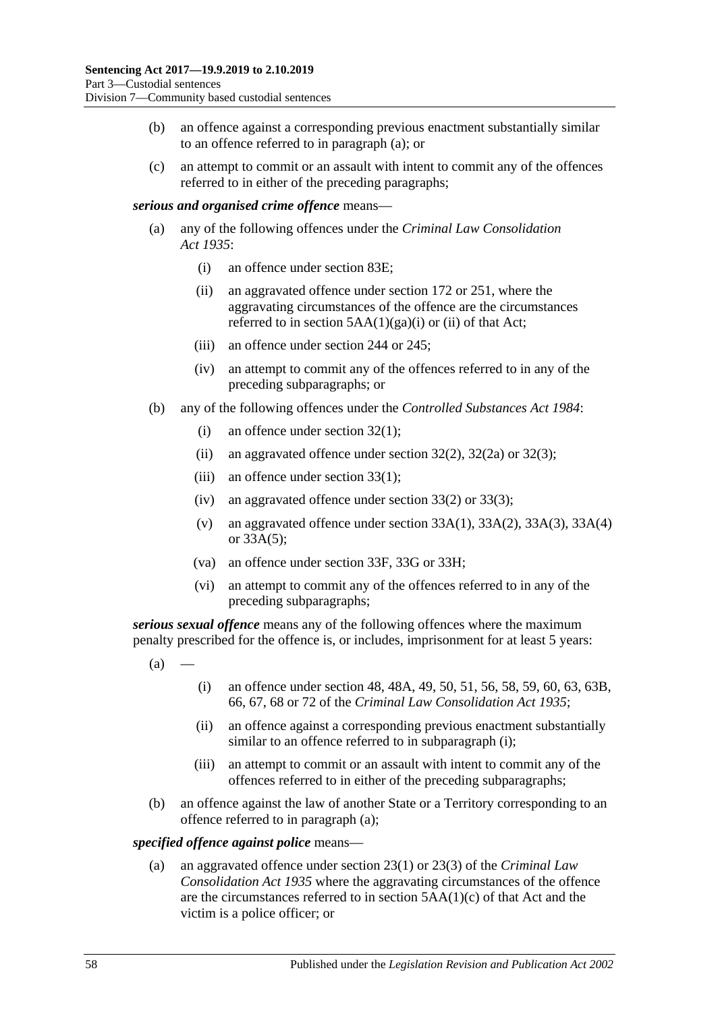- (b) an offence against a corresponding previous enactment substantially similar to an offence referred to in paragraph (a); or
- (c) an attempt to commit or an assault with intent to commit any of the offences referred to in either of the preceding paragraphs;

### *serious and organised crime offence* means—

- (a) any of the following offences under the *[Criminal Law Consolidation](http://www.legislation.sa.gov.au/index.aspx?action=legref&type=act&legtitle=Criminal%20Law%20Consolidation%20Act%201935)  Act [1935](http://www.legislation.sa.gov.au/index.aspx?action=legref&type=act&legtitle=Criminal%20Law%20Consolidation%20Act%201935)*:
	- (i) an offence under section 83E;
	- (ii) an aggravated offence under section 172 or 251, where the aggravating circumstances of the offence are the circumstances referred to in section  $5AA(1)(ga)(i)$  or (ii) of that Act;
	- (iii) an offence under section 244 or 245;
	- (iv) an attempt to commit any of the offences referred to in any of the preceding subparagraphs; or
- (b) any of the following offences under the *[Controlled Substances Act](http://www.legislation.sa.gov.au/index.aspx?action=legref&type=act&legtitle=Controlled%20Substances%20Act%201984) 1984*:
	- (i) an offence under section 32(1);
	- (ii) an aggravated offence under section  $32(2)$ ,  $32(2a)$  or  $32(3)$ ;
	- (iii) an offence under section 33(1);
	- (iv) an aggravated offence under section 33(2) or 33(3);
	- (v) an aggravated offence under section 33A(1), 33A(2), 33A(3), 33A(4) or 33A(5);
	- (va) an offence under section 33F, 33G or 33H;
	- (vi) an attempt to commit any of the offences referred to in any of the preceding subparagraphs;

<span id="page-57-1"></span>*serious sexual offence* means any of the following offences where the maximum penalty prescribed for the offence is, or includes, imprisonment for at least 5 years:

- <span id="page-57-0"></span> $(a)$
- (i) an offence under section 48, 48A, 49, 50, 51, 56, 58, 59, 60, 63, 63B, 66, 67, 68 or 72 of the *[Criminal Law Consolidation Act](http://www.legislation.sa.gov.au/index.aspx?action=legref&type=act&legtitle=Criminal%20Law%20Consolidation%20Act%201935) 1935*;
- (ii) an offence against a corresponding previous enactment substantially similar to an offence referred to in [subparagraph](#page-57-0) (i);
- (iii) an attempt to commit or an assault with intent to commit any of the offences referred to in either of the preceding subparagraphs;
- (b) an offence against the law of another State or a Territory corresponding to an offence referred to in [paragraph](#page-57-1) (a);

#### *specified offence against police* means—

(a) an aggravated offence under section 23(1) or 23(3) of the *[Criminal Law](http://www.legislation.sa.gov.au/index.aspx?action=legref&type=act&legtitle=Criminal%20Law%20Consolidation%20Act%201935)  [Consolidation Act](http://www.legislation.sa.gov.au/index.aspx?action=legref&type=act&legtitle=Criminal%20Law%20Consolidation%20Act%201935) 1935* where the aggravating circumstances of the offence are the circumstances referred to in section 5AA(1)(c) of that Act and the victim is a police officer; or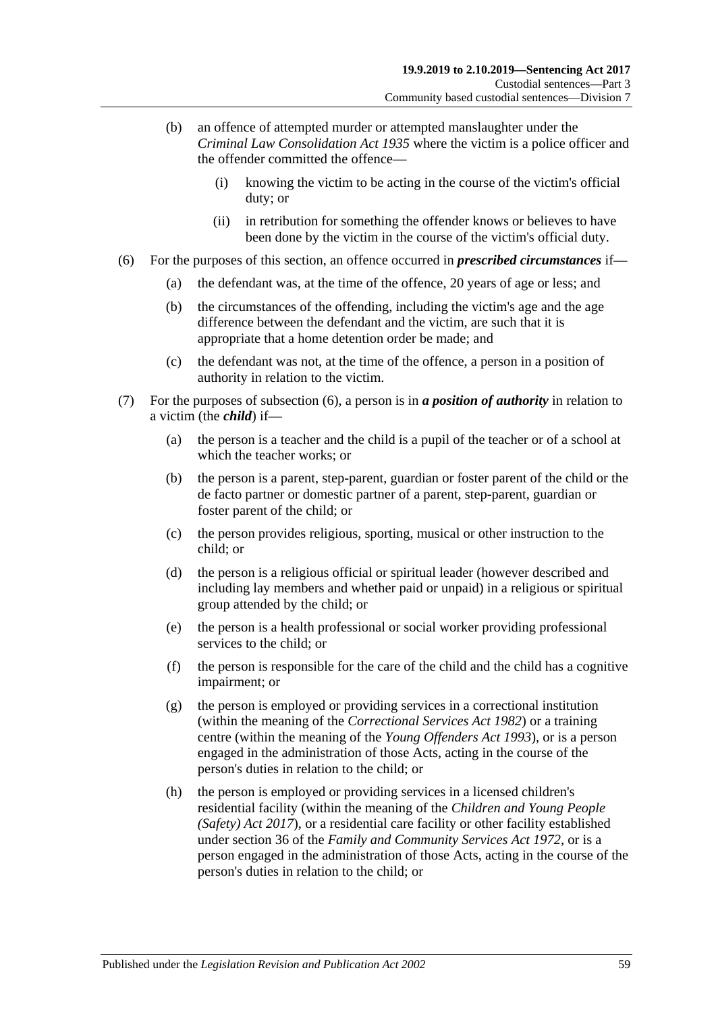- (b) an offence of attempted murder or attempted manslaughter under the *[Criminal Law Consolidation Act](http://www.legislation.sa.gov.au/index.aspx?action=legref&type=act&legtitle=Criminal%20Law%20Consolidation%20Act%201935) 1935* where the victim is a police officer and the offender committed the offence—
	- (i) knowing the victim to be acting in the course of the victim's official duty; or
	- (ii) in retribution for something the offender knows or believes to have been done by the victim in the course of the victim's official duty.
- <span id="page-58-0"></span>(6) For the purposes of this section, an offence occurred in *prescribed circumstances* if—
	- (a) the defendant was, at the time of the offence, 20 years of age or less; and
	- (b) the circumstances of the offending, including the victim's age and the age difference between the defendant and the victim, are such that it is appropriate that a home detention order be made; and
	- (c) the defendant was not, at the time of the offence, a person in a position of authority in relation to the victim.
- (7) For the purposes of [subsection](#page-58-0) (6), a person is in *a position of authority* in relation to a victim (the *child*) if—
	- (a) the person is a teacher and the child is a pupil of the teacher or of a school at which the teacher works; or
	- (b) the person is a parent, step-parent, guardian or foster parent of the child or the de facto partner or domestic partner of a parent, step-parent, guardian or foster parent of the child; or
	- (c) the person provides religious, sporting, musical or other instruction to the child; or
	- (d) the person is a religious official or spiritual leader (however described and including lay members and whether paid or unpaid) in a religious or spiritual group attended by the child; or
	- (e) the person is a health professional or social worker providing professional services to the child; or
	- (f) the person is responsible for the care of the child and the child has a cognitive impairment; or
	- (g) the person is employed or providing services in a correctional institution (within the meaning of the *[Correctional Services Act](http://www.legislation.sa.gov.au/index.aspx?action=legref&type=act&legtitle=Correctional%20Services%20Act%201982) 1982*) or a training centre (within the meaning of the *[Young Offenders Act](http://www.legislation.sa.gov.au/index.aspx?action=legref&type=act&legtitle=Young%20Offenders%20Act%201993) 1993*), or is a person engaged in the administration of those Acts, acting in the course of the person's duties in relation to the child; or
	- (h) the person is employed or providing services in a licensed children's residential facility (within the meaning of the *[Children and Young People](http://www.legislation.sa.gov.au/index.aspx?action=legref&type=act&legtitle=Children%20and%20Young%20People%20(Safety)%20Act%202017)  [\(Safety\) Act](http://www.legislation.sa.gov.au/index.aspx?action=legref&type=act&legtitle=Children%20and%20Young%20People%20(Safety)%20Act%202017) 2017*), or a residential care facility or other facility established under section 36 of the *[Family and Community Services Act](http://www.legislation.sa.gov.au/index.aspx?action=legref&type=act&legtitle=Family%20and%20Community%20Services%20Act%201972) 1972*, or is a person engaged in the administration of those Acts, acting in the course of the person's duties in relation to the child; or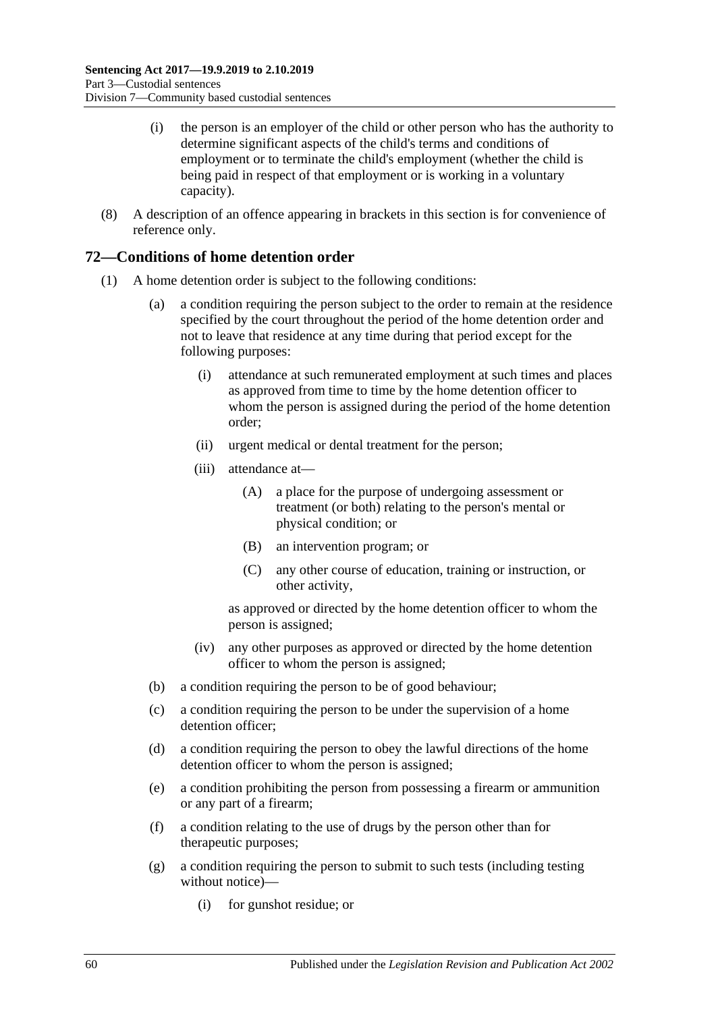- (i) the person is an employer of the child or other person who has the authority to determine significant aspects of the child's terms and conditions of employment or to terminate the child's employment (whether the child is being paid in respect of that employment or is working in a voluntary capacity).
- (8) A description of an offence appearing in brackets in this section is for convenience of reference only.

# **72—Conditions of home detention order**

- (1) A home detention order is subject to the following conditions:
	- (a) a condition requiring the person subject to the order to remain at the residence specified by the court throughout the period of the home detention order and not to leave that residence at any time during that period except for the following purposes:
		- (i) attendance at such remunerated employment at such times and places as approved from time to time by the home detention officer to whom the person is assigned during the period of the home detention order;
		- (ii) urgent medical or dental treatment for the person;
		- (iii) attendance at—
			- (A) a place for the purpose of undergoing assessment or treatment (or both) relating to the person's mental or physical condition; or
			- (B) an intervention program; or
			- (C) any other course of education, training or instruction, or other activity,

as approved or directed by the home detention officer to whom the person is assigned;

- (iv) any other purposes as approved or directed by the home detention officer to whom the person is assigned;
- (b) a condition requiring the person to be of good behaviour;
- (c) a condition requiring the person to be under the supervision of a home detention officer;
- (d) a condition requiring the person to obey the lawful directions of the home detention officer to whom the person is assigned;
- <span id="page-59-0"></span>(e) a condition prohibiting the person from possessing a firearm or ammunition or any part of a firearm;
- (f) a condition relating to the use of drugs by the person other than for therapeutic purposes;
- <span id="page-59-1"></span>(g) a condition requiring the person to submit to such tests (including testing without notice)—
	- (i) for gunshot residue; or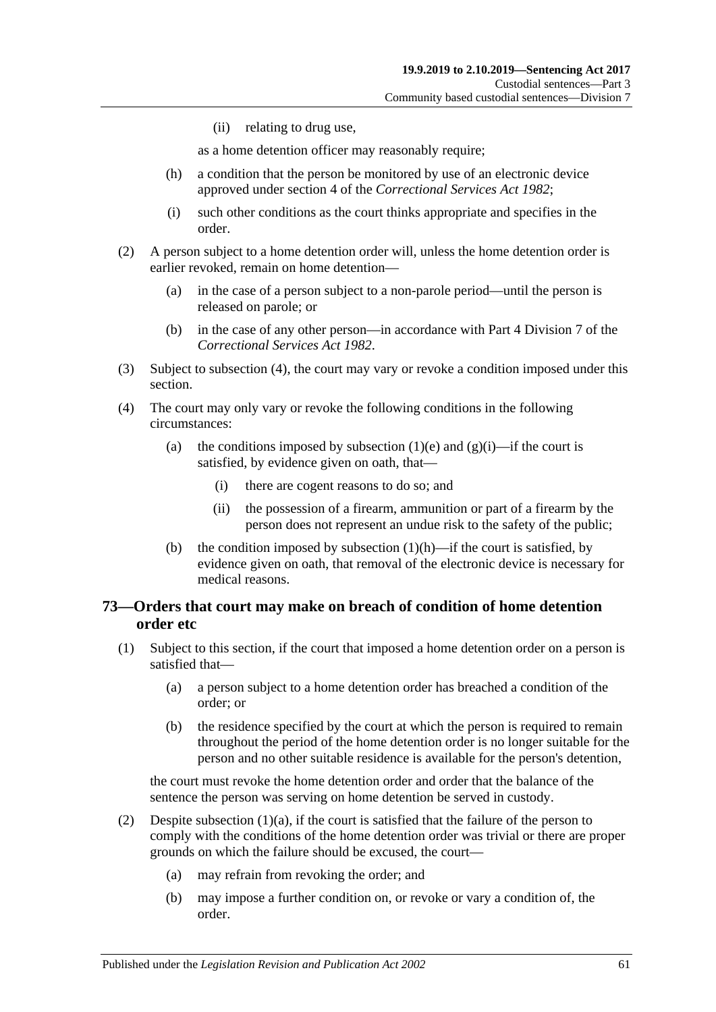(ii) relating to drug use,

as a home detention officer may reasonably require;

- <span id="page-60-1"></span>(h) a condition that the person be monitored by use of an electronic device approved under section 4 of the *[Correctional Services Act](http://www.legislation.sa.gov.au/index.aspx?action=legref&type=act&legtitle=Correctional%20Services%20Act%201982) 1982*;
- (i) such other conditions as the court thinks appropriate and specifies in the order.
- (2) A person subject to a home detention order will, unless the home detention order is earlier revoked, remain on home detention—
	- (a) in the case of a person subject to a non-parole period—until the person is released on parole; or
	- (b) in the case of any other person—in accordance with Part 4 Division 7 of the *[Correctional Services Act](http://www.legislation.sa.gov.au/index.aspx?action=legref&type=act&legtitle=Correctional%20Services%20Act%201982) 1982*.
- (3) Subject to [subsection](#page-60-0) (4), the court may vary or revoke a condition imposed under this section.
- <span id="page-60-0"></span>(4) The court may only vary or revoke the following conditions in the following circumstances:
	- (a) the conditions imposed by [subsection](#page-59-0) (1)(e) and [\(g\)\(i\)—](#page-59-1)if the court is satisfied, by evidence given on oath, that—
		- (i) there are cogent reasons to do so; and
		- (ii) the possession of a firearm, ammunition or part of a firearm by the person does not represent an undue risk to the safety of the public;
	- (b) the condition imposed by [subsection](#page-60-1)  $(1)(h)$ —if the court is satisfied, by evidence given on oath, that removal of the electronic device is necessary for medical reasons.

# <span id="page-60-4"></span>**73—Orders that court may make on breach of condition of home detention order etc**

- <span id="page-60-3"></span><span id="page-60-2"></span>(1) Subject to this section, if the court that imposed a home detention order on a person is satisfied that—
	- (a) a person subject to a home detention order has breached a condition of the order; or
	- (b) the residence specified by the court at which the person is required to remain throughout the period of the home detention order is no longer suitable for the person and no other suitable residence is available for the person's detention,

the court must revoke the home detention order and order that the balance of the sentence the person was serving on home detention be served in custody.

- (2) Despite [subsection](#page-60-2)  $(1)(a)$ , if the court is satisfied that the failure of the person to comply with the conditions of the home detention order was trivial or there are proper grounds on which the failure should be excused, the court—
	- (a) may refrain from revoking the order; and
	- (b) may impose a further condition on, or revoke or vary a condition of, the order.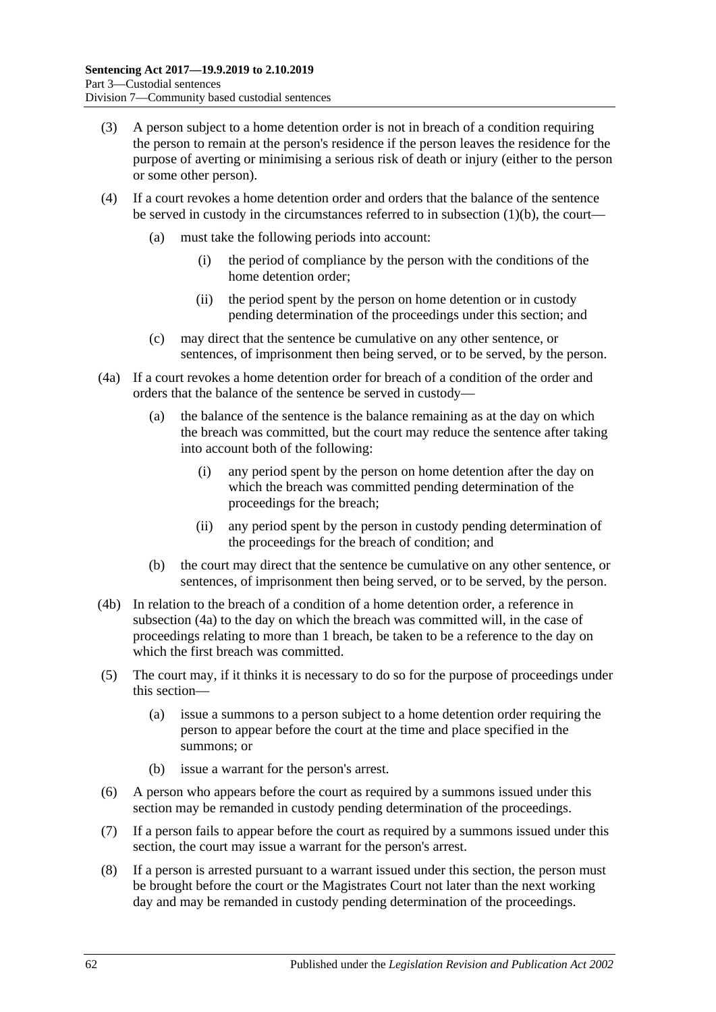- (3) A person subject to a home detention order is not in breach of a condition requiring the person to remain at the person's residence if the person leaves the residence for the purpose of averting or minimising a serious risk of death or injury (either to the person or some other person).
- (4) If a court revokes a home detention order and orders that the balance of the sentence be served in custody in the circumstances referred to in [subsection](#page-60-3)  $(1)(b)$ , the court—
	- (a) must take the following periods into account:
		- (i) the period of compliance by the person with the conditions of the home detention order;
		- (ii) the period spent by the person on home detention or in custody pending determination of the proceedings under this section; and
	- (c) may direct that the sentence be cumulative on any other sentence, or sentences, of imprisonment then being served, or to be served, by the person.
- <span id="page-61-0"></span>(4a) If a court revokes a home detention order for breach of a condition of the order and orders that the balance of the sentence be served in custody—
	- (a) the balance of the sentence is the balance remaining as at the day on which the breach was committed, but the court may reduce the sentence after taking into account both of the following:
		- (i) any period spent by the person on home detention after the day on which the breach was committed pending determination of the proceedings for the breach;
		- (ii) any period spent by the person in custody pending determination of the proceedings for the breach of condition; and
	- (b) the court may direct that the sentence be cumulative on any other sentence, or sentences, of imprisonment then being served, or to be served, by the person.
- (4b) In relation to the breach of a condition of a home detention order, a reference in [subsection](#page-61-0) (4a) to the day on which the breach was committed will, in the case of proceedings relating to more than 1 breach, be taken to be a reference to the day on which the first breach was committed.
- (5) The court may, if it thinks it is necessary to do so for the purpose of proceedings under this section—
	- (a) issue a summons to a person subject to a home detention order requiring the person to appear before the court at the time and place specified in the summons; or
	- (b) issue a warrant for the person's arrest.
- (6) A person who appears before the court as required by a summons issued under this section may be remanded in custody pending determination of the proceedings.
- (7) If a person fails to appear before the court as required by a summons issued under this section, the court may issue a warrant for the person's arrest.
- <span id="page-61-1"></span>(8) If a person is arrested pursuant to a warrant issued under this section, the person must be brought before the court or the Magistrates Court not later than the next working day and may be remanded in custody pending determination of the proceedings.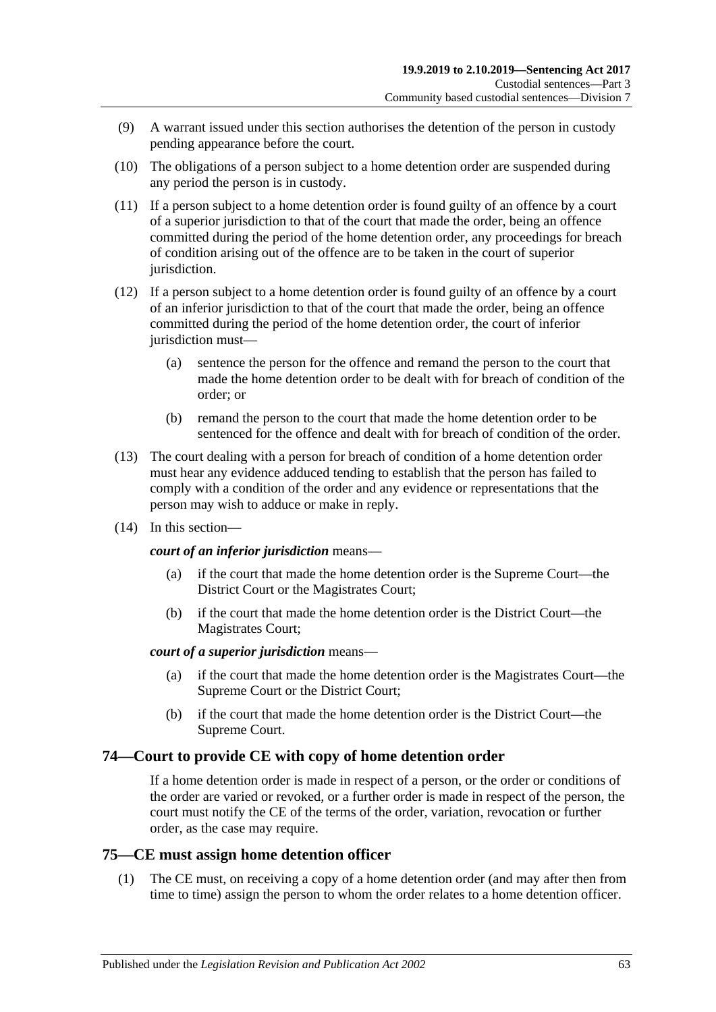- (9) A warrant issued under this section authorises the detention of the person in custody pending appearance before the court.
- <span id="page-62-0"></span>(10) The obligations of a person subject to a home detention order are suspended during any period the person is in custody.
- (11) If a person subject to a home detention order is found guilty of an offence by a court of a superior jurisdiction to that of the court that made the order, being an offence committed during the period of the home detention order, any proceedings for breach of condition arising out of the offence are to be taken in the court of superior jurisdiction.
- (12) If a person subject to a home detention order is found guilty of an offence by a court of an inferior jurisdiction to that of the court that made the order, being an offence committed during the period of the home detention order, the court of inferior jurisdiction must—
	- (a) sentence the person for the offence and remand the person to the court that made the home detention order to be dealt with for breach of condition of the order; or
	- (b) remand the person to the court that made the home detention order to be sentenced for the offence and dealt with for breach of condition of the order.
- (13) The court dealing with a person for breach of condition of a home detention order must hear any evidence adduced tending to establish that the person has failed to comply with a condition of the order and any evidence or representations that the person may wish to adduce or make in reply.
- (14) In this section—

## *court of an inferior jurisdiction* means—

- (a) if the court that made the home detention order is the Supreme Court—the District Court or the Magistrates Court;
- (b) if the court that made the home detention order is the District Court—the Magistrates Court;

### *court of a superior jurisdiction* means—

- (a) if the court that made the home detention order is the Magistrates Court—the Supreme Court or the District Court;
- (b) if the court that made the home detention order is the District Court—the Supreme Court.

# **74—Court to provide CE with copy of home detention order**

If a home detention order is made in respect of a person, or the order or conditions of the order are varied or revoked, or a further order is made in respect of the person, the court must notify the CE of the terms of the order, variation, revocation or further order, as the case may require.

# **75—CE must assign home detention officer**

(1) The CE must, on receiving a copy of a home detention order (and may after then from time to time) assign the person to whom the order relates to a home detention officer.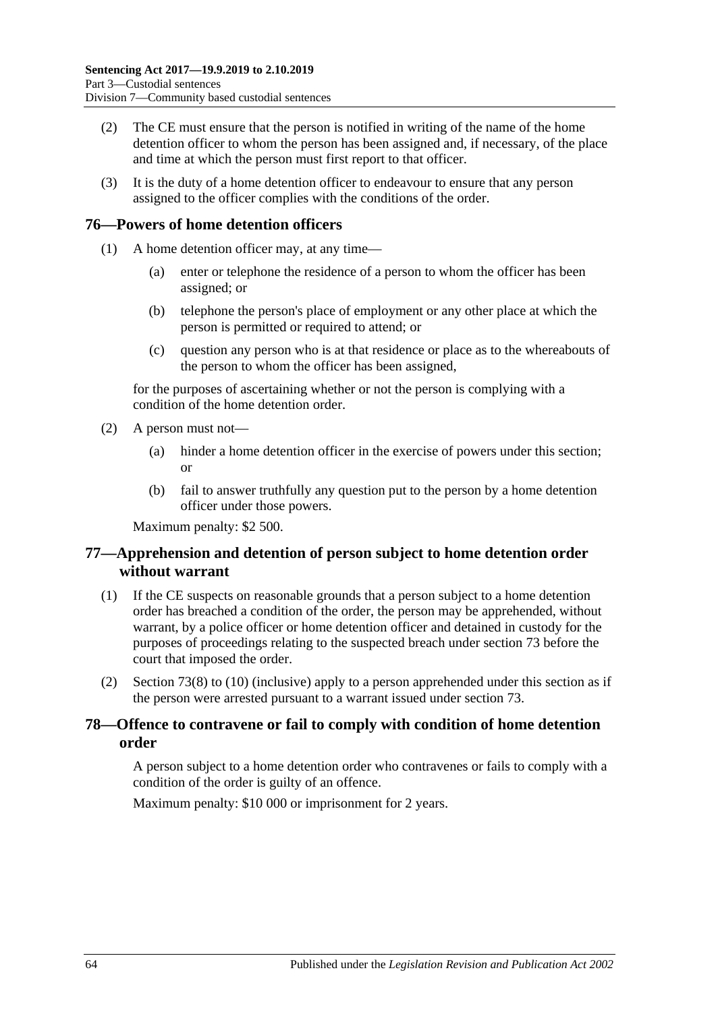- (2) The CE must ensure that the person is notified in writing of the name of the home detention officer to whom the person has been assigned and, if necessary, of the place and time at which the person must first report to that officer.
- (3) It is the duty of a home detention officer to endeavour to ensure that any person assigned to the officer complies with the conditions of the order.

# **76—Powers of home detention officers**

- (1) A home detention officer may, at any time—
	- (a) enter or telephone the residence of a person to whom the officer has been assigned; or
	- (b) telephone the person's place of employment or any other place at which the person is permitted or required to attend; or
	- (c) question any person who is at that residence or place as to the whereabouts of the person to whom the officer has been assigned,

for the purposes of ascertaining whether or not the person is complying with a condition of the home detention order.

- (2) A person must not—
	- (a) hinder a home detention officer in the exercise of powers under this section; or
	- (b) fail to answer truthfully any question put to the person by a home detention officer under those powers.

Maximum penalty: \$2 500.

# **77—Apprehension and detention of person subject to home detention order without warrant**

- (1) If the CE suspects on reasonable grounds that a person subject to a home detention order has breached a condition of the order, the person may be apprehended, without warrant, by a police officer or home detention officer and detained in custody for the purposes of proceedings relating to the suspected breach under [section](#page-60-4) 73 before the court that imposed the order.
- (2) [Section](#page-61-1) 73(8) to [\(10\)](#page-62-0) (inclusive) apply to a person apprehended under this section as if the person were arrested pursuant to a warrant issued under [section](#page-60-4) 73.

# **78—Offence to contravene or fail to comply with condition of home detention order**

A person subject to a home detention order who contravenes or fails to comply with a condition of the order is guilty of an offence.

Maximum penalty: \$10 000 or imprisonment for 2 years.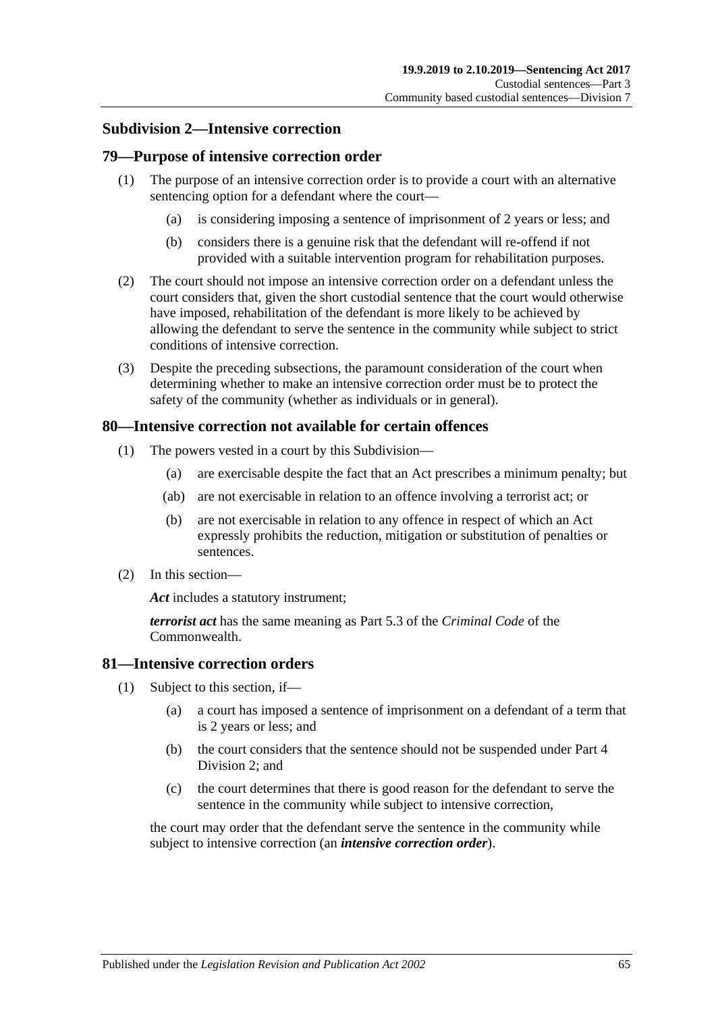## **Subdivision 2—Intensive correction**

## **79—Purpose of intensive correction order**

- (1) The purpose of an intensive correction order is to provide a court with an alternative sentencing option for a defendant where the court—
	- (a) is considering imposing a sentence of imprisonment of 2 years or less; and
	- (b) considers there is a genuine risk that the defendant will re-offend if not provided with a suitable intervention program for rehabilitation purposes.
- (2) The court should not impose an intensive correction order on a defendant unless the court considers that, given the short custodial sentence that the court would otherwise have imposed, rehabilitation of the defendant is more likely to be achieved by allowing the defendant to serve the sentence in the community while subject to strict conditions of intensive correction.
- (3) Despite the preceding subsections, the paramount consideration of the court when determining whether to make an intensive correction order must be to protect the safety of the community (whether as individuals or in general).

## **80—Intensive correction not available for certain offences**

- (1) The powers vested in a court by this Subdivision—
	- (a) are exercisable despite the fact that an Act prescribes a minimum penalty; but
	- (ab) are not exercisable in relation to an offence involving a terrorist act; or
	- (b) are not exercisable in relation to any offence in respect of which an Act expressly prohibits the reduction, mitigation or substitution of penalties or sentences.
- (2) In this section—

*Act* includes a statutory instrument;

*terrorist act* has the same meaning as Part 5.3 of the *Criminal Code* of the Commonwealth.

## **81—Intensive correction orders**

- (1) Subject to this section, if—
	- (a) a court has imposed a sentence of imprisonment on a defendant of a term that is 2 years or less; and
	- (b) the court considers that the sentence should not be suspended under [Part](#page-77-1) 4 [Division](#page-77-1) 2; and
	- (c) the court determines that there is good reason for the defendant to serve the sentence in the community while subject to intensive correction,

<span id="page-64-0"></span>the court may order that the defendant serve the sentence in the community while subject to intensive correction (an *intensive correction order*).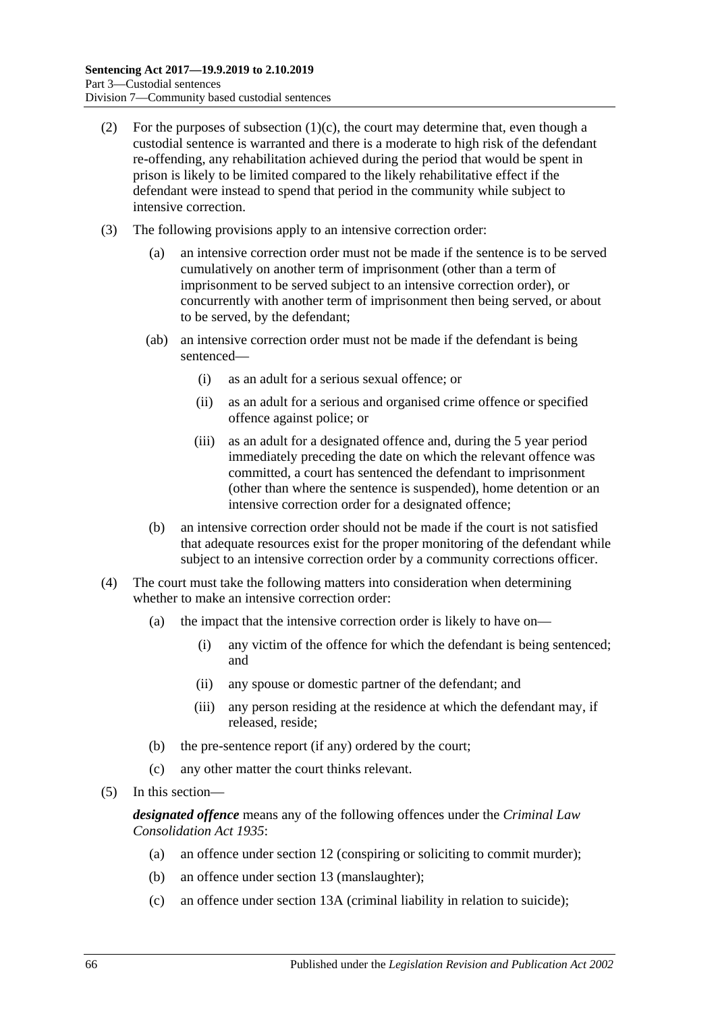- (2) For the purposes of [subsection](#page-64-0)  $(1)(c)$ , the court may determine that, even though a custodial sentence is warranted and there is a moderate to high risk of the defendant re-offending, any rehabilitation achieved during the period that would be spent in prison is likely to be limited compared to the likely rehabilitative effect if the defendant were instead to spend that period in the community while subject to intensive correction.
- (3) The following provisions apply to an intensive correction order:
	- (a) an intensive correction order must not be made if the sentence is to be served cumulatively on another term of imprisonment (other than a term of imprisonment to be served subject to an intensive correction order), or concurrently with another term of imprisonment then being served, or about to be served, by the defendant;
	- (ab) an intensive correction order must not be made if the defendant is being sentenced—
		- (i) as an adult for a serious sexual offence; or
		- (ii) as an adult for a serious and organised crime offence or specified offence against police; or
		- (iii) as an adult for a designated offence and, during the 5 year period immediately preceding the date on which the relevant offence was committed, a court has sentenced the defendant to imprisonment (other than where the sentence is suspended), home detention or an intensive correction order for a designated offence;
	- (b) an intensive correction order should not be made if the court is not satisfied that adequate resources exist for the proper monitoring of the defendant while subject to an intensive correction order by a community corrections officer.
- (4) The court must take the following matters into consideration when determining whether to make an intensive correction order:
	- (a) the impact that the intensive correction order is likely to have on—
		- (i) any victim of the offence for which the defendant is being sentenced; and
		- (ii) any spouse or domestic partner of the defendant; and
		- (iii) any person residing at the residence at which the defendant may, if released, reside;
	- (b) the pre-sentence report (if any) ordered by the court;
	- (c) any other matter the court thinks relevant.
- (5) In this section—

*designated offence* means any of the following offences under the *[Criminal Law](http://www.legislation.sa.gov.au/index.aspx?action=legref&type=act&legtitle=Criminal%20Law%20Consolidation%20Act%201935)  [Consolidation Act](http://www.legislation.sa.gov.au/index.aspx?action=legref&type=act&legtitle=Criminal%20Law%20Consolidation%20Act%201935) 1935*:

- (a) an offence under section 12 (conspiring or soliciting to commit murder);
- (b) an offence under section 13 (manslaughter);
- (c) an offence under section 13A (criminal liability in relation to suicide);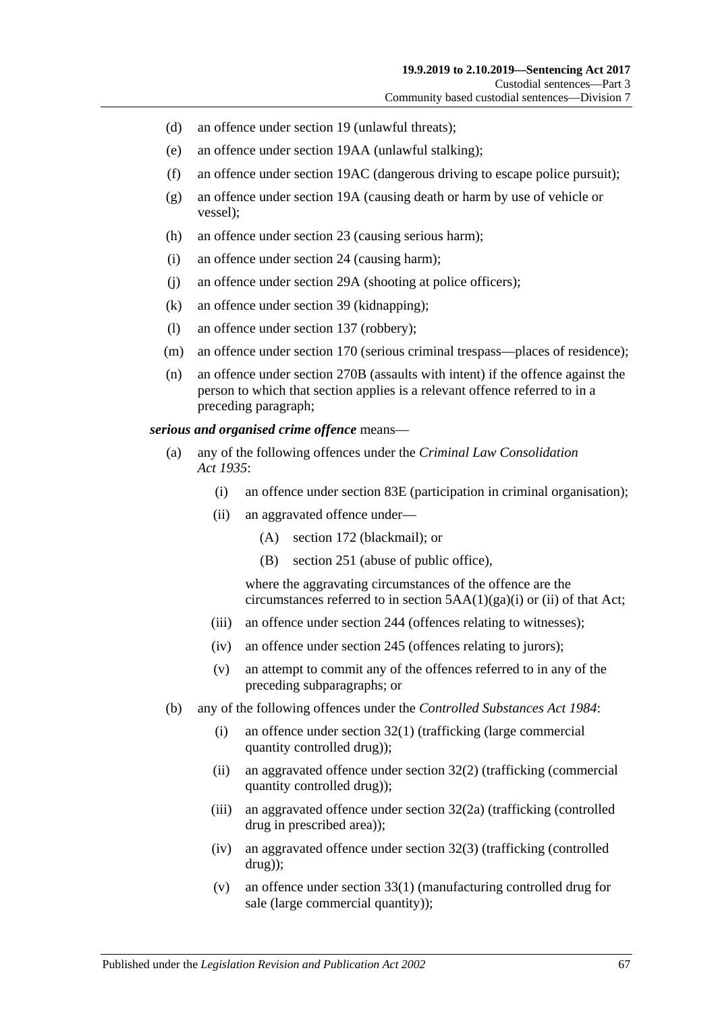- (d) an offence under section 19 (unlawful threats);
- (e) an offence under section 19AA (unlawful stalking);
- (f) an offence under section 19AC (dangerous driving to escape police pursuit);
- (g) an offence under section 19A (causing death or harm by use of vehicle or vessel);
- (h) an offence under section 23 (causing serious harm);
- (i) an offence under section 24 (causing harm);
- (j) an offence under section 29A (shooting at police officers);
- (k) an offence under section 39 (kidnapping);
- (l) an offence under section 137 (robbery);
- (m) an offence under section 170 (serious criminal trespass—places of residence);
- (n) an offence under section 270B (assaults with intent) if the offence against the person to which that section applies is a relevant offence referred to in a preceding paragraph;

### *serious and organised crime offence* means—

- (a) any of the following offences under the *[Criminal Law Consolidation](http://www.legislation.sa.gov.au/index.aspx?action=legref&type=act&legtitle=Criminal%20Law%20Consolidation%20Act%201935)  Act [1935](http://www.legislation.sa.gov.au/index.aspx?action=legref&type=act&legtitle=Criminal%20Law%20Consolidation%20Act%201935)*:
	- (i) an offence under section 83E (participation in criminal organisation);
	- (ii) an aggravated offence under—
		- (A) section 172 (blackmail); or
		- (B) section 251 (abuse of public office),

where the aggravating circumstances of the offence are the circumstances referred to in section  $5AA(1)(ga)(i)$  or (ii) of that Act;

- (iii) an offence under section 244 (offences relating to witnesses);
- (iv) an offence under section 245 (offences relating to jurors);
- (v) an attempt to commit any of the offences referred to in any of the preceding subparagraphs; or
- (b) any of the following offences under the *[Controlled Substances Act](http://www.legislation.sa.gov.au/index.aspx?action=legref&type=act&legtitle=Controlled%20Substances%20Act%201984) 1984*:
	- (i) an offence under section 32(1) (trafficking (large commercial quantity controlled drug));
	- (ii) an aggravated offence under section 32(2) (trafficking (commercial quantity controlled drug));
	- (iii) an aggravated offence under section 32(2a) (trafficking (controlled drug in prescribed area));
	- (iv) an aggravated offence under section 32(3) (trafficking (controlled drug));
	- (v) an offence under section 33(1) (manufacturing controlled drug for sale (large commercial quantity));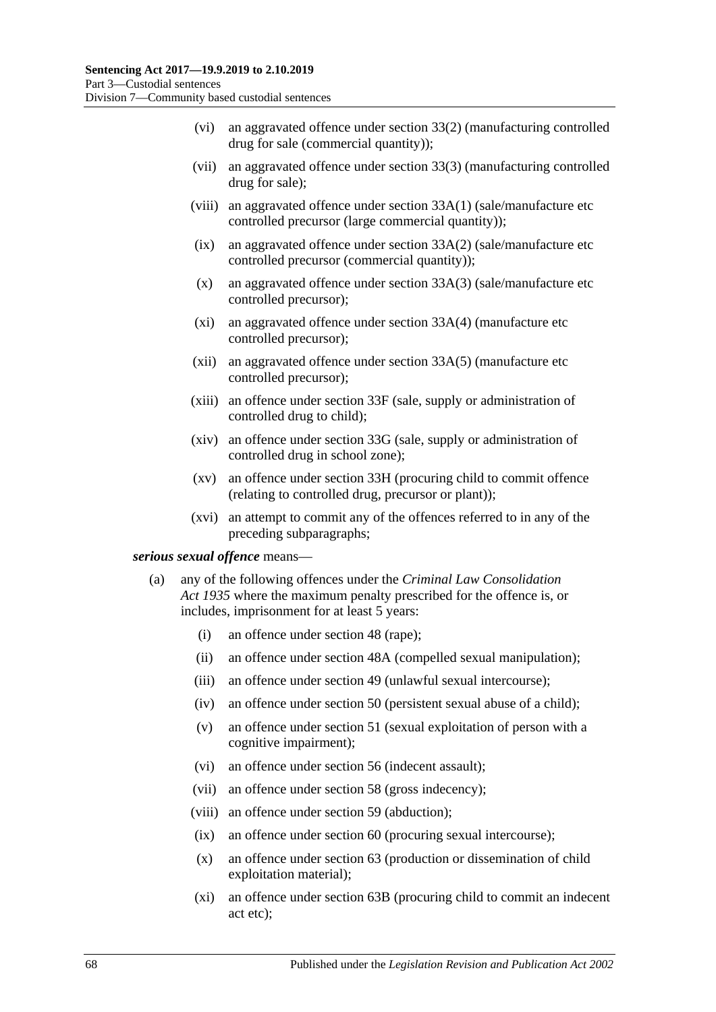- (vi) an aggravated offence under section 33(2) (manufacturing controlled drug for sale (commercial quantity));
- (vii) an aggravated offence under section 33(3) (manufacturing controlled drug for sale);
- (viii) an aggravated offence under section 33A(1) (sale/manufacture etc controlled precursor (large commercial quantity));
- (ix) an aggravated offence under section 33A(2) (sale/manufacture etc controlled precursor (commercial quantity));
- (x) an aggravated offence under section 33A(3) (sale/manufacture etc controlled precursor);
- (xi) an aggravated offence under section 33A(4) (manufacture etc controlled precursor);
- (xii) an aggravated offence under section 33A(5) (manufacture etc controlled precursor);
- (xiii) an offence under section 33F (sale, supply or administration of controlled drug to child);
- (xiv) an offence under section 33G (sale, supply or administration of controlled drug in school zone);
- (xv) an offence under section 33H (procuring child to commit offence (relating to controlled drug, precursor or plant));
- (xvi) an attempt to commit any of the offences referred to in any of the preceding subparagraphs;

#### <span id="page-67-0"></span>*serious sexual offence* means—

- (a) any of the following offences under the *[Criminal Law Consolidation](http://www.legislation.sa.gov.au/index.aspx?action=legref&type=act&legtitle=Criminal%20Law%20Consolidation%20Act%201935)  Act [1935](http://www.legislation.sa.gov.au/index.aspx?action=legref&type=act&legtitle=Criminal%20Law%20Consolidation%20Act%201935)* where the maximum penalty prescribed for the offence is, or includes, imprisonment for at least 5 years:
	- (i) an offence under section 48 (rape);
	- (ii) an offence under section 48A (compelled sexual manipulation);
	- (iii) an offence under section 49 (unlawful sexual intercourse);
	- (iv) an offence under section 50 (persistent sexual abuse of a child);
	- (v) an offence under section 51 (sexual exploitation of person with a cognitive impairment);
	- (vi) an offence under section 56 (indecent assault);
	- (vii) an offence under section 58 (gross indecency);
	- (viii) an offence under section 59 (abduction);
	- (ix) an offence under section 60 (procuring sexual intercourse);
	- (x) an offence under section 63 (production or dissemination of child exploitation material);
	- (xi) an offence under section 63B (procuring child to commit an indecent act etc);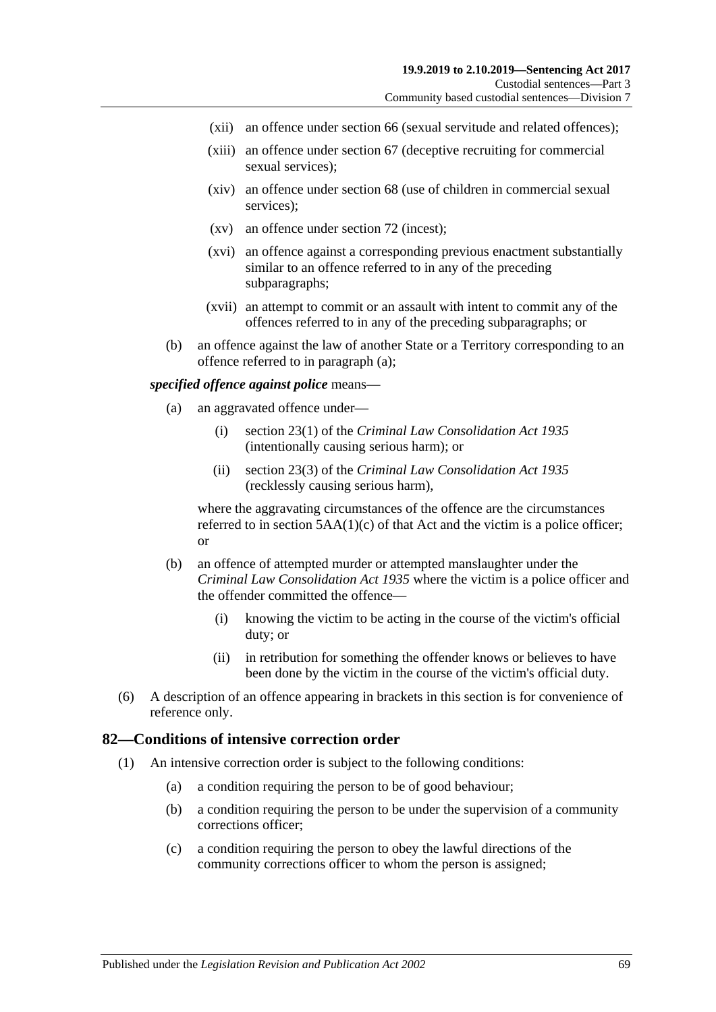- (xii) an offence under section 66 (sexual servitude and related offences);
- (xiii) an offence under section 67 (deceptive recruiting for commercial sexual services);
- (xiv) an offence under section 68 (use of children in commercial sexual services);
- (xv) an offence under section 72 (incest);
- (xvi) an offence against a corresponding previous enactment substantially similar to an offence referred to in any of the preceding subparagraphs;
- (xvii) an attempt to commit or an assault with intent to commit any of the offences referred to in any of the preceding subparagraphs; or
- (b) an offence against the law of another State or a Territory corresponding to an offence referred to in [paragraph](#page-67-0) (a);

#### *specified offence against police* means—

- (a) an aggravated offence under—
	- (i) section 23(1) of the *[Criminal Law Consolidation Act](http://www.legislation.sa.gov.au/index.aspx?action=legref&type=act&legtitle=Criminal%20Law%20Consolidation%20Act%201935) 1935* (intentionally causing serious harm); or
	- (ii) section 23(3) of the *Criminal [Law Consolidation Act](http://www.legislation.sa.gov.au/index.aspx?action=legref&type=act&legtitle=Criminal%20Law%20Consolidation%20Act%201935) 1935* (recklessly causing serious harm),

where the aggravating circumstances of the offence are the circumstances referred to in section  $5AA(1)(c)$  of that Act and the victim is a police officer; or

- (b) an offence of attempted murder or attempted manslaughter under the *[Criminal Law Consolidation Act](http://www.legislation.sa.gov.au/index.aspx?action=legref&type=act&legtitle=Criminal%20Law%20Consolidation%20Act%201935) 1935* where the victim is a police officer and the offender committed the offence—
	- (i) knowing the victim to be acting in the course of the victim's official duty; or
	- (ii) in retribution for something the offender knows or believes to have been done by the victim in the course of the victim's official duty.
- (6) A description of an offence appearing in brackets in this section is for convenience of reference only.

## **82—Conditions of intensive correction order**

- (1) An intensive correction order is subject to the following conditions:
	- (a) a condition requiring the person to be of good behaviour;
	- (b) a condition requiring the person to be under the supervision of a community corrections officer;
	- (c) a condition requiring the person to obey the lawful directions of the community corrections officer to whom the person is assigned;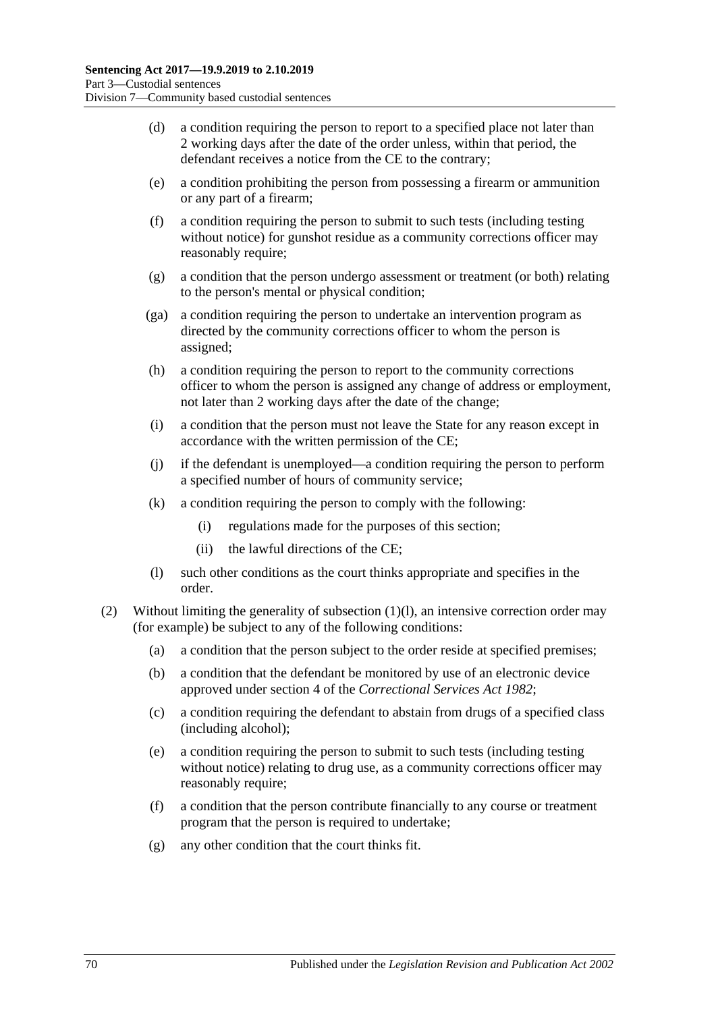- (d) a condition requiring the person to report to a specified place not later than 2 working days after the date of the order unless, within that period, the defendant receives a notice from the CE to the contrary;
- <span id="page-69-2"></span>(e) a condition prohibiting the person from possessing a firearm or ammunition or any part of a firearm;
- <span id="page-69-3"></span>(f) a condition requiring the person to submit to such tests (including testing without notice) for gunshot residue as a community corrections officer may reasonably require;
- (g) a condition that the person undergo assessment or treatment (or both) relating to the person's mental or physical condition;
- (ga) a condition requiring the person to undertake an intervention program as directed by the community corrections officer to whom the person is assigned;
- (h) a condition requiring the person to report to the community corrections officer to whom the person is assigned any change of address or employment, not later than 2 working days after the date of the change;
- (i) a condition that the person must not leave the State for any reason except in accordance with the written permission of the CE;
- (j) if the defendant is unemployed—a condition requiring the person to perform a specified number of hours of community service;
- (k) a condition requiring the person to comply with the following:
	- (i) regulations made for the purposes of this section;
	- (ii) the lawful directions of the CE;
- (l) such other conditions as the court thinks appropriate and specifies in the order.
- <span id="page-69-1"></span><span id="page-69-0"></span>(2) Without limiting the generality of [subsection](#page-69-0) (1)(l), an intensive correction order may (for example) be subject to any of the following conditions:
	- (a) a condition that the person subject to the order reside at specified premises;
	- (b) a condition that the defendant be monitored by use of an electronic device approved under section 4 of the *[Correctional Services Act](http://www.legislation.sa.gov.au/index.aspx?action=legref&type=act&legtitle=Correctional%20Services%20Act%201982) 1982*;
	- (c) a condition requiring the defendant to abstain from drugs of a specified class (including alcohol);
	- (e) a condition requiring the person to submit to such tests (including testing without notice) relating to drug use, as a community corrections officer may reasonably require;
	- (f) a condition that the person contribute financially to any course or treatment program that the person is required to undertake;
	- (g) any other condition that the court thinks fit.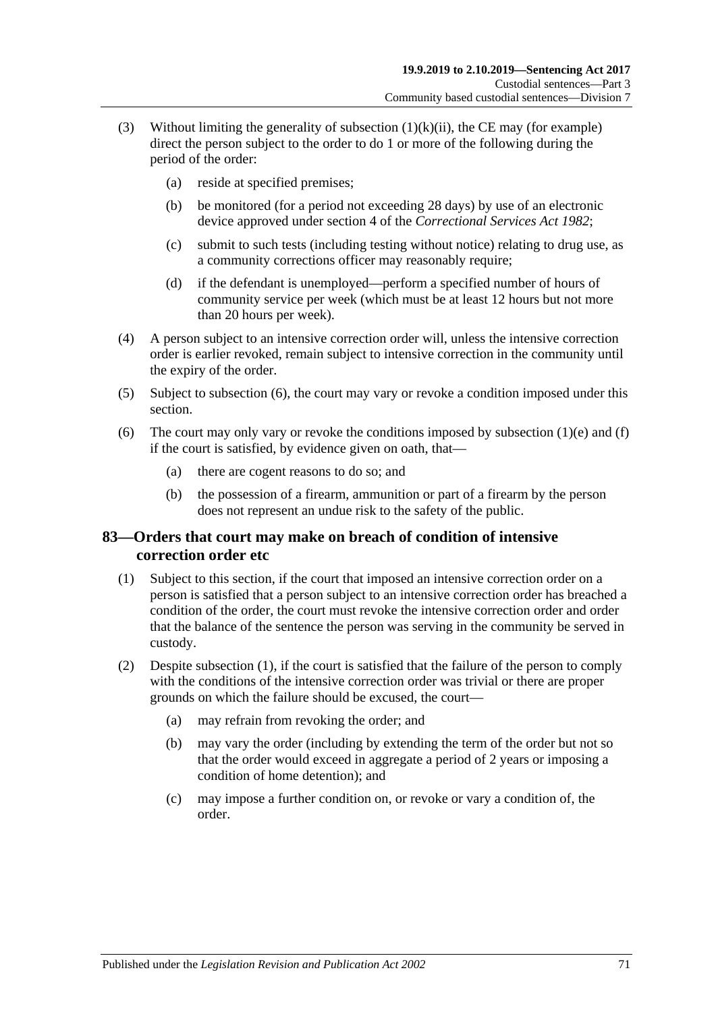- (3) Without limiting the generality of [subsection](#page-69-1)  $(1)(k)(ii)$ , the CE may (for example) direct the person subject to the order to do 1 or more of the following during the period of the order:
	- (a) reside at specified premises;
	- (b) be monitored (for a period not exceeding 28 days) by use of an electronic device approved under section 4 of the *[Correctional Services Act](http://www.legislation.sa.gov.au/index.aspx?action=legref&type=act&legtitle=Correctional%20Services%20Act%201982) 1982*;
	- (c) submit to such tests (including testing without notice) relating to drug use, as a community corrections officer may reasonably require;
	- (d) if the defendant is unemployed—perform a specified number of hours of community service per week (which must be at least 12 hours but not more than 20 hours per week).
- (4) A person subject to an intensive correction order will, unless the intensive correction order is earlier revoked, remain subject to intensive correction in the community until the expiry of the order.
- (5) Subject to [subsection](#page-70-0) (6), the court may vary or revoke a condition imposed under this section.
- <span id="page-70-0"></span>(6) The court may only vary or revoke the conditions imposed by [subsection](#page-69-2)  $(1)(e)$  and  $(f)$ if the court is satisfied, by evidence given on oath, that—
	- (a) there are cogent reasons to do so; and
	- (b) the possession of a firearm, ammunition or part of a firearm by the person does not represent an undue risk to the safety of the public.

# **83—Orders that court may make on breach of condition of intensive correction order etc**

- <span id="page-70-1"></span>(1) Subject to this section, if the court that imposed an intensive correction order on a person is satisfied that a person subject to an intensive correction order has breached a condition of the order, the court must revoke the intensive correction order and order that the balance of the sentence the person was serving in the community be served in custody.
- (2) Despite [subsection](#page-70-1) (1), if the court is satisfied that the failure of the person to comply with the conditions of the intensive correction order was trivial or there are proper grounds on which the failure should be excused, the court—
	- (a) may refrain from revoking the order; and
	- (b) may vary the order (including by extending the term of the order but not so that the order would exceed in aggregate a period of 2 years or imposing a condition of home detention); and
	- (c) may impose a further condition on, or revoke or vary a condition of, the order.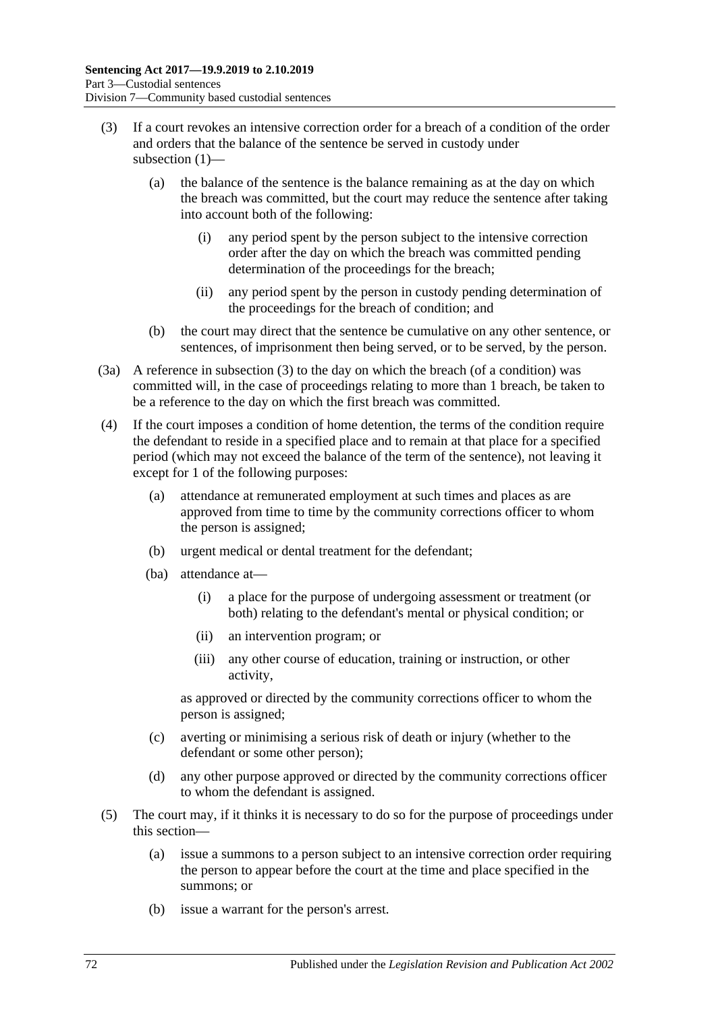- (3) If a court revokes an intensive correction order for a breach of a condition of the order and orders that the balance of the sentence be served in custody under subsection (1)—
	- (a) the balance of the sentence is the balance remaining as at the day on which the breach was committed, but the court may reduce the sentence after taking into account both of the following:
		- (i) any period spent by the person subject to the intensive correction order after the day on which the breach was committed pending determination of the proceedings for the breach;
		- (ii) any period spent by the person in custody pending determination of the proceedings for the breach of condition; and
	- (b) the court may direct that the sentence be cumulative on any other sentence, or sentences, of imprisonment then being served, or to be served, by the person.
- (3a) A reference in subsection (3) to the day on which the breach (of a condition) was committed will, in the case of proceedings relating to more than 1 breach, be taken to be a reference to the day on which the first breach was committed.
- (4) If the court imposes a condition of home detention, the terms of the condition require the defendant to reside in a specified place and to remain at that place for a specified period (which may not exceed the balance of the term of the sentence), not leaving it except for 1 of the following purposes:
	- (a) attendance at remunerated employment at such times and places as are approved from time to time by the community corrections officer to whom the person is assigned;
	- (b) urgent medical or dental treatment for the defendant;
	- (ba) attendance at—
		- (i) a place for the purpose of undergoing assessment or treatment (or both) relating to the defendant's mental or physical condition; or
		- (ii) an intervention program; or
		- (iii) any other course of education, training or instruction, or other activity,

as approved or directed by the community corrections officer to whom the person is assigned;

- (c) averting or minimising a serious risk of death or injury (whether to the defendant or some other person);
- (d) any other purpose approved or directed by the community corrections officer to whom the defendant is assigned.
- (5) The court may, if it thinks it is necessary to do so for the purpose of proceedings under this section—
	- (a) issue a summons to a person subject to an intensive correction order requiring the person to appear before the court at the time and place specified in the summons; or
	- (b) issue a warrant for the person's arrest.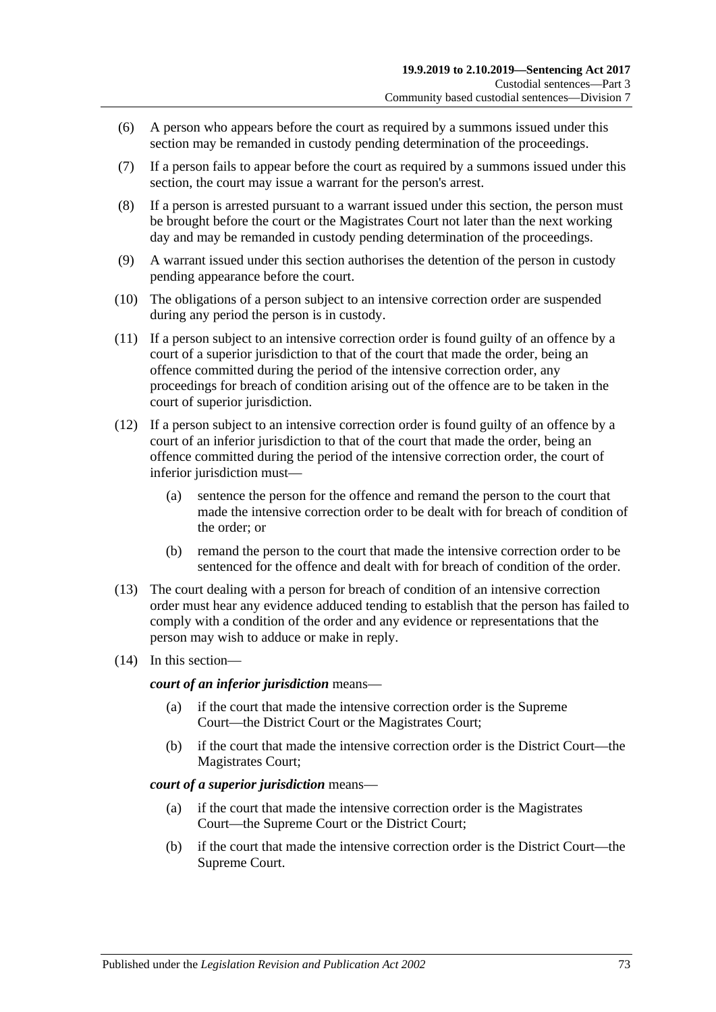- (6) A person who appears before the court as required by a summons issued under this section may be remanded in custody pending determination of the proceedings.
- (7) If a person fails to appear before the court as required by a summons issued under this section, the court may issue a warrant for the person's arrest.
- (8) If a person is arrested pursuant to a warrant issued under this section, the person must be brought before the court or the Magistrates Court not later than the next working day and may be remanded in custody pending determination of the proceedings.
- <span id="page-72-0"></span>(9) A warrant issued under this section authorises the detention of the person in custody pending appearance before the court.
- (10) The obligations of a person subject to an intensive correction order are suspended during any period the person is in custody.
- <span id="page-72-1"></span>(11) If a person subject to an intensive correction order is found guilty of an offence by a court of a superior jurisdiction to that of the court that made the order, being an offence committed during the period of the intensive correction order, any proceedings for breach of condition arising out of the offence are to be taken in the court of superior jurisdiction.
- (12) If a person subject to an intensive correction order is found guilty of an offence by a court of an inferior jurisdiction to that of the court that made the order, being an offence committed during the period of the intensive correction order, the court of inferior jurisdiction must—
	- (a) sentence the person for the offence and remand the person to the court that made the intensive correction order to be dealt with for breach of condition of the order; or
	- (b) remand the person to the court that made the intensive correction order to be sentenced for the offence and dealt with for breach of condition of the order.
- (13) The court dealing with a person for breach of condition of an intensive correction order must hear any evidence adduced tending to establish that the person has failed to comply with a condition of the order and any evidence or representations that the person may wish to adduce or make in reply.
- (14) In this section—

*court of an inferior jurisdiction* means—

- (a) if the court that made the intensive correction order is the Supreme Court—the District Court or the Magistrates Court;
- (b) if the court that made the intensive correction order is the District Court—the Magistrates Court;

#### *court of a superior jurisdiction* means—

- (a) if the court that made the intensive correction order is the Magistrates Court—the Supreme Court or the District Court;
- (b) if the court that made the intensive correction order is the District Court—the Supreme Court.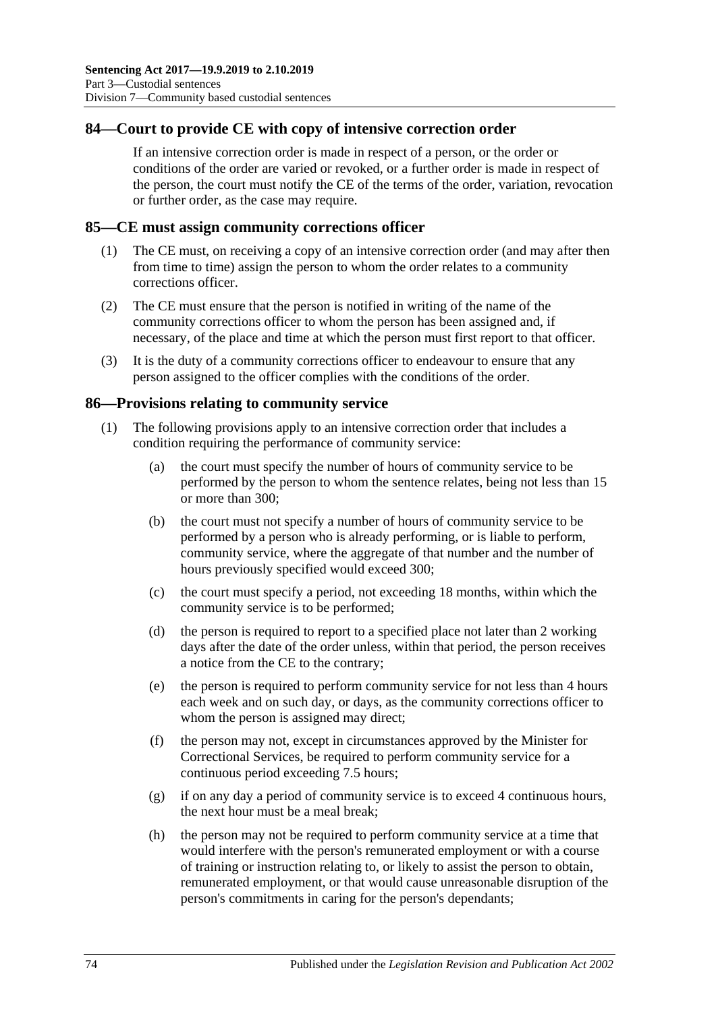## **84—Court to provide CE with copy of intensive correction order**

If an intensive correction order is made in respect of a person, or the order or conditions of the order are varied or revoked, or a further order is made in respect of the person, the court must notify the CE of the terms of the order, variation, revocation or further order, as the case may require.

#### **85—CE must assign community corrections officer**

- (1) The CE must, on receiving a copy of an intensive correction order (and may after then from time to time) assign the person to whom the order relates to a community corrections officer.
- (2) The CE must ensure that the person is notified in writing of the name of the community corrections officer to whom the person has been assigned and, if necessary, of the place and time at which the person must first report to that officer.
- (3) It is the duty of a community corrections officer to endeavour to ensure that any person assigned to the officer complies with the conditions of the order.

#### **86—Provisions relating to community service**

- (1) The following provisions apply to an intensive correction order that includes a condition requiring the performance of community service:
	- (a) the court must specify the number of hours of community service to be performed by the person to whom the sentence relates, being not less than 15 or more than 300;
	- (b) the court must not specify a number of hours of community service to be performed by a person who is already performing, or is liable to perform, community service, where the aggregate of that number and the number of hours previously specified would exceed 300;
	- (c) the court must specify a period, not exceeding 18 months, within which the community service is to be performed;
	- (d) the person is required to report to a specified place not later than 2 working days after the date of the order unless, within that period, the person receives a notice from the CE to the contrary;
	- (e) the person is required to perform community service for not less than 4 hours each week and on such day, or days, as the community corrections officer to whom the person is assigned may direct;
	- (f) the person may not, except in circumstances approved by the Minister for Correctional Services, be required to perform community service for a continuous period exceeding 7.5 hours;
	- (g) if on any day a period of community service is to exceed 4 continuous hours, the next hour must be a meal break;
	- (h) the person may not be required to perform community service at a time that would interfere with the person's remunerated employment or with a course of training or instruction relating to, or likely to assist the person to obtain, remunerated employment, or that would cause unreasonable disruption of the person's commitments in caring for the person's dependants;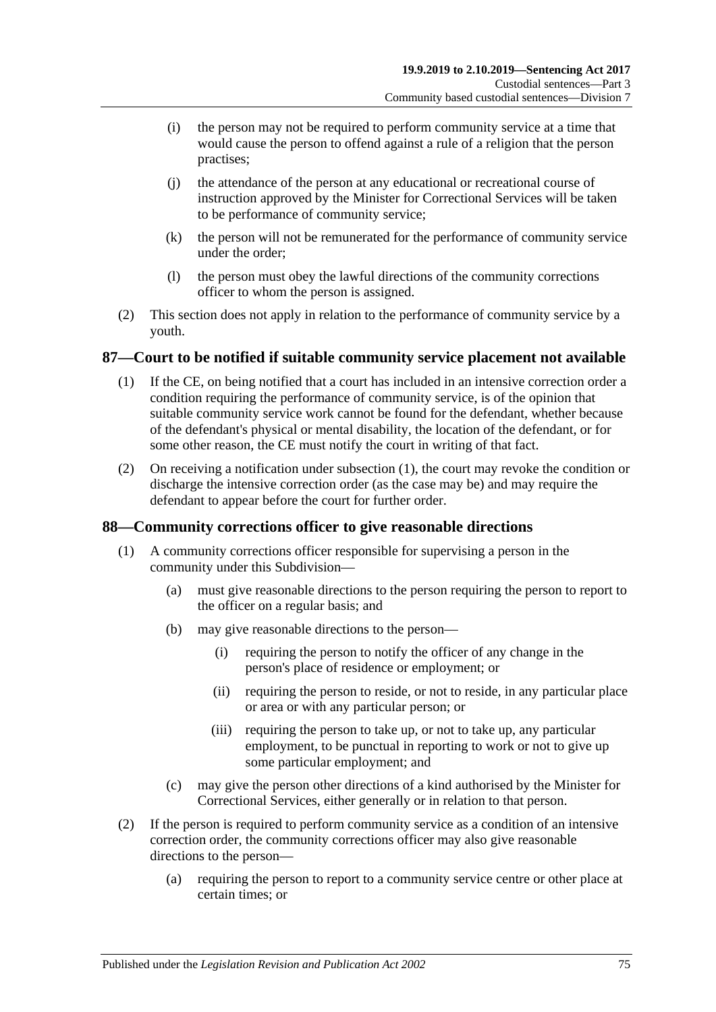- (i) the person may not be required to perform community service at a time that would cause the person to offend against a rule of a religion that the person practises;
- (j) the attendance of the person at any educational or recreational course of instruction approved by the Minister for Correctional Services will be taken to be performance of community service;
- (k) the person will not be remunerated for the performance of community service under the order;
- (l) the person must obey the lawful directions of the community corrections officer to whom the person is assigned.
- (2) This section does not apply in relation to the performance of community service by a youth.

## <span id="page-74-0"></span>**87—Court to be notified if suitable community service placement not available**

- (1) If the CE, on being notified that a court has included in an intensive correction order a condition requiring the performance of community service, is of the opinion that suitable community service work cannot be found for the defendant, whether because of the defendant's physical or mental disability, the location of the defendant, or for some other reason, the CE must notify the court in writing of that fact.
- (2) On receiving a notification under [subsection](#page-74-0) (1), the court may revoke the condition or discharge the intensive correction order (as the case may be) and may require the defendant to appear before the court for further order.

### **88—Community corrections officer to give reasonable directions**

- (1) A community corrections officer responsible for supervising a person in the community under this Subdivision—
	- (a) must give reasonable directions to the person requiring the person to report to the officer on a regular basis; and
	- (b) may give reasonable directions to the person—
		- (i) requiring the person to notify the officer of any change in the person's place of residence or employment; or
		- (ii) requiring the person to reside, or not to reside, in any particular place or area or with any particular person; or
		- (iii) requiring the person to take up, or not to take up, any particular employment, to be punctual in reporting to work or not to give up some particular employment; and
	- (c) may give the person other directions of a kind authorised by the Minister for Correctional Services, either generally or in relation to that person.
- (2) If the person is required to perform community service as a condition of an intensive correction order, the community corrections officer may also give reasonable directions to the person—
	- (a) requiring the person to report to a community service centre or other place at certain times; or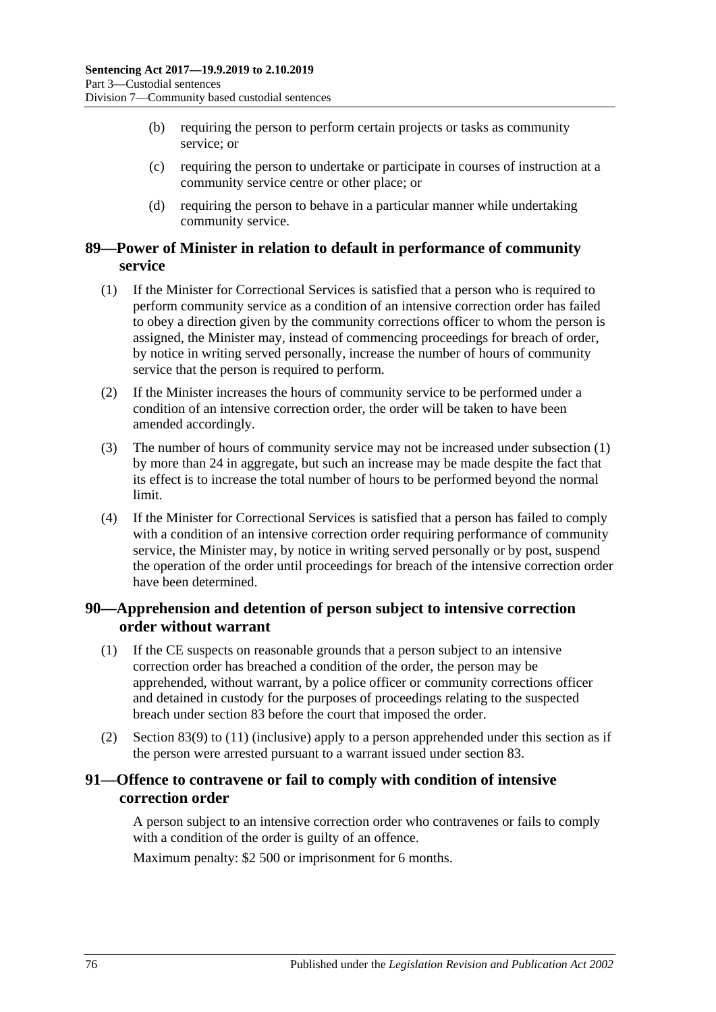- (b) requiring the person to perform certain projects or tasks as community service; or
- (c) requiring the person to undertake or participate in courses of instruction at a community service centre or other place; or
- (d) requiring the person to behave in a particular manner while undertaking community service.

## **89—Power of Minister in relation to default in performance of community service**

- <span id="page-75-0"></span>(1) If the Minister for Correctional Services is satisfied that a person who is required to perform community service as a condition of an intensive correction order has failed to obey a direction given by the community corrections officer to whom the person is assigned, the Minister may, instead of commencing proceedings for breach of order, by notice in writing served personally, increase the number of hours of community service that the person is required to perform.
- (2) If the Minister increases the hours of community service to be performed under a condition of an intensive correction order, the order will be taken to have been amended accordingly.
- (3) The number of hours of community service may not be increased under [subsection](#page-75-0) (1) by more than 24 in aggregate, but such an increase may be made despite the fact that its effect is to increase the total number of hours to be performed beyond the normal limit.
- (4) If the Minister for Correctional Services is satisfied that a person has failed to comply with a condition of an intensive correction order requiring performance of community service, the Minister may, by notice in writing served personally or by post, suspend the operation of the order until proceedings for breach of the intensive correction order have been determined.

## **90—Apprehension and detention of person subject to intensive correction order without warrant**

- (1) If the CE suspects on reasonable grounds that a person subject to an intensive correction order has breached a condition of the order, the person may be apprehended, without warrant, by a police officer or community corrections officer and detained in custody for the purposes of proceedings relating to the suspected breach under [section](#page-70-0) 83 before the court that imposed the order.
- (2) [Section](#page-72-0) 83(9) to [\(11\)](#page-72-1) (inclusive) apply to a person apprehended under this section as if the person were arrested pursuant to a warrant issued under [section](#page-70-0) 83.

# **91—Offence to contravene or fail to comply with condition of intensive correction order**

A person subject to an intensive correction order who contravenes or fails to comply with a condition of the order is guilty of an offence.

Maximum penalty: \$2 500 or imprisonment for 6 months.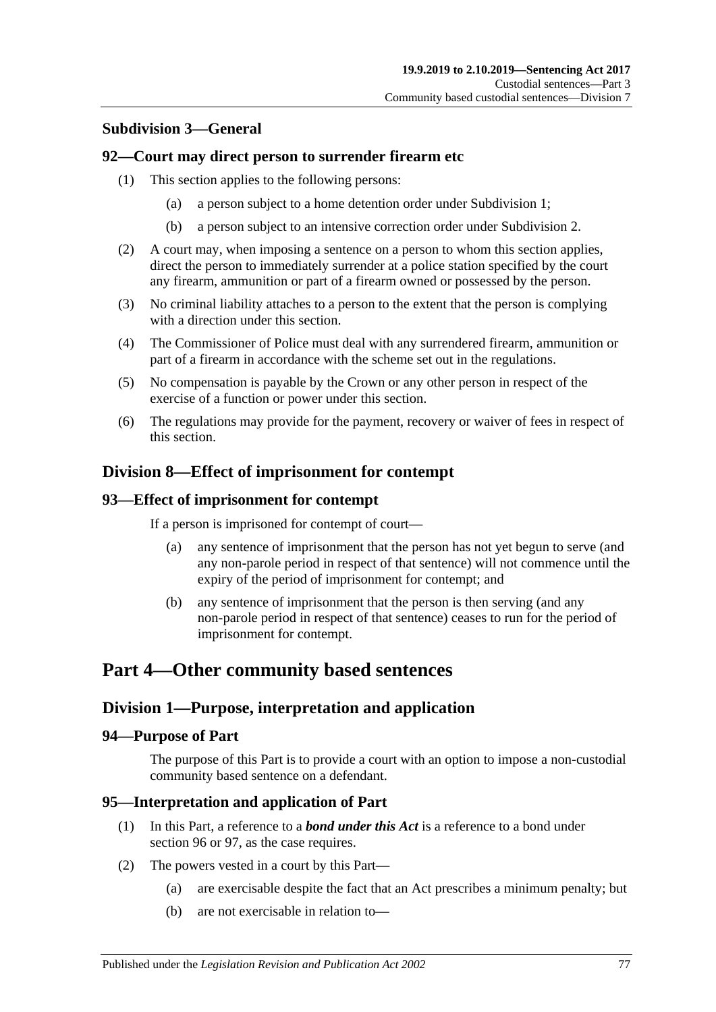# **Subdivision 3—General**

#### **92—Court may direct person to surrender firearm etc**

- (1) This section applies to the following persons:
	- (a) a person subject to a home detention order under [Subdivision](#page-53-0) 1;
	- (b) a person subject to an intensive correction order under [Subdivision](#page-64-0) 2.
- (2) A court may, when imposing a sentence on a person to whom this section applies, direct the person to immediately surrender at a police station specified by the court any firearm, ammunition or part of a firearm owned or possessed by the person.
- (3) No criminal liability attaches to a person to the extent that the person is complying with a direction under this section.
- (4) The Commissioner of Police must deal with any surrendered firearm, ammunition or part of a firearm in accordance with the scheme set out in the regulations.
- (5) No compensation is payable by the Crown or any other person in respect of the exercise of a function or power under this section.
- (6) The regulations may provide for the payment, recovery or waiver of fees in respect of this section.

# **Division 8—Effect of imprisonment for contempt**

#### **93—Effect of imprisonment for contempt**

If a person is imprisoned for contempt of court—

- (a) any sentence of imprisonment that the person has not yet begun to serve (and any non-parole period in respect of that sentence) will not commence until the expiry of the period of imprisonment for contempt; and
- (b) any sentence of imprisonment that the person is then serving (and any non-parole period in respect of that sentence) ceases to run for the period of imprisonment for contempt.

# **Part 4—Other community based sentences**

# **Division 1—Purpose, interpretation and application**

#### **94—Purpose of Part**

The purpose of this Part is to provide a court with an option to impose a non-custodial community based sentence on a defendant.

#### **95—Interpretation and application of Part**

- (1) In this Part, a reference to a *bond under this Act* is a reference to a bond under [section](#page-77-0) 96 or [97,](#page-82-0) as the case requires.
- <span id="page-76-0"></span>(2) The powers vested in a court by this Part—
	- (a) are exercisable despite the fact that an Act prescribes a minimum penalty; but
	- (b) are not exercisable in relation to—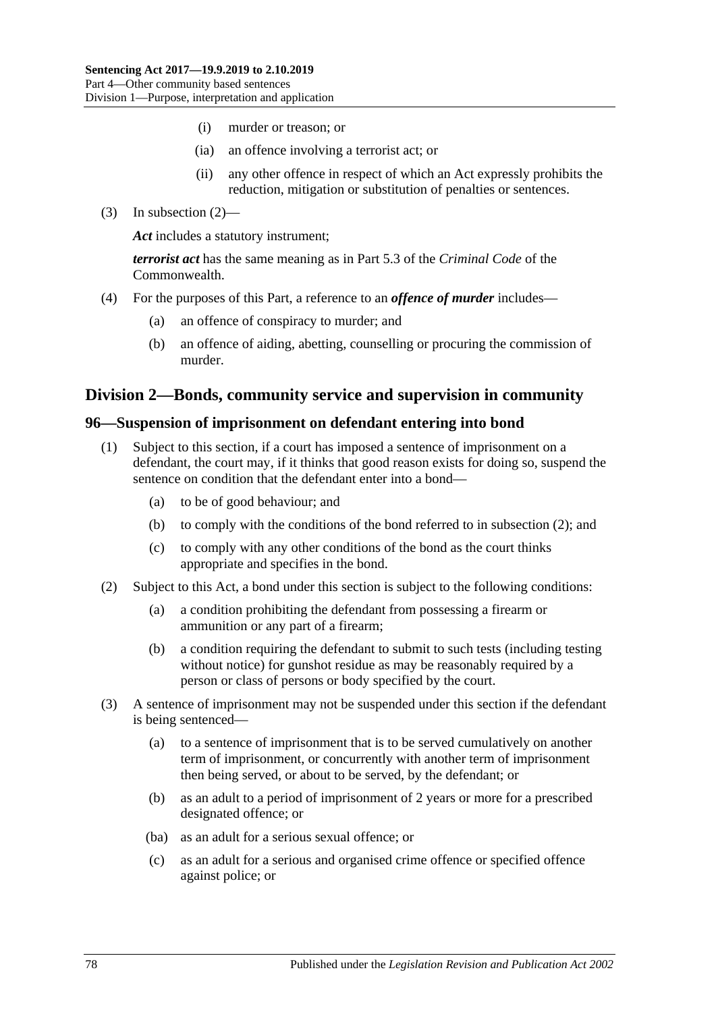- (i) murder or treason; or
- (ia) an offence involving a terrorist act; or
- (ii) any other offence in respect of which an Act expressly prohibits the reduction, mitigation or substitution of penalties or sentences.
- (3) In [subsection](#page-76-0) (2)—

*Act* includes a statutory instrument;

*terrorist act* has the same meaning as in Part 5.3 of the *Criminal Code* of the Commonwealth.

- (4) For the purposes of this Part, a reference to an *offence of murder* includes—
	- (a) an offence of conspiracy to murder; and
	- (b) an offence of aiding, abetting, counselling or procuring the commission of murder.

## **Division 2—Bonds, community service and supervision in community**

#### <span id="page-77-3"></span><span id="page-77-0"></span>**96—Suspension of imprisonment on defendant entering into bond**

- (1) Subject to this section, if a court has imposed a sentence of imprisonment on a defendant, the court may, if it thinks that good reason exists for doing so, suspend the sentence on condition that the defendant enter into a bond—
	- (a) to be of good behaviour; and
	- (b) to comply with the conditions of the bond referred to in [subsection](#page-77-1) (2); and
	- (c) to comply with any other conditions of the bond as the court thinks appropriate and specifies in the bond.
- <span id="page-77-6"></span><span id="page-77-1"></span>(2) Subject to this Act, a bond under this section is subject to the following conditions:
	- (a) a condition prohibiting the defendant from possessing a firearm or ammunition or any part of a firearm;
	- (b) a condition requiring the defendant to submit to such tests (including testing without notice) for gunshot residue as may be reasonably required by a person or class of persons or body specified by the court.
- <span id="page-77-5"></span><span id="page-77-4"></span><span id="page-77-2"></span>(3) A sentence of imprisonment may not be suspended under this section if the defendant is being sentenced—
	- (a) to a sentence of imprisonment that is to be served cumulatively on another term of imprisonment, or concurrently with another term of imprisonment then being served, or about to be served, by the defendant; or
	- (b) as an adult to a period of imprisonment of 2 years or more for a prescribed designated offence; or
	- (ba) as an adult for a serious sexual offence; or
	- (c) as an adult for a serious and organised crime offence or specified offence against police; or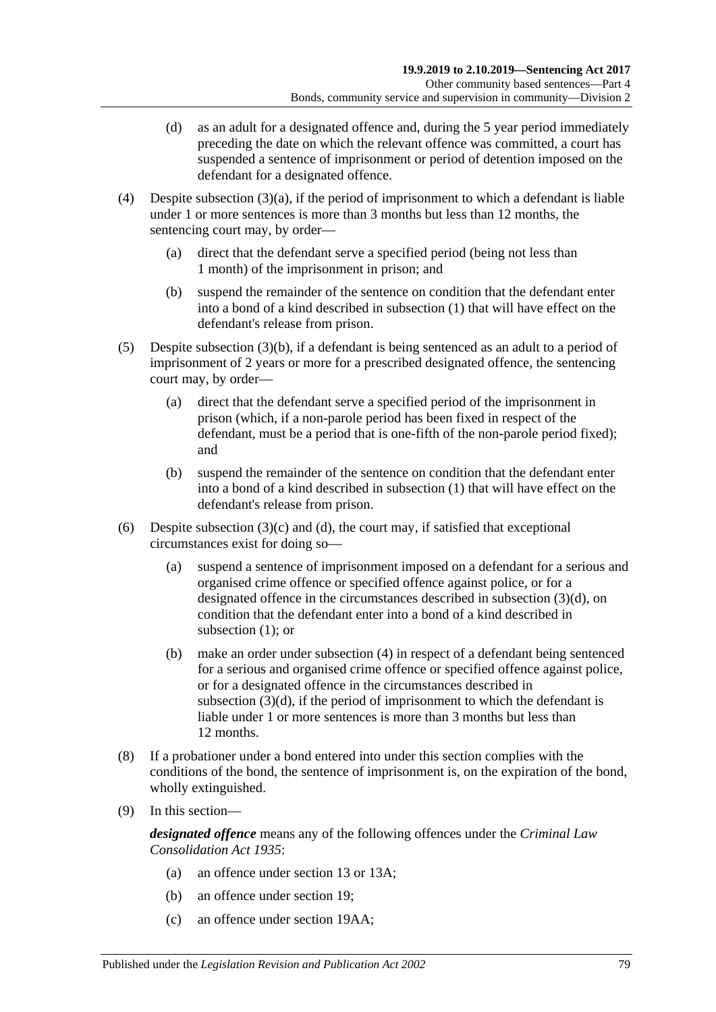- <span id="page-78-0"></span>(d) as an adult for a designated offence and, during the 5 year period immediately preceding the date on which the relevant offence was committed, a court has suspended a sentence of imprisonment or period of detention imposed on the defendant for a designated offence.
- <span id="page-78-1"></span>(4) Despite [subsection](#page-77-2)  $(3)(a)$ , if the period of imprisonment to which a defendant is liable under 1 or more sentences is more than 3 months but less than 12 months, the sentencing court may, by order—
	- (a) direct that the defendant serve a specified period (being not less than 1 month) of the imprisonment in prison; and
	- (b) suspend the remainder of the sentence on condition that the defendant enter into a bond of a kind described in [subsection](#page-77-3) (1) that will have effect on the defendant's release from prison.
- <span id="page-78-2"></span>(5) Despite [subsection](#page-77-4) (3)(b), if a defendant is being sentenced as an adult to a period of imprisonment of 2 years or more for a prescribed designated offence, the sentencing court may, by order—
	- (a) direct that the defendant serve a specified period of the imprisonment in prison (which, if a non-parole period has been fixed in respect of the defendant, must be a period that is one-fifth of the non-parole period fixed); and
	- (b) suspend the remainder of the sentence on condition that the defendant enter into a bond of a kind described in [subsection](#page-77-3) (1) that will have effect on the defendant's release from prison.
- (6) Despite [subsection](#page-77-5)  $(3)(c)$  and  $(d)$ , the court may, if satisfied that exceptional circumstances exist for doing so—
	- (a) suspend a sentence of imprisonment imposed on a defendant for a serious and organised crime offence or specified offence against police, or for a designated offence in the circumstances described in [subsection](#page-78-0) (3)(d), on condition that the defendant enter into a bond of a kind described in [subsection](#page-77-3) (1): or
	- (b) make an order under [subsection](#page-78-1) (4) in respect of a defendant being sentenced for a serious and organised crime offence or specified offence against police, or for a designated offence in the circumstances described in [subsection](#page-78-0) (3)(d), if the period of imprisonment to which the defendant is liable under 1 or more sentences is more than 3 months but less than 12 months.
- (8) If a probationer under a bond entered into under this section complies with the conditions of the bond, the sentence of imprisonment is, on the expiration of the bond, wholly extinguished.
- (9) In this section—

*designated offence* means any of the following offences under the *[Criminal Law](http://www.legislation.sa.gov.au/index.aspx?action=legref&type=act&legtitle=Criminal%20Law%20Consolidation%20Act%201935)  [Consolidation Act](http://www.legislation.sa.gov.au/index.aspx?action=legref&type=act&legtitle=Criminal%20Law%20Consolidation%20Act%201935) 1935*:

- (a) an offence under section 13 or 13A;
- (b) an offence under section 19;
- (c) an offence under section 19AA;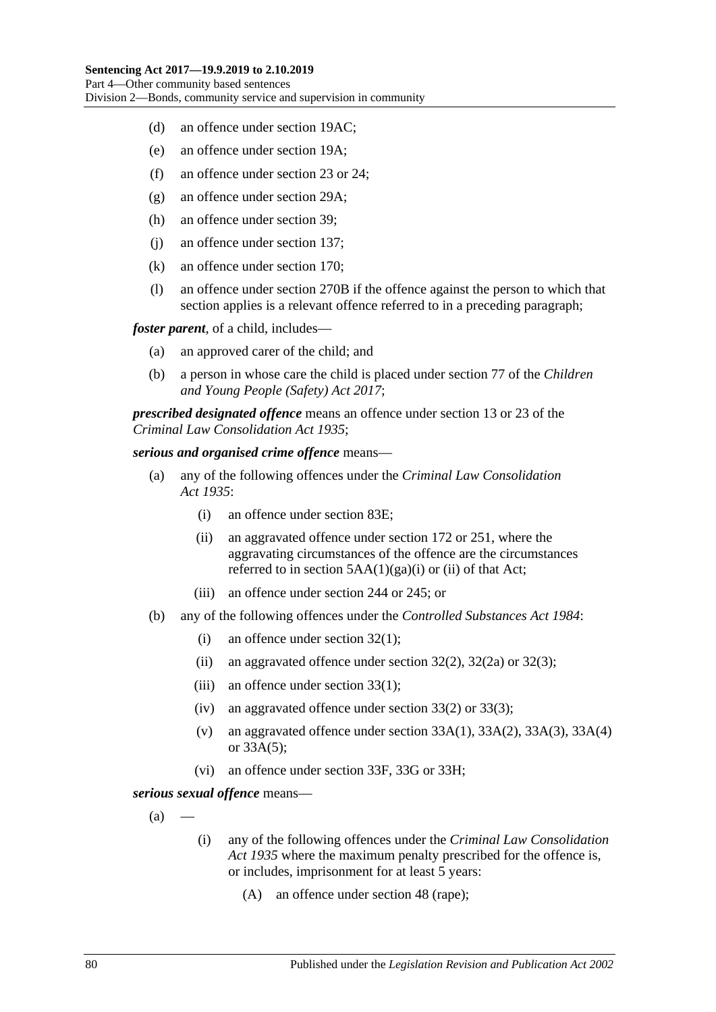- (d) an offence under section 19AC;
- (e) an offence under section 19A;
- (f) an offence under section 23 or 24;
- (g) an offence under section 29A;
- (h) an offence under section 39;
- (j) an offence under section 137;
- (k) an offence under section 170;
- (l) an offence under section 270B if the offence against the person to which that section applies is a relevant offence referred to in a preceding paragraph;

*foster parent*, of a child, includes—

- (a) an approved carer of the child; and
- (b) a person in whose care the child is placed under section 77 of the *[Children](http://www.legislation.sa.gov.au/index.aspx?action=legref&type=act&legtitle=Children%20and%20Young%20People%20(Safety)%20Act%202017)  [and Young People \(Safety\) Act](http://www.legislation.sa.gov.au/index.aspx?action=legref&type=act&legtitle=Children%20and%20Young%20People%20(Safety)%20Act%202017) 2017*;

*prescribed designated offence* means an offence under section 13 or 23 of the *[Criminal Law Consolidation Act](http://www.legislation.sa.gov.au/index.aspx?action=legref&type=act&legtitle=Criminal%20Law%20Consolidation%20Act%201935) 1935*;

#### *serious and organised crime offence* means—

- (a) any of the following offences under the *[Criminal Law Consolidation](http://www.legislation.sa.gov.au/index.aspx?action=legref&type=act&legtitle=Criminal%20Law%20Consolidation%20Act%201935)  Act [1935](http://www.legislation.sa.gov.au/index.aspx?action=legref&type=act&legtitle=Criminal%20Law%20Consolidation%20Act%201935)*:
	- (i) an offence under section 83E;
	- (ii) an aggravated offence under section 172 or 251, where the aggravating circumstances of the offence are the circumstances referred to in section  $5AA(1)(ga)(i)$  or (ii) of that Act;
	- (iii) an offence under section 244 or 245; or
- (b) any of the following offences under the *[Controlled Substances Act](http://www.legislation.sa.gov.au/index.aspx?action=legref&type=act&legtitle=Controlled%20Substances%20Act%201984) 1984*:
	- (i) an offence under section 32(1);
	- (ii) an aggravated offence under section  $32(2)$ ,  $32(2a)$  or  $32(3)$ ;
	- (iii) an offence under section 33(1);
	- (iv) an aggravated offence under section 33(2) or 33(3);
	- (v) an aggravated offence under section  $33A(1)$ ,  $33A(2)$ ,  $33A(3)$ ,  $33A(4)$ or 33A(5);
	- (vi) an offence under section 33F, 33G or 33H;

<span id="page-79-0"></span>*serious sexual offence* means—

- $(a)$
- (i) any of the following offences under the *[Criminal Law Consolidation](http://www.legislation.sa.gov.au/index.aspx?action=legref&type=act&legtitle=Criminal%20Law%20Consolidation%20Act%201935)  Act [1935](http://www.legislation.sa.gov.au/index.aspx?action=legref&type=act&legtitle=Criminal%20Law%20Consolidation%20Act%201935)* where the maximum penalty prescribed for the offence is, or includes, imprisonment for at least 5 years:
	- (A) an offence under section 48 (rape);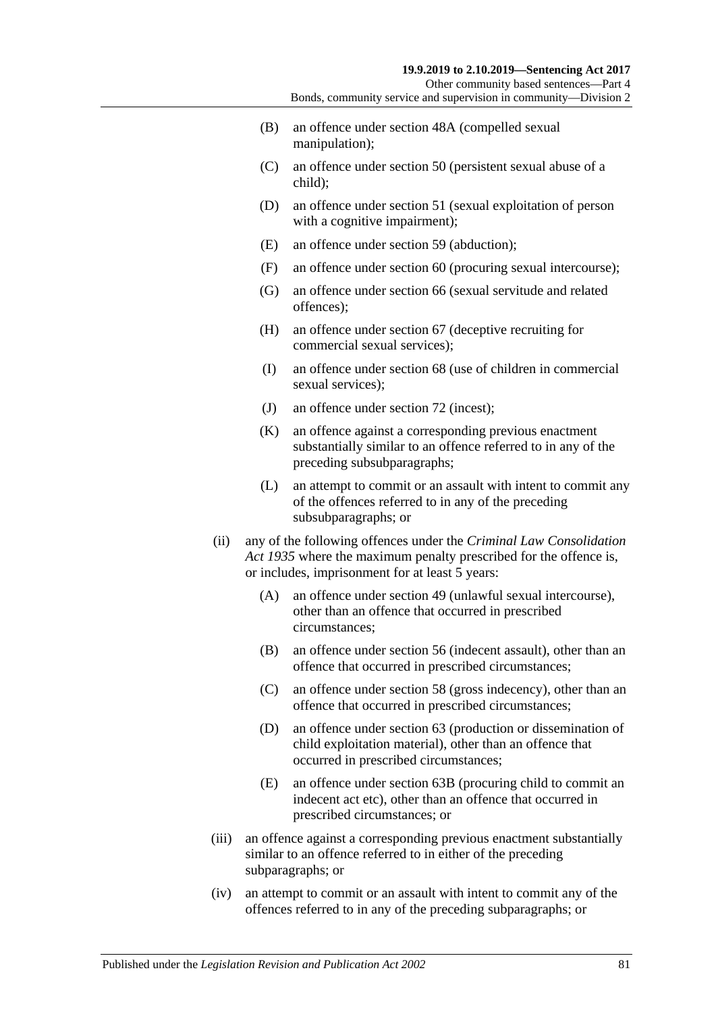Other community based sentences—Part 4 Bonds, community service and supervision in community—Division 2

- (B) an offence under section 48A (compelled sexual manipulation);
- (C) an offence under section 50 (persistent sexual abuse of a child);
- (D) an offence under section 51 (sexual exploitation of person with a cognitive impairment);
- (E) an offence under section 59 (abduction);
- (F) an offence under section 60 (procuring sexual intercourse);
- (G) an offence under section 66 (sexual servitude and related offences);
- (H) an offence under section 67 (deceptive recruiting for commercial sexual services);
- (I) an offence under section 68 (use of children in commercial sexual services):
- (J) an offence under section 72 (incest);
- (K) an offence against a corresponding previous enactment substantially similar to an offence referred to in any of the preceding subsubparagraphs;
- (L) an attempt to commit or an assault with intent to commit any of the offences referred to in any of the preceding subsubparagraphs; or
- (ii) any of the following offences under the *[Criminal Law Consolidation](http://www.legislation.sa.gov.au/index.aspx?action=legref&type=act&legtitle=Criminal%20Law%20Consolidation%20Act%201935)  Act [1935](http://www.legislation.sa.gov.au/index.aspx?action=legref&type=act&legtitle=Criminal%20Law%20Consolidation%20Act%201935)* where the maximum penalty prescribed for the offence is, or includes, imprisonment for at least 5 years:
	- (A) an offence under section 49 (unlawful sexual intercourse), other than an offence that occurred in prescribed circumstances;
	- (B) an offence under section 56 (indecent assault), other than an offence that occurred in prescribed circumstances;
	- (C) an offence under section 58 (gross indecency), other than an offence that occurred in prescribed circumstances;
	- (D) an offence under section 63 (production or dissemination of child exploitation material), other than an offence that occurred in prescribed circumstances;
	- (E) an offence under section 63B (procuring child to commit an indecent act etc), other than an offence that occurred in prescribed circumstances; or
- (iii) an offence against a corresponding previous enactment substantially similar to an offence referred to in either of the preceding subparagraphs; or
- (iv) an attempt to commit or an assault with intent to commit any of the offences referred to in any of the preceding subparagraphs; or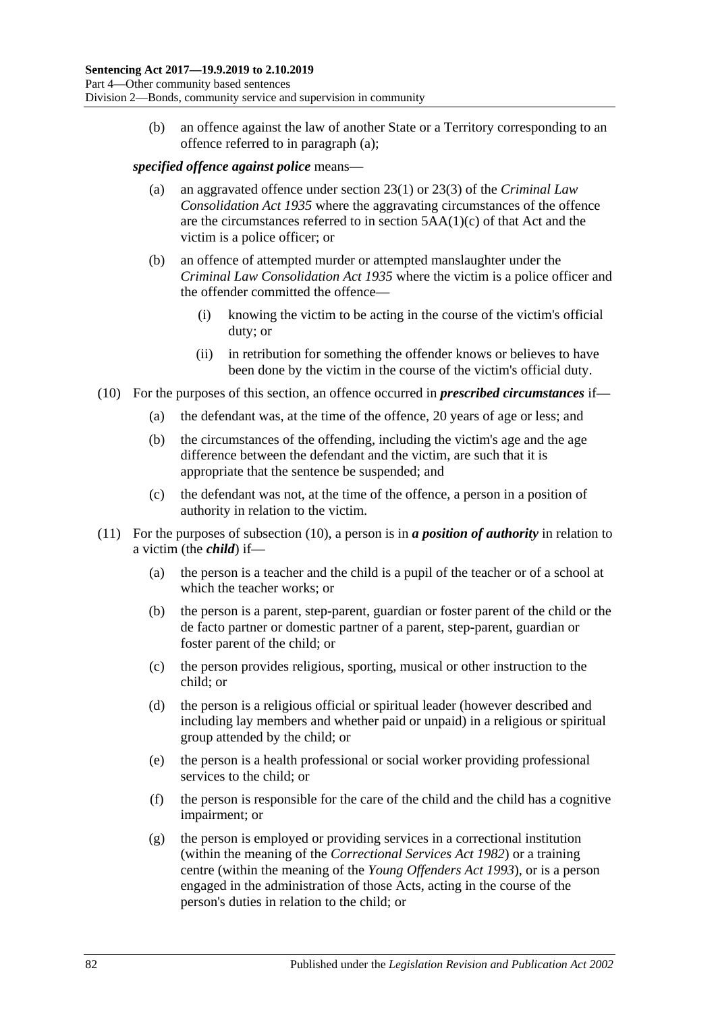(b) an offence against the law of another State or a Territory corresponding to an offence referred to in [paragraph](#page-79-0) (a);

#### *specified offence against police* means—

- (a) an aggravated offence under section 23(1) or 23(3) of the *[Criminal Law](http://www.legislation.sa.gov.au/index.aspx?action=legref&type=act&legtitle=Criminal%20Law%20Consolidation%20Act%201935)  [Consolidation Act](http://www.legislation.sa.gov.au/index.aspx?action=legref&type=act&legtitle=Criminal%20Law%20Consolidation%20Act%201935) 1935* where the aggravating circumstances of the offence are the circumstances referred to in section 5AA(1)(c) of that Act and the victim is a police officer; or
- (b) an offence of attempted murder or attempted manslaughter under the *[Criminal Law Consolidation Act](http://www.legislation.sa.gov.au/index.aspx?action=legref&type=act&legtitle=Criminal%20Law%20Consolidation%20Act%201935) 1935* where the victim is a police officer and the offender committed the offence—
	- (i) knowing the victim to be acting in the course of the victim's official duty; or
	- (ii) in retribution for something the offender knows or believes to have been done by the victim in the course of the victim's official duty.
- <span id="page-81-0"></span>(10) For the purposes of this section, an offence occurred in *prescribed circumstances* if—
	- (a) the defendant was, at the time of the offence, 20 years of age or less; and
	- (b) the circumstances of the offending, including the victim's age and the age difference between the defendant and the victim, are such that it is appropriate that the sentence be suspended; and
	- (c) the defendant was not, at the time of the offence, a person in a position of authority in relation to the victim.
- (11) For the purposes of [subsection](#page-81-0) (10), a person is in *a position of authority* in relation to a victim (the *child*) if—
	- (a) the person is a teacher and the child is a pupil of the teacher or of a school at which the teacher works; or
	- (b) the person is a parent, step-parent, guardian or foster parent of the child or the de facto partner or domestic partner of a parent, step-parent, guardian or foster parent of the child; or
	- (c) the person provides religious, sporting, musical or other instruction to the child; or
	- (d) the person is a religious official or spiritual leader (however described and including lay members and whether paid or unpaid) in a religious or spiritual group attended by the child; or
	- (e) the person is a health professional or social worker providing professional services to the child; or
	- (f) the person is responsible for the care of the child and the child has a cognitive impairment; or
	- (g) the person is employed or providing services in a correctional institution (within the meaning of the *[Correctional Services Act](http://www.legislation.sa.gov.au/index.aspx?action=legref&type=act&legtitle=Correctional%20Services%20Act%201982) 1982*) or a training centre (within the meaning of the *[Young Offenders Act](http://www.legislation.sa.gov.au/index.aspx?action=legref&type=act&legtitle=Young%20Offenders%20Act%201993) 1993*), or is a person engaged in the administration of those Acts, acting in the course of the person's duties in relation to the child; or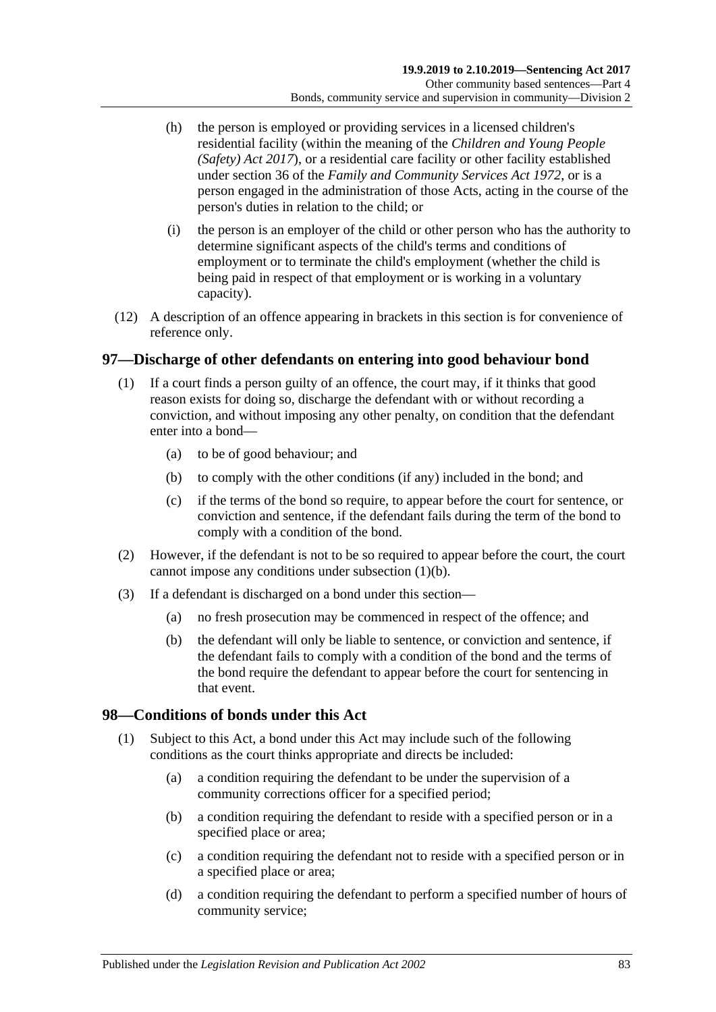- (h) the person is employed or providing services in a licensed children's residential facility (within the meaning of the *[Children and Young People](http://www.legislation.sa.gov.au/index.aspx?action=legref&type=act&legtitle=Children%20and%20Young%20People%20(Safety)%20Act%202017)  [\(Safety\) Act](http://www.legislation.sa.gov.au/index.aspx?action=legref&type=act&legtitle=Children%20and%20Young%20People%20(Safety)%20Act%202017) 2017*), or a residential care facility or other facility established under section 36 of the *[Family and Community Services Act](http://www.legislation.sa.gov.au/index.aspx?action=legref&type=act&legtitle=Family%20and%20Community%20Services%20Act%201972) 1972*, or is a person engaged in the administration of those Acts, acting in the course of the person's duties in relation to the child; or
- (i) the person is an employer of the child or other person who has the authority to determine significant aspects of the child's terms and conditions of employment or to terminate the child's employment (whether the child is being paid in respect of that employment or is working in a voluntary capacity).
- (12) A description of an offence appearing in brackets in this section is for convenience of reference only.

### <span id="page-82-0"></span>**97—Discharge of other defendants on entering into good behaviour bond**

- <span id="page-82-1"></span>(1) If a court finds a person guilty of an offence, the court may, if it thinks that good reason exists for doing so, discharge the defendant with or without recording a conviction, and without imposing any other penalty, on condition that the defendant enter into a bond—
	- (a) to be of good behaviour; and
	- (b) to comply with the other conditions (if any) included in the bond; and
	- (c) if the terms of the bond so require, to appear before the court for sentence, or conviction and sentence, if the defendant fails during the term of the bond to comply with a condition of the bond.
- (2) However, if the defendant is not to be so required to appear before the court, the court cannot impose any conditions under [subsection](#page-82-1) (1)(b).
- (3) If a defendant is discharged on a bond under this section—
	- (a) no fresh prosecution may be commenced in respect of the offence; and
	- (b) the defendant will only be liable to sentence, or conviction and sentence, if the defendant fails to comply with a condition of the bond and the terms of the bond require the defendant to appear before the court for sentencing in that event.

### **98—Conditions of bonds under this Act**

- (1) Subject to this Act, a bond under this Act may include such of the following conditions as the court thinks appropriate and directs be included:
	- (a) a condition requiring the defendant to be under the supervision of a community corrections officer for a specified period;
	- (b) a condition requiring the defendant to reside with a specified person or in a specified place or area;
	- (c) a condition requiring the defendant not to reside with a specified person or in a specified place or area;
	- (d) a condition requiring the defendant to perform a specified number of hours of community service;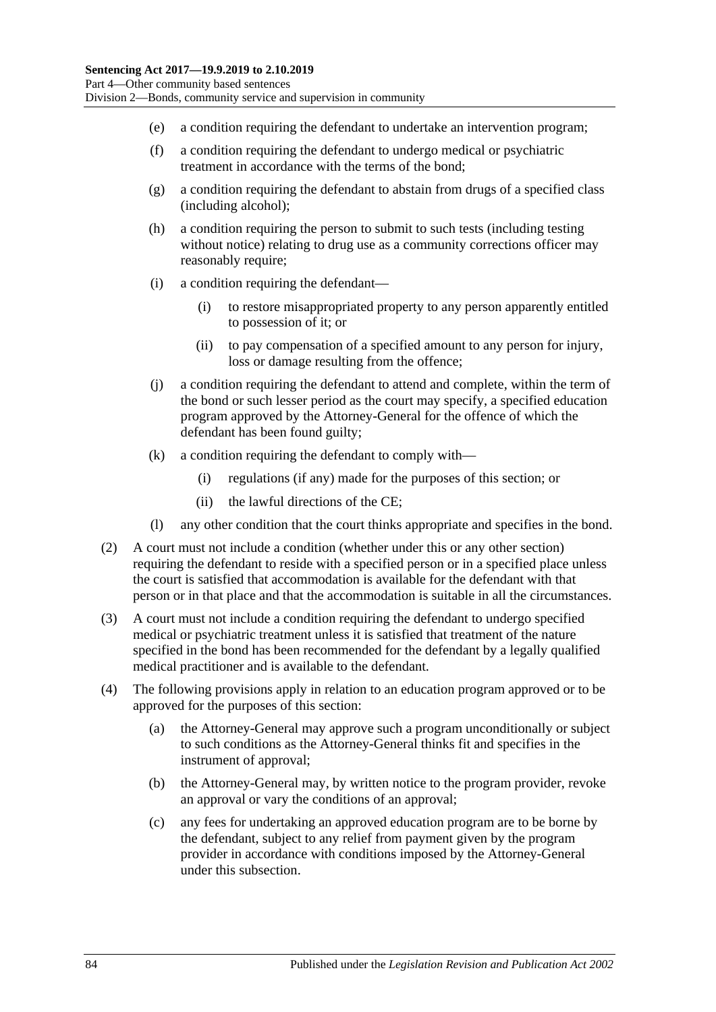- (e) a condition requiring the defendant to undertake an intervention program;
- (f) a condition requiring the defendant to undergo medical or psychiatric treatment in accordance with the terms of the bond;
- (g) a condition requiring the defendant to abstain from drugs of a specified class (including alcohol);
- (h) a condition requiring the person to submit to such tests (including testing without notice) relating to drug use as a community corrections officer may reasonably require;
- (i) a condition requiring the defendant—
	- (i) to restore misappropriated property to any person apparently entitled to possession of it; or
	- (ii) to pay compensation of a specified amount to any person for injury, loss or damage resulting from the offence;
- (j) a condition requiring the defendant to attend and complete, within the term of the bond or such lesser period as the court may specify, a specified education program approved by the Attorney-General for the offence of which the defendant has been found guilty;
- (k) a condition requiring the defendant to comply with—
	- (i) regulations (if any) made for the purposes of this section; or
	- (ii) the lawful directions of the CE;
- (l) any other condition that the court thinks appropriate and specifies in the bond.
- (2) A court must not include a condition (whether under this or any other section) requiring the defendant to reside with a specified person or in a specified place unless the court is satisfied that accommodation is available for the defendant with that person or in that place and that the accommodation is suitable in all the circumstances.
- (3) A court must not include a condition requiring the defendant to undergo specified medical or psychiatric treatment unless it is satisfied that treatment of the nature specified in the bond has been recommended for the defendant by a legally qualified medical practitioner and is available to the defendant.
- (4) The following provisions apply in relation to an education program approved or to be approved for the purposes of this section:
	- (a) the Attorney-General may approve such a program unconditionally or subject to such conditions as the Attorney-General thinks fit and specifies in the instrument of approval;
	- (b) the Attorney-General may, by written notice to the program provider, revoke an approval or vary the conditions of an approval;
	- (c) any fees for undertaking an approved education program are to be borne by the defendant, subject to any relief from payment given by the program provider in accordance with conditions imposed by the Attorney-General under this subsection.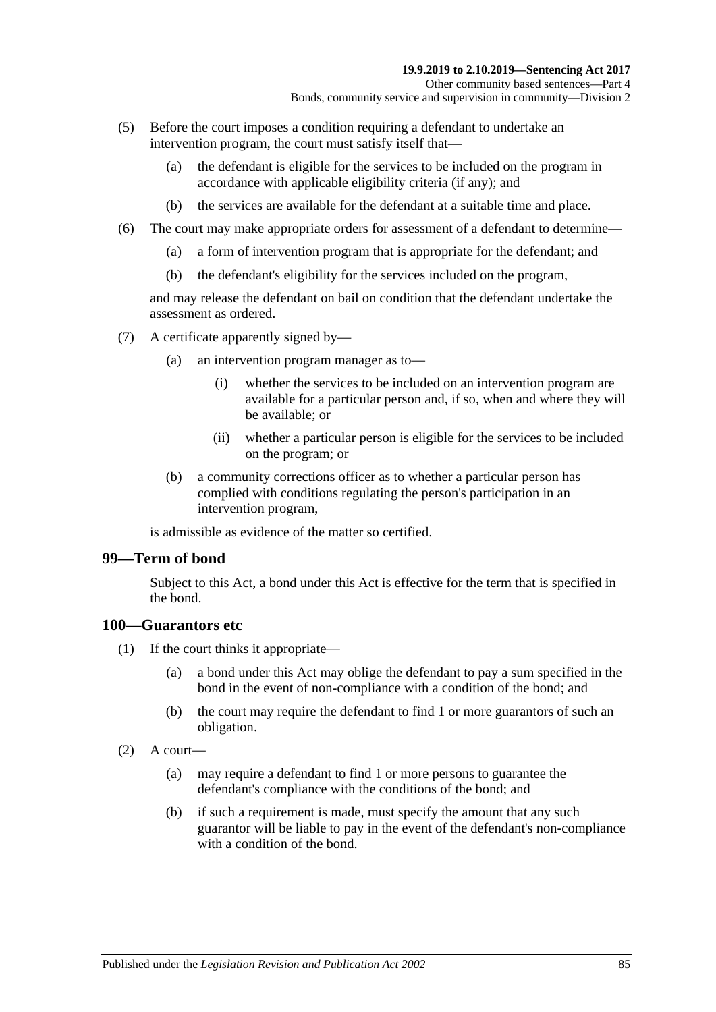- (5) Before the court imposes a condition requiring a defendant to undertake an intervention program, the court must satisfy itself that—
	- (a) the defendant is eligible for the services to be included on the program in accordance with applicable eligibility criteria (if any); and
	- (b) the services are available for the defendant at a suitable time and place.
- (6) The court may make appropriate orders for assessment of a defendant to determine—
	- (a) a form of intervention program that is appropriate for the defendant; and
	- (b) the defendant's eligibility for the services included on the program,

and may release the defendant on bail on condition that the defendant undertake the assessment as ordered.

- (7) A certificate apparently signed by—
	- (a) an intervention program manager as to—
		- (i) whether the services to be included on an intervention program are available for a particular person and, if so, when and where they will be available; or
		- (ii) whether a particular person is eligible for the services to be included on the program; or
	- (b) a community corrections officer as to whether a particular person has complied with conditions regulating the person's participation in an intervention program,

is admissible as evidence of the matter so certified.

#### **99—Term of bond**

Subject to this Act, a bond under this Act is effective for the term that is specified in the bond.

#### **100—Guarantors etc**

- (1) If the court thinks it appropriate—
	- (a) a bond under this Act may oblige the defendant to pay a sum specified in the bond in the event of non-compliance with a condition of the bond; and
	- (b) the court may require the defendant to find 1 or more guarantors of such an obligation.
- $(2)$  A court—
	- (a) may require a defendant to find 1 or more persons to guarantee the defendant's compliance with the conditions of the bond; and
	- (b) if such a requirement is made, must specify the amount that any such guarantor will be liable to pay in the event of the defendant's non-compliance with a condition of the bond.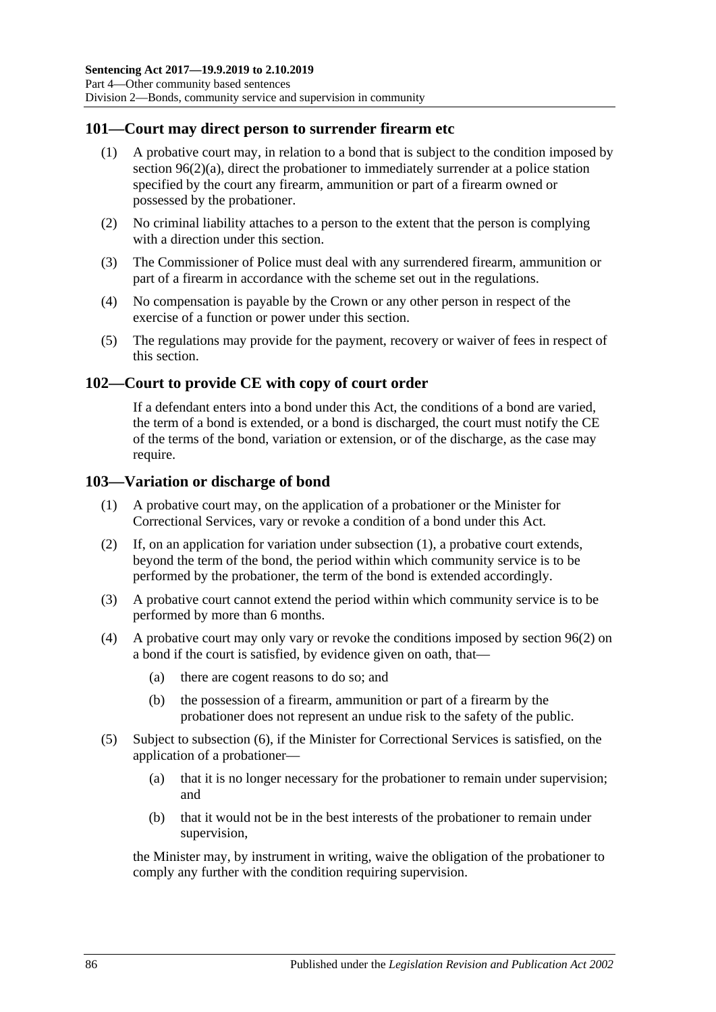### **101—Court may direct person to surrender firearm etc**

- (1) A probative court may, in relation to a bond that is subject to the condition imposed by section [96\(2\)\(a\),](#page-77-6) direct the probationer to immediately surrender at a police station specified by the court any firearm, ammunition or part of a firearm owned or possessed by the probationer.
- (2) No criminal liability attaches to a person to the extent that the person is complying with a direction under this section.
- (3) The Commissioner of Police must deal with any surrendered firearm, ammunition or part of a firearm in accordance with the scheme set out in the regulations.
- (4) No compensation is payable by the Crown or any other person in respect of the exercise of a function or power under this section.
- (5) The regulations may provide for the payment, recovery or waiver of fees in respect of this section.

#### **102—Court to provide CE with copy of court order**

If a defendant enters into a bond under this Act, the conditions of a bond are varied, the term of a bond is extended, or a bond is discharged, the court must notify the CE of the terms of the bond, variation or extension, or of the discharge, as the case may require.

#### <span id="page-85-0"></span>**103—Variation or discharge of bond**

- (1) A probative court may, on the application of a probationer or the Minister for Correctional Services, vary or revoke a condition of a bond under this Act.
- (2) If, on an application for variation under [subsection](#page-85-0) (1), a probative court extends, beyond the term of the bond, the period within which community service is to be performed by the probationer, the term of the bond is extended accordingly.
- (3) A probative court cannot extend the period within which community service is to be performed by more than 6 months.
- (4) A probative court may only vary or revoke the conditions imposed by [section](#page-77-1) 96(2) on a bond if the court is satisfied, by evidence given on oath, that—
	- (a) there are cogent reasons to do so; and
	- (b) the possession of a firearm, ammunition or part of a firearm by the probationer does not represent an undue risk to the safety of the public.
- (5) Subject to [subsection](#page-86-0) (6), if the Minister for Correctional Services is satisfied, on the application of a probationer—
	- (a) that it is no longer necessary for the probationer to remain under supervision; and
	- (b) that it would not be in the best interests of the probationer to remain under supervision,

the Minister may, by instrument in writing, waive the obligation of the probationer to comply any further with the condition requiring supervision.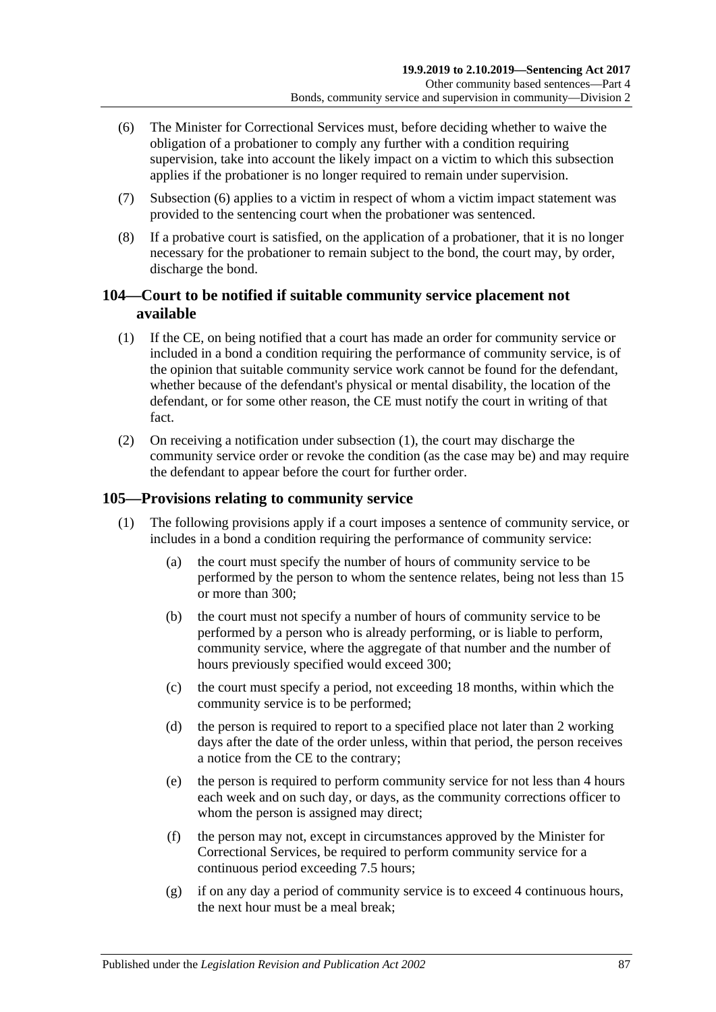- <span id="page-86-0"></span>(6) The Minister for Correctional Services must, before deciding whether to waive the obligation of a probationer to comply any further with a condition requiring supervision, take into account the likely impact on a victim to which this subsection applies if the probationer is no longer required to remain under supervision.
- (7) [Subsection](#page-86-0) (6) applies to a victim in respect of whom a victim impact statement was provided to the sentencing court when the probationer was sentenced.
- (8) If a probative court is satisfied, on the application of a probationer, that it is no longer necessary for the probationer to remain subject to the bond, the court may, by order, discharge the bond.

## **104—Court to be notified if suitable community service placement not available**

- <span id="page-86-1"></span>(1) If the CE, on being notified that a court has made an order for community service or included in a bond a condition requiring the performance of community service, is of the opinion that suitable community service work cannot be found for the defendant, whether because of the defendant's physical or mental disability, the location of the defendant, or for some other reason, the CE must notify the court in writing of that fact.
- (2) On receiving a notification under [subsection](#page-86-1) (1), the court may discharge the community service order or revoke the condition (as the case may be) and may require the defendant to appear before the court for further order.

## <span id="page-86-2"></span>**105—Provisions relating to community service**

- (1) The following provisions apply if a court imposes a sentence of community service, or includes in a bond a condition requiring the performance of community service:
	- (a) the court must specify the number of hours of community service to be performed by the person to whom the sentence relates, being not less than 15 or more than 300;
	- (b) the court must not specify a number of hours of community service to be performed by a person who is already performing, or is liable to perform, community service, where the aggregate of that number and the number of hours previously specified would exceed 300;
	- (c) the court must specify a period, not exceeding 18 months, within which the community service is to be performed;
	- (d) the person is required to report to a specified place not later than 2 working days after the date of the order unless, within that period, the person receives a notice from the CE to the contrary;
	- (e) the person is required to perform community service for not less than 4 hours each week and on such day, or days, as the community corrections officer to whom the person is assigned may direct:
	- (f) the person may not, except in circumstances approved by the Minister for Correctional Services, be required to perform community service for a continuous period exceeding 7.5 hours;
	- (g) if on any day a period of community service is to exceed 4 continuous hours, the next hour must be a meal break;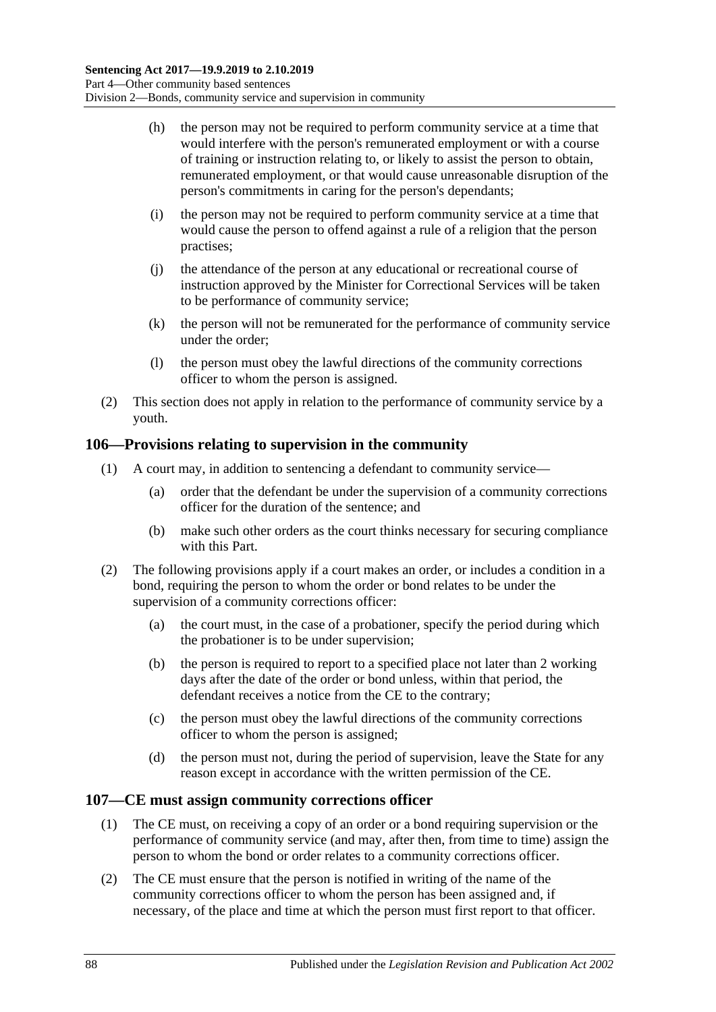- (h) the person may not be required to perform community service at a time that would interfere with the person's remunerated employment or with a course of training or instruction relating to, or likely to assist the person to obtain, remunerated employment, or that would cause unreasonable disruption of the person's commitments in caring for the person's dependants;
- (i) the person may not be required to perform community service at a time that would cause the person to offend against a rule of a religion that the person practises;
- (j) the attendance of the person at any educational or recreational course of instruction approved by the Minister for Correctional Services will be taken to be performance of community service;
- (k) the person will not be remunerated for the performance of community service under the order;
- (l) the person must obey the lawful directions of the community corrections officer to whom the person is assigned.
- (2) This section does not apply in relation to the performance of community service by a youth.

### **106—Provisions relating to supervision in the community**

- (1) A court may, in addition to sentencing a defendant to community service—
	- (a) order that the defendant be under the supervision of a community corrections officer for the duration of the sentence; and
	- (b) make such other orders as the court thinks necessary for securing compliance with this Part.
- (2) The following provisions apply if a court makes an order, or includes a condition in a bond, requiring the person to whom the order or bond relates to be under the supervision of a community corrections officer:
	- (a) the court must, in the case of a probationer, specify the period during which the probationer is to be under supervision;
	- (b) the person is required to report to a specified place not later than 2 working days after the date of the order or bond unless, within that period, the defendant receives a notice from the CE to the contrary;
	- (c) the person must obey the lawful directions of the community corrections officer to whom the person is assigned;
	- (d) the person must not, during the period of supervision, leave the State for any reason except in accordance with the written permission of the CE.

### **107—CE must assign community corrections officer**

- (1) The CE must, on receiving a copy of an order or a bond requiring supervision or the performance of community service (and may, after then, from time to time) assign the person to whom the bond or order relates to a community corrections officer.
- (2) The CE must ensure that the person is notified in writing of the name of the community corrections officer to whom the person has been assigned and, if necessary, of the place and time at which the person must first report to that officer.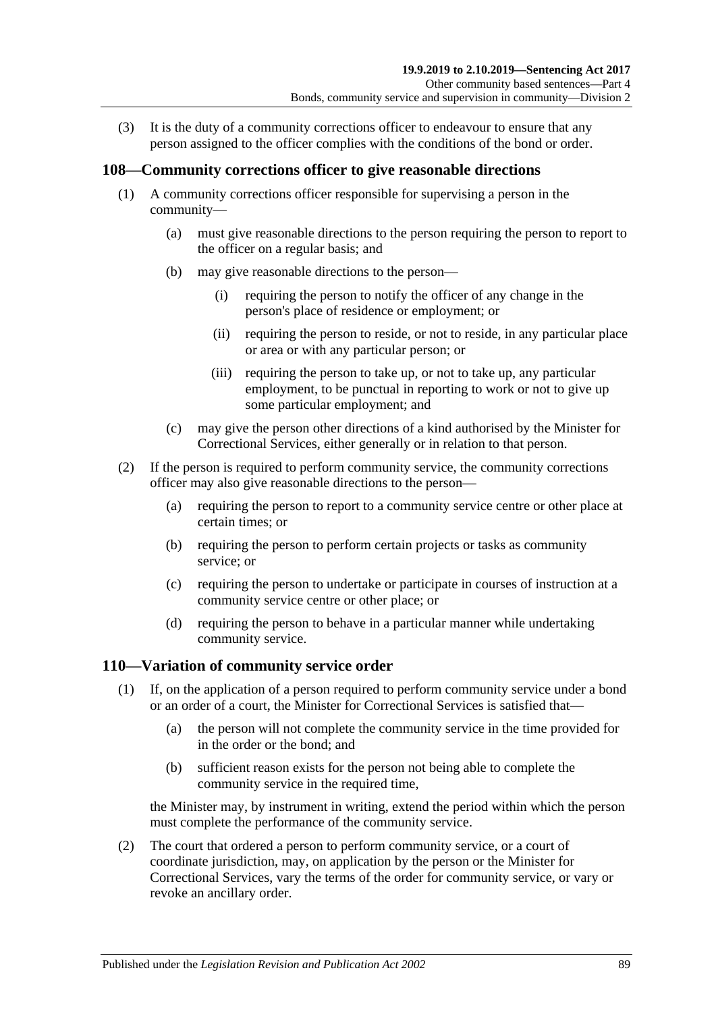(3) It is the duty of a community corrections officer to endeavour to ensure that any person assigned to the officer complies with the conditions of the bond or order.

### **108—Community corrections officer to give reasonable directions**

- (1) A community corrections officer responsible for supervising a person in the community—
	- (a) must give reasonable directions to the person requiring the person to report to the officer on a regular basis; and
	- (b) may give reasonable directions to the person—
		- (i) requiring the person to notify the officer of any change in the person's place of residence or employment; or
		- (ii) requiring the person to reside, or not to reside, in any particular place or area or with any particular person; or
		- (iii) requiring the person to take up, or not to take up, any particular employment, to be punctual in reporting to work or not to give up some particular employment; and
	- (c) may give the person other directions of a kind authorised by the Minister for Correctional Services, either generally or in relation to that person.
- (2) If the person is required to perform community service, the community corrections officer may also give reasonable directions to the person—
	- (a) requiring the person to report to a community service centre or other place at certain times; or
	- (b) requiring the person to perform certain projects or tasks as community service; or
	- (c) requiring the person to undertake or participate in courses of instruction at a community service centre or other place; or
	- (d) requiring the person to behave in a particular manner while undertaking community service.

### <span id="page-88-0"></span>**110—Variation of community service order**

- (1) If, on the application of a person required to perform community service under a bond or an order of a court, the Minister for Correctional Services is satisfied that—
	- (a) the person will not complete the community service in the time provided for in the order or the bond; and
	- (b) sufficient reason exists for the person not being able to complete the community service in the required time,

the Minister may, by instrument in writing, extend the period within which the person must complete the performance of the community service.

(2) The court that ordered a person to perform community service, or a court of coordinate jurisdiction, may, on application by the person or the Minister for Correctional Services, vary the terms of the order for community service, or vary or revoke an ancillary order.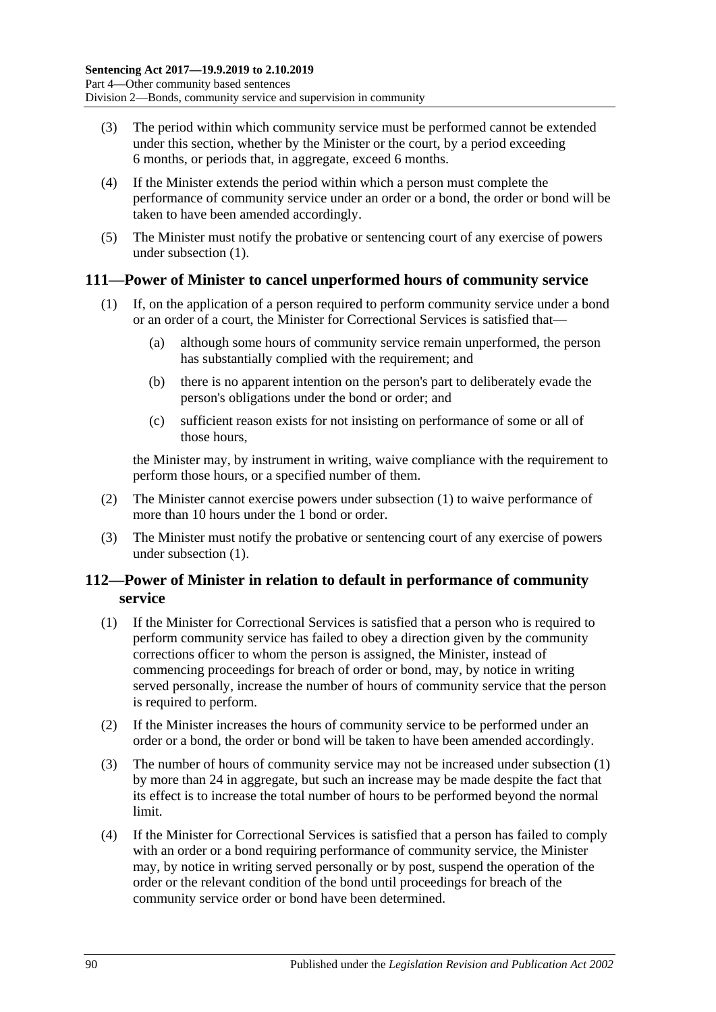- (3) The period within which community service must be performed cannot be extended under this section, whether by the Minister or the court, by a period exceeding 6 months, or periods that, in aggregate, exceed 6 months.
- (4) If the Minister extends the period within which a person must complete the performance of community service under an order or a bond, the order or bond will be taken to have been amended accordingly.
- (5) The Minister must notify the probative or sentencing court of any exercise of powers under [subsection](#page-88-0) (1).

### <span id="page-89-0"></span>**111—Power of Minister to cancel unperformed hours of community service**

- (1) If, on the application of a person required to perform community service under a bond or an order of a court, the Minister for Correctional Services is satisfied that—
	- (a) although some hours of community service remain unperformed, the person has substantially complied with the requirement; and
	- (b) there is no apparent intention on the person's part to deliberately evade the person's obligations under the bond or order; and
	- (c) sufficient reason exists for not insisting on performance of some or all of those hours,

the Minister may, by instrument in writing, waive compliance with the requirement to perform those hours, or a specified number of them.

- (2) The Minister cannot exercise powers under [subsection](#page-89-0) (1) to waive performance of more than 10 hours under the 1 bond or order.
- (3) The Minister must notify the probative or sentencing court of any exercise of powers under [subsection](#page-89-0) (1).

## **112—Power of Minister in relation to default in performance of community service**

- <span id="page-89-1"></span>(1) If the Minister for Correctional Services is satisfied that a person who is required to perform community service has failed to obey a direction given by the community corrections officer to whom the person is assigned, the Minister, instead of commencing proceedings for breach of order or bond, may, by notice in writing served personally, increase the number of hours of community service that the person is required to perform.
- (2) If the Minister increases the hours of community service to be performed under an order or a bond, the order or bond will be taken to have been amended accordingly.
- (3) The number of hours of community service may not be increased under [subsection](#page-89-1) (1) by more than 24 in aggregate, but such an increase may be made despite the fact that its effect is to increase the total number of hours to be performed beyond the normal limit.
- (4) If the Minister for Correctional Services is satisfied that a person has failed to comply with an order or a bond requiring performance of community service, the Minister may, by notice in writing served personally or by post, suspend the operation of the order or the relevant condition of the bond until proceedings for breach of the community service order or bond have been determined.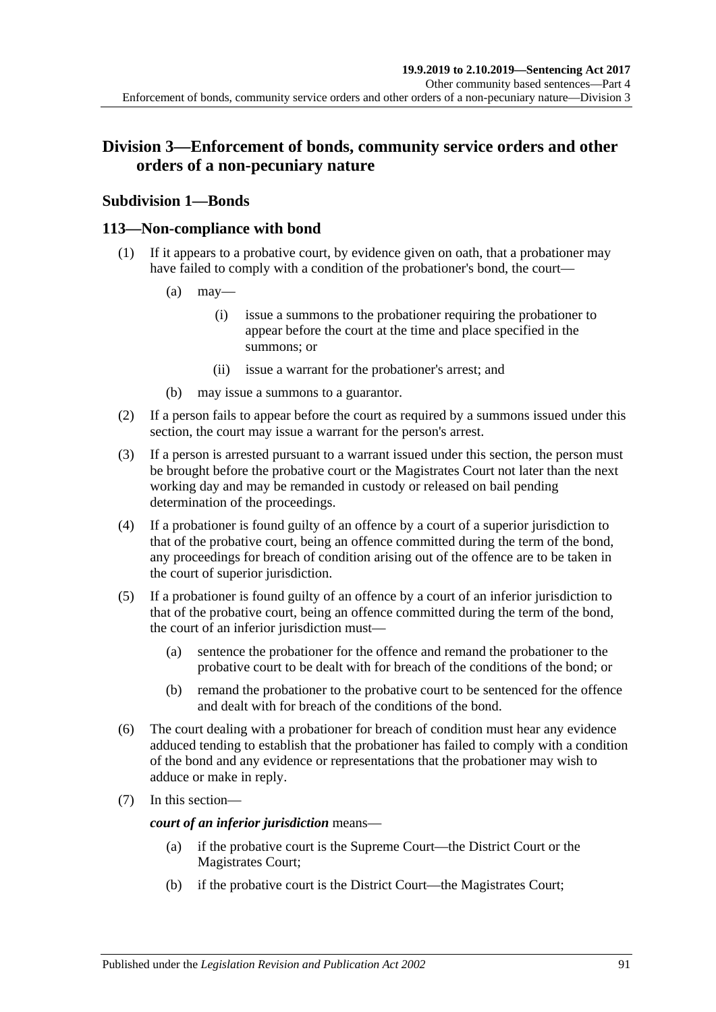# **Division 3—Enforcement of bonds, community service orders and other orders of a non-pecuniary nature**

# **Subdivision 1—Bonds**

## **113—Non-compliance with bond**

- (1) If it appears to a probative court, by evidence given on oath, that a probationer may have failed to comply with a condition of the probationer's bond, the court—
	- $(a)$  may—
		- (i) issue a summons to the probationer requiring the probationer to appear before the court at the time and place specified in the summons; or
		- (ii) issue a warrant for the probationer's arrest; and
	- (b) may issue a summons to a guarantor.
- (2) If a person fails to appear before the court as required by a summons issued under this section, the court may issue a warrant for the person's arrest.
- (3) If a person is arrested pursuant to a warrant issued under this section, the person must be brought before the probative court or the Magistrates Court not later than the next working day and may be remanded in custody or released on bail pending determination of the proceedings.
- (4) If a probationer is found guilty of an offence by a court of a superior jurisdiction to that of the probative court, being an offence committed during the term of the bond, any proceedings for breach of condition arising out of the offence are to be taken in the court of superior jurisdiction.
- (5) If a probationer is found guilty of an offence by a court of an inferior jurisdiction to that of the probative court, being an offence committed during the term of the bond, the court of an inferior jurisdiction must—
	- (a) sentence the probationer for the offence and remand the probationer to the probative court to be dealt with for breach of the conditions of the bond; or
	- (b) remand the probationer to the probative court to be sentenced for the offence and dealt with for breach of the conditions of the bond.
- (6) The court dealing with a probationer for breach of condition must hear any evidence adduced tending to establish that the probationer has failed to comply with a condition of the bond and any evidence or representations that the probationer may wish to adduce or make in reply.
- (7) In this section—

*court of an inferior jurisdiction* means—

- (a) if the probative court is the Supreme Court—the District Court or the Magistrates Court;
- (b) if the probative court is the District Court—the Magistrates Court;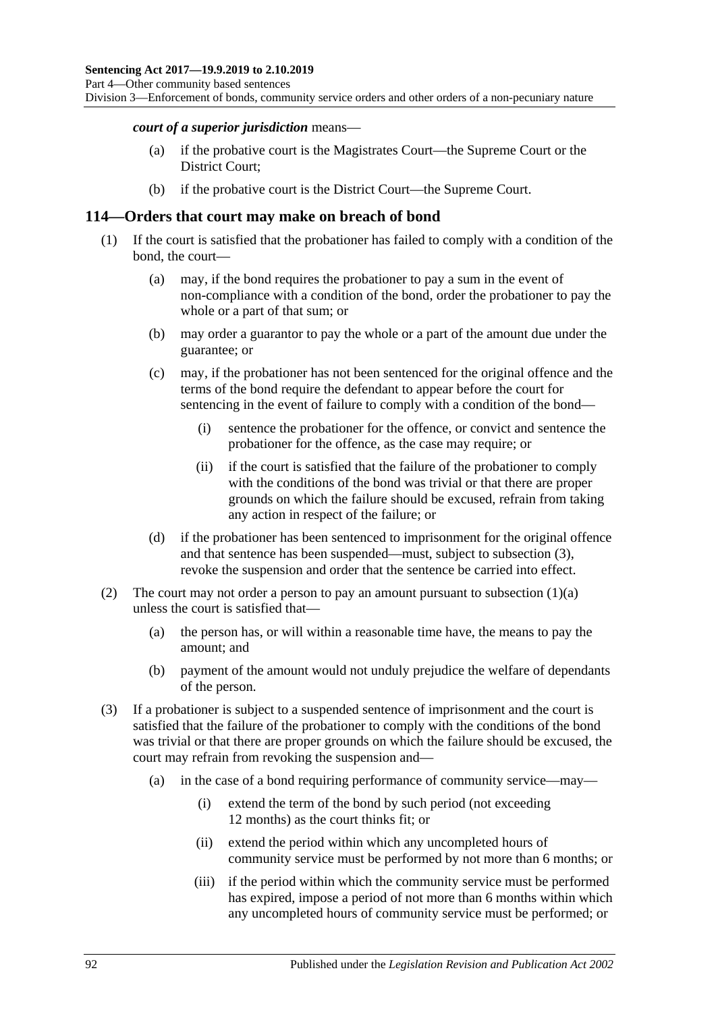Division 3—Enforcement of bonds, community service orders and other orders of a non-pecuniary nature

#### *court of a superior jurisdiction* means—

- (a) if the probative court is the Magistrates Court—the Supreme Court or the District Court;
- (b) if the probative court is the District Court—the Supreme Court.

#### **114—Orders that court may make on breach of bond**

- <span id="page-91-1"></span>(1) If the court is satisfied that the probationer has failed to comply with a condition of the bond, the court—
	- (a) may, if the bond requires the probationer to pay a sum in the event of non-compliance with a condition of the bond, order the probationer to pay the whole or a part of that sum; or
	- (b) may order a guarantor to pay the whole or a part of the amount due under the guarantee; or
	- (c) may, if the probationer has not been sentenced for the original offence and the terms of the bond require the defendant to appear before the court for sentencing in the event of failure to comply with a condition of the bond—
		- (i) sentence the probationer for the offence, or convict and sentence the probationer for the offence, as the case may require; or
		- (ii) if the court is satisfied that the failure of the probationer to comply with the conditions of the bond was trivial or that there are proper grounds on which the failure should be excused, refrain from taking any action in respect of the failure; or
	- (d) if the probationer has been sentenced to imprisonment for the original offence and that sentence has been suspended—must, subject to [subsection](#page-91-0) (3), revoke the suspension and order that the sentence be carried into effect.
- (2) The court may not order a person to pay an amount pursuant to [subsection](#page-91-1)  $(1)(a)$ unless the court is satisfied that—
	- (a) the person has, or will within a reasonable time have, the means to pay the amount; and
	- (b) payment of the amount would not unduly prejudice the welfare of dependants of the person.
- <span id="page-91-0"></span>(3) If a probationer is subject to a suspended sentence of imprisonment and the court is satisfied that the failure of the probationer to comply with the conditions of the bond was trivial or that there are proper grounds on which the failure should be excused, the court may refrain from revoking the suspension and—
	- (a) in the case of a bond requiring performance of community service—may—
		- (i) extend the term of the bond by such period (not exceeding 12 months) as the court thinks fit; or
		- (ii) extend the period within which any uncompleted hours of community service must be performed by not more than 6 months; or
		- (iii) if the period within which the community service must be performed has expired, impose a period of not more than 6 months within which any uncompleted hours of community service must be performed; or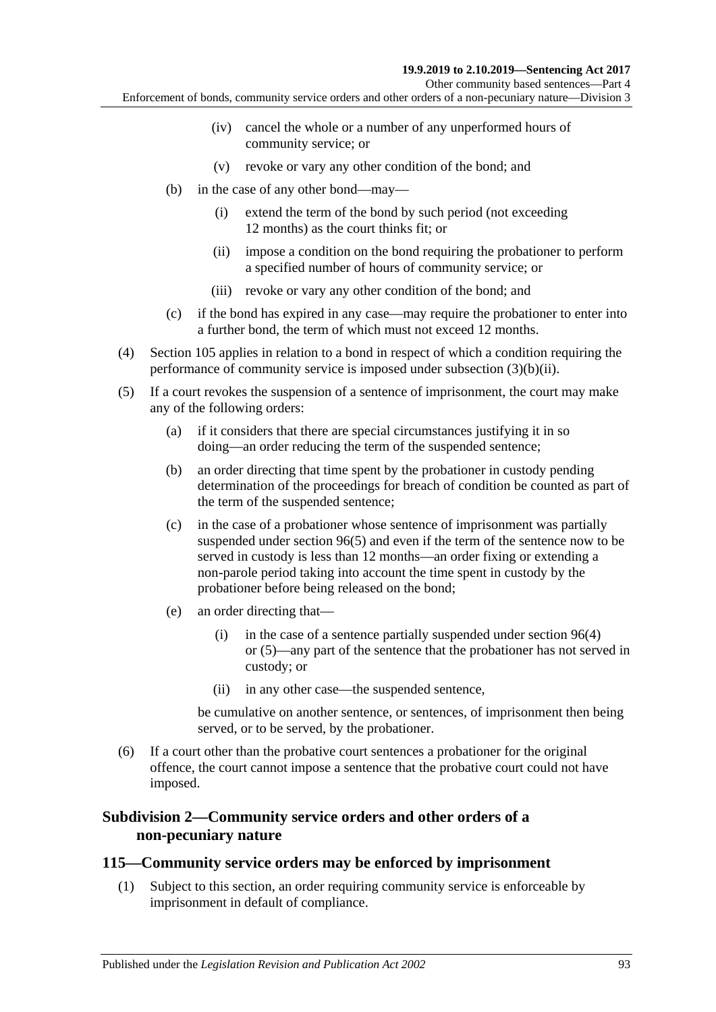Other community based sentences—Part 4

Enforcement of bonds, community service orders and other orders of a non-pecuniary nature—Division 3

- (iv) cancel the whole or a number of any unperformed hours of community service; or
- (v) revoke or vary any other condition of the bond; and
- <span id="page-92-0"></span>(b) in the case of any other bond—may—
	- (i) extend the term of the bond by such period (not exceeding 12 months) as the court thinks fit; or
	- (ii) impose a condition on the bond requiring the probationer to perform a specified number of hours of community service; or
	- (iii) revoke or vary any other condition of the bond; and
- (c) if the bond has expired in any case—may require the probationer to enter into a further bond, the term of which must not exceed 12 months.
- (4) [Section](#page-86-2) 105 applies in relation to a bond in respect of which a condition requiring the performance of community service is imposed under [subsection](#page-92-0) (3)(b)(ii).
- (5) If a court revokes the suspension of a sentence of imprisonment, the court may make any of the following orders:
	- (a) if it considers that there are special circumstances justifying it in so doing—an order reducing the term of the suspended sentence;
	- (b) an order directing that time spent by the probationer in custody pending determination of the proceedings for breach of condition be counted as part of the term of the suspended sentence;
	- (c) in the case of a probationer whose sentence of imprisonment was partially suspended under [section](#page-78-2) 96(5) and even if the term of the sentence now to be served in custody is less than 12 months—an order fixing or extending a non-parole period taking into account the time spent in custody by the probationer before being released on the bond;
	- (e) an order directing that—
		- (i) in the case of a sentence partially suspended under [section](#page-78-1) 96(4) or [\(5\)—](#page-78-2)any part of the sentence that the probationer has not served in custody; or
		- (ii) in any other case—the suspended sentence,

be cumulative on another sentence, or sentences, of imprisonment then being served, or to be served, by the probationer.

(6) If a court other than the probative court sentences a probationer for the original offence, the court cannot impose a sentence that the probative court could not have imposed.

### **Subdivision 2—Community service orders and other orders of a non-pecuniary nature**

#### <span id="page-92-1"></span>**115—Community service orders may be enforced by imprisonment**

(1) Subject to this section, an order requiring community service is enforceable by imprisonment in default of compliance.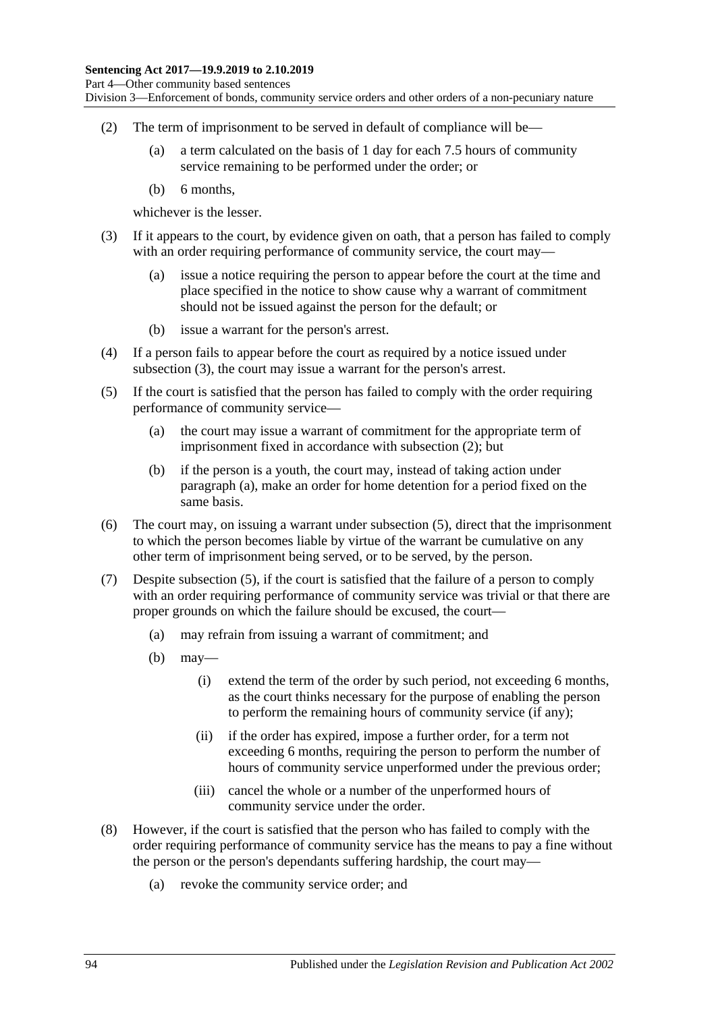Division 3—Enforcement of bonds, community service orders and other orders of a non-pecuniary nature

- <span id="page-93-1"></span>(2) The term of imprisonment to be served in default of compliance will be—
	- (a) a term calculated on the basis of 1 day for each 7.5 hours of community service remaining to be performed under the order; or
	- (b) 6 months,

whichever is the lesser.

- <span id="page-93-0"></span>(3) If it appears to the court, by evidence given on oath, that a person has failed to comply with an order requiring performance of community service, the court may—
	- (a) issue a notice requiring the person to appear before the court at the time and place specified in the notice to show cause why a warrant of commitment should not be issued against the person for the default; or
	- (b) issue a warrant for the person's arrest.
- (4) If a person fails to appear before the court as required by a notice issued under [subsection](#page-93-0) (3), the court may issue a warrant for the person's arrest.
- <span id="page-93-3"></span><span id="page-93-2"></span>(5) If the court is satisfied that the person has failed to comply with the order requiring performance of community service—
	- (a) the court may issue a warrant of commitment for the appropriate term of imprisonment fixed in accordance with [subsection](#page-93-1) (2); but
	- (b) if the person is a youth, the court may, instead of taking action under [paragraph](#page-93-2) (a), make an order for home detention for a period fixed on the same basis.
- (6) The court may, on issuing a warrant under [subsection](#page-93-3) (5), direct that the imprisonment to which the person becomes liable by virtue of the warrant be cumulative on any other term of imprisonment being served, or to be served, by the person.
- (7) Despite [subsection](#page-93-3) (5), if the court is satisfied that the failure of a person to comply with an order requiring performance of community service was trivial or that there are proper grounds on which the failure should be excused, the court—
	- (a) may refrain from issuing a warrant of commitment; and
	- (b) may—
		- (i) extend the term of the order by such period, not exceeding 6 months, as the court thinks necessary for the purpose of enabling the person to perform the remaining hours of community service (if any);
		- (ii) if the order has expired, impose a further order, for a term not exceeding 6 months, requiring the person to perform the number of hours of community service unperformed under the previous order;
		- (iii) cancel the whole or a number of the unperformed hours of community service under the order.
- <span id="page-93-4"></span>(8) However, if the court is satisfied that the person who has failed to comply with the order requiring performance of community service has the means to pay a fine without the person or the person's dependants suffering hardship, the court may—
	- (a) revoke the community service order; and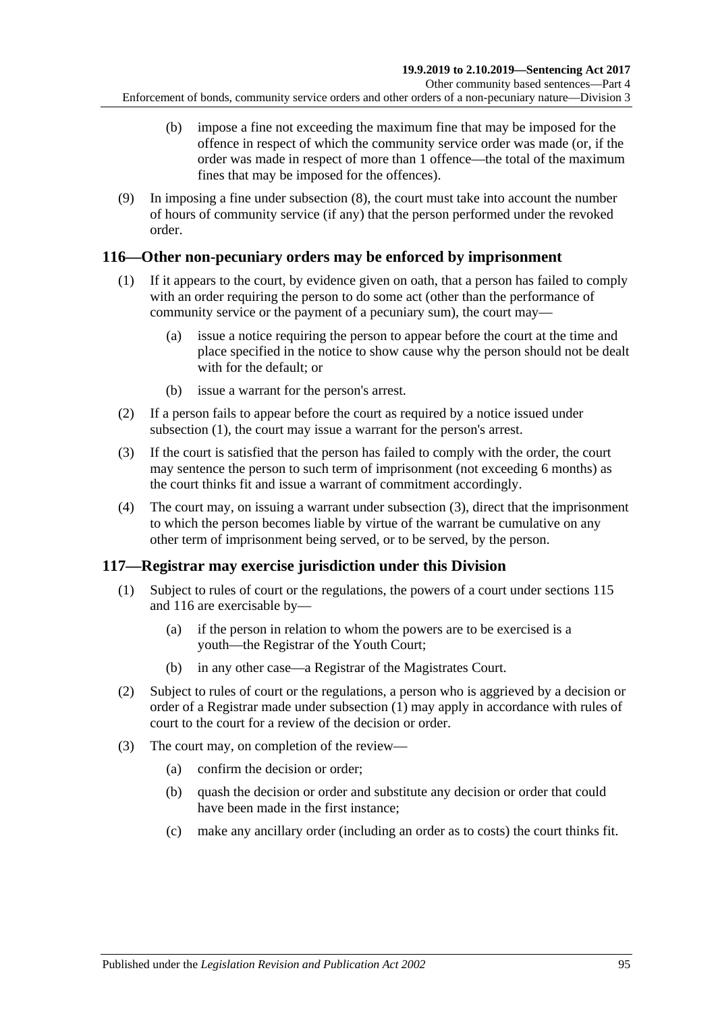- (b) impose a fine not exceeding the maximum fine that may be imposed for the offence in respect of which the community service order was made (or, if the order was made in respect of more than 1 offence—the total of the maximum fines that may be imposed for the offences).
- (9) In imposing a fine under [subsection](#page-93-4) (8), the court must take into account the number of hours of community service (if any) that the person performed under the revoked order.

## <span id="page-94-2"></span><span id="page-94-0"></span>**116—Other non-pecuniary orders may be enforced by imprisonment**

- (1) If it appears to the court, by evidence given on oath, that a person has failed to comply with an order requiring the person to do some act (other than the performance of community service or the payment of a pecuniary sum), the court may—
	- (a) issue a notice requiring the person to appear before the court at the time and place specified in the notice to show cause why the person should not be dealt with for the default; or
	- (b) issue a warrant for the person's arrest.
- (2) If a person fails to appear before the court as required by a notice issued under [subsection](#page-94-0) (1), the court may issue a warrant for the person's arrest.
- <span id="page-94-1"></span>(3) If the court is satisfied that the person has failed to comply with the order, the court may sentence the person to such term of imprisonment (not exceeding 6 months) as the court thinks fit and issue a warrant of commitment accordingly.
- (4) The court may, on issuing a warrant under [subsection](#page-94-1) (3), direct that the imprisonment to which the person becomes liable by virtue of the warrant be cumulative on any other term of imprisonment being served, or to be served, by the person.

# <span id="page-94-3"></span>**117—Registrar may exercise jurisdiction under this Division**

- (1) Subject to rules of court or the regulations, the powers of a court under [sections](#page-92-1) 115 and [116](#page-94-2) are exercisable by—
	- (a) if the person in relation to whom the powers are to be exercised is a youth—the Registrar of the Youth Court;
	- (b) in any other case—a Registrar of the Magistrates Court.
- (2) Subject to rules of court or the regulations, a person who is aggrieved by a decision or order of a Registrar made under [subsection](#page-94-3) (1) may apply in accordance with rules of court to the court for a review of the decision or order.
- (3) The court may, on completion of the review—
	- (a) confirm the decision or order;
	- (b) quash the decision or order and substitute any decision or order that could have been made in the first instance;
	- (c) make any ancillary order (including an order as to costs) the court thinks fit.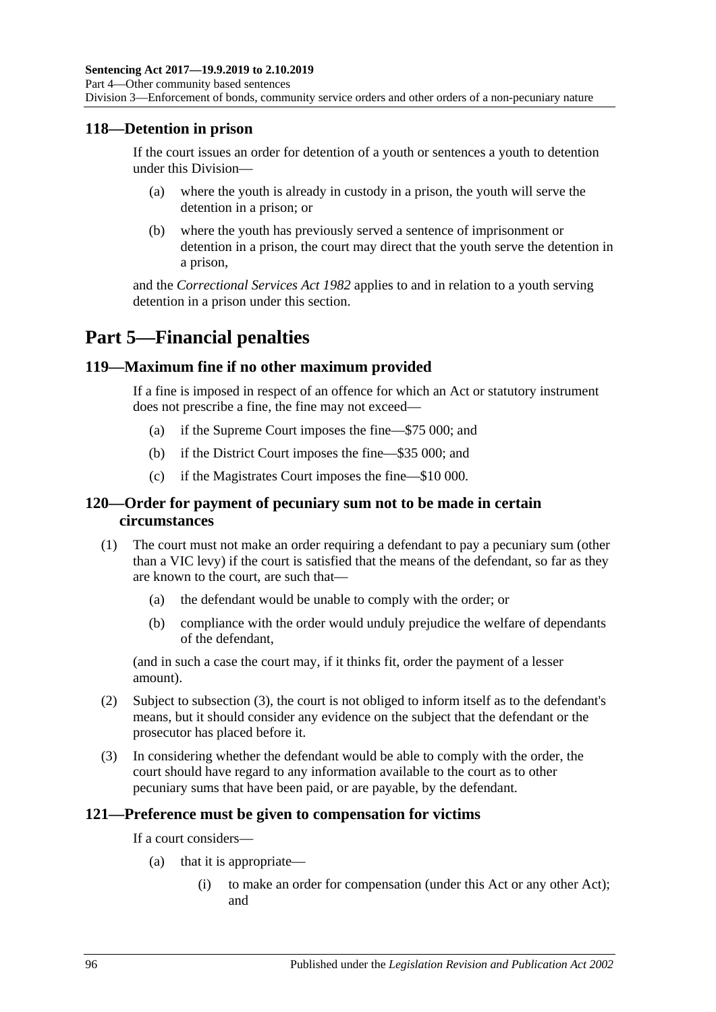#### **118—Detention in prison**

If the court issues an order for detention of a youth or sentences a youth to detention under this Division—

- (a) where the youth is already in custody in a prison, the youth will serve the detention in a prison; or
- (b) where the youth has previously served a sentence of imprisonment or detention in a prison, the court may direct that the youth serve the detention in a prison,

and the *[Correctional Services Act](http://www.legislation.sa.gov.au/index.aspx?action=legref&type=act&legtitle=Correctional%20Services%20Act%201982) 1982* applies to and in relation to a youth serving detention in a prison under this section.

# **Part 5—Financial penalties**

#### **119—Maximum fine if no other maximum provided**

If a fine is imposed in respect of an offence for which an Act or statutory instrument does not prescribe a fine, the fine may not exceed—

- (a) if the Supreme Court imposes the fine—\$75 000; and
- (b) if the District Court imposes the fine—\$35 000; and
- (c) if the Magistrates Court imposes the fine—\$10 000.

### **120—Order for payment of pecuniary sum not to be made in certain circumstances**

- (1) The court must not make an order requiring a defendant to pay a pecuniary sum (other than a VIC levy) if the court is satisfied that the means of the defendant, so far as they are known to the court, are such that—
	- (a) the defendant would be unable to comply with the order; or
	- (b) compliance with the order would unduly prejudice the welfare of dependants of the defendant,

(and in such a case the court may, if it thinks fit, order the payment of a lesser amount).

- (2) Subject to [subsection](#page-95-0) (3), the court is not obliged to inform itself as to the defendant's means, but it should consider any evidence on the subject that the defendant or the prosecutor has placed before it.
- <span id="page-95-0"></span>(3) In considering whether the defendant would be able to comply with the order, the court should have regard to any information available to the court as to other pecuniary sums that have been paid, or are payable, by the defendant.

#### **121—Preference must be given to compensation for victims**

If a court considers—

- (a) that it is appropriate—
	- (i) to make an order for compensation (under this Act or any other Act); and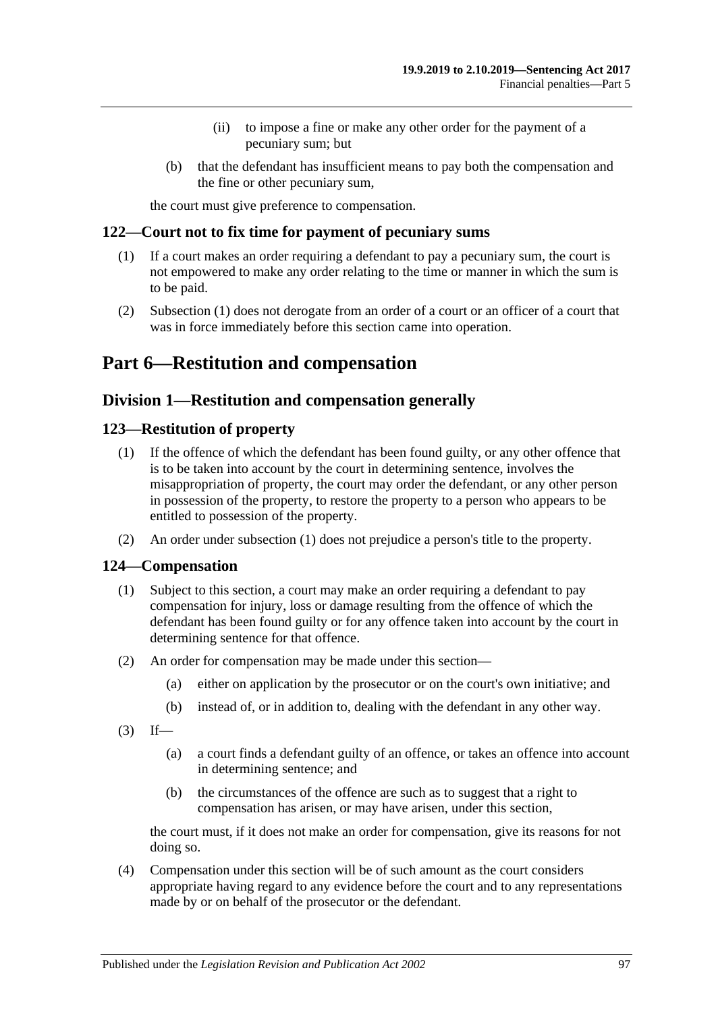- (ii) to impose a fine or make any other order for the payment of a pecuniary sum; but
- (b) that the defendant has insufficient means to pay both the compensation and the fine or other pecuniary sum,

the court must give preference to compensation.

#### <span id="page-96-0"></span>**122—Court not to fix time for payment of pecuniary sums**

- (1) If a court makes an order requiring a defendant to pay a pecuniary sum, the court is not empowered to make any order relating to the time or manner in which the sum is to be paid.
- (2) [Subsection](#page-96-0) (1) does not derogate from an order of a court or an officer of a court that was in force immediately before this section came into operation.

# **Part 6—Restitution and compensation**

## **Division 1—Restitution and compensation generally**

### <span id="page-96-2"></span><span id="page-96-1"></span>**123—Restitution of property**

- (1) If the offence of which the defendant has been found guilty, or any other offence that is to be taken into account by the court in determining sentence, involves the misappropriation of property, the court may order the defendant, or any other person in possession of the property, to restore the property to a person who appears to be entitled to possession of the property.
- (2) An order under [subsection](#page-96-1) (1) does not prejudice a person's title to the property.

### **124—Compensation**

- (1) Subject to this section, a court may make an order requiring a defendant to pay compensation for injury, loss or damage resulting from the offence of which the defendant has been found guilty or for any offence taken into account by the court in determining sentence for that offence.
- (2) An order for compensation may be made under this section—
	- (a) either on application by the prosecutor or on the court's own initiative; and
	- (b) instead of, or in addition to, dealing with the defendant in any other way.
- $(3)$  If—
	- (a) a court finds a defendant guilty of an offence, or takes an offence into account in determining sentence; and
	- (b) the circumstances of the offence are such as to suggest that a right to compensation has arisen, or may have arisen, under this section,

the court must, if it does not make an order for compensation, give its reasons for not doing so.

(4) Compensation under this section will be of such amount as the court considers appropriate having regard to any evidence before the court and to any representations made by or on behalf of the prosecutor or the defendant.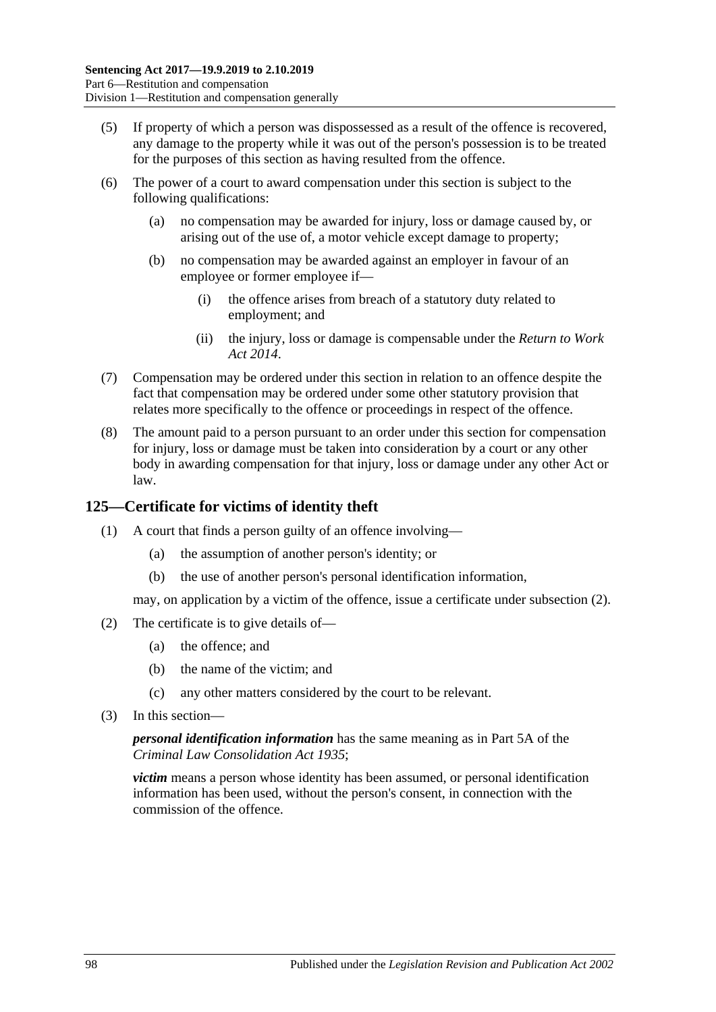- (5) If property of which a person was dispossessed as a result of the offence is recovered, any damage to the property while it was out of the person's possession is to be treated for the purposes of this section as having resulted from the offence.
- (6) The power of a court to award compensation under this section is subject to the following qualifications:
	- (a) no compensation may be awarded for injury, loss or damage caused by, or arising out of the use of, a motor vehicle except damage to property;
	- (b) no compensation may be awarded against an employer in favour of an employee or former employee if—
		- (i) the offence arises from breach of a statutory duty related to employment; and
		- (ii) the injury, loss or damage is compensable under the *[Return to Work](http://www.legislation.sa.gov.au/index.aspx?action=legref&type=act&legtitle=Return%20to%20Work%20Act%202014)  Act [2014](http://www.legislation.sa.gov.au/index.aspx?action=legref&type=act&legtitle=Return%20to%20Work%20Act%202014)*.
- (7) Compensation may be ordered under this section in relation to an offence despite the fact that compensation may be ordered under some other statutory provision that relates more specifically to the offence or proceedings in respect of the offence.
- (8) The amount paid to a person pursuant to an order under this section for compensation for injury, loss or damage must be taken into consideration by a court or any other body in awarding compensation for that injury, loss or damage under any other Act or law.

## **125—Certificate for victims of identity theft**

- (1) A court that finds a person guilty of an offence involving—
	- (a) the assumption of another person's identity; or
	- (b) the use of another person's personal identification information,

may, on application by a victim of the offence, issue a certificate under [subsection](#page-97-0) (2).

- <span id="page-97-0"></span>(2) The certificate is to give details of—
	- (a) the offence; and
	- (b) the name of the victim; and
	- (c) any other matters considered by the court to be relevant.
- (3) In this section—

*personal identification information* has the same meaning as in Part 5A of the *[Criminal Law Consolidation Act](http://www.legislation.sa.gov.au/index.aspx?action=legref&type=act&legtitle=Criminal%20Law%20Consolidation%20Act%201935) 1935*;

*victim* means a person whose identity has been assumed, or personal identification information has been used, without the person's consent, in connection with the commission of the offence.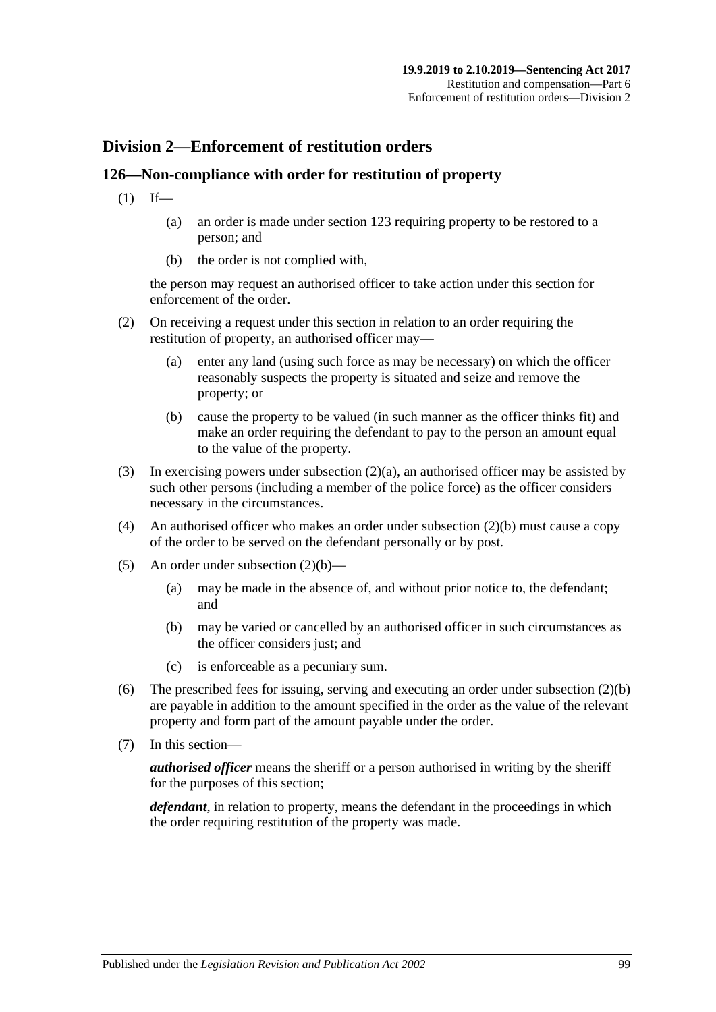# **Division 2—Enforcement of restitution orders**

# **126—Non-compliance with order for restitution of property**

- $(1)$  If—
	- (a) an order is made under [section](#page-96-2) 123 requiring property to be restored to a person; and
	- (b) the order is not complied with,

the person may request an authorised officer to take action under this section for enforcement of the order.

- <span id="page-98-0"></span>(2) On receiving a request under this section in relation to an order requiring the restitution of property, an authorised officer may—
	- (a) enter any land (using such force as may be necessary) on which the officer reasonably suspects the property is situated and seize and remove the property; or
	- (b) cause the property to be valued (in such manner as the officer thinks fit) and make an order requiring the defendant to pay to the person an amount equal to the value of the property.
- <span id="page-98-1"></span>(3) In exercising powers under [subsection](#page-98-0)  $(2)(a)$ , an authorised officer may be assisted by such other persons (including a member of the police force) as the officer considers necessary in the circumstances.
- (4) An authorised officer who makes an order under [subsection](#page-98-1) (2)(b) must cause a copy of the order to be served on the defendant personally or by post.
- (5) An order under [subsection](#page-98-1) (2)(b)—
	- (a) may be made in the absence of, and without prior notice to, the defendant; and
	- (b) may be varied or cancelled by an authorised officer in such circumstances as the officer considers just; and
	- (c) is enforceable as a pecuniary sum.
- (6) The prescribed fees for issuing, serving and executing an order under [subsection](#page-98-1) (2)(b) are payable in addition to the amount specified in the order as the value of the relevant property and form part of the amount payable under the order.
- (7) In this section—

*authorised officer* means the sheriff or a person authorised in writing by the sheriff for the purposes of this section;

*defendant*, in relation to property, means the defendant in the proceedings in which the order requiring restitution of the property was made.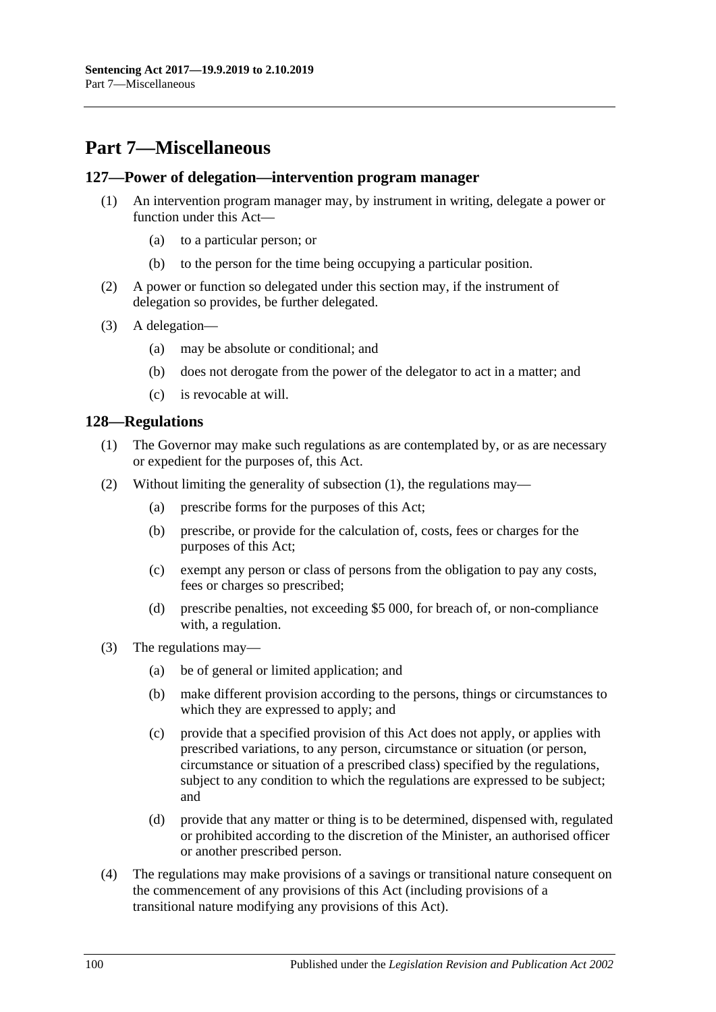# **Part 7—Miscellaneous**

#### **127—Power of delegation—intervention program manager**

- (1) An intervention program manager may, by instrument in writing, delegate a power or function under this Act—
	- (a) to a particular person; or
	- (b) to the person for the time being occupying a particular position.
- (2) A power or function so delegated under this section may, if the instrument of delegation so provides, be further delegated.
- (3) A delegation—
	- (a) may be absolute or conditional; and
	- (b) does not derogate from the power of the delegator to act in a matter; and
	- (c) is revocable at will.

#### <span id="page-99-0"></span>**128—Regulations**

- (1) The Governor may make such regulations as are contemplated by, or as are necessary or expedient for the purposes of, this Act.
- (2) Without limiting the generality of [subsection](#page-99-0) (1), the regulations may—
	- (a) prescribe forms for the purposes of this Act;
	- (b) prescribe, or provide for the calculation of, costs, fees or charges for the purposes of this Act;
	- (c) exempt any person or class of persons from the obligation to pay any costs, fees or charges so prescribed;
	- (d) prescribe penalties, not exceeding \$5 000, for breach of, or non-compliance with, a regulation.
- (3) The regulations may—
	- (a) be of general or limited application; and
	- (b) make different provision according to the persons, things or circumstances to which they are expressed to apply; and
	- (c) provide that a specified provision of this Act does not apply, or applies with prescribed variations, to any person, circumstance or situation (or person, circumstance or situation of a prescribed class) specified by the regulations, subject to any condition to which the regulations are expressed to be subject; and
	- (d) provide that any matter or thing is to be determined, dispensed with, regulated or prohibited according to the discretion of the Minister, an authorised officer or another prescribed person.
- (4) The regulations may make provisions of a savings or transitional nature consequent on the commencement of any provisions of this Act (including provisions of a transitional nature modifying any provisions of this Act).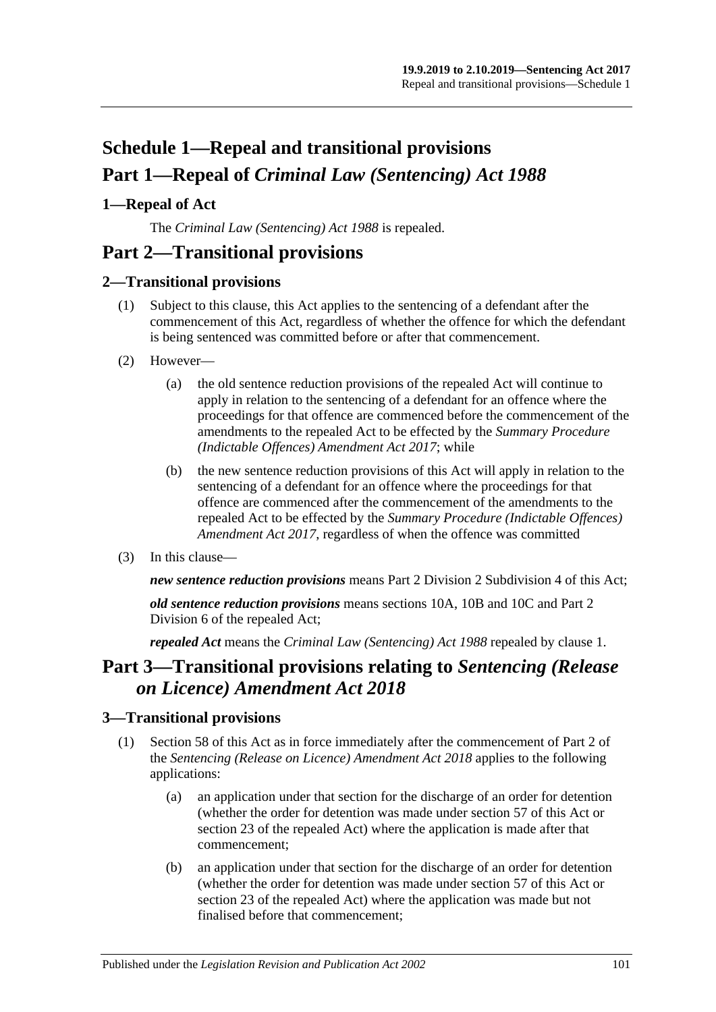# **Schedule 1—Repeal and transitional provisions Part 1—Repeal of** *Criminal Law (Sentencing) Act 1988*

# <span id="page-100-0"></span>**1—Repeal of Act**

The *[Criminal Law \(Sentencing\) Act](http://www.legislation.sa.gov.au/index.aspx?action=legref&type=act&legtitle=Criminal%20Law%20(Sentencing)%20Act%201988) 1988* is repealed.

# **Part 2—Transitional provisions**

# **2—Transitional provisions**

- (1) Subject to this clause, this Act applies to the sentencing of a defendant after the commencement of this Act, regardless of whether the offence for which the defendant is being sentenced was committed before or after that commencement.
- (2) However—
	- (a) the old sentence reduction provisions of the repealed Act will continue to apply in relation to the sentencing of a defendant for an offence where the proceedings for that offence are commenced before the commencement of the amendments to the repealed Act to be effected by the *[Summary Procedure](http://www.legislation.sa.gov.au/index.aspx?action=legref&type=act&legtitle=Summary%20Procedure%20(Indictable%20Offences)%20Amendment%20Act%202017)  [\(Indictable Offences\) Amendment Act](http://www.legislation.sa.gov.au/index.aspx?action=legref&type=act&legtitle=Summary%20Procedure%20(Indictable%20Offences)%20Amendment%20Act%202017) 2017*; while
	- (b) the new sentence reduction provisions of this Act will apply in relation to the sentencing of a defendant for an offence where the proceedings for that offence are commenced after the commencement of the amendments to the repealed Act to be effected by the *[Summary Procedure \(Indictable Offences\)](http://www.legislation.sa.gov.au/index.aspx?action=legref&type=act&legtitle=Summary%20Procedure%20(Indictable%20Offences)%20Amendment%20Act%202017)  [Amendment Act](http://www.legislation.sa.gov.au/index.aspx?action=legref&type=act&legtitle=Summary%20Procedure%20(Indictable%20Offences)%20Amendment%20Act%202017) 2017*, regardless of when the offence was committed
- (3) In this clause—

*new sentence reduction provisions* means Part 2 Division [2 Subdivision](#page-24-0) 4 of this Act;

*old sentence reduction provisions* means sections 10A, 10B and 10C and Part 2 Division 6 of the repealed Act;

*repealed Act* means the *[Criminal Law \(Sentencing\) Act](http://www.legislation.sa.gov.au/index.aspx?action=legref&type=act&legtitle=Criminal%20Law%20(Sentencing)%20Act%201988) 1988* repealed by [clause](#page-100-0) 1.

# **Part 3—Transitional provisions relating to** *Sentencing (Release on Licence) Amendment Act 2018*

### **3—Transitional provisions**

- (1) [Section 58](#page-47-0) of this Act as in force immediately after the commencement of Part 2 of the *[Sentencing \(Release on Licence\) Amendment Act](http://www.legislation.sa.gov.au/index.aspx?action=legref&type=act&legtitle=Sentencing%20(Release%20on%20Licence)%20Amendment%20Act%202018) 2018* applies to the following applications:
	- (a) an application under that section for the discharge of an order for detention (whether the order for detention was made under [section](#page-44-0) 57 of this Act or section 23 of the repealed Act) where the application is made after that commencement;
	- (b) an application under that section for the discharge of an order for detention (whether the order for detention was made under [section](#page-44-0) 57 of this Act or section 23 of the repealed Act) where the application was made but not finalised before that commencement;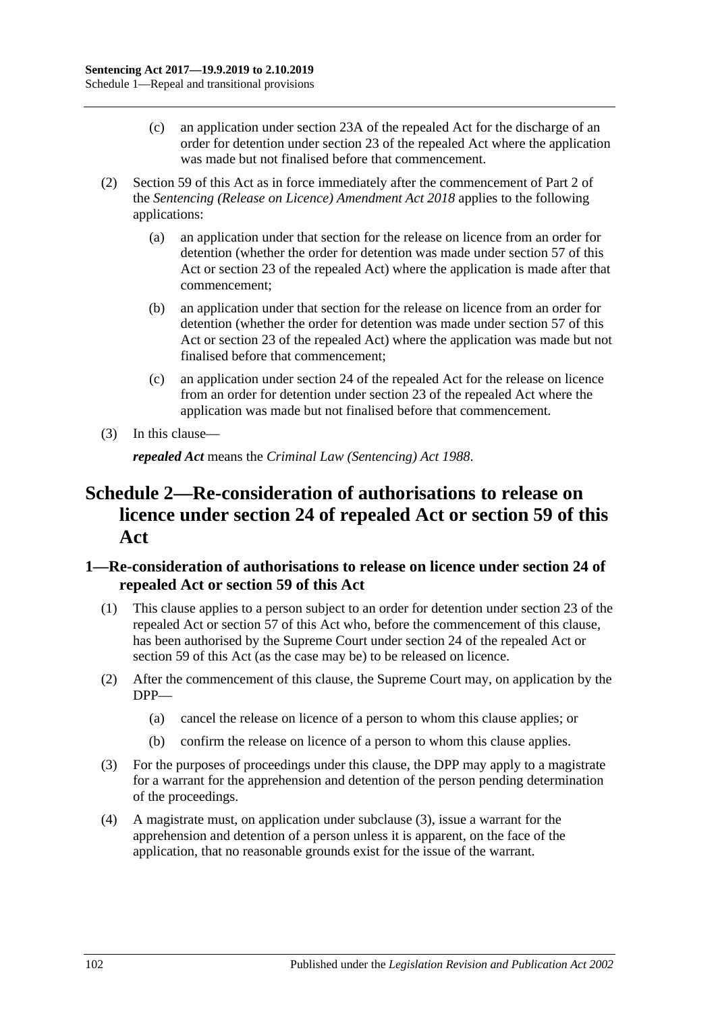- (c) an application under section 23A of the repealed Act for the discharge of an order for detention under section 23 of the repealed Act where the application was made but not finalised before that commencement.
- (2) [Section 59](#page-48-0) of this Act as in force immediately after the commencement of Part 2 of the *[Sentencing \(Release on Licence\) Amendment Act](http://www.legislation.sa.gov.au/index.aspx?action=legref&type=act&legtitle=Sentencing%20(Release%20on%20Licence)%20Amendment%20Act%202018) 2018* applies to the following applications:
	- (a) an application under that section for the release on licence from an order for detention (whether the order for detention was made under [section](#page-44-0) 57 of this Act or section 23 of the repealed Act) where the application is made after that commencement;
	- (b) an application under that section for the release on licence from an order for detention (whether the order for detention was made under [section](#page-44-0) 57 of this Act or section 23 of the repealed Act) where the application was made but not finalised before that commencement;
	- (c) an application under section 24 of the repealed Act for the release on licence from an order for detention under section 23 of the repealed Act where the application was made but not finalised before that commencement.
- (3) In this clause—

*repealed Act* means the *[Criminal Law \(Sentencing\) Act](http://www.legislation.sa.gov.au/index.aspx?action=legref&type=act&legtitle=Criminal%20Law%20(Sentencing)%20Act%201988) 1988*.

# **Schedule 2—Re-consideration of authorisations to release on licence under section 24 of repealed Act or [section](#page-48-0) 59 of this Act**

## **1—Re-consideration of authorisations to release on licence under section 24 of repealed Act or [section](#page-48-0) 59 of this Act**

- (1) This clause applies to a person subject to an order for detention under section 23 of the repealed Act or [section](#page-44-0) 57 of this Act who, before the commencement of this clause, has been authorised by the Supreme Court under section 24 of the repealed Act or [section](#page-48-0) 59 of this Act (as the case may be) to be released on licence.
- (2) After the commencement of this clause, the Supreme Court may, on application by the DPP—
	- (a) cancel the release on licence of a person to whom this clause applies; or
	- (b) confirm the release on licence of a person to whom this clause applies.
- <span id="page-101-0"></span>(3) For the purposes of proceedings under this clause, the DPP may apply to a magistrate for a warrant for the apprehension and detention of the person pending determination of the proceedings.
- (4) A magistrate must, on application under [subclause](#page-101-0) (3), issue a warrant for the apprehension and detention of a person unless it is apparent, on the face of the application, that no reasonable grounds exist for the issue of the warrant.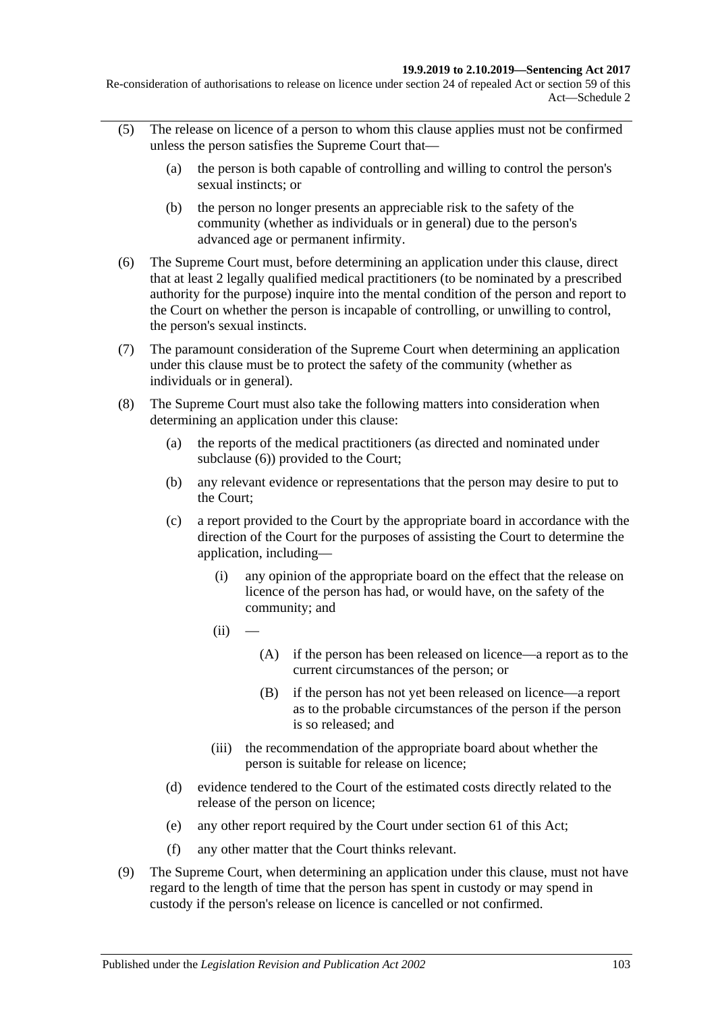Re-consideration of authorisations to release on licence under section 24 of repealed Act or section 59 of this Act—Schedule 2

- (5) The release on licence of a person to whom this clause applies must not be confirmed unless the person satisfies the Supreme Court that—
	- (a) the person is both capable of controlling and willing to control the person's sexual instincts; or
	- (b) the person no longer presents an appreciable risk to the safety of the community (whether as individuals or in general) due to the person's advanced age or permanent infirmity.
- <span id="page-102-0"></span>(6) The Supreme Court must, before determining an application under this clause, direct that at least 2 legally qualified medical practitioners (to be nominated by a prescribed authority for the purpose) inquire into the mental condition of the person and report to the Court on whether the person is incapable of controlling, or unwilling to control, the person's sexual instincts.
- (7) The paramount consideration of the Supreme Court when determining an application under this clause must be to protect the safety of the community (whether as individuals or in general).
- <span id="page-102-1"></span>(8) The Supreme Court must also take the following matters into consideration when determining an application under this clause:
	- (a) the reports of the medical practitioners (as directed and nominated under [subclause](#page-102-0) (6)) provided to the Court;
	- (b) any relevant evidence or representations that the person may desire to put to the Court;
	- (c) a report provided to the Court by the appropriate board in accordance with the direction of the Court for the purposes of assisting the Court to determine the application, including—
		- (i) any opinion of the appropriate board on the effect that the release on licence of the person has had, or would have, on the safety of the community; and
		- $(ii)$
- (A) if the person has been released on licence—a report as to the current circumstances of the person; or
- (B) if the person has not yet been released on licence—a report as to the probable circumstances of the person if the person is so released; and
- (iii) the recommendation of the appropriate board about whether the person is suitable for release on licence;
- (d) evidence tendered to the Court of the estimated costs directly related to the release of the person on licence;
- (e) any other report required by the Court under [section](#page-51-0) 61 of this Act;
- (f) any other matter that the Court thinks relevant.
- (9) The Supreme Court, when determining an application under this clause, must not have regard to the length of time that the person has spent in custody or may spend in custody if the person's release on licence is cancelled or not confirmed.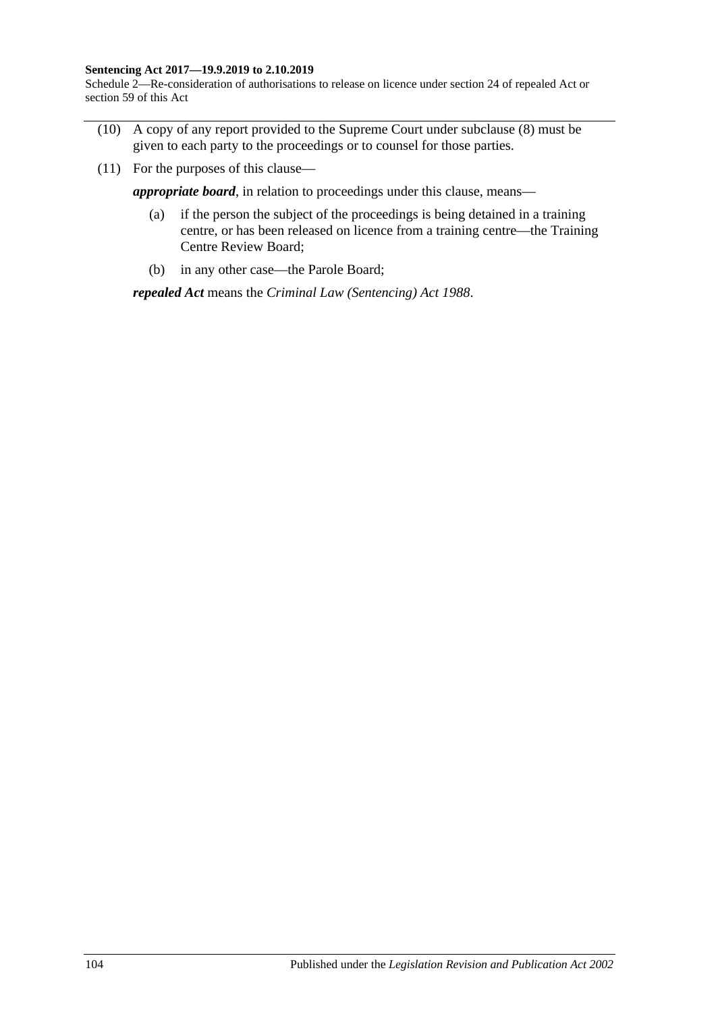#### **Sentencing Act 2017—19.9.2019 to 2.10.2019**

Schedule 2—Re-consideration of authorisations to release on licence under section 24 of repealed Act or section 59 of this Act

- (10) A copy of any report provided to the Supreme Court under [subclause](#page-102-1) (8) must be given to each party to the proceedings or to counsel for those parties.
- (11) For the purposes of this clause—

*appropriate board*, in relation to proceedings under this clause, means—

- (a) if the person the subject of the proceedings is being detained in a training centre, or has been released on licence from a training centre—the Training Centre Review Board;
- (b) in any other case—the Parole Board;

*repealed Act* means the *[Criminal Law \(Sentencing\) Act](http://www.legislation.sa.gov.au/index.aspx?action=legref&type=act&legtitle=Criminal%20Law%20(Sentencing)%20Act%201988) 1988*.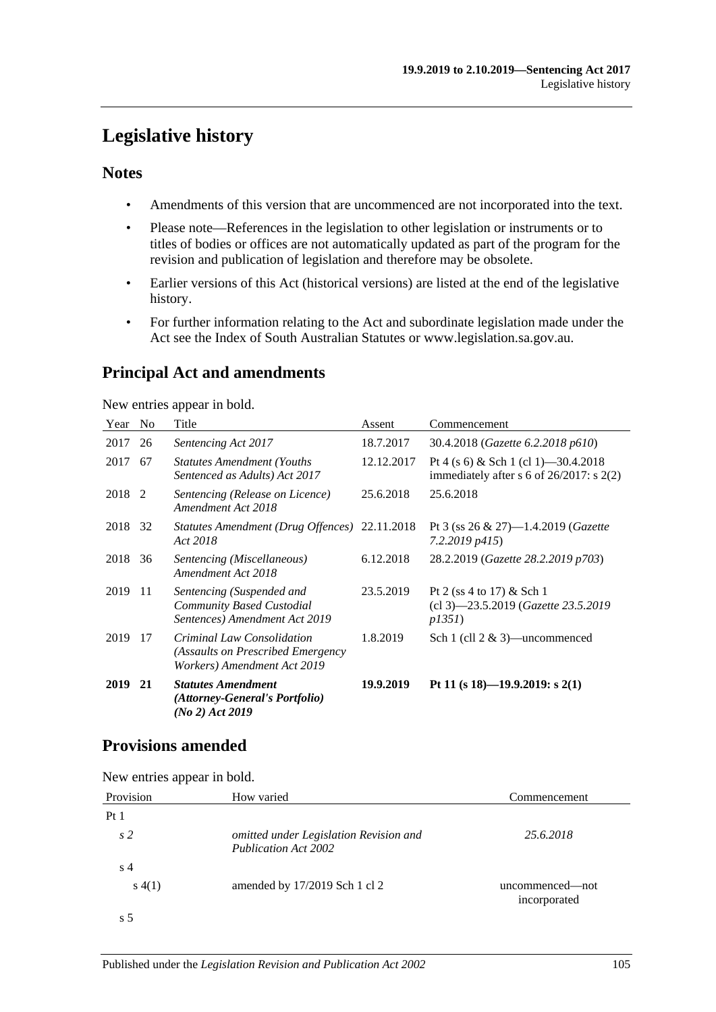# **Legislative history**

## **Notes**

- Amendments of this version that are uncommenced are not incorporated into the text.
- Please note—References in the legislation to other legislation or instruments or to titles of bodies or offices are not automatically updated as part of the program for the revision and publication of legislation and therefore may be obsolete.
- Earlier versions of this Act (historical versions) are listed at the end of the legislative history.
- For further information relating to the Act and subordinate legislation made under the Act see the Index of South Australian Statutes or www.legislation.sa.gov.au.

# **Principal Act and amendments**

New entries appear in bold.

| Year    | N <sub>0</sub> | Title                                                                                          | Assent     | Commencement                                                                         |
|---------|----------------|------------------------------------------------------------------------------------------------|------------|--------------------------------------------------------------------------------------|
| 2017    | 26             | Sentencing Act 2017                                                                            | 18.7.2017  | 30.4.2018 (Gazette 6.2.2018 p610)                                                    |
| 2017    | 67             | <b>Statutes Amendment (Youths)</b><br>Sentenced as Adults) Act 2017                            | 12.12.2017 | Pt 4 (s 6) & Sch 1 (cl 1) -30.4.2018<br>immediately after $s$ 6 of 26/2017: $s$ 2(2) |
| 2018 2  |                | Sentencing (Release on Licence)<br>Amendment Act 2018                                          | 25.6.2018  | 25.6.2018                                                                            |
| 2018 32 |                | Statutes Amendment (Drug Offences) 22.11.2018<br>Act 2018                                      |            | Pt 3 (ss $26 \& 27$ )—1.4.2019 ( <i>Gazette</i><br>7.2.2019 p415)                    |
| 2018    | 36             | Sentencing (Miscellaneous)<br>Amendment Act 2018                                               | 6.12.2018  | 28.2.2019 (Gazette 28.2.2019 p703)                                                   |
| 2019    | -11            | Sentencing (Suspended and<br>Community Based Custodial<br>Sentences) Amendment Act 2019        | 23.5.2019  | Pt 2 (ss 4 to 17) & Sch 1<br>$(cl 3)$ —23.5.2019 ( <i>Gazette 23.5.2019</i><br>p1351 |
| 2019    | 17             | Criminal Law Consolidation<br>(Assaults on Prescribed Emergency<br>Workers) Amendment Act 2019 | 1.8.2019   | Sch 1 (cll $2 \& 3$ )—uncommenced                                                    |
| 2019    | 21             | <b>Statutes Amendment</b><br>(Attorney-General's Portfolio)<br>(No 2) Act 2019                 | 19.9.2019  | Pt 11 (s 18)-19.9.2019: s 2(1)                                                       |

# **Provisions amended**

New entries appear in bold.

| Provision       | How varied                                                     | Commencement                    |
|-----------------|----------------------------------------------------------------|---------------------------------|
| Pt <sub>1</sub> |                                                                |                                 |
| s <sub>2</sub>  | omitted under Legislation Revision and<br>Publication Act 2002 | 25.6.2018                       |
| s <sub>4</sub>  |                                                                |                                 |
| s(4(1))         | amended by $17/2019$ Sch 1 cl 2                                | uncommenced—not<br>incorporated |
| s 5             |                                                                |                                 |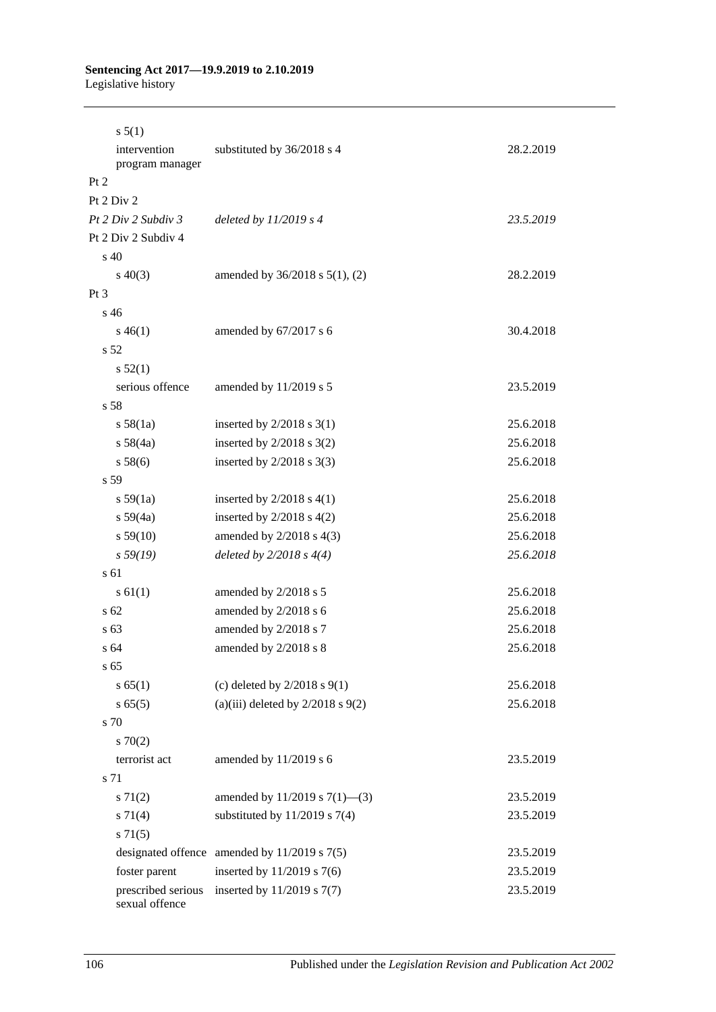# **Sentencing Act 2017—19.9.2019 to 2.10.2019**

Legislative history

| s 5(1)                              |                                                                |                        |
|-------------------------------------|----------------------------------------------------------------|------------------------|
| intervention<br>program manager     | substituted by 36/2018 s 4                                     | 28.2.2019              |
| Pt 2                                |                                                                |                        |
| Pt $2$ Div $2$                      |                                                                |                        |
| Pt 2 Div 2 Subdiv 3                 | deleted by $11/2019$ s 4                                       | 23.5.2019              |
| Pt 2 Div 2 Subdiv 4                 |                                                                |                        |
| s 40                                |                                                                |                        |
| $s\ 40(3)$                          | amended by $36/2018$ s $5(1)$ , (2)                            | 28.2.2019              |
| $Pt\,3$                             |                                                                |                        |
| s 46                                |                                                                |                        |
| $s\,46(1)$                          | amended by 67/2017 s 6                                         | 30.4.2018              |
| s 52                                |                                                                |                        |
| s 52(1)                             |                                                                |                        |
| serious offence                     | amended by 11/2019 s 5                                         | 23.5.2019              |
| s 58                                |                                                                |                        |
| s 58(1a)                            | inserted by $2/2018$ s 3(1)                                    | 25.6.2018              |
| s 58(4a)                            | inserted by $2/2018$ s $3(2)$                                  | 25.6.2018              |
| s 58(6)                             | inserted by $2/2018$ s 3(3)                                    | 25.6.2018              |
| s 59                                |                                                                |                        |
| s 59(1a)                            | inserted by $2/2018$ s $4(1)$                                  | 25.6.2018              |
| s 59(4a)                            | inserted by $2/2018$ s $4(2)$                                  | 25.6.2018              |
| s 59(10)                            | amended by $2/2018$ s $4(3)$                                   | 25.6.2018              |
| s 59(19)                            | deleted by $2/2018 s 4(4)$                                     | 25.6.2018              |
| s 61                                |                                                                |                        |
| $s \, 61(1)$                        | amended by 2/2018 s 5                                          | 25.6.2018              |
| s <sub>62</sub>                     | amended by 2/2018 s 6                                          | 25.6.2018              |
| s <sub>63</sub>                     | amended by 2/2018 s 7                                          | 25.6.2018              |
| s 64                                | amended by 2/2018 s 8                                          | 25.6.2018              |
| s <sub>65</sub>                     |                                                                |                        |
| s 65(1)                             | (c) deleted by $2/2018$ s $9(1)$                               | 25.6.2018              |
| s 65(5)                             | (a)(iii) deleted by $2/2018$ s $9(2)$                          | 25.6.2018              |
| s 70                                |                                                                |                        |
| 570(2)                              |                                                                |                        |
| terrorist act                       | amended by 11/2019 s 6                                         | 23.5.2019              |
| s 71                                |                                                                |                        |
| $s \, 71(2)$                        | amended by $11/2019$ s $7(1)$ —(3)                             | 23.5.2019              |
| s 71(4)                             | substituted by $11/2019$ s 7(4)                                | 23.5.2019              |
| $s \, 71(5)$                        |                                                                |                        |
|                                     | designated offence amended by $11/2019$ s $7(5)$               | 23.5.2019              |
| foster parent<br>prescribed serious | inserted by $11/2019$ s 7(6)<br>inserted by $11/2019$ s $7(7)$ | 23.5.2019<br>23.5.2019 |
| sexual offence                      |                                                                |                        |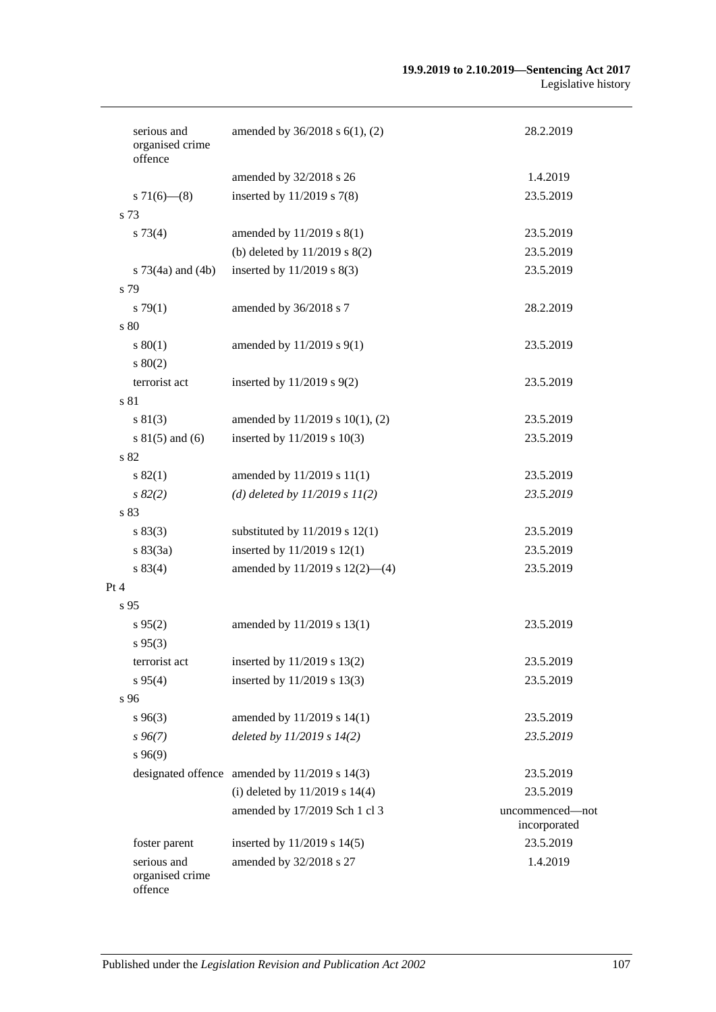#### **19.9.2019 to 2.10.2019—Sentencing Act 2017** Legislative history

| serious and<br>organised crime<br>offence | amended by $36/2018$ s $6(1)$ , (2)                                                     | 28.2.2019                       |
|-------------------------------------------|-----------------------------------------------------------------------------------------|---------------------------------|
|                                           | amended by 32/2018 s 26                                                                 | 1.4.2019                        |
| $s \, 71(6)$ (8)                          | inserted by $11/2019$ s 7(8)                                                            | 23.5.2019                       |
| s 73                                      |                                                                                         |                                 |
| $s \, 73(4)$                              | amended by 11/2019 s 8(1)                                                               | 23.5.2019                       |
|                                           | (b) deleted by $11/2019$ s $8(2)$                                                       | 23.5.2019                       |
| s $73(4a)$ and $(4b)$                     | inserted by $11/2019$ s $8(3)$                                                          | 23.5.2019                       |
| s 79                                      |                                                                                         |                                 |
| $s \, 79(1)$                              | amended by 36/2018 s 7                                                                  | 28.2.2019                       |
| s 80                                      |                                                                                         |                                 |
| $s\,80(1)$                                | amended by 11/2019 s 9(1)                                                               | 23.5.2019                       |
| $s\ 80(2)$                                |                                                                                         |                                 |
| terrorist act                             | inserted by $11/2019$ s $9(2)$                                                          | 23.5.2019                       |
| s 81                                      |                                                                                         |                                 |
| $s\ 81(3)$                                | amended by 11/2019 s 10(1), (2)                                                         | 23.5.2019                       |
| $s 81(5)$ and (6)                         | inserted by 11/2019 s 10(3)                                                             | 23.5.2019                       |
| s 82                                      |                                                                                         |                                 |
| s 82(1)                                   | amended by 11/2019 s 11(1)                                                              | 23.5.2019                       |
| $s\,82(2)$                                | (d) deleted by $11/2019 s 11(2)$                                                        | 23.5.2019                       |
| s 83                                      |                                                                                         |                                 |
| s 83(3)                                   | substituted by $11/2019$ s $12(1)$                                                      | 23.5.2019                       |
| s 83(3a)                                  | inserted by $11/2019$ s $12(1)$                                                         | 23.5.2019                       |
| s 83(4)                                   | amended by 11/2019 s 12(2)-(4)                                                          | 23.5.2019                       |
| Pt 4                                      |                                                                                         |                                 |
| s <sub>95</sub>                           |                                                                                         |                                 |
| $s\,95(2)$                                | amended by 11/2019 s 13(1)                                                              | 23.5.2019                       |
| $s\,95(3)$                                |                                                                                         |                                 |
| terrorist act                             | inserted by 11/2019 s 13(2)                                                             | 23.5.2019                       |
| $s\,95(4)$                                | inserted by 11/2019 s 13(3)                                                             | 23.5.2019                       |
| s 96                                      |                                                                                         |                                 |
| $s\,96(3)$                                | amended by 11/2019 s 14(1)                                                              | 23.5.2019                       |
| s96(7)                                    | deleted by $11/2019 s 14(2)$                                                            | 23.5.2019                       |
| s96(9)                                    |                                                                                         |                                 |
|                                           |                                                                                         |                                 |
|                                           | designated offence amended by $11/2019$ s $14(3)$<br>(i) deleted by $11/2019$ s $14(4)$ | 23.5.2019<br>23.5.2019          |
|                                           |                                                                                         |                                 |
|                                           | amended by 17/2019 Sch 1 cl 3                                                           | uncommenced-not<br>incorporated |
| foster parent                             | inserted by 11/2019 s 14(5)                                                             | 23.5.2019                       |
| serious and<br>organised crime<br>offence | amended by 32/2018 s 27                                                                 | 1.4.2019                        |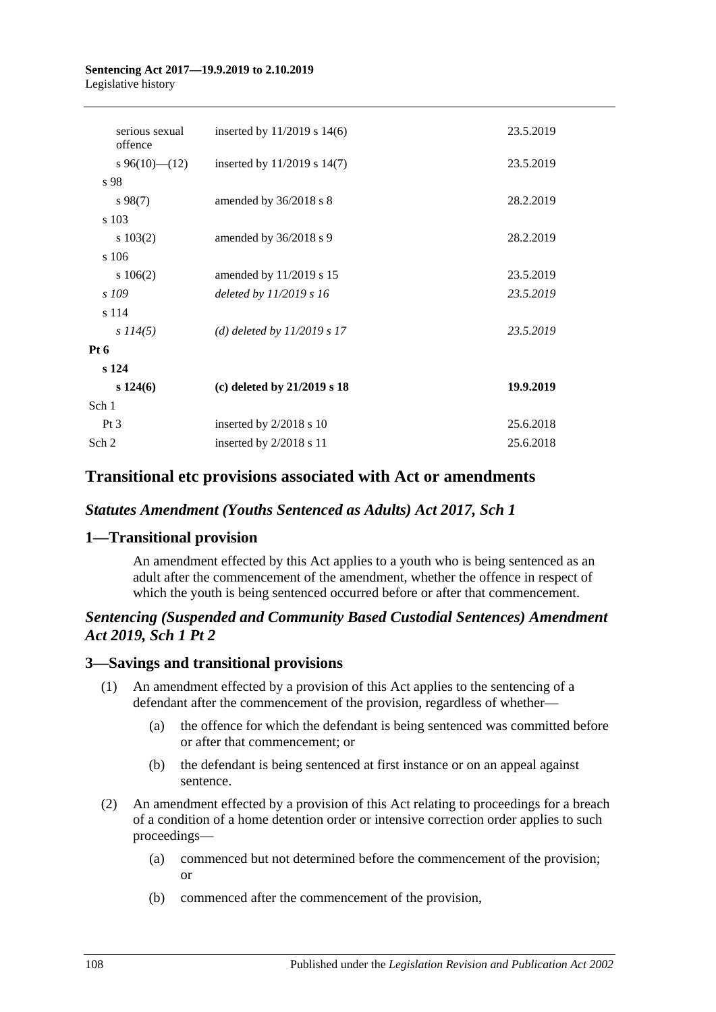#### **Sentencing Act 2017—19.9.2019 to 2.10.2019** Legislative history

| inserted by $11/2019$ s $14(6)$ | 23.5.2019 |
|---------------------------------|-----------|
| inserted by $11/2019$ s $14(7)$ | 23.5.2019 |
|                                 |           |
| amended by $36/2018$ s 8        | 28.2.2019 |
|                                 |           |
| amended by 36/2018 s 9          | 28.2.2019 |
|                                 |           |
| amended by 11/2019 s 15         | 23.5.2019 |
| deleted by 11/2019 s 16         | 23.5.2019 |
|                                 |           |
| (d) deleted by $11/2019$ s 17   | 23.5.2019 |
|                                 |           |
|                                 |           |
| (c) deleted by $21/2019$ s 18   | 19.9.2019 |
|                                 |           |
| inserted by 2/2018 s 10         | 25.6.2018 |
| inserted by $2/2018$ s 11       | 25.6.2018 |
|                                 |           |

# **Transitional etc provisions associated with Act or amendments**

### *Statutes Amendment (Youths Sentenced as Adults) Act 2017, Sch 1*

# **1—Transitional provision**

An amendment effected by this Act applies to a youth who is being sentenced as an adult after the commencement of the amendment, whether the offence in respect of which the youth is being sentenced occurred before or after that commencement.

## *Sentencing (Suspended and Community Based Custodial Sentences) Amendment Act 2019, Sch 1 Pt 2*

### **3—Savings and transitional provisions**

- (1) An amendment effected by a provision of this Act applies to the sentencing of a defendant after the commencement of the provision, regardless of whether—
	- (a) the offence for which the defendant is being sentenced was committed before or after that commencement; or
	- (b) the defendant is being sentenced at first instance or on an appeal against sentence.
- (2) An amendment effected by a provision of this Act relating to proceedings for a breach of a condition of a home detention order or intensive correction order applies to such proceedings—
	- (a) commenced but not determined before the commencement of the provision; or
	- (b) commenced after the commencement of the provision,